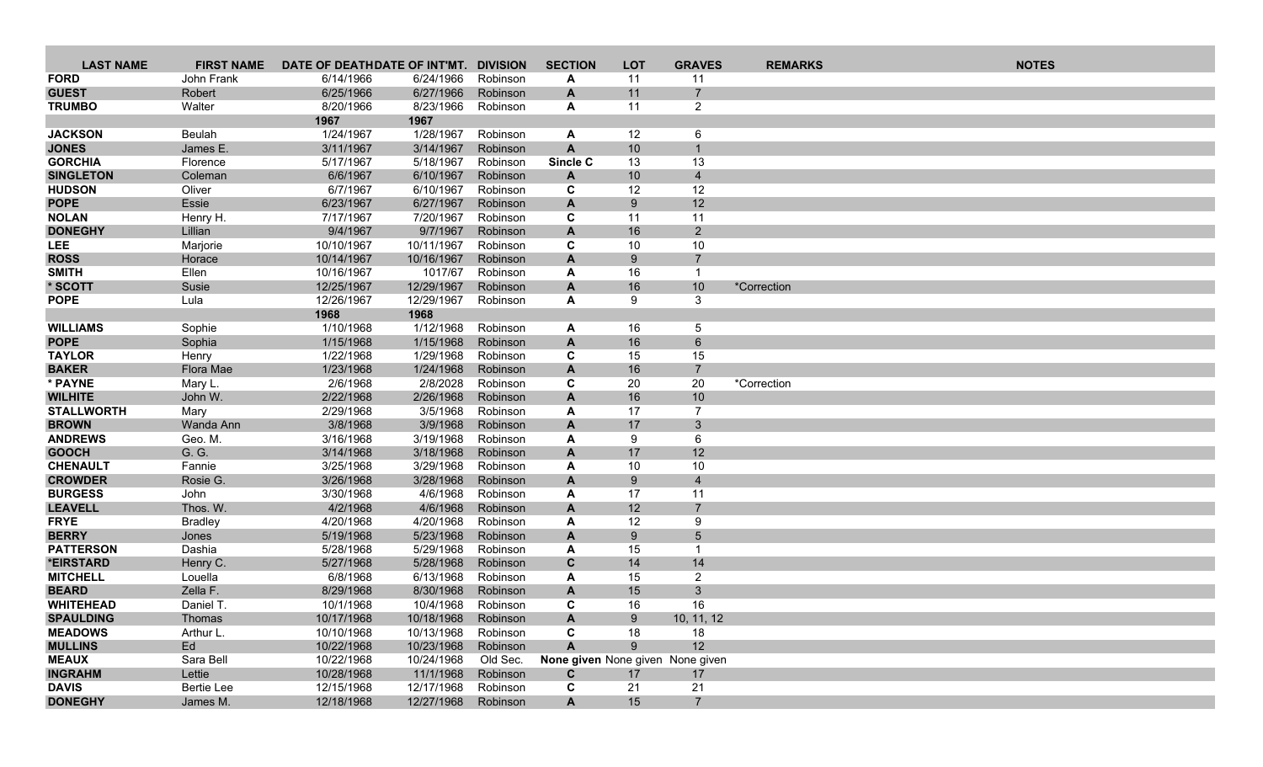| <b>LAST NAME</b>                 | <b>FIRST NAME</b>     | DATE OF DEATHDATE OF INT'MT. |                          | <b>DIVISION</b>      | <b>SECTION</b>                   | <b>LOT</b> | <b>GRAVES</b>        | <b>REMARKS</b> | <b>NOTES</b> |
|----------------------------------|-----------------------|------------------------------|--------------------------|----------------------|----------------------------------|------------|----------------------|----------------|--------------|
| <b>FORD</b>                      | John Frank            | 6/14/1966                    | 6/24/1966                | Robinson             | A                                | 11         | 11                   |                |              |
| <b>GUEST</b>                     | Robert                | 6/25/1966                    | 6/27/1966                | Robinson             | A                                | 11         | $\overline{7}$       |                |              |
| <b>TRUMBO</b>                    | Walter                | 8/20/1966                    | 8/23/1966                | Robinson             | A                                | 11         | $\overline{2}$       |                |              |
|                                  |                       | 1967                         | 1967                     |                      |                                  |            |                      |                |              |
| <b>JACKSON</b>                   | Beulah                | 1/24/1967                    | 1/28/1967                | Robinson             | A                                | 12         | 6                    |                |              |
| <b>JONES</b>                     | James E.              | 3/11/1967                    | 3/14/1967                | Robinson             | A                                | 10         |                      |                |              |
| <b>GORCHIA</b>                   | Florence              | 5/17/1967                    | 5/18/1967                | Robinson             | Sincle C                         | 13         | 13                   |                |              |
| <b>SINGLETON</b>                 | Coleman               | 6/6/1967                     | 6/10/1967                | Robinson             | A                                | 10         | $\overline{4}$       |                |              |
| <b>HUDSON</b>                    | Oliver                | 6/7/1967                     | 6/10/1967                | Robinson             | C                                | 12         | 12                   |                |              |
| <b>POPE</b>                      | Essie                 | 6/23/1967                    | 6/27/1967                | Robinson             | A                                | 9          | 12                   |                |              |
| <b>NOLAN</b>                     | Henry H.              | 7/17/1967                    | 7/20/1967                | Robinson             | C                                | 11         | 11                   |                |              |
| <b>DONEGHY</b>                   | Lillian               | 9/4/1967                     | 9/7/1967                 | Robinson             | A                                | 16         | $\overline{2}$       |                |              |
| <b>LEE</b>                       | Marjorie              | 10/10/1967                   | 10/11/1967               | Robinson             | C                                | 10         | 10                   |                |              |
| <b>ROSS</b>                      | Horace                | 10/14/1967                   | 10/16/1967               | Robinson             | A                                | 9          | $\overline{7}$<br>-1 |                |              |
| <b>SMITH</b>                     | Ellen                 | 10/16/1967                   | 1017/67                  | Robinson             | A                                | 16         |                      |                |              |
| * SCOTT<br><b>POPE</b>           | Susie<br>Lula         | 12/25/1967<br>12/26/1967     | 12/29/1967<br>12/29/1967 | Robinson<br>Robinson | A<br>A                           | 16<br>9    | 10<br>3              | *Correction    |              |
|                                  |                       | 1968                         | 1968                     |                      |                                  |            |                      |                |              |
| <b>WILLIAMS</b>                  | Sophie                | 1/10/1968                    | 1/12/1968                | Robinson             | A                                | 16         | 5                    |                |              |
| <b>POPE</b>                      | Sophia                | 1/15/1968                    | 1/15/1968                | Robinson             | A                                | 16         | $\,6\,$              |                |              |
| <b>TAYLOR</b>                    | Henry                 | 1/22/1968                    | 1/29/1968                | Robinson             | C                                | 15         | 15                   |                |              |
| <b>BAKER</b>                     | Flora Mae             | 1/23/1968                    | 1/24/1968                | Robinson             | A                                | 16         | $\overline{7}$       |                |              |
| * PAYNE                          | Mary L                | 2/6/1968                     | 2/8/2028                 | Robinson             | C                                | 20         | 20                   | *Correction    |              |
| <b>WILHITE</b>                   | John W.               | 2/22/1968                    | 2/26/1968                | Robinson             | A                                | 16         | 10                   |                |              |
| <b>STALLWORTH</b>                | Mary                  | 2/29/1968                    | 3/5/1968                 | Robinson             | A                                | 17         | $\overline{7}$       |                |              |
| <b>BROWN</b>                     | Wanda Ann             | 3/8/1968                     | 3/9/1968                 | Robinson             | A                                | 17         | 3 <sup>2</sup>       |                |              |
| <b>ANDREWS</b>                   | Geo. M.               | 3/16/1968                    | 3/19/1968                | Robinson             | A                                | 9          | 6                    |                |              |
| <b>GOOCH</b>                     | G. G.                 | 3/14/1968                    | 3/18/1968                | Robinson             | A                                | 17         | 12                   |                |              |
| <b>CHENAULT</b>                  | Fannie                | 3/25/1968                    | 3/29/1968                | Robinson             | A                                | 10         | 10                   |                |              |
| <b>CROWDER</b>                   | Rosie G.              | 3/26/1968                    | 3/28/1968                | Robinson             | A                                | 9          | $\overline{4}$       |                |              |
| <b>BURGESS</b>                   | John                  | 3/30/1968                    | 4/6/1968                 | Robinson             | A                                | 17         | 11                   |                |              |
| <b>LEAVELL</b>                   | Thos. W.              | 4/2/1968                     | 4/6/1968                 | Robinson             | A                                | 12         | $\overline{7}$       |                |              |
| <b>FRYE</b>                      | <b>Bradley</b>        | 4/20/1968                    | 4/20/1968                | Robinson             | A                                | 12         | 9                    |                |              |
| <b>BERRY</b>                     | Jones                 | 5/19/1968                    | 5/23/1968                | Robinson             | A                                | 9          | 5                    |                |              |
| <b>PATTERSON</b>                 | Dashia                | 5/28/1968                    | 5/29/1968                | Robinson             | A                                | 15         |                      |                |              |
| *EIRSTARD                        | Henry C.              | 5/27/1968                    | 5/28/1968                | Robinson             | $\mathbf{C}$                     | 14         | 14                   |                |              |
| <b>MITCHELL</b>                  | Louella               | 6/8/1968                     | 6/13/1968                | Robinson<br>Robinson | A                                | 15         | $\overline{2}$       |                |              |
| <b>BEARD</b><br><b>WHITEHEAD</b> | Zella F.<br>Daniel T. | 8/29/1968<br>10/1/1968       | 8/30/1968<br>10/4/1968   | Robinson             | A<br>C                           | 15<br>16   | 3<br>16              |                |              |
| <b>SPAULDING</b>                 | Thomas                | 10/17/1968                   | 10/18/1968               | Robinson             | A                                | 9          | 10, 11, 12           |                |              |
| <b>MEADOWS</b>                   | Arthur L.             | 10/10/1968                   | 10/13/1968               | Robinson             | C                                | 18         | 18                   |                |              |
| <b>MULLINS</b>                   | Ed                    | 10/22/1968                   | 10/23/1968               | Robinson             | A                                | 9          | 12                   |                |              |
| <b>MEAUX</b>                     | Sara Bell             | 10/22/1968                   | 10/24/1968               | Old Sec.             | None given None given None given |            |                      |                |              |
| <b>INGRAHM</b>                   | Lettie                | 10/28/1968                   | 11/1/1968                | Robinson             | C                                | 17         | 17                   |                |              |
| <b>DAVIS</b>                     | <b>Bertie Lee</b>     | 12/15/1968                   | 12/17/1968               | Robinson             | C                                | 21         | 21                   |                |              |
| <b>DONEGHY</b>                   | James M.              | 12/18/1968                   | 12/27/1968               | Robinson             | A                                | 15         | $\overline{7}$       |                |              |
|                                  |                       |                              |                          |                      |                                  |            |                      |                |              |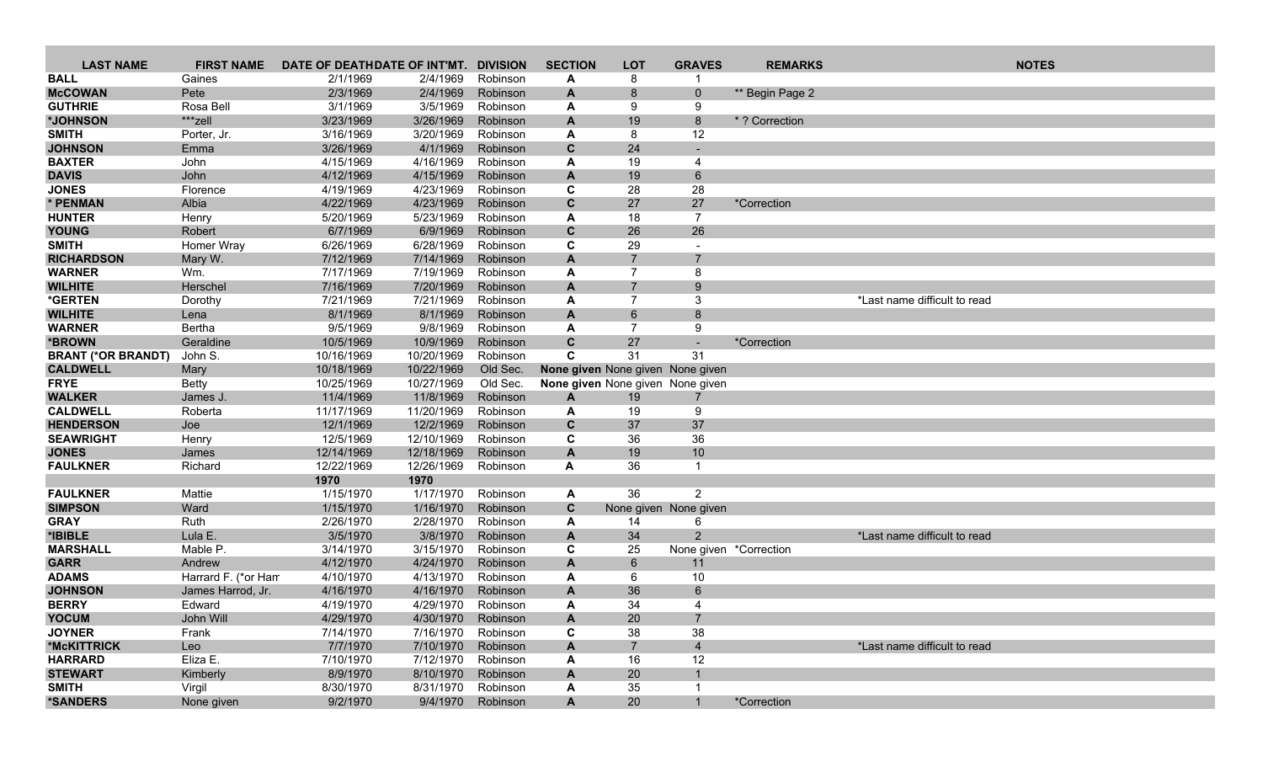| <b>LAST NAME</b>                   | <b>FIRST NAME</b>   | DATE OF DEATHDATE OF INT'MT. |                        | <b>DIVISION</b>      | <b>SECTION</b> | <b>LOT</b>                       | <b>GRAVES</b>          | <b>REMARKS</b>  |                              | <b>NOTES</b> |
|------------------------------------|---------------------|------------------------------|------------------------|----------------------|----------------|----------------------------------|------------------------|-----------------|------------------------------|--------------|
| <b>BALL</b>                        | Gaines              | 2/1/1969                     | 2/4/1969               | Robinson             | A              | 8                                |                        |                 |                              |              |
| <b>McCOWAN</b>                     | Pete                | 2/3/1969                     | 2/4/1969               | Robinson             | A              | 8                                | $\mathbf{0}$           | ** Begin Page 2 |                              |              |
| <b>GUTHRIE</b>                     | Rosa Bell           | 3/1/1969                     | 3/5/1969               | Robinson             | A              | 9                                | 9                      |                 |                              |              |
| *JOHNSON                           | ***zell             | 3/23/1969                    | 3/26/1969              | Robinson             | A              | 19                               | 8                      | * ? Correction  |                              |              |
| <b>SMITH</b>                       | Porter, Jr.         | 3/16/1969                    | 3/20/1969              | Robinson             | A              | 8                                | 12                     |                 |                              |              |
| <b>JOHNSON</b>                     | Emma                | 3/26/1969                    | 4/1/1969               | Robinson             | C              | 24                               |                        |                 |                              |              |
| <b>BAXTER</b>                      | John                | 4/15/1969                    | 4/16/1969              | Robinson             | A              | 19                               | $\overline{4}$         |                 |                              |              |
| <b>DAVIS</b>                       | John                | 4/12/1969                    | 4/15/1969              | Robinson             | $\mathbf{A}$   | 19                               | $6\phantom{1}$         |                 |                              |              |
| <b>JONES</b>                       | Florence            | 4/19/1969                    | 4/23/1969              | Robinson             | C              | 28                               | 28                     |                 |                              |              |
| * PENMAN                           | Albia               | 4/22/1969                    | 4/23/1969              | Robinson             | $\mathbf{C}$   | 27                               | 27                     | *Correction     |                              |              |
| <b>HUNTER</b>                      | Henry               | 5/20/1969                    | 5/23/1969              | Robinson             | A              | 18                               | $\overline{7}$         |                 |                              |              |
| <b>YOUNG</b>                       | Robert              | 6/7/1969                     | 6/9/1969               | Robinson             | $\mathbf c$    | 26                               | 26                     |                 |                              |              |
| <b>SMITH</b>                       | Homer Wray          | 6/26/1969                    | 6/28/1969              | Robinson             | C              | 29<br>$\overline{7}$             | $\overline{7}$         |                 |                              |              |
| <b>RICHARDSON</b><br><b>WARNER</b> | Mary W.<br>Wm.      | 7/12/1969<br>7/17/1969       | 7/14/1969<br>7/19/1969 | Robinson<br>Robinson | A              | $\overline{7}$                   | 8                      |                 |                              |              |
| <b>WILHITE</b>                     | Herschel            | 7/16/1969                    | 7/20/1969              | Robinson             | A<br>A         |                                  | 9                      |                 |                              |              |
| *GERTEN                            | Dorothy             | 7/21/1969                    | 7/21/1969              | Robinson             | A              | 7                                | 3                      |                 | *Last name difficult to read |              |
| <b>WILHITE</b>                     | Lena                | 8/1/1969                     | 8/1/1969               | Robinson             | A              | $6\phantom{1}6$                  | 8                      |                 |                              |              |
| <b>WARNER</b>                      | Bertha              | 9/5/1969                     | 9/8/1969               | Robinson             | A              | $\overline{7}$                   | 9                      |                 |                              |              |
| *BROWN                             | Geraldine           | 10/5/1969                    | 10/9/1969              | Robinson             | $\mathbf{C}$   | 27                               | $\sim$                 | *Correction     |                              |              |
| <b>BRANT (*OR BRANDT)</b>          | John S.             | 10/16/1969                   | 10/20/1969             | Robinson             | $\mathbf{C}$   | 31                               | 31                     |                 |                              |              |
| <b>CALDWELL</b>                    | Mary                | 10/18/1969                   | 10/22/1969             | Old Sec.             |                | None given None given None given |                        |                 |                              |              |
| <b>FRYE</b>                        | <b>Betty</b>        | 10/25/1969                   | 10/27/1969             | Old Sec.             |                | None given None given None given |                        |                 |                              |              |
| <b>WALKER</b>                      | James J.            | 11/4/1969                    | 11/8/1969              | Robinson             | $\mathbf{A}$   | 19                               |                        |                 |                              |              |
| <b>CALDWELL</b>                    | Roberta             | 11/17/1969                   | 11/20/1969             | Robinson             | A              | 19                               | 9                      |                 |                              |              |
| <b>HENDERSON</b>                   | Joe                 | 12/1/1969                    | 12/2/1969              | Robinson             | $\mathbf c$    | 37                               | 37                     |                 |                              |              |
| <b>SEAWRIGHT</b>                   | Henry               | 12/5/1969                    | 12/10/1969             | Robinson             | C              | 36                               | 36                     |                 |                              |              |
| <b>JONES</b>                       | James               | 12/14/1969                   | 12/18/1969             | Robinson             | $\mathsf{A}$   | 19                               | 10                     |                 |                              |              |
| <b>FAULKNER</b>                    | Richard             | 12/22/1969                   | 12/26/1969             | Robinson             | A              | 36                               | -1                     |                 |                              |              |
|                                    |                     | 1970                         | 1970                   |                      |                |                                  |                        |                 |                              |              |
| <b>FAULKNER</b>                    | Mattie              | 1/15/1970                    | 1/17/1970              | Robinson             | A              | 36                               | $\overline{2}$         |                 |                              |              |
| <b>SIMPSON</b>                     | Ward                | 1/15/1970                    | 1/16/1970              | Robinson             | $\mathbf c$    |                                  | None given None given  |                 |                              |              |
| <b>GRAY</b>                        | Ruth                | 2/26/1970                    | 2/28/1970              | Robinson             | A              | 14                               | 6                      |                 |                              |              |
| *IBIBLE                            | Lula E.             | 3/5/1970                     | 3/8/1970               | Robinson             | A              | 34                               | $\overline{2}$         |                 | *Last name difficult to read |              |
| <b>MARSHALL</b>                    | Mable P.            | 3/14/1970                    | 3/15/1970              | Robinson             | C              | 25                               | None given *Correction |                 |                              |              |
| <b>GARR</b>                        | Andrew              | 4/12/1970                    | 4/24/1970              | Robinson             | $\mathbf{A}$   | 6                                | 11                     |                 |                              |              |
| <b>ADAMS</b>                       | Harrard F. (*or Ham | 4/10/1970                    | 4/13/1970              | Robinson             | A              | 6                                | 10                     |                 |                              |              |
| <b>JOHNSON</b>                     | James Harrod, Jr.   | 4/16/1970                    | 4/16/1970<br>4/29/1970 | Robinson             | $\mathbf{A}$   | 36<br>34                         | 6                      |                 |                              |              |
| <b>BERRY</b><br><b>YOCUM</b>       | Edward<br>John Will | 4/19/1970                    | 4/30/1970              | Robinson             | A              | 20                               | 4                      |                 |                              |              |
| <b>JOYNER</b>                      | Frank               | 4/29/1970<br>7/14/1970       | 7/16/1970              | Robinson<br>Robinson | A<br>C         | 38                               | 38                     |                 |                              |              |
| *McKITTRICK                        | Leo                 | 7/7/1970                     | 7/10/1970              | Robinson             | $\mathbf{A}$   | $\overline{7}$                   | $\overline{4}$         |                 | *Last name difficult to read |              |
| <b>HARRARD</b>                     | Eliza E.            | 7/10/1970                    | 7/12/1970              | Robinson             | A              | 16                               | 12                     |                 |                              |              |
| <b>STEWART</b>                     | Kimberly            | 8/9/1970                     | 8/10/1970              | Robinson             | A              | 20                               |                        |                 |                              |              |
| <b>SMITH</b>                       | Virgil              | 8/30/1970                    | 8/31/1970              | Robinson             | A              | 35                               |                        |                 |                              |              |
| *SANDERS                           | None given          | 9/2/1970                     | 9/4/1970               | Robinson             | $\mathbf{A}$   | 20                               | $\mathbf{1}$           | *Correction     |                              |              |
|                                    |                     |                              |                        |                      |                |                                  |                        |                 |                              |              |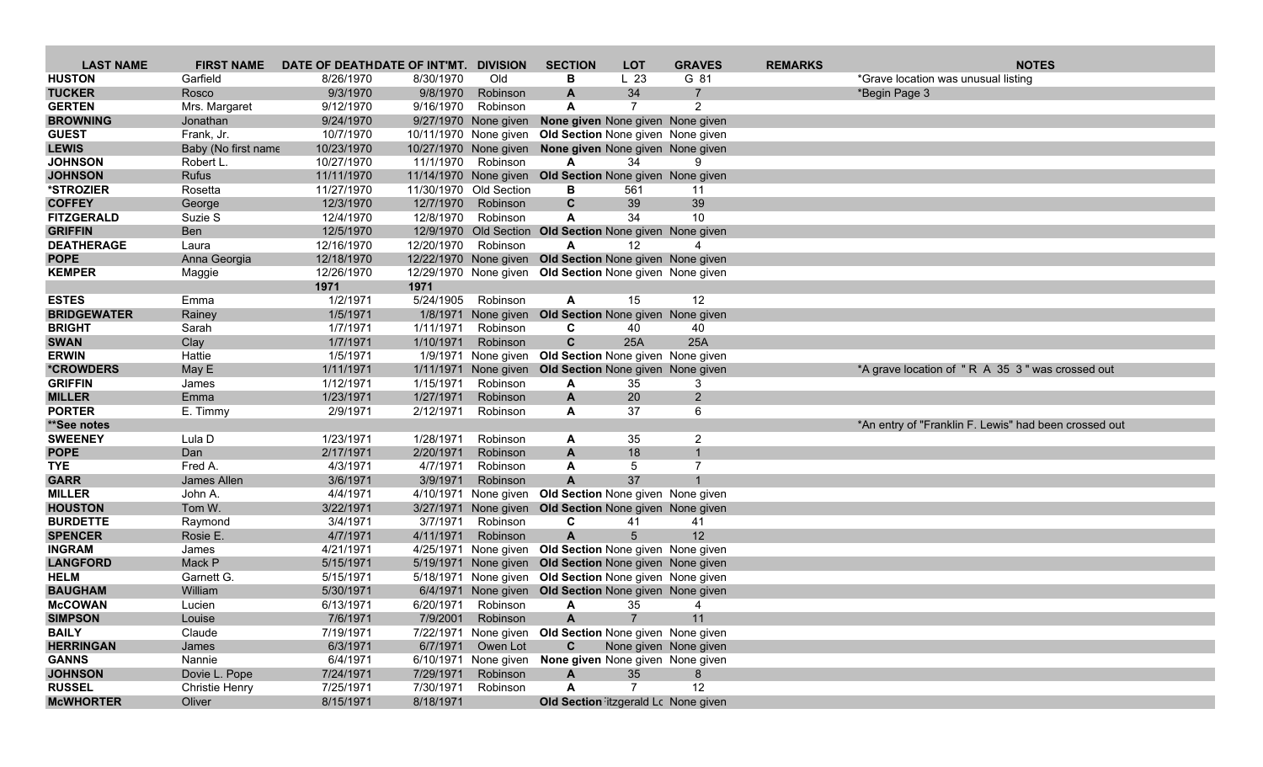| <b>LAST NAME</b>                | <b>FIRST NAME</b>     | DATE OF DEATHDATE OF INT'MT. DIVISION |                     |                        | <b>SECTION</b>                                          | <b>LOT</b>           | <b>GRAVES</b>         | <b>REMARKS</b> | <b>NOTES</b>                                          |
|---------------------------------|-----------------------|---------------------------------------|---------------------|------------------------|---------------------------------------------------------|----------------------|-----------------------|----------------|-------------------------------------------------------|
| <b>HUSTON</b>                   | Garfield              | 8/26/1970                             | 8/30/1970           | Old                    | в                                                       | L <sub>23</sub>      | G 81                  |                | *Grave location was unusual listing                   |
| <b>TUCKER</b>                   | Rosco                 | 9/3/1970                              | 9/8/1970            | Robinson               | $\mathbf{A}$                                            | 34                   | $\overline{7}$        |                | *Begin Page 3                                         |
| <b>GERTEN</b>                   | Mrs. Margaret         | 9/12/1970                             | 9/16/1970           | Robinson               | A                                                       | 7                    | 2                     |                |                                                       |
| <b>BROWNING</b>                 | Jonathan              | 9/24/1970                             |                     | 9/27/1970 None given   | None given None given None given                        |                      |                       |                |                                                       |
| <b>GUEST</b>                    | Frank, Jr.            | 10/7/1970                             |                     | 10/11/1970 None given  | Old Section None given None given                       |                      |                       |                |                                                       |
| <b>LEWIS</b>                    | Baby (No first name   | 10/23/1970                            |                     |                        | 10/27/1970 None given None given None given None given  |                      |                       |                |                                                       |
| <b>JOHNSON</b>                  | Robert L.             | 10/27/1970                            |                     | 11/1/1970 Robinson     | A                                                       | 34                   | 9                     |                |                                                       |
| <b>JOHNSON</b>                  | <b>Rufus</b>          | 11/11/1970                            |                     |                        | 11/14/1970 None given Old Section None given None given |                      |                       |                |                                                       |
| *STROZIER                       | Rosetta               | 11/27/1970                            |                     | 11/30/1970 Old Section | В                                                       | 561                  | 11                    |                |                                                       |
| <b>COFFEY</b>                   | George                | 12/3/1970                             | 12/7/1970           | Robinson               | C                                                       | 39                   | 39                    |                |                                                       |
| <b>FITZGERALD</b>               | Suzie S               | 12/4/1970                             |                     | 12/8/1970 Robinson     | A                                                       | 34                   | 10                    |                |                                                       |
| <b>GRIFFIN</b>                  | Ben                   | 12/5/1970                             |                     |                        | 12/9/1970 Old Section Old Section None given None given |                      |                       |                |                                                       |
| <b>DEATHERAGE</b>               | Laura                 | 12/16/1970                            | 12/20/1970 Robinson |                        | A                                                       | 12 <sup>2</sup>      |                       |                |                                                       |
| <b>POPE</b>                     | Anna Georgia          | 12/18/1970                            |                     |                        | 12/22/1970 None given Old Section None given None given |                      |                       |                |                                                       |
| <b>KEMPER</b>                   | Maggie                | 12/26/1970                            |                     |                        | 12/29/1970 None given Old Section None given None given |                      |                       |                |                                                       |
|                                 |                       | 1971                                  | 1971                |                        |                                                         |                      |                       |                |                                                       |
| <b>ESTES</b>                    | Emma                  | 1/2/1971                              |                     | 5/24/1905 Robinson     | A                                                       | 15                   | 12                    |                |                                                       |
| <b>BRIDGEWATER</b>              | Rainey                | 1/5/1971                              | 1/8/1971            | None given             | Old Section None given None given                       |                      |                       |                |                                                       |
| <b>BRIGHT</b>                   | Sarah                 | 1/7/1971                              | 1/11/1971           | Robinson               | C                                                       | 40                   | 40                    |                |                                                       |
| <b>SWAN</b>                     | Clay                  | 1/7/1971                              | 1/10/1971           | Robinson               | $\mathbf{C}$                                            | 25A                  | 25A                   |                |                                                       |
| <b>ERWIN</b>                    | Hattie                | 1/5/1971                              |                     |                        | 1/9/1971 None given Old Section None given None given   |                      |                       |                |                                                       |
| <i><b>*CROWDERS</b></i>         | May E                 | 1/11/1971                             |                     |                        | 1/11/1971 None given Old Section None given None given  |                      |                       |                | *A grave location of "R A 35 3" was crossed out       |
| <b>GRIFFIN</b>                  | James                 | 1/12/1971                             | 1/15/1971           | Robinson               | A                                                       | 35                   | 3                     |                |                                                       |
| <b>MILLER</b>                   | Emma                  | 1/23/1971                             | 1/27/1971           | Robinson               | A                                                       | 20                   | $2^{\circ}$           |                |                                                       |
| <b>PORTER</b>                   | E. Timmy              | 2/9/1971                              | 2/12/1971           | Robinson               | A                                                       | 37                   | 6                     |                |                                                       |
| **See notes                     |                       |                                       |                     |                        |                                                         |                      |                       |                | *An entry of "Franklin F. Lewis" had been crossed out |
| <b>SWEENEY</b>                  | Lula D                | 1/23/1971                             | 1/28/1971           | Robinson               | A                                                       | 35                   | $\overline{2}$        |                |                                                       |
| <b>POPE</b>                     | Dan                   | 2/17/1971                             | 2/20/1971           | Robinson               | $\mathbf{A}$                                            | 18                   | $\mathbf{1}$          |                |                                                       |
| <b>TYE</b>                      | Fred A.               | 4/3/1971                              | 4/7/1971            | Robinson               | A                                                       | 5                    | $\overline{7}$        |                |                                                       |
| <b>GARR</b>                     | James Allen           | 3/6/1971                              | 3/9/1971            | Robinson               | A                                                       | 37                   |                       |                |                                                       |
| <b>MILLER</b>                   | John A.               | 4/4/1971                              |                     |                        | 4/10/1971 None given Old Section None given None given  |                      |                       |                |                                                       |
| <b>HOUSTON</b>                  | Tom W.                | 3/22/1971                             |                     | 3/27/1971 None given   | <b>Old Section None given None given</b>                |                      |                       |                |                                                       |
| <b>BURDETTE</b>                 | Raymond               | 3/4/1971                              | 3/7/1971            | Robinson               | C                                                       | 41                   | 41                    |                |                                                       |
| <b>SPENCER</b>                  | Rosie E.              | 4/7/1971                              | 4/11/1971           | Robinson               | $\mathbf{A}$                                            | 5                    | 12                    |                |                                                       |
| <b>INGRAM</b>                   | James                 | 4/21/1971                             |                     |                        | 4/25/1971 None given Old Section None given None given  |                      |                       |                |                                                       |
| <b>LANGFORD</b>                 | Mack P                | 5/15/1971                             |                     |                        | 5/19/1971 None given Old Section None given None given  |                      |                       |                |                                                       |
| <b>HELM</b>                     | Garnett G.            | 5/15/1971                             |                     |                        | 5/18/1971 None given Old Section None given None given  |                      |                       |                |                                                       |
| <b>BAUGHAM</b>                  | William               | 5/30/1971                             |                     |                        | 6/4/1971 None given Old Section None given None given   |                      |                       |                |                                                       |
| <b>McCOWAN</b>                  | Lucien                | 6/13/1971                             |                     | 6/20/1971 Robinson     | A                                                       | 35                   | 4                     |                |                                                       |
| <b>SIMPSON</b>                  | Louise                | 7/6/1971                              |                     | 7/9/2001 Robinson      | A                                                       |                      | 11                    |                |                                                       |
| <b>BAILY</b>                    | Claude                | 7/19/1971                             |                     |                        | 7/22/1971 None given Old Section None given None given  |                      |                       |                |                                                       |
| <b>HERRINGAN</b>                | James                 | 6/3/1971                              |                     | 6/7/1971 Owen Lot      | C.                                                      |                      | None given None given |                |                                                       |
| <b>GANNS</b>                    | Nannie                | 6/4/1971                              |                     |                        | 6/10/1971 None given None given None given None given   |                      |                       |                |                                                       |
| <b>JOHNSON</b><br><b>RUSSEL</b> | Dovie L. Pope         | 7/24/1971                             | 7/29/1971           | Robinson<br>Robinson   | A<br>A                                                  | 35<br>$\overline{7}$ | 8<br>12               |                |                                                       |
|                                 | <b>Christie Henry</b> | 7/25/1971                             | 7/30/1971           |                        |                                                         |                      |                       |                |                                                       |
| <b>McWHORTER</b>                | Oliver                | 8/15/1971                             | 8/18/1971           |                        | Old Section itzgerald Lc None given                     |                      |                       |                |                                                       |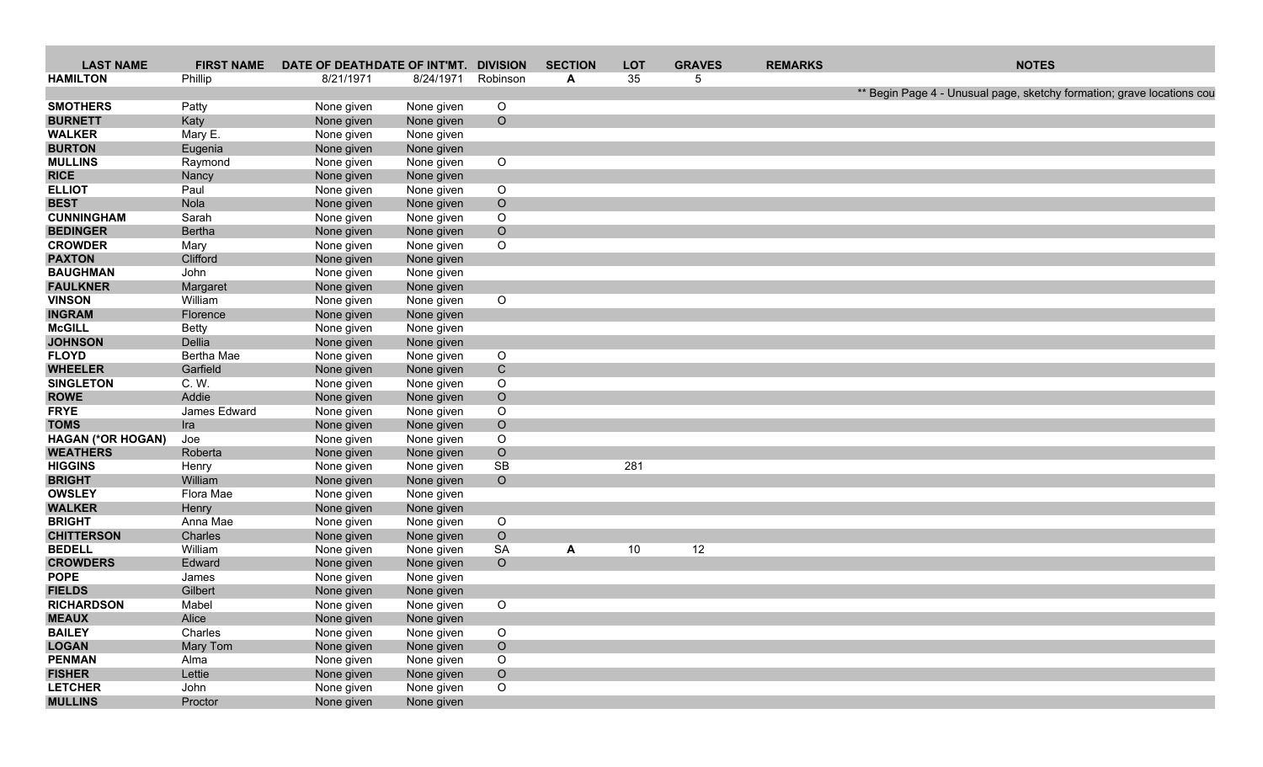| <b>LAST NAME</b>                 |                | FIRST NAME DATE OF DEATHDATE OF INT'MT. DIVISION |                          |                    | <b>SECTION</b> | LOT | <b>GRAVES</b> | <b>REMARKS</b> | <b>NOTES</b>                                                           |
|----------------------------------|----------------|--------------------------------------------------|--------------------------|--------------------|----------------|-----|---------------|----------------|------------------------------------------------------------------------|
| <b>HAMILTON</b>                  | Phillip        | 8/21/1971                                        | 8/24/1971 Robinson       |                    | A              | 35  |               |                |                                                                        |
|                                  |                |                                                  |                          |                    |                |     |               |                | ** Begin Page 4 - Unusual page, sketchy formation; grave locations cou |
| <b>SMOTHERS</b>                  | Patty          | None given                                       | None given               | $\overline{O}$     |                |     |               |                |                                                                        |
| <b>BURNETT</b>                   | Katy           | None given                                       | None given               | $\overline{O}$     |                |     |               |                |                                                                        |
| <b>WALKER</b>                    | Mary E.        | None given                                       | None given               |                    |                |     |               |                |                                                                        |
| <b>BURTON</b>                    | Eugenia        | None given                                       | None given               |                    |                |     |               |                |                                                                        |
| <b>MULLINS</b>                   | Raymond        | None given                                       | None given               | $\circ$            |                |     |               |                |                                                                        |
| <b>RICE</b>                      | Nancy          | None given                                       | None given               |                    |                |     |               |                |                                                                        |
| <b>ELLIOT</b>                    | Paul<br>Nola   | None given                                       | None given               | $\circ$<br>$\circ$ |                |     |               |                |                                                                        |
| <b>BEST</b><br><b>CUNNINGHAM</b> |                | None given                                       | None given               |                    |                |     |               |                |                                                                        |
| <b>BEDINGER</b>                  | Sarah          | None given                                       | None given               | $\circ$<br>$\circ$ |                |     |               |                |                                                                        |
| <b>CROWDER</b>                   | Bertha<br>Mary | None given                                       | None given               | $\circ$            |                |     |               |                |                                                                        |
| <b>PAXTON</b>                    | Clifford       | None given<br>None given                         | None given<br>None given |                    |                |     |               |                |                                                                        |
| <b>BAUGHMAN</b>                  | John           | None given                                       | None given               |                    |                |     |               |                |                                                                        |
| <b>FAULKNER</b>                  | Margaret       | None given                                       | None given               |                    |                |     |               |                |                                                                        |
| <b>VINSON</b>                    | William        | None given                                       | None given               | $\circ$            |                |     |               |                |                                                                        |
| <b>INGRAM</b>                    | Florence       | None given                                       | None given               |                    |                |     |               |                |                                                                        |
| <b>McGILL</b>                    | Betty          | None given                                       | None given               |                    |                |     |               |                |                                                                        |
| <b>JOHNSON</b>                   | Dellia         | None given                                       | None given               |                    |                |     |               |                |                                                                        |
| <b>FLOYD</b>                     | Bertha Mae     | None given                                       | None given               | $\circ$            |                |     |               |                |                                                                        |
| <b>WHEELER</b>                   | Garfield       | None given                                       | None given               | C                  |                |     |               |                |                                                                        |
| <b>SINGLETON</b>                 | C. W.          | None given                                       | None given               | $\circ$            |                |     |               |                |                                                                        |
| <b>ROWE</b>                      | Addie          | None given                                       | None given               | $\circ$            |                |     |               |                |                                                                        |
| <b>FRYE</b>                      | James Edward   | None given                                       | None given               | $\circ$            |                |     |               |                |                                                                        |
| <b>TOMS</b>                      | Ira            | None given                                       | None given               | $\circ$            |                |     |               |                |                                                                        |
| <b>HAGAN (*OR HOGAN)</b>         | Joe            | None given                                       | None given               | $\circ$            |                |     |               |                |                                                                        |
| <b>WEATHERS</b>                  | Roberta        | None given                                       | None given               | $\circ$            |                |     |               |                |                                                                        |
| <b>HIGGINS</b>                   | Henry          | None given                                       | None given               | SB                 |                | 281 |               |                |                                                                        |
| <b>BRIGHT</b>                    | William        | None given                                       | None given               | $\overline{O}$     |                |     |               |                |                                                                        |
| <b>OWSLEY</b>                    | Flora Mae      | None given                                       | None given               |                    |                |     |               |                |                                                                        |
| <b>WALKER</b>                    | Henry          | None given                                       | None given               |                    |                |     |               |                |                                                                        |
| <b>BRIGHT</b>                    | Anna Mae       | None given                                       | None given               | $\circ$            |                |     |               |                |                                                                        |
| <b>CHITTERSON</b>                | Charles        | None given                                       | None given               | $\circ$            |                |     |               |                |                                                                        |
| <b>BEDELL</b>                    | William        | None given                                       | None given               | SA                 | A              | 10  | 12            |                |                                                                        |
| <b>CROWDERS</b>                  | Edward         | None given                                       | None given               | $\circ$            |                |     |               |                |                                                                        |
| <b>POPE</b>                      | James          | None given                                       | None given               |                    |                |     |               |                |                                                                        |
| <b>FIELDS</b>                    | Gilbert        | None given                                       | None given               |                    |                |     |               |                |                                                                        |
| <b>RICHARDSON</b>                | Mabel          | None given                                       | None given               | $\circ$            |                |     |               |                |                                                                        |
| <b>MEAUX</b>                     | Alice          | None given                                       | None given               |                    |                |     |               |                |                                                                        |
| <b>BAILEY</b>                    | Charles        | None given                                       | None given               | $\overline{O}$     |                |     |               |                |                                                                        |
| <b>LOGAN</b>                     | Mary Tom       | None given                                       | None given               | $\circ$            |                |     |               |                |                                                                        |
| <b>PENMAN</b>                    | Alma           | None given                                       | None given               | $\circ$            |                |     |               |                |                                                                        |
| <b>FISHER</b>                    | Lettie         | None given                                       | None given               | $\circ$            |                |     |               |                |                                                                        |
| <b>LETCHER</b>                   | John           | None given                                       | None given               | $\circ$            |                |     |               |                |                                                                        |
| <b>MULLINS</b>                   | Proctor        | None given                                       | None given               |                    |                |     |               |                |                                                                        |
|                                  |                |                                                  |                          |                    |                |     |               |                |                                                                        |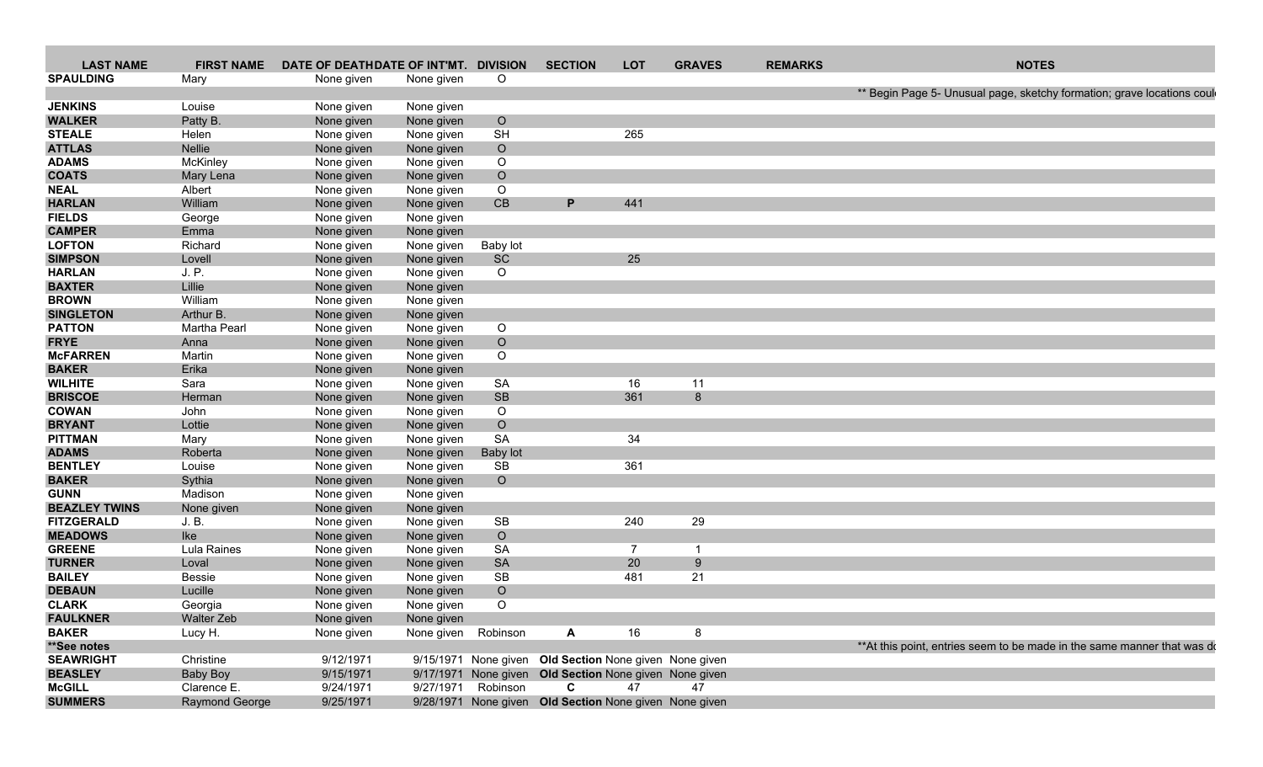| <b>LAST NAME</b>               |                    | FIRST NAME DATE OF DEATHDATE OF INT'MT. DIVISION |                          |                 | <b>SECTION</b>                    | LOT             | <b>GRAVES</b>                                          | <b>REMARKS</b> | <b>NOTES</b>                                                             |
|--------------------------------|--------------------|--------------------------------------------------|--------------------------|-----------------|-----------------------------------|-----------------|--------------------------------------------------------|----------------|--------------------------------------------------------------------------|
| <b>SPAULDING</b>               | Mary               | None given                                       | None given               | $\overline{O}$  |                                   |                 |                                                        |                |                                                                          |
|                                |                    |                                                  |                          |                 |                                   |                 |                                                        |                | ** Begin Page 5- Unusual page, sketchy formation; grave locations could  |
| <b>JENKINS</b>                 | Louise<br>Patty B. | None given                                       | None given               | $\circ$         |                                   |                 |                                                        |                |                                                                          |
| <b>WALKER</b><br><b>STEALE</b> | Helen              | None given<br>None given                         | None given<br>None given | <b>SH</b>       |                                   | 265             |                                                        |                |                                                                          |
| <b>ATTLAS</b>                  | Nellie             | None given                                       | None given               | $\circ$         |                                   |                 |                                                        |                |                                                                          |
| <b>ADAMS</b>                   | McKinley           | None given                                       | None given               | $\circ$         |                                   |                 |                                                        |                |                                                                          |
| <b>COATS</b>                   | Mary Lena          | None given                                       | None given               | $\circ$         |                                   |                 |                                                        |                |                                                                          |
| <b>NEAL</b>                    | Albert             | None given                                       | None given               | $\circ$         |                                   |                 |                                                        |                |                                                                          |
| <b>HARLAN</b>                  | William            | None given                                       | None given               | CB              |                                   | 441             |                                                        |                |                                                                          |
| <b>FIELDS</b>                  | George             | None given                                       | None given               |                 |                                   |                 |                                                        |                |                                                                          |
| <b>CAMPER</b>                  | Emma               | None given                                       | None given               |                 |                                   |                 |                                                        |                |                                                                          |
| <b>LOFTON</b>                  | Richard            |                                                  |                          | Baby lot        |                                   |                 |                                                        |                |                                                                          |
| <b>SIMPSON</b>                 | Lovell             | None given                                       | None given<br>None given | SC              |                                   | 25 <sub>2</sub> |                                                        |                |                                                                          |
| <b>HARLAN</b>                  | J. P.              | None given                                       |                          | $\circ$         |                                   |                 |                                                        |                |                                                                          |
|                                | Lillie             | None given                                       | None given               |                 |                                   |                 |                                                        |                |                                                                          |
| <b>BAXTER</b>                  |                    | None given                                       | None given               |                 |                                   |                 |                                                        |                |                                                                          |
| <b>BROWN</b>                   | William            | None given                                       | None given               |                 |                                   |                 |                                                        |                |                                                                          |
| <b>SINGLETON</b>               | Arthur B.          | None given                                       | None given               |                 |                                   |                 |                                                        |                |                                                                          |
| <b>PATTON</b>                  | Martha Pearl       | None given                                       | None given               | $\circ$         |                                   |                 |                                                        |                |                                                                          |
| <b>FRYE</b>                    | Anna               | None given                                       | None given               | $\circ$         |                                   |                 |                                                        |                |                                                                          |
| <b>McFARREN</b>                | Martin             | None given                                       | None given               | $\circ$         |                                   |                 |                                                        |                |                                                                          |
| <b>BAKER</b>                   | Erika              | None given                                       | None given               |                 |                                   |                 |                                                        |                |                                                                          |
| <b>WILHITE</b>                 | Sara               | None given                                       | None given               | SA              |                                   | 16              | 11                                                     |                |                                                                          |
| <b>BRISCOE</b>                 | Herman             | None given                                       | None given               | SB              |                                   | 361             |                                                        |                |                                                                          |
| <b>COWAN</b>                   | John               | None given                                       | None given               | $\circ$         |                                   |                 |                                                        |                |                                                                          |
| <b>BRYANT</b>                  | Lottie             | None given                                       | None given               | $\circ$         |                                   |                 |                                                        |                |                                                                          |
| <b>PITTMAN</b>                 | Mary               | None given                                       | None given               | SA              |                                   | 34              |                                                        |                |                                                                          |
| <b>ADAMS</b>                   | Roberta            | None given                                       | None given               | <b>Baby lot</b> |                                   |                 |                                                        |                |                                                                          |
| <b>BENTLEY</b>                 | Louise             | None given                                       | None given               | <b>SB</b>       |                                   | 361             |                                                        |                |                                                                          |
| <b>BAKER</b>                   | Sythia             | None given                                       | None given               | $\circ$         |                                   |                 |                                                        |                |                                                                          |
| <b>GUNN</b>                    | Madison            | None given                                       | None given               |                 |                                   |                 |                                                        |                |                                                                          |
| <b>BEAZLEY TWINS</b>           | None given         | None given                                       | None given               |                 |                                   |                 |                                                        |                |                                                                          |
| <b>FITZGERALD</b>              | J. B.              | None given                                       | None given               | SB              |                                   | 240             | 29                                                     |                |                                                                          |
| <b>MEADOWS</b>                 | Ike                | None given                                       | None given               | $\circ$         |                                   |                 |                                                        |                |                                                                          |
| <b>GREENE</b>                  | Lula Raines        | None given                                       | None given               | SA              |                                   |                 |                                                        |                |                                                                          |
| <b>TURNER</b>                  | Loval              | None given                                       | None given               | <b>SA</b>       |                                   | 20              |                                                        |                |                                                                          |
| <b>BAILEY</b>                  | Bessie             | None given                                       | None given               | SB              |                                   | 481             | 21                                                     |                |                                                                          |
| <b>DEBAUN</b>                  | Lucille            | None given                                       | None given               | $\circ$         |                                   |                 |                                                        |                |                                                                          |
| <b>CLARK</b>                   | Georgia            | None given                                       | None given               | $\circ$         |                                   |                 |                                                        |                |                                                                          |
| <b>FAULKNER</b>                | Walter Zeb         | None given                                       | None given               |                 |                                   |                 |                                                        |                |                                                                          |
| <b>BAKER</b>                   | Lucy H.            | None given                                       | None given Robinson      |                 | <b>A</b>                          | 16              | - 8                                                    |                |                                                                          |
| **See notes                    |                    |                                                  |                          |                 |                                   |                 |                                                        |                | ** At this point, entries seem to be made in the same manner that was do |
| <b>SEAWRIGHT</b>               | Christine          | 9/12/1971                                        |                          |                 |                                   |                 | 9/15/1971 None given Old Section None given None given |                |                                                                          |
| <b>BEASLEY</b>                 | Baby Boy           | 9/15/1971                                        |                          |                 |                                   |                 | 9/17/1971 None given Old Section None given None given |                |                                                                          |
| <b>McGILL</b>                  | Clarence E.        | 9/24/1971                                        |                          |                 | 9/27/1971 Robinson <b>C</b> 47 47 |                 |                                                        |                |                                                                          |
| <b>SUMMERS</b>                 | Raymond George     | 9/25/1971                                        |                          |                 |                                   |                 | 9/28/1971 None given Old Section None given None given |                |                                                                          |
|                                |                    |                                                  |                          |                 |                                   |                 |                                                        |                |                                                                          |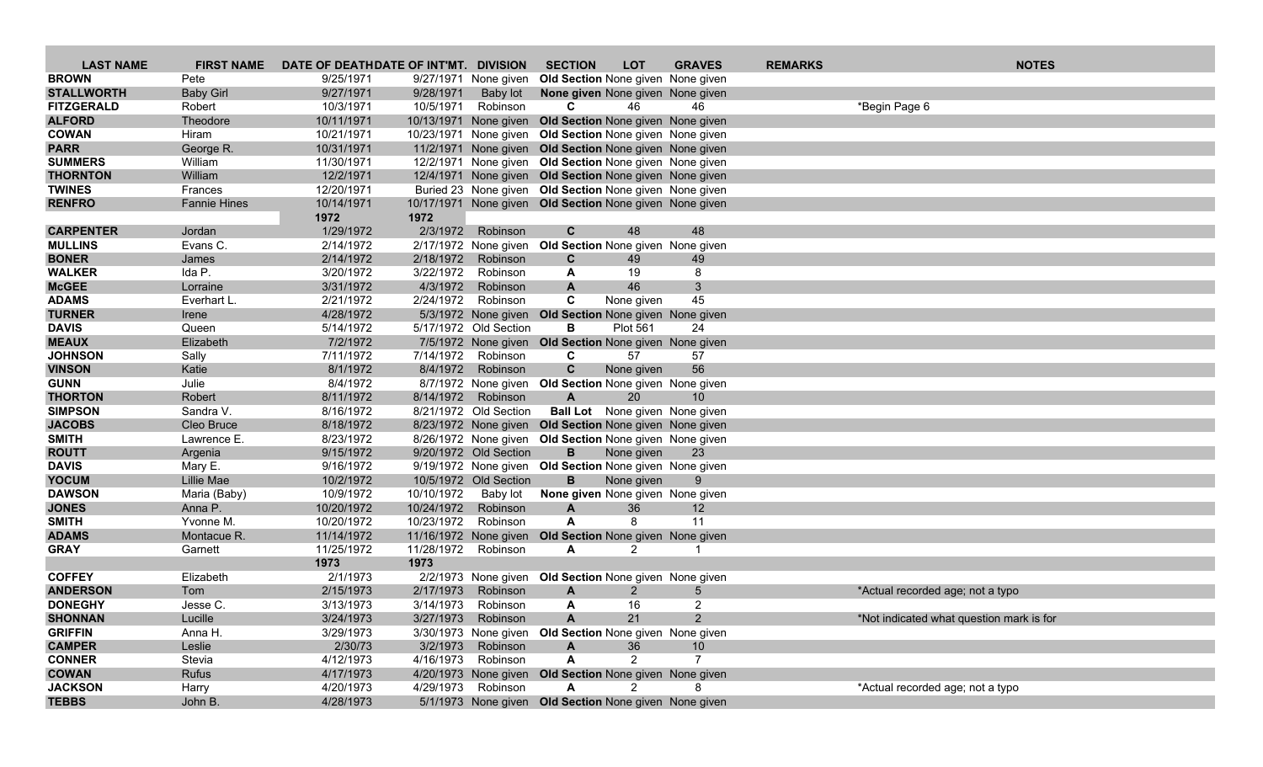| <b>LAST NAME</b>              | <b>FIRST NAME</b>       | DATE OF DEATHDATE OF INT'MT. DIVISION |                          |                       | <b>SECTION</b>                                              | <b>LOT</b>            | <b>GRAVES</b>                         | <b>REMARKS</b> | <b>NOTES</b>                             |
|-------------------------------|-------------------------|---------------------------------------|--------------------------|-----------------------|-------------------------------------------------------------|-----------------------|---------------------------------------|----------------|------------------------------------------|
| <b>BROWN</b>                  | Pete                    | 9/25/1971                             |                          | 9/27/1971 None given  | Old Section None given None given                           |                       |                                       |                |                                          |
| <b>STALLWORTH</b>             | <b>Baby Girl</b>        | 9/27/1971                             | 9/28/1971                | Baby lot              | None given None given None given                            |                       |                                       |                |                                          |
| <b>FITZGERALD</b>             | Robert                  | 10/3/1971                             | 10/5/1971                | Robinson              | C.                                                          | 46                    | 46                                    |                | *Begin Page 6                            |
| <b>ALFORD</b>                 | Theodore                | 10/11/1971                            |                          |                       | 10/13/1971 None given Old Section None given None given     |                       |                                       |                |                                          |
| <b>COWAN</b>                  | Hiram                   | 10/21/1971                            |                          |                       | 10/23/1971 None given Old Section None given None given     |                       |                                       |                |                                          |
| <b>PARR</b>                   | George R.               | 10/31/1971                            |                          |                       | 11/2/1971 None given Old Section None given None given      |                       |                                       |                |                                          |
| <b>SUMMERS</b>                | William                 | 11/30/1971                            |                          |                       | 12/2/1971 None given Old Section None given None given      |                       |                                       |                |                                          |
| <b>THORNTON</b>               | William                 | 12/2/1971                             |                          |                       | 12/4/1971 None given Old Section None given None given      |                       |                                       |                |                                          |
| <b>TWINES</b>                 | Frances                 | 12/20/1971                            |                          |                       | Buried 23 None given Old Section None given None given      |                       |                                       |                |                                          |
| <b>RENFRO</b>                 | <b>Fannie Hines</b>     | 10/14/1971                            |                          |                       | 10/17/1971 None given Old Section None given None given     |                       |                                       |                |                                          |
| <b>CARPENTER</b>              |                         | 1972                                  | 1972                     |                       |                                                             |                       | 48                                    |                |                                          |
| <b>MULLINS</b>                | Jordan<br>Evans C.      | 1/29/1972<br>2/14/1972                | 2/3/1972                 | Robinson              | C<br>2/17/1972 None given Old Section None given None given | 48                    |                                       |                |                                          |
| <b>BONER</b>                  | James                   | 2/14/1972                             | 2/18/1972                | Robinson              | C                                                           | 49                    | 49                                    |                |                                          |
| <b>WALKER</b>                 | Ida P.                  | 3/20/1972                             |                          | 3/22/1972 Robinson    | A                                                           | 19                    | 8                                     |                |                                          |
| <b>McGEE</b>                  | Lorraine                | 3/31/1972                             | 4/3/1972                 | Robinson              | A                                                           | 46                    | 3                                     |                |                                          |
| <b>ADAMS</b>                  | Everhart L.             | 2/21/1972                             |                          | 2/24/1972 Robinson    | C                                                           | None given            | 45                                    |                |                                          |
| <b>TURNER</b>                 | Irene                   | 4/28/1972                             |                          |                       | 5/3/1972 None given Old Section None given None given       |                       |                                       |                |                                          |
| <b>DAVIS</b>                  | Queen                   | 5/14/1972                             |                          | 5/17/1972 Old Section | в                                                           | <b>Plot 561</b>       | 24                                    |                |                                          |
| <b>MEAUX</b>                  | Elizabeth               | 7/2/1972                              |                          |                       | 7/5/1972 None given Old Section None given None given       |                       |                                       |                |                                          |
| <b>JOHNSON</b>                | Sally                   | 7/11/1972                             |                          | 7/14/1972 Robinson    | C                                                           | 57                    | 57                                    |                |                                          |
| <b>VINSON</b>                 | Katie                   | 8/1/1972                              |                          | 8/4/1972 Robinson     | $\mathbf{C}$                                                | None given            | 56                                    |                |                                          |
| <b>GUNN</b>                   | Julie                   | 8/4/1972                              |                          |                       | 8/7/1972 None given Old Section None given None given       |                       |                                       |                |                                          |
| <b>THORTON</b>                | Robert                  | 8/11/1972                             | 8/14/1972                | Robinson              | $\mathbf{A}$                                                | 20                    | 10                                    |                |                                          |
| <b>SIMPSON</b>                | Sandra V.               | 8/16/1972                             |                          | 8/21/1972 Old Section |                                                             |                       | <b>Ball Lot</b> None given None given |                |                                          |
| <b>JACOBS</b>                 | Cleo Bruce              | 8/18/1972                             |                          |                       | 8/23/1972 None given Old Section None given None given      |                       |                                       |                |                                          |
| <b>SMITH</b>                  | Lawrence E.             | 8/23/1972                             |                          |                       | 8/26/1972 None given Old Section None given None given      |                       |                                       |                |                                          |
| <b>ROUTT</b>                  | Argenia                 | 9/15/1972                             |                          | 9/20/1972 Old Section | B                                                           | None given            | 23                                    |                |                                          |
| <b>DAVIS</b>                  | Mary E.                 | 9/16/1972                             |                          |                       | 9/19/1972 None given Old Section None given None given      |                       |                                       |                |                                          |
| <b>YOCUM</b>                  | Lillie Mae              | 10/2/1972                             |                          | 10/5/1972 Old Section | B                                                           | None given            |                                       |                |                                          |
| <b>DAWSON</b><br><b>JONES</b> | Maria (Baby)<br>Anna P. | 10/9/1972<br>10/20/1972               | 10/10/1972<br>10/24/1972 | Baby lot<br>Robinson  | None given None given None given                            | 36                    | 12                                    |                |                                          |
| <b>SMITH</b>                  | Yvonne M.               | 10/20/1972                            | 10/23/1972 Robinson      |                       | A<br>A                                                      | 8                     | 11                                    |                |                                          |
| <b>ADAMS</b>                  | Montacue R.             | 11/14/1972                            |                          |                       | 11/16/1972 None given Old Section None given None given     |                       |                                       |                |                                          |
| <b>GRAY</b>                   | Garnett                 | 11/25/1972                            | 11/28/1972 Robinson      |                       | A                                                           | 2                     |                                       |                |                                          |
|                               |                         | 1973                                  | 1973                     |                       |                                                             |                       |                                       |                |                                          |
| <b>COFFEY</b>                 | Elizabeth               | 2/1/1973                              |                          |                       | 2/2/1973 None given Old Section None given None given       |                       |                                       |                |                                          |
| <b>ANDERSON</b>               | Tom                     | 2/15/1973                             | 2/17/1973                | Robinson              | A                                                           | $\overline{2}$        | $5^{\circ}$                           |                | *Actual recorded age; not a typo         |
| <b>DONEGHY</b>                | Jesse C.                | 3/13/1973                             |                          | 3/14/1973 Robinson    | A                                                           | 16                    | $\overline{2}$                        |                |                                          |
| <b>SHONNAN</b>                | Lucille                 | 3/24/1973                             |                          | 3/27/1973 Robinson    | A                                                           | 21                    |                                       |                | *Not indicated what question mark is for |
| <b>GRIFFIN</b>                | Anna H.                 | 3/29/1973                             |                          |                       | 3/30/1973 None given Old Section None given None given      |                       |                                       |                |                                          |
| <b>CAMPER</b>                 | Leslie                  | 2/30/73                               |                          | 3/2/1973 Robinson     | $\mathsf{A}$                                                | 36                    | 10                                    |                |                                          |
| <b>CONNER</b>                 | Stevia                  | 4/12/1973                             |                          | 4/16/1973 Robinson    | A                                                           | $\overline{2}$        | $\overline{7}$                        |                |                                          |
| <b>COWAN</b>                  | <b>Rufus</b>            | 4/17/1973                             |                          |                       | 4/20/1973 None given Old Section None given None given      |                       |                                       |                |                                          |
| <b>JACKSON</b>                | Harry                   | 4/20/1973                             |                          | 4/29/1973 Robinson    | A                                                           | $\mathbf{2}^{\prime}$ |                                       |                | *Actual recorded age; not a typo         |
| <b>TEBBS</b>                  | John B.                 | 4/28/1973                             |                          |                       | 5/1/1973 None given Old Section None given None given       |                       |                                       |                |                                          |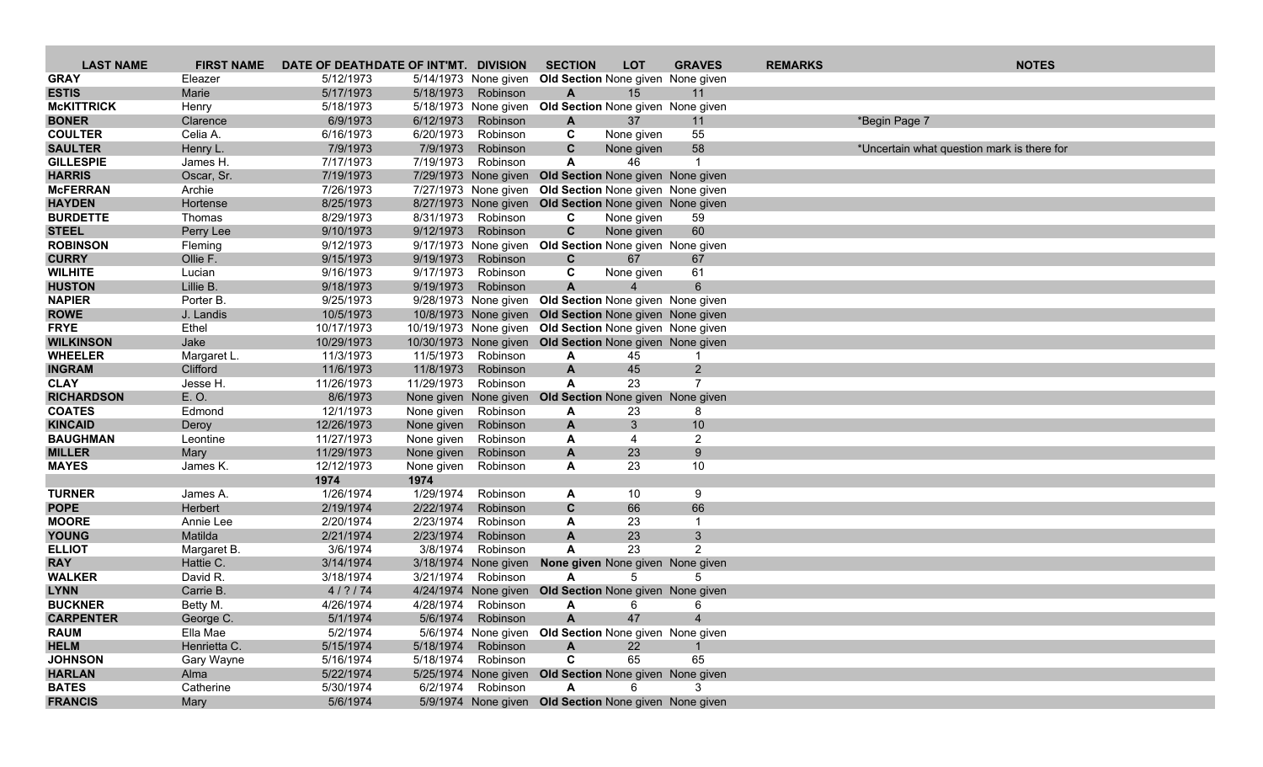| <b>LAST NAME</b>                 | <b>FIRST NAME</b>    | DATE OF DEATHDATE OF INT'MT. DIVISION |                   |                       | <b>SECTION</b>                                          | <b>LOT</b>               | <b>GRAVES</b>  | <b>REMARKS</b> |                                            | <b>NOTES</b> |
|----------------------------------|----------------------|---------------------------------------|-------------------|-----------------------|---------------------------------------------------------|--------------------------|----------------|----------------|--------------------------------------------|--------------|
| <b>GRAY</b>                      | Eleazer              | 5/12/1973                             |                   | 5/14/1973 None given  | Old Section None given None given                       |                          |                |                |                                            |              |
| <b>ESTIS</b>                     | Marie                | 5/17/1973                             | 5/18/1973         | Robinson              | A                                                       | 15                       | 11             |                |                                            |              |
| <b>McKITTRICK</b>                | Henry                | 5/18/1973                             |                   |                       | 5/18/1973 None given Old Section None given None given  |                          |                |                |                                            |              |
| <b>BONER</b>                     | Clarence             | 6/9/1973                              | 6/12/1973         | Robinson              | A                                                       | 37                       | 11             |                | *Begin Page 7                              |              |
| <b>COULTER</b>                   | Celia A.             | 6/16/1973                             | 6/20/1973         | Robinson              | C                                                       | None given               | 55             |                |                                            |              |
| <b>SAULTER</b>                   | Henry L.             | 7/9/1973                              | 7/9/1973          | Robinson              | C                                                       | None given               | 58             |                | *Uncertain what question mark is there for |              |
| <b>GILLESPIE</b>                 | James H.             | 7/17/1973                             | 7/19/1973         | Robinson              | A                                                       | 46                       | -1             |                |                                            |              |
| <b>HARRIS</b>                    | Oscar, Sr.           | 7/19/1973                             |                   |                       | 7/29/1973 None given Old Section None given None given  |                          |                |                |                                            |              |
| <b>McFERRAN</b>                  | Archie               | 7/26/1973                             |                   |                       | 7/27/1973 None given Old Section None given None given  |                          |                |                |                                            |              |
| <b>HAYDEN</b><br><b>BURDETTE</b> | Hortense             | 8/25/1973                             | 8/31/1973         |                       | 8/27/1973 None given Old Section None given None given  |                          |                |                |                                            |              |
| <b>STEEL</b>                     | Thomas               | 8/29/1973<br>9/10/1973                | 9/12/1973         | Robinson<br>Robinson  | C<br>$\mathbf{C}$                                       | None given<br>None given | 59<br>60       |                |                                            |              |
| <b>ROBINSON</b>                  | Perry Lee<br>Fleming | 9/12/1973                             |                   | 9/17/1973 None given  | Old Section None given None given                       |                          |                |                |                                            |              |
| <b>CURRY</b>                     | Ollie F.             | 9/15/1973                             | 9/19/1973         | Robinson              | $\mathbf{C}$                                            | 67                       | 67             |                |                                            |              |
| <b>WILHITE</b>                   | Lucian               | 9/16/1973                             | 9/17/1973         | Robinson              | C                                                       | None given               | 61             |                |                                            |              |
| <b>HUSTON</b>                    | Lillie B.            | 9/18/1973                             | 9/19/1973         | Robinson              | $\mathbf{A}$                                            |                          | 6              |                |                                            |              |
| <b>NAPIER</b>                    | Porter B.            | 9/25/1973                             |                   |                       | 9/28/1973 None given Old Section None given None given  |                          |                |                |                                            |              |
| <b>ROWE</b>                      | J. Landis            | 10/5/1973                             |                   |                       | 10/8/1973 None given Old Section None given None given  |                          |                |                |                                            |              |
| <b>FRYE</b>                      | Ethel                | 10/17/1973                            |                   |                       | 10/19/1973 None given Old Section None given None given |                          |                |                |                                            |              |
| <b>WILKINSON</b>                 | Jake                 | 10/29/1973                            |                   |                       | 10/30/1973 None given Old Section None given None given |                          |                |                |                                            |              |
| <b>WHEELER</b>                   | Margaret L.          | 11/3/1973                             |                   | 11/5/1973 Robinson    | A                                                       | 45                       | -1             |                |                                            |              |
| <b>INGRAM</b>                    | Clifford             | 11/6/1973                             | 11/8/1973         | Robinson              | A                                                       | 45                       | $2^{\circ}$    |                |                                            |              |
| <b>CLAY</b>                      | Jesse H.             | 11/26/1973                            | 11/29/1973        | Robinson              | A                                                       | 23                       | $\overline{7}$ |                |                                            |              |
| <b>RICHARDSON</b>                | E.O.                 | 8/6/1973                              |                   | None given None given | Old Section None given None given                       |                          |                |                |                                            |              |
| <b>COATES</b>                    | Edmond               | 12/1/1973                             | None given        | Robinson              | A                                                       | 23                       | 8              |                |                                            |              |
| <b>KINCAID</b>                   | Deroy                | 12/26/1973                            | None given        | Robinson              | A                                                       | 3                        | 10             |                |                                            |              |
| <b>BAUGHMAN</b>                  | Leontine             | 11/27/1973                            | None given        | Robinson              | A                                                       | $\overline{4}$           | $\overline{2}$ |                |                                            |              |
| <b>MILLER</b>                    | Mary                 | 11/29/1973                            | None given        | Robinson              | A                                                       | 23                       | 9              |                |                                            |              |
| <b>MAYES</b>                     | James K.             | 12/12/1973                            | None given        | Robinson              | A                                                       | 23                       | 10             |                |                                            |              |
| <b>TURNER</b>                    |                      | 1974                                  | 1974<br>1/29/1974 |                       |                                                         |                          |                |                |                                            |              |
| <b>POPE</b>                      | James A.<br>Herbert  | 1/26/1974<br>2/19/1974                | 2/22/1974         | Robinson<br>Robinson  | A<br>C                                                  | 10<br>66                 | 9<br>66        |                |                                            |              |
| <b>MOORE</b>                     | Annie Lee            | 2/20/1974                             | 2/23/1974         | Robinson              | A                                                       | 23                       | $\mathbf{1}$   |                |                                            |              |
| <b>YOUNG</b>                     | Matilda              | 2/21/1974                             | 2/23/1974         | Robinson              | $\mathsf{A}$                                            | 23                       | 3              |                |                                            |              |
| <b>ELLIOT</b>                    | Margaret B.          | 3/6/1974                              | 3/8/1974          | Robinson              | A                                                       | 23                       | 2              |                |                                            |              |
| <b>RAY</b>                       | Hattie C.            | 3/14/1974                             |                   | 3/18/1974 None given  | <b>None given</b> None given None given                 |                          |                |                |                                            |              |
| <b>WALKER</b>                    | David R.             | 3/18/1974                             | 3/21/1974         | Robinson              | A                                                       | 5                        | 5              |                |                                            |              |
| <b>LYNN</b>                      | Carrie B.            | 4/? / 74                              |                   | 4/24/1974 None given  | Old Section None given None given                       |                          |                |                |                                            |              |
| <b>BUCKNER</b>                   | Betty M.             | 4/26/1974                             |                   | 4/28/1974 Robinson    | A                                                       | 6                        | 6              |                |                                            |              |
| <b>CARPENTER</b>                 | George C.            | 5/1/1974                              |                   | 5/6/1974 Robinson     | A                                                       | 47                       |                |                |                                            |              |
| <b>RAUM</b>                      | Ella Mae             | 5/2/1974                              |                   |                       | 5/6/1974 None given Old Section None given None given   |                          |                |                |                                            |              |
| <b>HELM</b>                      | Henrietta C.         | 5/15/1974                             |                   | 5/18/1974 Robinson    | A                                                       | 22                       |                |                |                                            |              |
| <b>JOHNSON</b>                   | Gary Wayne           | 5/16/1974                             |                   | 5/18/1974 Robinson    | C                                                       | 65                       | 65             |                |                                            |              |
| <b>HARLAN</b>                    | Alma                 | 5/22/1974                             |                   |                       | 5/25/1974 None given Old Section None given None given  |                          |                |                |                                            |              |
| <b>BATES</b>                     | Catherine            | 5/30/1974                             |                   | 6/2/1974 Robinson     | A                                                       | 6                        |                |                |                                            |              |
| <b>FRANCIS</b>                   | Mary                 | 5/6/1974                              |                   |                       | 5/9/1974 None given Old Section None given None given   |                          |                |                |                                            |              |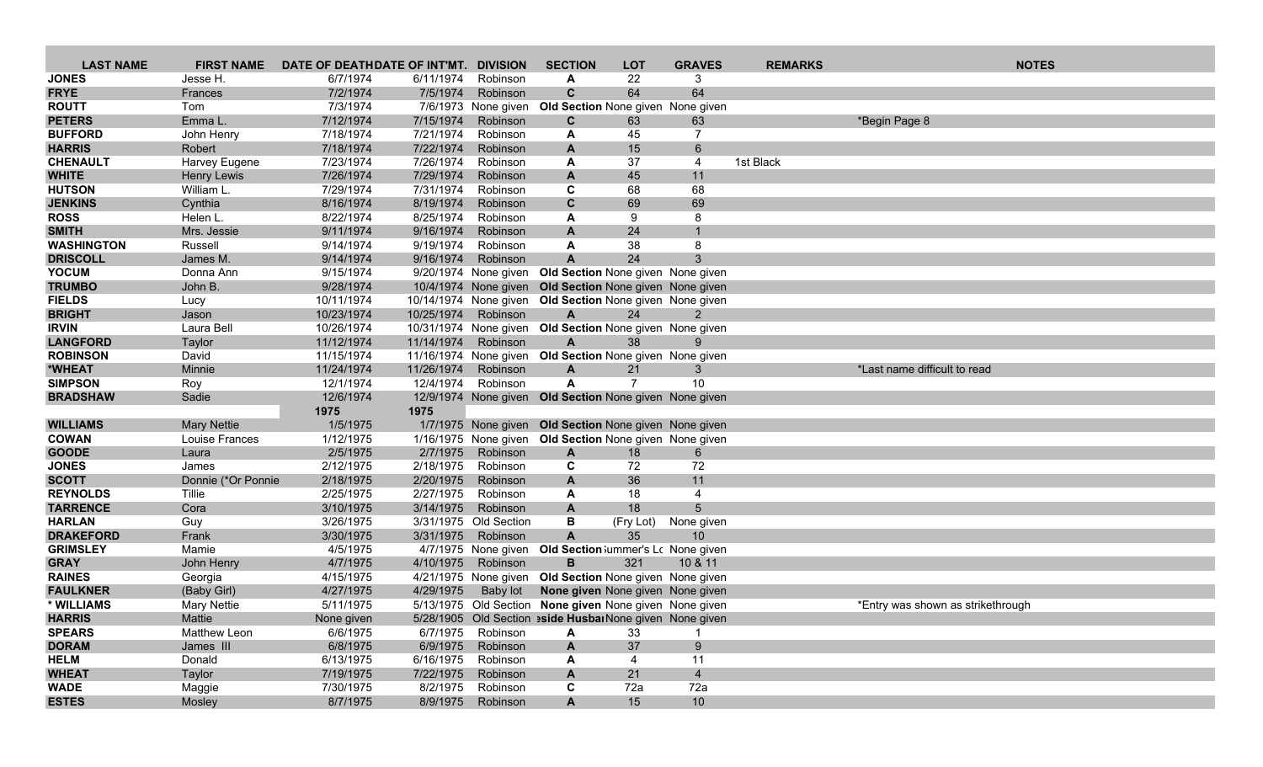| <b>LAST NAME</b>                     | <b>FIRST NAME</b>   | DATE OF DEATHDATE OF INT'MT. |                        | <b>DIVISION</b>                   | <b>SECTION</b>                                                  | <b>LOT</b>      | <b>GRAVES</b>                 | <b>REMARKS</b> | <b>NOTES</b>                      |
|--------------------------------------|---------------------|------------------------------|------------------------|-----------------------------------|-----------------------------------------------------------------|-----------------|-------------------------------|----------------|-----------------------------------|
| <b>JONES</b>                         | Jesse H.            | 6/7/1974                     | 6/11/1974              | Robinson                          | A                                                               | 22              | 3                             |                |                                   |
| <b>FRYE</b>                          | Frances             | 7/2/1974                     | 7/5/1974               | Robinson                          | $\mathbf{C}$                                                    | 64              | 64                            |                |                                   |
| <b>ROUTT</b>                         | Tom                 | 7/3/1974                     |                        | 7/6/1973 None given               | Old Section None given None given                               |                 |                               |                |                                   |
| <b>PETERS</b>                        | Emma L.             | 7/12/1974                    | 7/15/1974              | Robinson                          | C                                                               | 63              | 63                            |                | *Begin Page 8                     |
| <b>BUFFORD</b>                       | John Henry          | 7/18/1974                    | 7/21/1974              | Robinson                          | A                                                               | 45              | 7                             |                |                                   |
| <b>HARRIS</b>                        | Robert              | 7/18/1974                    | 7/22/1974              | Robinson                          | A                                                               | 15              | $6^{\circ}$                   |                |                                   |
| <b>CHENAULT</b>                      | Harvey Eugene       | 7/23/1974                    | 7/26/1974              | Robinson                          | A                                                               | 37              | 4                             | 1st Black      |                                   |
| <b>WHITE</b>                         | Henry Lewis         | 7/26/1974                    | 7/29/1974              | Robinson                          | A                                                               | 45              | 11                            |                |                                   |
| <b>HUTSON</b>                        | William L.          | 7/29/1974                    | 7/31/1974              | Robinson                          | C                                                               | 68              | 68                            |                |                                   |
| <b>JENKINS</b>                       | Cynthia             | 8/16/1974                    | 8/19/1974              | Robinson                          | $\mathbf{C}$                                                    | 69              | 69                            |                |                                   |
| <b>ROSS</b>                          | Helen L.            | 8/22/1974                    | 8/25/1974              | Robinson                          | A                                                               | 9               | 8                             |                |                                   |
| <b>SMITH</b>                         | Mrs. Jessie         | 9/11/1974                    | 9/16/1974              | Robinson                          | A                                                               | 24              |                               |                |                                   |
| <b>WASHINGTON</b><br><b>DRISCOLL</b> | Russell<br>James M. | 9/14/1974<br>9/14/1974       | 9/19/1974<br>9/16/1974 | Robinson<br>Robinson              | A<br>A                                                          | 38<br>24        | 8<br>3                        |                |                                   |
| <b>YOCUM</b>                         | Donna Ann           | 9/15/1974                    |                        |                                   | 9/20/1974 None given Old Section None given None given          |                 |                               |                |                                   |
| <b>TRUMBO</b>                        | John B.             | 9/28/1974                    |                        |                                   | 10/4/1974 None given Old Section None given None given          |                 |                               |                |                                   |
| <b>FIELDS</b>                        | Lucy                | 10/11/1974                   |                        | 10/14/1974 None given             | Old Section None given None given                               |                 |                               |                |                                   |
| <b>BRIGHT</b>                        | Jason               | 10/23/1974                   | 10/25/1974             | Robinson                          | $\mathbf{A}$                                                    | 24              | 2                             |                |                                   |
| <b>IRVIN</b>                         | Laura Bell          | 10/26/1974                   |                        |                                   | 10/31/1974 None given Old Section None given None given         |                 |                               |                |                                   |
| <b>LANGFORD</b>                      | Taylor              | 11/12/1974                   | 11/14/1974             | Robinson                          | $\mathbf{A}$                                                    | 38              | 9                             |                |                                   |
| <b>ROBINSON</b>                      | David               | 11/15/1974                   |                        | 11/16/1974 None given             | Old Section None given None given                               |                 |                               |                |                                   |
| *WHEAT                               | Minnie              | 11/24/1974                   | 11/26/1974             | Robinson                          | A                                                               | 21              | 3                             |                | *Last name difficult to read      |
| <b>SIMPSON</b>                       | Roy                 | 12/1/1974                    | 12/4/1974              | Robinson                          | A                                                               | $\overline{7}$  | 10                            |                |                                   |
| <b>BRADSHAW</b>                      | Sadie               | 12/6/1974                    |                        |                                   | 12/9/1974 None given Old Section None given None given          |                 |                               |                |                                   |
|                                      |                     | 1975                         | 1975                   |                                   |                                                                 |                 |                               |                |                                   |
| <b>WILLIAMS</b>                      | <b>Mary Nettie</b>  | 1/5/1975                     |                        |                                   | 1/7/1975 None given Old Section None given None given           |                 |                               |                |                                   |
| <b>COWAN</b>                         | Louise Frances      | 1/12/1975                    |                        |                                   | 1/16/1975 None given Old Section None given None given          |                 |                               |                |                                   |
| <b>GOODE</b>                         | Laura               | 2/5/1975                     | 2/7/1975               | Robinson                          | A                                                               | 18              | 6                             |                |                                   |
| <b>JONES</b>                         | James               | 2/12/1975                    | 2/18/1975              | Robinson                          | C                                                               | 72              | 72                            |                |                                   |
| <b>SCOTT</b>                         | Donnie (*Or Ponnie  | 2/18/1975                    | 2/20/1975              | Robinson                          | A                                                               | 36              | 11                            |                |                                   |
| <b>REYNOLDS</b><br><b>TARRENCE</b>   | Tillie              | 2/25/1975                    | 2/27/1975              | Robinson                          | A                                                               | 18              | $\overline{4}$                |                |                                   |
| <b>HARLAN</b>                        | Cora<br>Guy         | 3/10/1975<br>3/26/1975       | 3/14/1975              | Robinson<br>3/31/1975 Old Section | A<br>В                                                          | 18<br>(Fry Lot) | $5\overline{)}$<br>None given |                |                                   |
| <b>DRAKEFORD</b>                     | Frank               | 3/30/1975                    | 3/31/1975              | Robinson                          | $\mathbf{A}$                                                    | 35              | 10                            |                |                                   |
| <b>GRIMSLEY</b>                      | Mamie               | 4/5/1975                     |                        | 4/7/1975 None given               | Old Section Jummer's Lc None given                              |                 |                               |                |                                   |
| <b>GRAY</b>                          | John Henry          | 4/7/1975                     | 4/10/1975              | Robinson                          | B                                                               | 321             | 10 & 11                       |                |                                   |
| <b>RAINES</b>                        | Georgia             | 4/15/1975                    |                        | 4/21/1975 None given              | Old Section None given None given                               |                 |                               |                |                                   |
| <b>FAULKNER</b>                      | (Baby Girl)         | 4/27/1975                    | 4/29/1975              | Baby lot                          | None given None given None given                                |                 |                               |                |                                   |
| * WILLIAMS                           | <b>Mary Nettie</b>  | 5/11/1975                    |                        |                                   | 5/13/1975 Old Section None given None given None given          |                 |                               |                | *Entry was shown as strikethrough |
| <b>HARRIS</b>                        | Mattie              | None given                   |                        |                                   | 5/28/1905 Old Section <b>eside Husbai</b> None given None given |                 |                               |                |                                   |
| <b>SPEARS</b>                        | Matthew Leon        | 6/6/1975                     | 6/7/1975               | Robinson                          | A                                                               | 33              |                               |                |                                   |
| <b>DORAM</b>                         | James III           | 6/8/1975                     | 6/9/1975               | Robinson                          | A                                                               | 37              | 9                             |                |                                   |
| <b>HELM</b>                          | Donald              | 6/13/1975                    | 6/16/1975              | Robinson                          | A                                                               | 4               | 11                            |                |                                   |
| <b>WHEAT</b>                         | Taylor              | 7/19/1975                    | 7/22/1975              | Robinson                          | A                                                               | 21              | $\overline{4}$                |                |                                   |
| <b>WADE</b>                          | Maggie              | 7/30/1975                    | 8/2/1975               | Robinson                          | C                                                               | 72a             | 72a                           |                |                                   |
| <b>ESTES</b>                         | Mosley              | 8/7/1975                     |                        | 8/9/1975 Robinson                 | A                                                               | 15              | 10                            |                |                                   |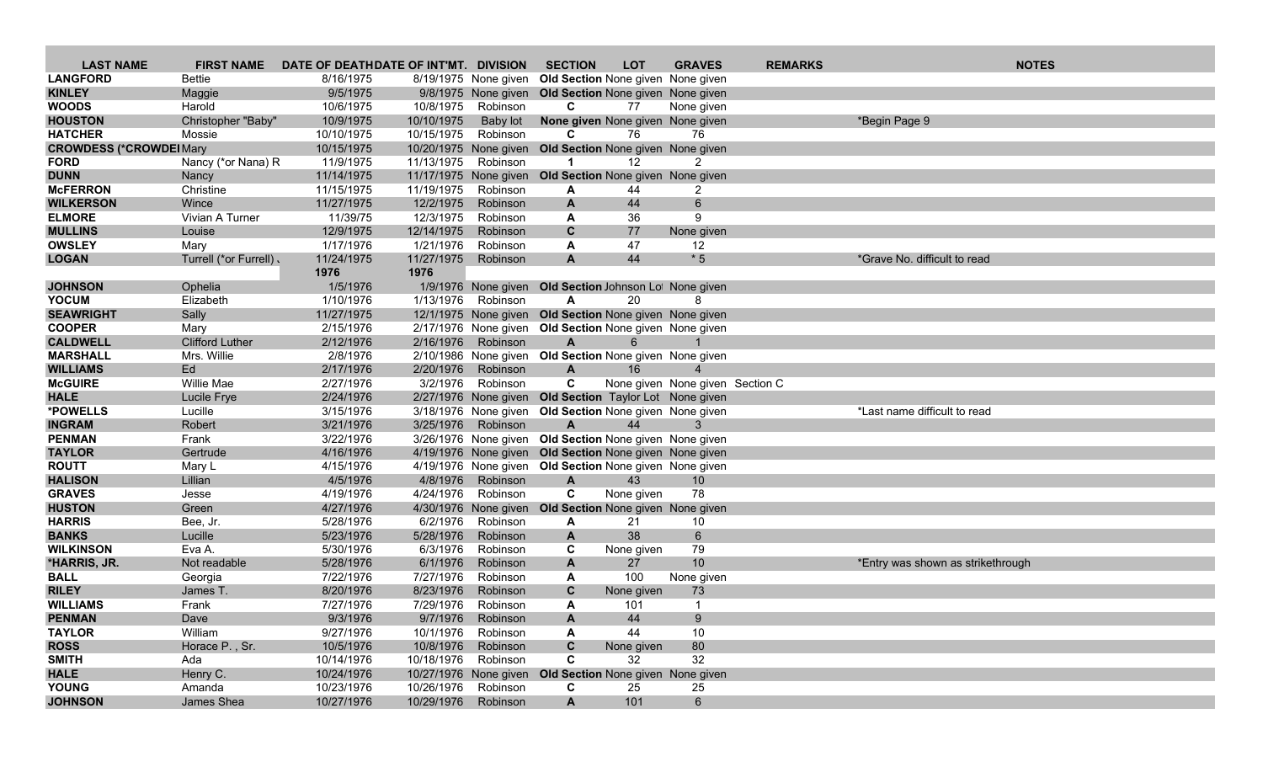| <b>LAST NAME</b>                 | <b>FIRST NAME</b>      | DATE OF DEATHDATE OF INT'MT. DIVISION |                       |                                         | <b>SECTION</b>                                          | <b>LOT</b>        | <b>GRAVES</b>                   | <b>REMARKS</b> | <b>NOTES</b>                      |
|----------------------------------|------------------------|---------------------------------------|-----------------------|-----------------------------------------|---------------------------------------------------------|-------------------|---------------------------------|----------------|-----------------------------------|
| <b>LANGFORD</b>                  | <b>Bettie</b>          | 8/16/1975                             |                       |                                         | 8/19/1975 None given Old Section None given None given  |                   |                                 |                |                                   |
| <b>KINLEY</b>                    | Maggie                 | 9/5/1975                              |                       |                                         | 9/8/1975 None given Old Section None given None given   |                   |                                 |                |                                   |
| <b>WOODS</b>                     | Harold                 | 10/6/1975                             | 10/8/1975             | Robinson                                | C                                                       | 77                | None given                      |                |                                   |
| <b>HOUSTON</b>                   | Christopher "Baby"     | 10/9/1975                             | 10/10/1975            | Baby lot                                | None given None given None given                        |                   |                                 |                | *Begin Page 9                     |
| <b>HATCHER</b>                   | Mossie                 | 10/10/1975                            | 10/15/1975            | Robinson                                | C                                                       | 76                | 76                              |                |                                   |
| <b>CROWDESS (*CROWDEI Mary</b>   |                        | 10/15/1975                            |                       | 10/20/1975 None given                   | Old Section None given None given                       |                   |                                 |                |                                   |
| <b>FORD</b>                      | Nancy (*or Nana) R     | 11/9/1975                             | 11/13/1975 Robinson   |                                         | -1                                                      | 12                | $\overline{2}$                  |                |                                   |
| <b>DUNN</b>                      | Nancy                  | 11/14/1975                            |                       |                                         | 11/17/1975 None given Old Section None given None given |                   |                                 |                |                                   |
| <b>McFERRON</b>                  | Christine              | 11/15/1975                            | 11/19/1975            | Robinson                                | A                                                       | 44                | 2                               |                |                                   |
| <b>WILKERSON</b>                 | Wince                  | 11/27/1975                            | 12/2/1975             | Robinson                                | $\mathbf{A}$                                            | 44                | $6\overline{6}$                 |                |                                   |
| <b>ELMORE</b>                    | Vivian A Turner        | 11/39/75                              | 12/3/1975             | Robinson                                | A                                                       | 36                | 9                               |                |                                   |
| <b>MULLINS</b>                   | Louise                 | 12/9/1975                             | 12/14/1975            | Robinson                                | C                                                       | 77                | None given                      |                |                                   |
| <b>OWSLEY</b>                    | Mary                   | 1/17/1976                             | 1/21/1976             | Robinson                                | A                                                       | 47                | 12                              |                |                                   |
| <b>LOGAN</b>                     | Turrell (*or Furrell). | 11/24/1975<br>1976                    | 11/27/1975<br>1976    | Robinson                                | $\mathbf{A}$                                            | 44                | $*5$                            |                | *Grave No. difficult to read      |
| <b>JOHNSON</b>                   | Ophelia                | 1/5/1976                              |                       |                                         | 1/9/1976 None given Old Section Johnson Lot None given  |                   |                                 |                |                                   |
| <b>YOCUM</b>                     | Elizabeth              | 1/10/1976                             | 1/13/1976             | Robinson                                | $\mathsf{A}$                                            | 20                | 8                               |                |                                   |
| <b>SEAWRIGHT</b>                 | Sally                  | 11/27/1975                            |                       |                                         | 12/1/1975 None given Old Section None given None given  |                   |                                 |                |                                   |
| <b>COOPER</b>                    | Mary                   | 2/15/1976                             |                       |                                         | 2/17/1976 None given Old Section None given None given  |                   |                                 |                |                                   |
| <b>CALDWELL</b>                  | <b>Clifford Luther</b> | 2/12/1976                             | 2/16/1976             | Robinson                                | $\mathsf{A}$                                            | 6                 |                                 |                |                                   |
| <b>MARSHALL</b>                  | Mrs. Willie            | 2/8/1976                              |                       |                                         | 2/10/1986 None given Old Section None given None given  |                   |                                 |                |                                   |
| <b>WILLIAMS</b>                  | Ed                     | 2/17/1976                             | 2/20/1976             | Robinson                                | A                                                       | 16                | $\overline{4}$                  |                |                                   |
| <b>McGUIRE</b>                   | Willie Mae             | 2/27/1976                             | 3/2/1976              | Robinson                                | C                                                       |                   | None given None given Section C |                |                                   |
| <b>HALE</b>                      | Lucile Frye            | 2/24/1976                             |                       |                                         | 2/27/1976 None given Old Section Taylor Lot None given  |                   |                                 |                |                                   |
| *POWELLS                         | Lucille                | 3/15/1976                             |                       |                                         | 3/18/1976 None given Old Section None given None given  |                   |                                 |                | *Last name difficult to read      |
| <b>INGRAM</b>                    | Robert                 | 3/21/1976                             | 3/25/1976             | Robinson                                | A                                                       | 44                | 3                               |                |                                   |
| <b>PENMAN</b>                    | Frank                  | 3/22/1976                             |                       |                                         | 3/26/1976 None given Old Section None given None given  |                   |                                 |                |                                   |
| <b>TAYLOR</b>                    | Gertrude               | 4/16/1976                             |                       |                                         | 4/19/1976 None given Old Section None given None given  |                   |                                 |                |                                   |
| <b>ROUTT</b>                     | Mary L                 | 4/15/1976                             |                       |                                         | 4/19/1976 None given Old Section None given None given  |                   |                                 |                |                                   |
| <b>HALISON</b>                   | Lillian                | 4/5/1976                              | 4/8/1976              | Robinson                                | $\mathbf{A}$                                            | 43                | 10                              |                |                                   |
| <b>GRAVES</b>                    | Jesse                  | 4/19/1976                             | 4/24/1976             | Robinson                                | $\mathbf c$                                             | None given        | 78                              |                |                                   |
| <b>HUSTON</b>                    | Green                  | 4/27/1976                             |                       | 4/30/1976 None given                    | <b>Old Section None given None given</b>                |                   |                                 |                |                                   |
| <b>HARRIS</b>                    | Bee, Jr.               | 5/28/1976                             | 6/2/1976              | Robinson                                | A                                                       | 21                | 10                              |                |                                   |
| <b>BANKS</b><br><b>WILKINSON</b> | Lucille                | 5/23/1976                             | 5/28/1976<br>6/3/1976 | Robinson<br>Robinson                    | A                                                       | 38                | $6\overline{6}$                 |                |                                   |
|                                  | Eva A.                 | 5/30/1976                             | 6/1/1976              |                                         | C                                                       | None given<br>27  | 79                              |                |                                   |
| *HARRIS, JR.<br><b>BALL</b>      | Not readable           | 5/28/1976<br>7/22/1976                | 7/27/1976             | Robinson<br>Robinson                    | A<br>A                                                  | 100               | 10                              |                | *Entry was shown as strikethrough |
| <b>RILEY</b>                     | Georgia<br>James T.    | 8/20/1976                             | 8/23/1976             | Robinson                                | C                                                       |                   | None given                      |                |                                   |
| <b>WILLIAMS</b>                  | Frank                  | 7/27/1976                             | 7/29/1976             | Robinson                                | A                                                       | None given<br>101 | 73<br>$\overline{1}$            |                |                                   |
|                                  |                        |                                       |                       |                                         |                                                         | 44                | 9                               |                |                                   |
| <b>PENMAN</b><br><b>TAYLOR</b>   | Dave<br>William        | 9/3/1976<br>9/27/1976                 |                       | 9/7/1976 Robinson<br>10/1/1976 Robinson | A<br>A                                                  | 44                | 10                              |                |                                   |
| <b>ROSS</b>                      | Horace P., Sr.         | 10/5/1976                             | 10/8/1976             | Robinson                                | C                                                       | None given        | 80                              |                |                                   |
| <b>SMITH</b>                     | Ada                    | 10/14/1976                            | 10/18/1976 Robinson   |                                         | C                                                       | 32                | 32                              |                |                                   |
| <b>HALE</b>                      | Henry C.               | 10/24/1976                            |                       |                                         | 10/27/1976 None given Old Section None given None given |                   |                                 |                |                                   |
| <b>YOUNG</b>                     | Amanda                 | 10/23/1976                            | 10/26/1976 Robinson   |                                         | C                                                       | 25                | 25                              |                |                                   |
| <b>JOHNSON</b>                   | James Shea             | 10/27/1976                            | 10/29/1976 Robinson   |                                         | A                                                       | 101               | $6\overline{6}$                 |                |                                   |
|                                  |                        |                                       |                       |                                         |                                                         |                   |                                 |                |                                   |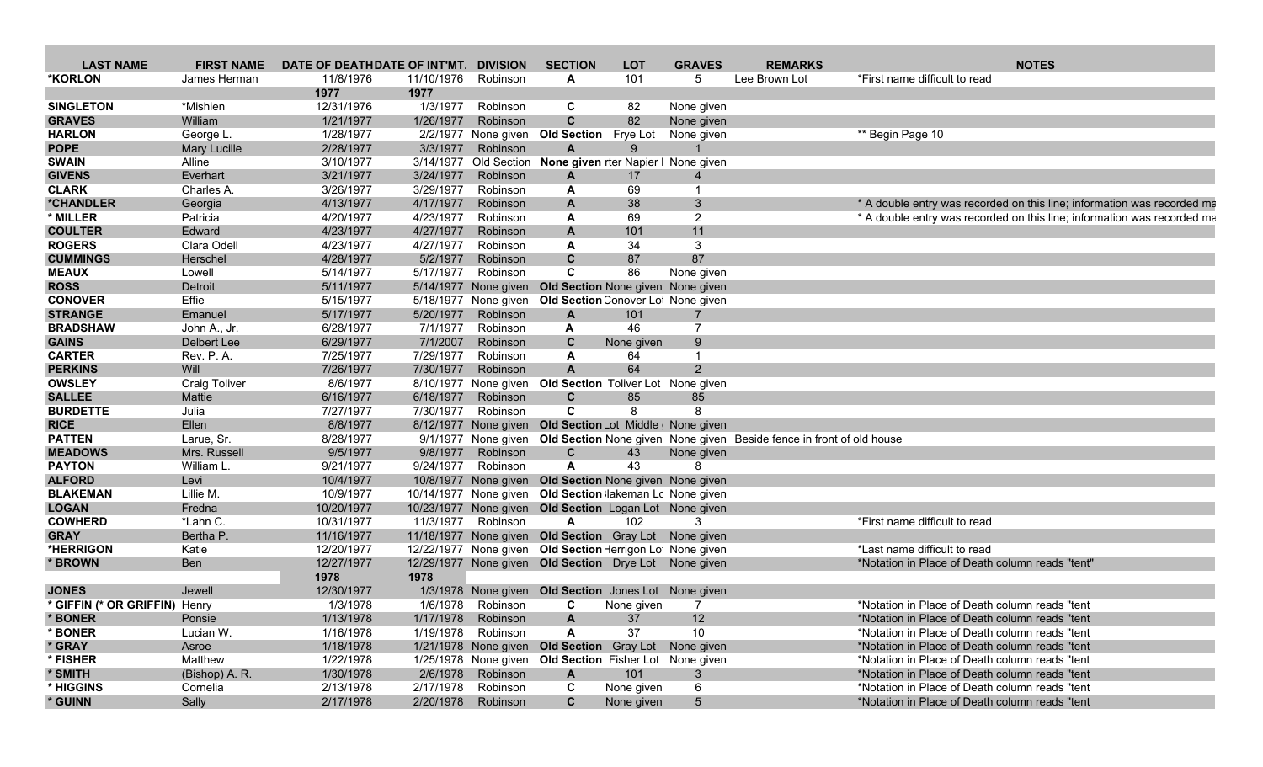| <b>LAST NAME</b>              | <b>FIRST NAME</b>    | DATE OF DEATHDATE OF INT'MT. DIVISION |            |                    | <b>SECTION</b>                                              | <b>LOT</b> | <b>GRAVES</b>   | <b>REMARKS</b>                                                                           |                                                 | <b>NOTES</b>                                                            |
|-------------------------------|----------------------|---------------------------------------|------------|--------------------|-------------------------------------------------------------|------------|-----------------|------------------------------------------------------------------------------------------|-------------------------------------------------|-------------------------------------------------------------------------|
| *KORLON                       | James Herman         | 11/8/1976                             | 11/10/1976 | Robinson           | A                                                           | 101        | 5               | Lee Brown Lot                                                                            | *First name difficult to read                   |                                                                         |
|                               |                      | 1977                                  | 1977       |                    |                                                             |            |                 |                                                                                          |                                                 |                                                                         |
| <b>SINGLETON</b>              | *Mishien             | 12/31/1976                            | 1/3/1977   | Robinson           | C                                                           | 82         | None given      |                                                                                          |                                                 |                                                                         |
| <b>GRAVES</b>                 | William              | 1/21/1977                             | 1/26/1977  | Robinson           | $\mathbf{C}$                                                | 82         | None given      |                                                                                          |                                                 |                                                                         |
| <b>HARLON</b>                 | George L.            | 1/28/1977                             |            |                    | 2/2/1977 None given Old Section Frye Lot                    |            | None given      |                                                                                          | ** Begin Page 10                                |                                                                         |
| <b>POPE</b>                   | <b>Mary Lucille</b>  | 2/28/1977                             | 3/3/1977   | Robinson           | A                                                           | 9          |                 |                                                                                          |                                                 |                                                                         |
| <b>SWAIN</b>                  | Alline               | 3/10/1977                             |            |                    | 3/14/1977 Old Section None given rter Napier I None given   |            |                 |                                                                                          |                                                 |                                                                         |
| <b>GIVENS</b>                 | Everhart             | 3/21/1977                             | 3/24/1977  | Robinson           | A                                                           | 17         |                 |                                                                                          |                                                 |                                                                         |
| <b>CLARK</b>                  | Charles A.           | 3/26/1977                             | 3/29/1977  | Robinson           | A                                                           | 69         |                 |                                                                                          |                                                 |                                                                         |
| *CHANDLER                     | Georgia              | 4/13/1977                             | 4/17/1977  | Robinson           | $\mathsf{A}$                                                | 38         | 3               |                                                                                          |                                                 | * A double entry was recorded on this line; information was recorded ma |
| * MILLER                      | Patricia             | 4/20/1977                             | 4/23/1977  | Robinson           | A                                                           | 69         | $\overline{2}$  |                                                                                          |                                                 | * A double entry was recorded on this line; information was recorded ma |
| <b>COULTER</b>                | Edward               | 4/23/1977                             | 4/27/1977  | Robinson           | $\mathbf{A}$                                                | 101        | 11              |                                                                                          |                                                 |                                                                         |
| <b>ROGERS</b>                 | Clara Odell          | 4/23/1977                             | 4/27/1977  | Robinson           | A                                                           | 34         | 3               |                                                                                          |                                                 |                                                                         |
| <b>CUMMINGS</b>               | Herschel             | 4/28/1977                             | 5/2/1977   | Robinson           | $\mathbf{C}$                                                | 87         | 87              |                                                                                          |                                                 |                                                                         |
| <b>MEAUX</b>                  | Lowell               | 5/14/1977                             | 5/17/1977  | Robinson           | C                                                           | 86         | None given      |                                                                                          |                                                 |                                                                         |
| <b>ROSS</b>                   | Detroit              | 5/11/1977                             |            |                    | 5/14/1977 None given Old Section None given None given      |            |                 |                                                                                          |                                                 |                                                                         |
| <b>CONOVER</b>                | Effie                | 5/15/1977                             |            |                    | 5/18/1977 None given Old Section Conover Lot None given     |            |                 |                                                                                          |                                                 |                                                                         |
| <b>STRANGE</b>                | Emanuel              | 5/17/1977                             | 5/20/1977  | Robinson           | $\overline{A}$                                              | 101        |                 |                                                                                          |                                                 |                                                                         |
| <b>BRADSHAW</b>               | John A., Jr.         | 6/28/1977                             | 7/1/1977   | Robinson           | A                                                           | 46         | $\overline{7}$  |                                                                                          |                                                 |                                                                         |
| <b>GAINS</b>                  | Delbert Lee          | 6/29/1977                             | 7/1/2007   | Robinson           | C                                                           | None given | 9               |                                                                                          |                                                 |                                                                         |
| <b>CARTER</b>                 | Rev. P. A.           | 7/25/1977                             | 7/29/1977  | Robinson           | A                                                           | 64         |                 |                                                                                          |                                                 |                                                                         |
| <b>PERKINS</b>                | Will                 | 7/26/1977                             | 7/30/1977  | Robinson           | $\mathbf{A}$                                                | 64         | $\mathcal{P}$   |                                                                                          |                                                 |                                                                         |
| <b>OWSLEY</b>                 | <b>Craig Toliver</b> | 8/6/1977                              |            |                    | 8/10/1977 None given Old Section Toliver Lot None given     |            |                 |                                                                                          |                                                 |                                                                         |
| <b>SALLEE</b>                 | Mattie               | 6/16/1977                             | 6/18/1977  | Robinson           | $\mathbf{C}$                                                | 85         | 85              |                                                                                          |                                                 |                                                                         |
| <b>BURDETTE</b>               | Julia                | 7/27/1977                             | 7/30/1977  | Robinson           | C                                                           | 8          | 8               |                                                                                          |                                                 |                                                                         |
| <b>RICE</b>                   | Ellen                | 8/8/1977                              |            |                    | 8/12/1977 None given Old Section Lot Middle   None given    |            |                 |                                                                                          |                                                 |                                                                         |
| <b>PATTEN</b>                 | Larue, Sr.           | 8/28/1977                             |            |                    |                                                             |            |                 | 9/1/1977 None given Old Section None given None given Beside fence in front of old house |                                                 |                                                                         |
| <b>MEADOWS</b>                | Mrs. Russell         | 9/5/1977                              |            | 9/8/1977 Robinson  | C                                                           | 43         | None given      |                                                                                          |                                                 |                                                                         |
| <b>PAYTON</b>                 | William L            | 9/21/1977                             | 9/24/1977  | Robinson           | A                                                           | 43         |                 |                                                                                          |                                                 |                                                                         |
| <b>ALFORD</b>                 | Levi                 | 10/4/1977                             |            |                    | 10/8/1977 None given Old Section None given None given      |            |                 |                                                                                          |                                                 |                                                                         |
| <b>BLAKEMAN</b>               | Lillie M.            | 10/9/1977                             |            |                    | 10/14/1977 None given Old Section lakeman Lc None given     |            |                 |                                                                                          |                                                 |                                                                         |
| <b>LOGAN</b>                  |                      |                                       |            |                    |                                                             |            |                 |                                                                                          |                                                 |                                                                         |
| <b>COWHERD</b>                | Fredna               | 10/20/1977                            | 11/3/1977  | Robinson           | 10/23/1977 None given Old Section Logan Lot None given<br>A | 102        | 3               |                                                                                          | *First name difficult to read                   |                                                                         |
|                               | *Lahn C.             | 10/31/1977                            |            |                    |                                                             |            |                 |                                                                                          |                                                 |                                                                         |
| <b>GRAY</b><br>*HERRIGON      | Bertha P.            | 11/16/1977                            |            |                    | 11/18/1977 None given Old Section Gray Lot None given       |            |                 |                                                                                          | *Last name difficult to read                    |                                                                         |
|                               | Katie                | 12/20/1977                            |            |                    | 12/22/1977 None given Old Section Herrigon Lot None given   |            |                 |                                                                                          |                                                 |                                                                         |
| * BROWN                       | Ben                  | 12/27/1977                            |            |                    | 12/29/1977 None given Old Section Drye Lot None given       |            |                 |                                                                                          | *Notation in Place of Death column reads "tent" |                                                                         |
|                               |                      | 1978                                  | 1978       |                    |                                                             |            |                 |                                                                                          |                                                 |                                                                         |
| <b>JONES</b>                  | Jewell               | 12/30/1977                            |            |                    | 1/3/1978 None given Old Section Jones Lot None given        |            |                 |                                                                                          |                                                 |                                                                         |
| * GIFFIN (* OR GRIFFIN) Henry |                      | 1/3/1978                              | 1/6/1978   | Robinson           | C                                                           | None given | 7               |                                                                                          | *Notation in Place of Death column reads "tent  |                                                                         |
| <b>BONER</b>                  | Ponsie               | 1/13/1978                             |            | 1/17/1978 Robinson | A                                                           | 37         | 12 <sup>2</sup> |                                                                                          | *Notation in Place of Death column reads "tent  |                                                                         |
| <b>BONER</b>                  | Lucian W.            | 1/16/1978                             |            | 1/19/1978 Robinson | A                                                           | 37         | 10              |                                                                                          | *Notation in Place of Death column reads "tent  |                                                                         |
| * GRAY                        | Asroe                | 1/18/1978                             |            |                    | 1/21/1978 None given Old Section Gray Lot None given        |            |                 |                                                                                          | *Notation in Place of Death column reads "tent  |                                                                         |
| * FISHER                      | Matthew              | 1/22/1978                             |            |                    | 1/25/1978 None given Old Section Fisher Lot None given      |            |                 |                                                                                          | *Notation in Place of Death column reads "tent" |                                                                         |
| * SMITH                       | (Bishop) A. R.       | 1/30/1978                             |            | 2/6/1978 Robinson  | $\mathbf{A}$                                                | 101        | 3               |                                                                                          | *Notation in Place of Death column reads "tent" |                                                                         |
| * HIGGINS                     | Cornelia             | 2/13/1978                             | 2/17/1978  | Robinson           | $\mathbf c$                                                 | None given | 6               |                                                                                          | *Notation in Place of Death column reads "tent  |                                                                         |
| * GUINN                       | Sally                | 2/17/1978                             |            | 2/20/1978 Robinson | $\mathbf{C}$                                                | None given | $5\overline{)}$ |                                                                                          | *Notation in Place of Death column reads "tent  |                                                                         |
|                               |                      |                                       |            |                    |                                                             |            |                 |                                                                                          |                                                 |                                                                         |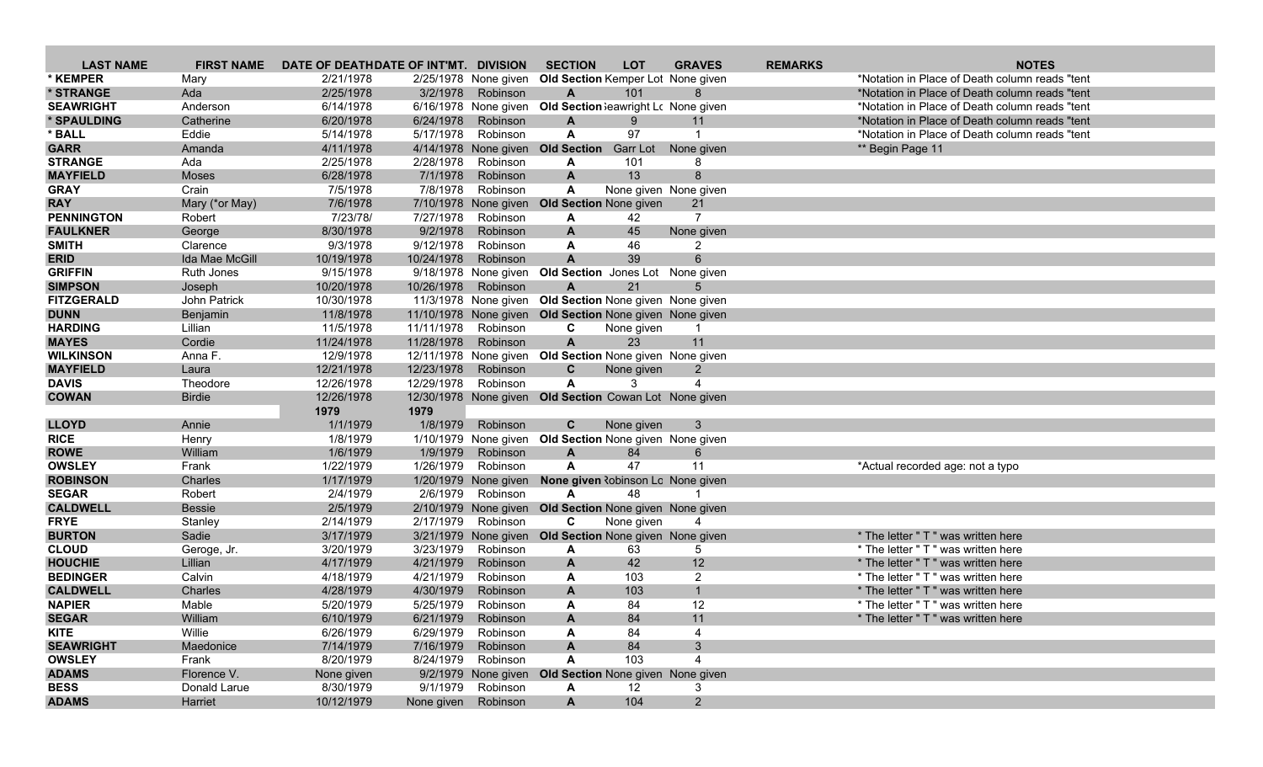| <b>LAST NAME</b>  | <b>FIRST NAME</b> | DATE OF DEATHDATE OF INT'MT. DIVISION |                     |                      | <b>SECTION</b>                                          | <b>LOT</b>        | <b>GRAVES</b>         | <b>REMARKS</b> | <b>NOTES</b>                                    |
|-------------------|-------------------|---------------------------------------|---------------------|----------------------|---------------------------------------------------------|-------------------|-----------------------|----------------|-------------------------------------------------|
| * KEMPER          | Mary              | 2/21/1978                             |                     | 2/25/1978 None given | Old Section Kemper Lot None given                       |                   |                       |                | *Notation in Place of Death column reads "tent" |
| * STRANGE         | Ada               | 2/25/1978                             | 3/2/1978            | Robinson             | A                                                       | 101               |                       |                | *Notation in Place of Death column reads "tent" |
| <b>SEAWRIGHT</b>  | Anderson          | 6/14/1978                             |                     | 6/16/1978 None given | Old Section Seawright Lc None given                     |                   |                       |                | *Notation in Place of Death column reads "tent  |
| * SPAULDING       | Catherine         | 6/20/1978                             | 6/24/1978           | Robinson             | $\mathbf{A}$                                            | $9^{\circ}$       | 11                    |                | *Notation in Place of Death column reads "tent  |
| * BALL            | Eddie             | 5/14/1978                             | 5/17/1978           | Robinson             | $\mathbf{A}$                                            | 97                | $\mathbf 1$           |                | *Notation in Place of Death column reads "tent  |
| <b>GARR</b>       | Amanda            | 4/11/1978                             |                     | 4/14/1978 None given | <b>Old Section</b>                                      | <b>Garr Lot</b>   | None given            |                | ** Begin Page 11                                |
| <b>STRANGE</b>    | Ada               | 2/25/1978                             | 2/28/1978           | Robinson             | A                                                       | 101               | 8                     |                |                                                 |
| <b>MAYFIELD</b>   | <b>Moses</b>      | 6/28/1978                             | 7/1/1978            | Robinson             | $\mathbf{A}$                                            | 13                | 8                     |                |                                                 |
| <b>GRAY</b>       | Crain             | 7/5/1978                              | 7/8/1978            | Robinson             | A                                                       |                   | None given None given |                |                                                 |
| <b>RAY</b>        | Mary (*or May)    | 7/6/1978                              |                     | 7/10/1978 None given | <b>Old Section None given</b>                           |                   | 21                    |                |                                                 |
| <b>PENNINGTON</b> | Robert            | 7/23/78/                              | 7/27/1978           | Robinson             | A                                                       | 42                | $\overline{7}$        |                |                                                 |
| <b>FAULKNER</b>   | George            | 8/30/1978                             | 9/2/1978            | Robinson             | A                                                       | 45                | None given            |                |                                                 |
| <b>SMITH</b>      | Clarence          | 9/3/1978                              | 9/12/1978           | Robinson             | A                                                       | 46                | $\overline{2}$        |                |                                                 |
| <b>ERID</b>       | Ida Mae McGill    | 10/19/1978                            | 10/24/1978          | Robinson             | $\mathbf{A}$                                            | 39                | 6                     |                |                                                 |
| <b>GRIFFIN</b>    | Ruth Jones        | 9/15/1978                             |                     | 9/18/1978 None given | Old Section Jones Lot None given                        |                   |                       |                |                                                 |
| <b>SIMPSON</b>    | Joseph            | 10/20/1978                            | 10/26/1978          | Robinson             | A                                                       | 21                |                       |                |                                                 |
| <b>FITZGERALD</b> | John Patrick      | 10/30/1978                            |                     |                      | 11/3/1978 None given Old Section None given None given  |                   |                       |                |                                                 |
| <b>DUNN</b>       | Benjamin          | 11/8/1978                             |                     |                      | 11/10/1978 None given Old Section None given None given |                   |                       |                |                                                 |
| <b>HARDING</b>    | Lillian           | 11/5/1978                             | 11/11/1978          | Robinson             | C                                                       | None given        | $\mathbf 1$           |                |                                                 |
| <b>MAYES</b>      | Cordie            | 11/24/1978                            | 11/28/1978          | Robinson             | $\mathbf{A}$                                            | 23                | 11                    |                |                                                 |
| <b>WILKINSON</b>  | Anna F.           | 12/9/1978                             |                     |                      | 12/11/1978 None given Old Section None given None given |                   |                       |                |                                                 |
| <b>MAYFIELD</b>   | Laura             | 12/21/1978                            | 12/23/1978          | Robinson             | $\mathbf{C}$                                            | None given        | 2                     |                |                                                 |
| <b>DAVIS</b>      | Theodore          | 12/26/1978                            | 12/29/1978          | Robinson             | $\mathsf{A}$                                            | 3                 |                       |                |                                                 |
| <b>COWAN</b>      | <b>Birdie</b>     | 12/26/1978                            |                     |                      | 12/30/1978 None given Old Section Cowan Lot None given  |                   |                       |                |                                                 |
|                   |                   | 1979                                  | 1979                |                      |                                                         |                   |                       |                |                                                 |
| <b>LLOYD</b>      | Annie             | 1/1/1979                              | 1/8/1979            | Robinson             | C                                                       | None given        | 3                     |                |                                                 |
| <b>RICE</b>       | Henry             | 1/8/1979                              | 1/10/1979           |                      | None given Old Section None given None given            |                   |                       |                |                                                 |
| <b>ROWE</b>       | William           | 1/6/1979                              | 1/9/1979            | Robinson             | A                                                       | 84                | 6                     |                |                                                 |
| <b>OWSLEY</b>     | Frank             | 1/22/1979                             | 1/26/1979           | Robinson             | $\mathsf{A}$                                            | 47                | 11                    |                | *Actual recorded age: not a typo                |
| <b>ROBINSON</b>   | Charles           | 1/17/1979                             |                     | 1/20/1979 None given | <b>None given Robinson Lo None given</b>                |                   |                       |                |                                                 |
| <b>SEGAR</b>      | Robert            | 2/4/1979                              | 2/6/1979            | Robinson             | A                                                       | 48                |                       |                |                                                 |
| <b>CALDWELL</b>   | <b>Bessie</b>     | 2/5/1979                              |                     | 2/10/1979 None given | Old Section None given None given                       |                   |                       |                |                                                 |
| <b>FRYE</b>       | Stanley           | 2/14/1979                             | 2/17/1979           | Robinson             | C                                                       | None given        |                       |                |                                                 |
| <b>BURTON</b>     | Sadie             | 3/17/1979                             |                     |                      | 3/21/1979 None given Old Section None given None given  |                   |                       |                | * The letter " T " was written here             |
| <b>CLOUD</b>      | Geroge, Jr.       | 3/20/1979                             | 3/23/1979           | Robinson             | A                                                       | 63                | 5                     |                | * The letter " T " was written here             |
| <b>HOUCHIE</b>    | Lillian           | 4/17/1979                             | 4/21/1979           | Robinson             | $\mathbf{A}$                                            | 42                | 12                    |                | * The letter " T " was written here             |
| <b>BEDINGER</b>   | Calvin            | 4/18/1979                             | 4/21/1979           | Robinson             | A                                                       | 103               | $\overline{2}$        |                | * The letter " T " was written here             |
| <b>CALDWELL</b>   | Charles           | 4/28/1979                             | 4/30/1979           | Robinson             | $\mathbf{A}$                                            | 103               | $\mathbf{1}$          |                | * The letter " T " was written here             |
| <b>NAPIER</b>     | Mable             | 5/20/1979                             | 5/25/1979           | Robinson             | A                                                       | 84                | 12                    |                | * The letter " T " was written here             |
| <b>SEGAR</b>      | William           | 6/10/1979                             |                     | 6/21/1979 Robinson   | A                                                       | 84                | 11                    |                | * The letter " T " was written here             |
| <b>KITE</b>       | Willie            | 6/26/1979                             | 6/29/1979           | Robinson             | A                                                       | 84                | 4                     |                |                                                 |
| <b>SEAWRIGHT</b>  | Maedonice         | 7/14/1979                             | 7/16/1979           | Robinson             | A                                                       | 84                | 3 <sup>2</sup>        |                |                                                 |
| <b>OWSLEY</b>     | Frank             | 8/20/1979                             | 8/24/1979           | Robinson             | A                                                       | 103               | 4                     |                |                                                 |
| <b>ADAMS</b>      | Florence V.       | None given                            |                     |                      | 9/2/1979 None given Old Section None given None given   |                   |                       |                |                                                 |
| <b>BESS</b>       | Donald Larue      | 8/30/1979                             |                     | 9/1/1979 Robinson    | A                                                       | $12 \overline{ }$ | 3                     |                |                                                 |
| <b>ADAMS</b>      | Harriet           | 10/12/1979                            | None given Robinson |                      | $\mathsf{A}$                                            | 104               | $2^{\circ}$           |                |                                                 |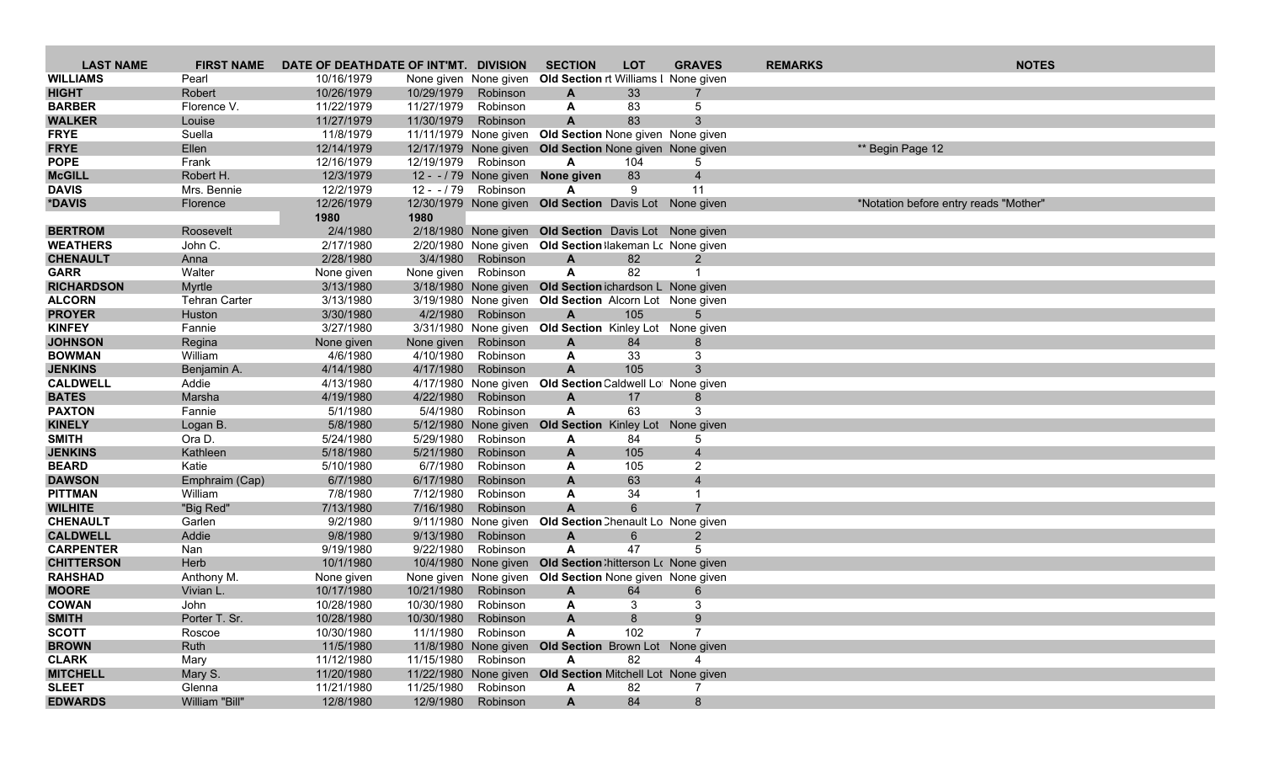| <b>LAST NAME</b>                  | <b>FIRST NAME</b>    | DATE OF DEATHDATE OF INT'MT. DIVISION |                     |                                  | <b>SECTION</b>                                                          | <b>LOT</b> | <b>GRAVES</b>  | <b>REMARKS</b> | <b>NOTES</b>                          |
|-----------------------------------|----------------------|---------------------------------------|---------------------|----------------------------------|-------------------------------------------------------------------------|------------|----------------|----------------|---------------------------------------|
| <b>WILLIAMS</b>                   | Pearl                | 10/16/1979                            |                     | None given None given            | Old Section rt Williams I None given                                    |            |                |                |                                       |
| <b>HIGHT</b>                      | Robert               | 10/26/1979                            | 10/29/1979          | Robinson                         | A                                                                       | 33         |                |                |                                       |
| <b>BARBER</b>                     | Florence V.          | 11/22/1979                            | 11/27/1979          | Robinson                         | A                                                                       | 83         | 5              |                |                                       |
| <b>WALKER</b>                     | Louise               | 11/27/1979                            | 11/30/1979          | Robinson                         | $\mathbf{A}$                                                            | 83         | 3              |                |                                       |
| <b>FRYE</b>                       | Suella               | 11/8/1979                             |                     |                                  | 11/11/1979 None given Old Section None given None given                 |            |                |                |                                       |
| <b>FRYE</b>                       | Ellen                | 12/14/1979                            |                     |                                  | 12/17/1979 None given Old Section None given None given                 |            |                |                | ** Begin Page 12                      |
| <b>POPE</b>                       | Frank                | 12/16/1979                            | 12/19/1979 Robinson |                                  | A                                                                       | 104        | 5              |                |                                       |
| <b>McGILL</b>                     | Robert H.            | 12/3/1979                             |                     |                                  | 12 - - / 79 None given None given                                       | 83         | $\overline{4}$ |                |                                       |
| <b>DAVIS</b>                      | Mrs. Bennie          | 12/2/1979                             |                     | 12 - - / 79 Robinson             | A                                                                       | 9          | 11             |                |                                       |
| *DAVIS                            | Florence             | 12/26/1979                            |                     |                                  | 12/30/1979 None given Old Section Davis Lot None given                  |            |                |                | *Notation before entry reads "Mother" |
|                                   |                      | 1980                                  | 1980                |                                  |                                                                         |            |                |                |                                       |
| <b>BERTROM</b><br><b>WEATHERS</b> | Roosevelt            | 2/4/1980                              |                     |                                  | 2/18/1980 None given Old Section Davis Lot None given                   |            |                |                |                                       |
| <b>CHENAULT</b>                   | John C.<br>Anna      | 2/17/1980<br>2/28/1980                | 3/4/1980            | Robinson                         | 2/20/1980 None given Old Section Ilakeman Lc None given<br>$\mathsf{A}$ | 82         | $\overline{2}$ |                |                                       |
| <b>GARR</b>                       | Walter               | None given                            | None given Robinson |                                  | $\mathsf{A}$                                                            | 82         | -1             |                |                                       |
| <b>RICHARDSON</b>                 | Myrtle               | 3/13/1980                             |                     |                                  | 3/18/1980 None given Old Section ichardson L None given                 |            |                |                |                                       |
| <b>ALCORN</b>                     | <b>Tehran Carter</b> | 3/13/1980                             |                     |                                  | 3/19/1980 None given Old Section Alcorn Lot None given                  |            |                |                |                                       |
| <b>PROYER</b>                     | Huston               | 3/30/1980                             | 4/2/1980            | Robinson                         | $\mathsf{A}$                                                            | 105        | $5^{\circ}$    |                |                                       |
| <b>KINFEY</b>                     | Fannie               | 3/27/1980                             |                     |                                  | 3/31/1980 None given Old Section Kinley Lot None given                  |            |                |                |                                       |
| <b>JOHNSON</b>                    | Regina               | None given                            | None given          | Robinson                         | A                                                                       | 84         | 8              |                |                                       |
| <b>BOWMAN</b>                     | William              | 4/6/1980                              | 4/10/1980           | Robinson                         | A                                                                       | 33         | 3              |                |                                       |
| <b>JENKINS</b>                    | Benjamin A.          | 4/14/1980                             | 4/17/1980           | Robinson                         | A                                                                       | 105        | 3              |                |                                       |
| <b>CALDWELL</b>                   | Addie                | 4/13/1980                             |                     | 4/17/1980 None given             | Old Section Caldwell Lot None given                                     |            |                |                |                                       |
| <b>BATES</b>                      | Marsha               | 4/19/1980                             | 4/22/1980           | Robinson                         | A                                                                       | 17         | 8              |                |                                       |
| <b>PAXTON</b>                     | Fannie               | 5/1/1980                              | 5/4/1980            | Robinson                         | A                                                                       | 63         | 3              |                |                                       |
| <b>KINELY</b>                     | Logan B.             | 5/8/1980                              |                     | 5/12/1980 None given             | <b>Old Section</b> Kinley Lot None given                                |            |                |                |                                       |
| <b>SMITH</b>                      | Ora D.               | 5/24/1980                             | 5/29/1980           | Robinson                         | A                                                                       | 84         | 5              |                |                                       |
| <b>JENKINS</b>                    | Kathleen             | 5/18/1980                             | 5/21/1980           | Robinson                         | A                                                                       | 105        | $\overline{4}$ |                |                                       |
| <b>BEARD</b>                      | Katie                | 5/10/1980                             | 6/7/1980            | Robinson                         | A                                                                       | 105        | 2              |                |                                       |
| <b>DAWSON</b>                     | Emphraim (Cap)       | 6/7/1980                              | 6/17/1980           | Robinson                         | $\mathbf{A}$                                                            | 63         | $\overline{4}$ |                |                                       |
| <b>PITTMAN</b>                    | William              | 7/8/1980                              | 7/12/1980           | Robinson                         | A                                                                       | 34         | $\mathbf 1$    |                |                                       |
| <b>WILHITE</b><br><b>CHENAULT</b> | "Big Red"<br>Garlen  | 7/13/1980<br>9/2/1980                 | 7/16/1980           | Robinson<br>9/11/1980 None given | $\mathbf{A}$<br>Old Section Chenault Lo None given                      | 6          |                |                |                                       |
| <b>CALDWELL</b>                   | Addie                | 9/8/1980                              | 9/13/1980           | Robinson                         | A                                                                       | 6          | 2              |                |                                       |
| <b>CARPENTER</b>                  | Nan                  | 9/19/1980                             | 9/22/1980           | Robinson                         | A                                                                       | 47         |                |                |                                       |
| <b>CHITTERSON</b>                 | Herb                 | 10/1/1980                             |                     |                                  | 10/4/1980 None given Old Section: hitterson Lo None given               |            |                |                |                                       |
| <b>RAHSHAD</b>                    | Anthony M.           | None given                            |                     |                                  | None given None given Old Section None given None given                 |            |                |                |                                       |
| <b>MOORE</b>                      | Vivian L.            | 10/17/1980                            | 10/21/1980          | Robinson                         | A                                                                       | 64         | 6              |                |                                       |
| <b>COWAN</b>                      | John                 | 10/28/1980                            | 10/30/1980 Robinson |                                  | A                                                                       | 3          | 3              |                |                                       |
| <b>SMITH</b>                      | Porter T. Sr.        | 10/28/1980                            | 10/30/1980 Robinson |                                  | A                                                                       | 8          | 9              |                |                                       |
| <b>SCOTT</b>                      | Roscoe               | 10/30/1980                            |                     | 11/1/1980 Robinson               | A                                                                       | 102        |                |                |                                       |
| <b>BROWN</b>                      | Ruth                 | 11/5/1980                             |                     |                                  | 11/8/1980 None given Old Section Brown Lot None given                   |            |                |                |                                       |
| <b>CLARK</b>                      | Mary                 | 11/12/1980                            | 11/15/1980 Robinson |                                  | $\mathsf{A}$                                                            | 82         | 4              |                |                                       |
| <b>MITCHELL</b>                   | Mary S.              | 11/20/1980                            |                     |                                  | 11/22/1980 None given Old Section Mitchell Lot None given               |            |                |                |                                       |
| <b>SLEET</b>                      | Glenna               | 11/21/1980                            | 11/25/1980 Robinson |                                  | A                                                                       | 82         |                |                |                                       |
| <b>EDWARDS</b>                    | William "Bill"       | 12/8/1980                             |                     | 12/9/1980 Robinson               | $\mathsf{A}$                                                            | 84         | 8              |                |                                       |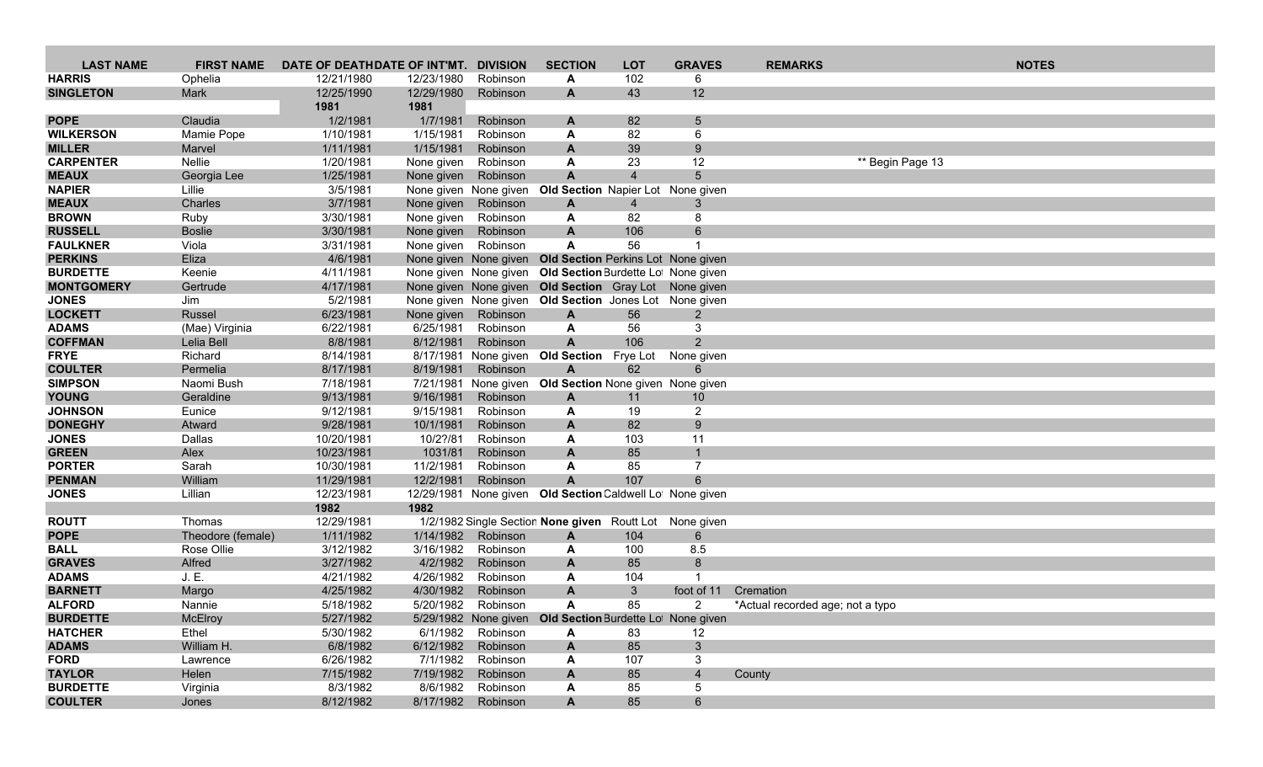| <b>LAST NAME</b>                 | <b>FIRST NAME</b>      | DATE OF DEATHDATE OF INT'MT. |                        | <b>DIVISION</b>        | <b>SECTION</b>                                            | <b>LOT</b>           | <b>GRAVES</b>  | <b>REMARKS</b>                   | <b>NOTES</b>     |
|----------------------------------|------------------------|------------------------------|------------------------|------------------------|-----------------------------------------------------------|----------------------|----------------|----------------------------------|------------------|
| <b>HARRIS</b>                    | Ophelia                | 12/21/1980                   | 12/23/1980             | Robinson               | A                                                         | 102                  | 6              |                                  |                  |
| <b>SINGLETON</b>                 | Mark                   | 12/25/1990                   | 12/29/1980             | Robinson               | $\mathbf{A}$                                              | 43                   | 12             |                                  |                  |
|                                  |                        | 1981                         | 1981                   |                        |                                                           |                      |                |                                  |                  |
| <b>POPE</b>                      | Claudia                | 1/2/1981                     | 1/7/1981               | Robinson               | A                                                         | 82                   | 5              |                                  |                  |
| <b>WILKERSON</b>                 | Mamie Pope             | 1/10/1981                    | 1/15/1981              | Robinson               | A                                                         | 82                   | 6              |                                  |                  |
| <b>MILLER</b>                    | Marvel                 | 1/11/1981                    | 1/15/1981              | Robinson               | A                                                         | 39                   | 9              |                                  |                  |
| <b>CARPENTER</b><br><b>MEAUX</b> | Nellie                 | 1/20/1981<br>1/25/1981       | None given             | Robinson<br>Robinson   | A<br>$\mathsf{A}$                                         | 23<br>$\overline{4}$ | 12<br>5        |                                  | ** Begin Page 13 |
| <b>NAPIER</b>                    | Georgia Lee<br>Lillie  | 3/5/1981                     | None given             | None given None given  | Old Section Napier Lot None given                         |                      |                |                                  |                  |
| <b>MEAUX</b>                     | Charles                | 3/7/1981                     | None given             | Robinson               | $\mathbf{A}$                                              | $\overline{4}$       | 3              |                                  |                  |
| <b>BROWN</b>                     | Ruby                   | 3/30/1981                    | None given             | Robinson               | A                                                         | 82                   | 8              |                                  |                  |
| <b>RUSSELL</b>                   | <b>Boslie</b>          | 3/30/1981                    | None given             | Robinson               | A                                                         | 106                  | 6              |                                  |                  |
| <b>FAULKNER</b>                  | Viola                  | 3/31/1981                    | None given             | Robinson               | A                                                         | 56                   |                |                                  |                  |
| <b>PERKINS</b>                   | Eliza                  | 4/6/1981                     |                        | None given None given  | <b>Old Section Perkins Lot None given</b>                 |                      |                |                                  |                  |
| <b>BURDETTE</b>                  | Keenie                 | 4/11/1981                    |                        |                        | None given None given Old Section Burdette Lot None given |                      |                |                                  |                  |
| <b>MONTGOMERY</b>                | Gertrude               | 4/17/1981                    |                        |                        | None given None given Old Section Gray Lot None given     |                      |                |                                  |                  |
| <b>JONES</b>                     | Jim                    | 5/2/1981                     |                        |                        | None given None given Old Section Jones Lot None given    |                      |                |                                  |                  |
| <b>LOCKETT</b>                   | Russel                 | 6/23/1981                    | None given             | Robinson               | $\mathbf{A}$                                              | 56                   | $\overline{2}$ |                                  |                  |
| <b>ADAMS</b>                     | (Mae) Virginia         | 6/22/1981                    | 6/25/1981              | Robinson               | A                                                         | 56                   | 3              |                                  |                  |
| <b>COFFMAN</b>                   | Lelia Bell             | 8/8/1981                     | 8/12/1981              | Robinson               | $\mathbf{A}$                                              | 106                  | $2^{\circ}$    |                                  |                  |
| <b>FRYE</b>                      | Richard                | 8/14/1981                    | 8/17/1981              | None given             | <b>Old Section</b>                                        | Frye Lot             | None given     |                                  |                  |
| <b>COULTER</b><br><b>SIMPSON</b> | Permelia<br>Naomi Bush | 8/17/1981<br>7/18/1981       | 8/19/1981<br>7/21/1981 | Robinson               | $\mathbf{A}$<br>Old Section None given None given         | 62                   | 6              |                                  |                  |
| <b>YOUNG</b>                     | Geraldine              | 9/13/1981                    | 9/16/1981              | None given<br>Robinson | $\mathbf{A}$                                              | 11                   | 10             |                                  |                  |
| <b>JOHNSON</b>                   | Eunice                 | 9/12/1981                    | 9/15/1981              | Robinson               | A                                                         | 19                   | $\overline{2}$ |                                  |                  |
| <b>DONEGHY</b>                   | Atward                 | 9/28/1981                    | 10/1/1981              | Robinson               | A                                                         | 82                   | 9              |                                  |                  |
| <b>JONES</b>                     | Dallas                 | 10/20/1981                   | 10/2?/81               | Robinson               | A                                                         | 103                  | 11             |                                  |                  |
| <b>GREEN</b>                     | Alex                   | 10/23/1981                   | 1031/81                | Robinson               | $\mathbf{A}$                                              | 85                   |                |                                  |                  |
| <b>PORTER</b>                    | Sarah                  | 10/30/1981                   | 11/2/1981              | Robinson               | A                                                         | 85                   | 7              |                                  |                  |
| <b>PENMAN</b>                    | William                | 11/29/1981                   | 12/2/1981              | Robinson               | $\mathbf{A}$                                              | 107                  |                |                                  |                  |
| <b>JONES</b>                     | Lillian                | 12/23/1981                   |                        |                        | 12/29/1981 None given Old Section Caldwell Lot None given |                      |                |                                  |                  |
|                                  |                        | 1982                         | 1982                   |                        |                                                           |                      |                |                                  |                  |
| <b>ROUTT</b>                     | Thomas                 | 12/29/1981                   |                        |                        | 1/2/1982 Single Section None given Routt Lot              |                      | None given     |                                  |                  |
| <b>POPE</b>                      | Theodore (female)      | 1/11/1982                    | 1/14/1982              | Robinson               | A                                                         | 104                  | 6              |                                  |                  |
| <b>BALL</b>                      | Rose Ollie             | 3/12/1982                    | 3/16/1982<br>4/2/1982  | Robinson               | A                                                         | 100<br>85            | 8.5<br>8       |                                  |                  |
| <b>GRAVES</b><br><b>ADAMS</b>    | Alfred<br>J. E.        | 3/27/1982<br>4/21/1982       | 4/26/1982              | Robinson<br>Robinson   | A<br>A                                                    | 104                  |                |                                  |                  |
| <b>BARNETT</b>                   | Margo                  | 4/25/1982                    | 4/30/1982              | Robinson               | A                                                         | $\mathbf{3}$         | foot of 11     | Cremation                        |                  |
| <b>ALFORD</b>                    | Nannie                 | 5/18/1982                    | 5/20/1982              | Robinson               | A                                                         | 85                   | $\mathbf{2}$   | *Actual recorded age; not a typo |                  |
| <b>BURDETTE</b>                  | McElroy                | 5/27/1982                    |                        |                        | 5/29/1982 None given Old Section Burdette Lot None given  |                      |                |                                  |                  |
| <b>HATCHER</b>                   | Ethel                  | 5/30/1982                    |                        | 6/1/1982 Robinson      | A                                                         | 83                   | 12             |                                  |                  |
| <b>ADAMS</b>                     | William H.             | 6/8/1982                     | 6/12/1982              | Robinson               | $\mathbf{A}$                                              | 85                   | 3 <sup>1</sup> |                                  |                  |
| <b>FORD</b>                      | Lawrence               | 6/26/1982                    | 7/1/1982               | Robinson               | A                                                         | 107                  | 3 <sup>1</sup> |                                  |                  |
| <b>TAYLOR</b>                    | Helen                  | 7/15/1982                    | 7/19/1982              | Robinson               | A                                                         | 85                   | $\overline{4}$ | County                           |                  |
| <b>BURDETTE</b>                  | Virginia               | 8/3/1982                     | 8/6/1982               | Robinson               | A                                                         | 85                   | 5              |                                  |                  |
| <b>COULTER</b>                   | Jones                  | 8/12/1982                    |                        | 8/17/1982 Robinson     | $\mathbf{A}$                                              | 85                   | 6 <sup>1</sup> |                                  |                  |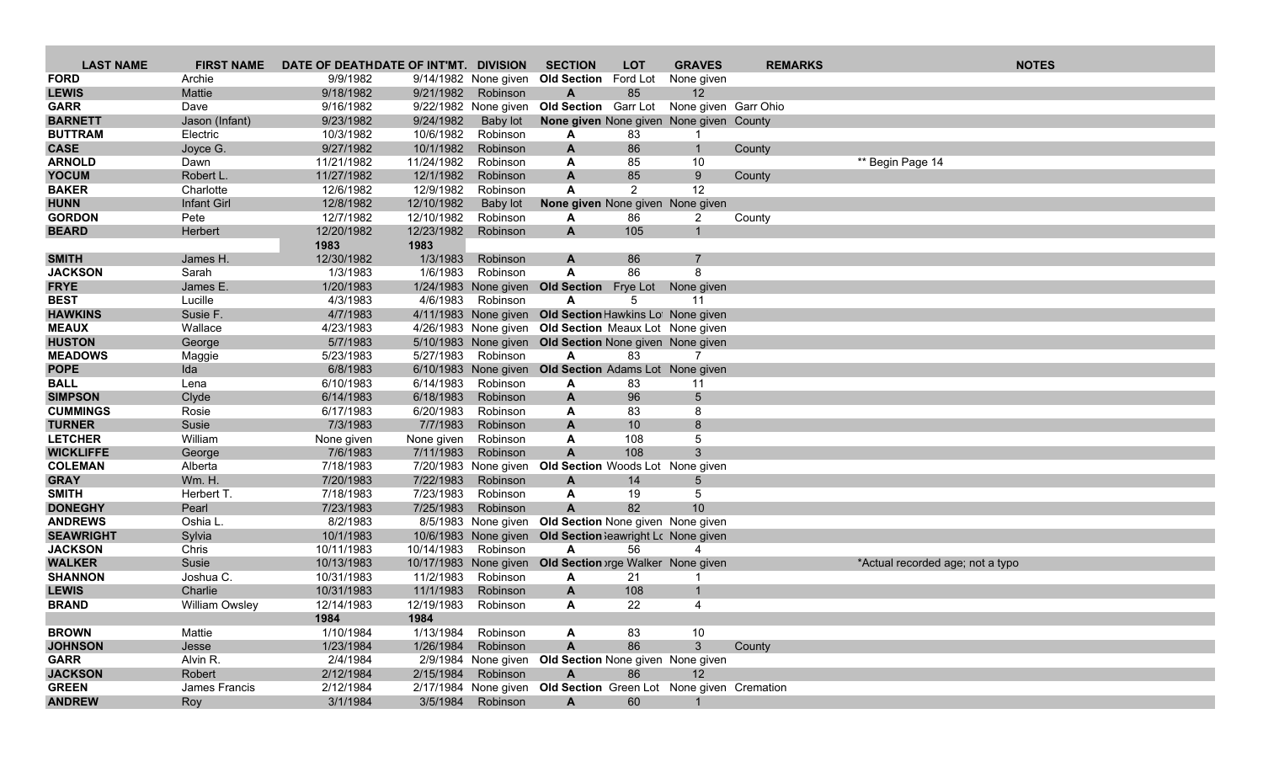| <b>LAST NAME</b> | <b>FIRST NAME</b>     | DATE OF DEATHDATE OF INT'MT. DIVISION |                       |                      | <b>SECTION</b>                                                  | <b>LOT</b>     | <b>GRAVES</b>        | <b>REMARKS</b> | <b>NOTES</b>                     |
|------------------|-----------------------|---------------------------------------|-----------------------|----------------------|-----------------------------------------------------------------|----------------|----------------------|----------------|----------------------------------|
| <b>FORD</b>      | Archie                | 9/9/1982                              |                       | 9/14/1982 None given | Old Section Ford Lot                                            |                | None given           |                |                                  |
| <b>LEWIS</b>     | <b>Mattie</b>         | 9/18/1982                             | 9/21/1982             | Robinson             | A                                                               | 85             | $12 \overline{ }$    |                |                                  |
| <b>GARR</b>      | Dave                  | 9/16/1982                             |                       | 9/22/1982 None given | Old Section Garr Lot                                            |                | None given Garr Ohio |                |                                  |
| <b>BARNETT</b>   | Jason (Infant)        | 9/23/1982                             | 9/24/1982             | <b>Baby lot</b>      | None given None given None given County                         |                |                      |                |                                  |
| <b>BUTTRAM</b>   | Electric              | 10/3/1982                             | 10/6/1982             | Robinson             | A                                                               | 83             | -1                   |                |                                  |
| <b>CASE</b>      | Joyce G.              | 9/27/1982                             | 10/1/1982             | Robinson             | A                                                               | 86             | $\mathbf{1}$         | County         |                                  |
| <b>ARNOLD</b>    | Dawn                  | 11/21/1982                            | 11/24/1982            | Robinson             | A                                                               | 85             | 10                   |                | ** Begin Page 14                 |
| <b>YOCUM</b>     | Robert L.             | 11/27/1982                            | 12/1/1982             | Robinson             | $\mathbf{A}$                                                    | 85             | 9                    | County         |                                  |
| <b>BAKER</b>     | Charlotte             | 12/6/1982                             | 12/9/1982             | Robinson             | A                                                               | $\overline{2}$ | 12                   |                |                                  |
| <b>HUNN</b>      | Infant Girl           | 12/8/1982                             | 12/10/1982            | Baby lot             | None given None given None given                                |                |                      |                |                                  |
| <b>GORDON</b>    | Pete                  | 12/7/1982                             | 12/10/1982            | Robinson             | A                                                               | 86             | 2                    | County         |                                  |
| <b>BEARD</b>     | Herbert               | 12/20/1982                            | 12/23/1982            | Robinson             | A                                                               | 105            | $\mathbf{1}$         |                |                                  |
|                  |                       | 1983                                  | 1983                  |                      |                                                                 |                |                      |                |                                  |
| <b>SMITH</b>     | James H.              | 12/30/1982                            | 1/3/1983              | Robinson             | A                                                               | 86             |                      |                |                                  |
| <b>JACKSON</b>   | Sarah                 | 1/3/1983                              | 1/6/1983              | Robinson             | A                                                               | 86             | 8                    |                |                                  |
| <b>FRYE</b>      | James E.              | 1/20/1983                             |                       |                      | 1/24/1983 None given Old Section Frye Lot                       |                | None given           |                |                                  |
| <b>BEST</b>      | Lucille               | 4/3/1983                              | 4/6/1983              | Robinson             | A                                                               | 5              | 11                   |                |                                  |
| <b>HAWKINS</b>   | Susie F.              | 4/7/1983                              |                       | 4/11/1983 None given | Old Section Hawkins Lot None given                              |                |                      |                |                                  |
| <b>MEAUX</b>     | Wallace               | 4/23/1983                             |                       |                      | 4/26/1983 None given Old Section Meaux Lot None given           |                |                      |                |                                  |
| <b>HUSTON</b>    | George                | 5/7/1983                              |                       |                      | 5/10/1983 None given Old Section None given None given          |                |                      |                |                                  |
| <b>MEADOWS</b>   | Maggie                | 5/23/1983                             |                       | 5/27/1983 Robinson   | A                                                               | 83             | 7                    |                |                                  |
| <b>POPE</b>      | Ida                   | 6/8/1983                              |                       | 6/10/1983 None given | <b>Old Section</b> Adams Lot None given                         |                |                      |                |                                  |
| <b>BALL</b>      | Lena                  | 6/10/1983                             | 6/14/1983             | Robinson             | A                                                               | 83             | 11                   |                |                                  |
| <b>SIMPSON</b>   | Clyde                 | 6/14/1983                             | 6/18/1983             | Robinson             | A                                                               | 96             | 5                    |                |                                  |
| <b>CUMMINGS</b>  | Rosie                 | 6/17/1983                             | 6/20/1983             | Robinson             | A                                                               | 83             | 8                    |                |                                  |
| <b>TURNER</b>    | Susie                 | 7/3/1983                              | 7/7/1983              | Robinson             | A                                                               | 10             | 8                    |                |                                  |
| <b>LETCHER</b>   | William               | None given                            | None given            | Robinson             | A                                                               | 108            | 5                    |                |                                  |
| <b>WICKLIFFE</b> | George                | 7/6/1983                              | 7/11/1983             | Robinson             | $\mathbf{A}$                                                    | 108            | 3                    |                |                                  |
| <b>COLEMAN</b>   | Alberta               | 7/18/1983                             |                       | 7/20/1983 None given | Old Section Woods Lot None given                                |                |                      |                |                                  |
| <b>GRAY</b>      | <b>Wm. H.</b>         | 7/20/1983                             | 7/22/1983             | Robinson             | A                                                               | 14             | 5                    |                |                                  |
| <b>SMITH</b>     | Herbert T.            | 7/18/1983                             | 7/23/1983             | Robinson             | A                                                               | 19             | 5                    |                |                                  |
| <b>DONEGHY</b>   | Pearl                 | 7/23/1983                             | 7/25/1983             | Robinson             | $\mathbf{A}$                                                    | 82             | 10 <sup>°</sup>      |                |                                  |
| <b>ANDREWS</b>   | Oshia L.              | 8/2/1983                              |                       |                      | 8/5/1983 None given Old Section None given None given           |                |                      |                |                                  |
| <b>SEAWRIGHT</b> | Sylvia                | 10/1/1983                             |                       |                      | 10/6/1983 None given Old Section leawright Lc None given        |                |                      |                |                                  |
| <b>JACKSON</b>   | Chris                 | 10/11/1983                            | 10/14/1983 Robinson   |                      | A                                                               | 56             | 4                    |                |                                  |
| <b>WALKER</b>    | Susie                 | 10/13/1983                            | 10/17/1983 None given |                      | Old Section orge Walker None given                              |                |                      |                | *Actual recorded age; not a typo |
| <b>SHANNON</b>   | Joshua C.             | 10/31/1983                            | 11/2/1983             | Robinson             | A                                                               | 21             |                      |                |                                  |
| <b>LEWIS</b>     | Charlie               | 10/31/1983                            | 11/1/1983             | Robinson             | A                                                               | 108            | -1                   |                |                                  |
| <b>BRAND</b>     | <b>William Owsley</b> | 12/14/1983                            | 12/19/1983            | Robinson             | A                                                               | 22             | $\overline{4}$       |                |                                  |
|                  |                       | 1984                                  | 1984                  |                      |                                                                 |                |                      |                |                                  |
| <b>BROWN</b>     | Mattie                | 1/10/1984                             |                       | 1/13/1984 Robinson   | A                                                               | 83             | 10                   |                |                                  |
| <b>JOHNSON</b>   | Jesse                 | 1/23/1984                             | 1/26/1984             | Robinson             | $\mathbf{A}$                                                    | 86             | 3 <sup>5</sup>       | County         |                                  |
| <b>GARR</b>      | Alvin R.              | 2/4/1984                              |                       |                      | 2/9/1984 None given Old Section None given None given           |                |                      |                |                                  |
| <b>JACKSON</b>   | Robert                | 2/12/1984                             | 2/15/1984             | Robinson             | $\mathsf{A}$                                                    | 86             | 12                   |                |                                  |
| <b>GREEN</b>     | James Francis         | 2/12/1984                             |                       |                      | 2/17/1984 None given Old Section Green Lot None given Cremation |                |                      |                |                                  |
| <b>ANDREW</b>    | Roy                   | 3/1/1984                              | 3/5/1984              | Robinson             | $\mathsf{A}$                                                    | 60             |                      |                |                                  |
|                  |                       |                                       |                       |                      |                                                                 |                |                      |                |                                  |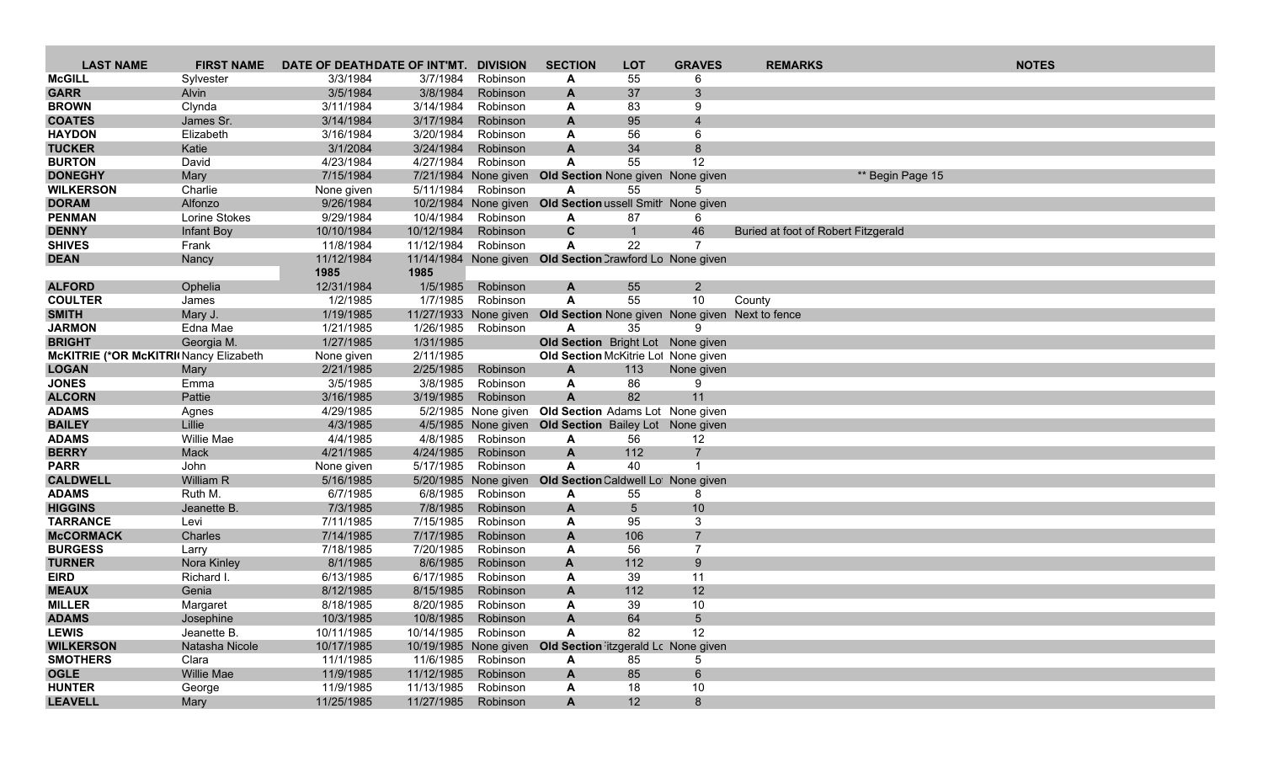| <b>LAST NAME</b>                      | <b>FIRST NAME</b> | DATE OF DEATHDATE OF INT'MT. |                       | <b>DIVISION</b>       | <b>SECTION</b>                                            | <b>LOT</b>     | <b>GRAVES</b>   | <b>REMARKS</b>                      | <b>NOTES</b> |
|---------------------------------------|-------------------|------------------------------|-----------------------|-----------------------|-----------------------------------------------------------|----------------|-----------------|-------------------------------------|--------------|
| <b>McGILL</b>                         | Sylvester         | 3/3/1984                     | 3/7/1984              | Robinson              | A                                                         | 55             |                 |                                     |              |
| <b>GARR</b>                           | Alvin             | 3/5/1984                     | 3/8/1984              | Robinson              | A                                                         | 37             | 3               |                                     |              |
| <b>BROWN</b>                          | Clynda            | 3/11/1984                    | 3/14/1984             | Robinson              | A                                                         | 83             | 9               |                                     |              |
| <b>COATES</b>                         | James Sr.         | 3/14/1984                    | 3/17/1984             | Robinson              | A                                                         | 95             | $\overline{4}$  |                                     |              |
| <b>HAYDON</b>                         | Elizabeth         | 3/16/1984                    | 3/20/1984             | Robinson              | A                                                         | 56             | 6               |                                     |              |
| <b>TUCKER</b>                         | Katie             | 3/1/2084                     | 3/24/1984             | Robinson              | $\mathbf{A}$                                              | 34             | 8               |                                     |              |
| <b>BURTON</b>                         | David             | 4/23/1984                    | 4/27/1984             | Robinson              | A                                                         | 55             | 12              |                                     |              |
| <b>DONEGHY</b>                        | Mary              | 7/15/1984                    |                       | 7/21/1984 None given  | Old Section None given None given                         |                |                 | ** Begin Page 15                    |              |
| <b>WILKERSON</b>                      | Charlie           | None given                   | 5/11/1984             | Robinson              | Α                                                         | 55             | 5               |                                     |              |
| <b>DORAM</b>                          | Alfonzo           | 9/26/1984                    |                       | 10/2/1984 None given  | Old Section ussell Smith None given                       |                |                 |                                     |              |
| <b>PENMAN</b>                         | Lorine Stokes     | 9/29/1984                    | 10/4/1984             | Robinson              | A                                                         | 87             | 6               |                                     |              |
| <b>DENNY</b>                          | Infant Boy        | 10/10/1984                   | 10/12/1984            | Robinson              | $\mathbf c$                                               | $\overline{1}$ | 46              | Buried at foot of Robert Fitzgerald |              |
| <b>SHIVES</b>                         | Frank             | 11/8/1984                    | 11/12/1984            | Robinson              | A                                                         | 22             | $\overline{7}$  |                                     |              |
| <b>DEAN</b>                           | Nancy             | 11/12/1984                   |                       |                       | 11/14/1984 None given Old Section Crawford Lo None given  |                |                 |                                     |              |
|                                       |                   | 1985                         | 1985                  |                       |                                                           |                |                 |                                     |              |
| <b>ALFORD</b>                         | Ophelia           | 12/31/1984                   | 1/5/1985              | Robinson              | A                                                         | 55             | $\overline{2}$  |                                     |              |
| <b>COULTER</b>                        | James             | 1/2/1985                     | 1/7/1985              | Robinson              | A                                                         | 55             | 10              | County                              |              |
| <b>SMITH</b>                          | Mary J.           | 1/19/1985                    |                       | 11/27/1933 None given | Old Section None given None given Next to fence           |                |                 |                                     |              |
| <b>JARMON</b>                         | Edna Mae          | 1/21/1985                    | 1/26/1985             | Robinson              | A                                                         | 35             | 9               |                                     |              |
| <b>BRIGHT</b>                         | Georgia M.        | 1/27/1985                    | 1/31/1985             |                       | Old Section Bright Lot None given                         |                |                 |                                     |              |
| McKITRIE (*OR McKITRI Nancy Elizabeth |                   | None given                   | 2/11/1985             |                       | Old Section McKitrie Lot None given                       |                |                 |                                     |              |
| <b>LOGAN</b><br><b>JONES</b>          | Mary<br>Emma      | 2/21/1985<br>3/5/1985        | 2/25/1985<br>3/8/1985 | Robinson<br>Robinson  | A<br>A                                                    | 113<br>86      | None given<br>9 |                                     |              |
| <b>ALCORN</b>                         | Pattie            | 3/16/1985                    | 3/19/1985             | Robinson              | A                                                         | 82             | 11              |                                     |              |
| <b>ADAMS</b>                          |                   | 4/29/1985                    |                       |                       | 5/2/1985 None given Old Section Adams Lot None given      |                |                 |                                     |              |
| <b>BAILEY</b>                         | Agnes<br>Lillie   | 4/3/1985                     |                       |                       | 4/5/1985 None given Old Section Bailey Lot None given     |                |                 |                                     |              |
| <b>ADAMS</b>                          | Willie Mae        | 4/4/1985                     | 4/8/1985              | Robinson              | A                                                         | 56             | 12              |                                     |              |
| <b>BERRY</b>                          | Mack              | 4/21/1985                    | 4/24/1985             | Robinson              | $\mathsf{A}$                                              | 112            | $\overline{7}$  |                                     |              |
| <b>PARR</b>                           | John              | None given                   | 5/17/1985             | Robinson              | A                                                         | 40             |                 |                                     |              |
| <b>CALDWELL</b>                       | William R         | 5/16/1985                    |                       | 5/20/1985 None given  | Old Section Caldwell Lot None given                       |                |                 |                                     |              |
| <b>ADAMS</b>                          | Ruth M.           | 6/7/1985                     | 6/8/1985              | Robinson              | A                                                         | 55             | 8               |                                     |              |
| <b>HIGGINS</b>                        | Jeanette B.       | 7/3/1985                     | 7/8/1985              | Robinson              | A                                                         | $\sqrt{5}$     | 10              |                                     |              |
| <b>TARRANCE</b>                       | Levi              | 7/11/1985                    | 7/15/1985             | Robinson              | A                                                         | 95             | 3               |                                     |              |
| <b>McCORMACK</b>                      | Charles           | 7/14/1985                    | 7/17/1985             | Robinson              | A                                                         | 106            |                 |                                     |              |
| <b>BURGESS</b>                        | Larry             | 7/18/1985                    | 7/20/1985             | Robinson              | A                                                         | 56             | 7               |                                     |              |
| <b>TURNER</b>                         | Nora Kinley       | 8/1/1985                     | 8/6/1985              | Robinson              | A                                                         | 112            | 9               |                                     |              |
| <b>EIRD</b>                           | Richard I.        | 6/13/1985                    | 6/17/1985             | Robinson              | A                                                         | 39             | 11              |                                     |              |
| <b>MEAUX</b>                          | Genia             | 8/12/1985                    | 8/15/1985             | Robinson              | A                                                         | 112            | 12              |                                     |              |
| <b>MILLER</b>                         | Margaret          | 8/18/1985                    | 8/20/1985             | Robinson              | A                                                         | 39             | 10              |                                     |              |
| <b>ADAMS</b>                          | Josephine         | 10/3/1985                    |                       | 10/8/1985 Robinson    | A                                                         | 64             | 5               |                                     |              |
| <b>LEWIS</b>                          | Jeanette B.       | 10/11/1985                   | 10/14/1985 Robinson   |                       | A                                                         | 82             | 12              |                                     |              |
| <b>WILKERSON</b>                      | Natasha Nicole    | 10/17/1985                   |                       |                       | 10/19/1985 None given Old Section itzgerald Lc None given |                |                 |                                     |              |
| <b>SMOTHERS</b>                       | Clara             | 11/1/1985                    |                       | 11/6/1985 Robinson    | A                                                         | 85             | 5               |                                     |              |
| <b>OGLE</b>                           | Willie Mae        | 11/9/1985                    | 11/12/1985            | Robinson              | A                                                         | 85             | $6\overline{6}$ |                                     |              |
| <b>HUNTER</b>                         | George            | 11/9/1985                    | 11/13/1985            | Robinson              | A                                                         | 18             | 10              |                                     |              |
| <b>LEAVELL</b>                        | Mary              | 11/25/1985                   | 11/27/1985 Robinson   |                       | $\mathsf{A}$                                              | 12             | 8               |                                     |              |
|                                       |                   |                              |                       |                       |                                                           |                |                 |                                     |              |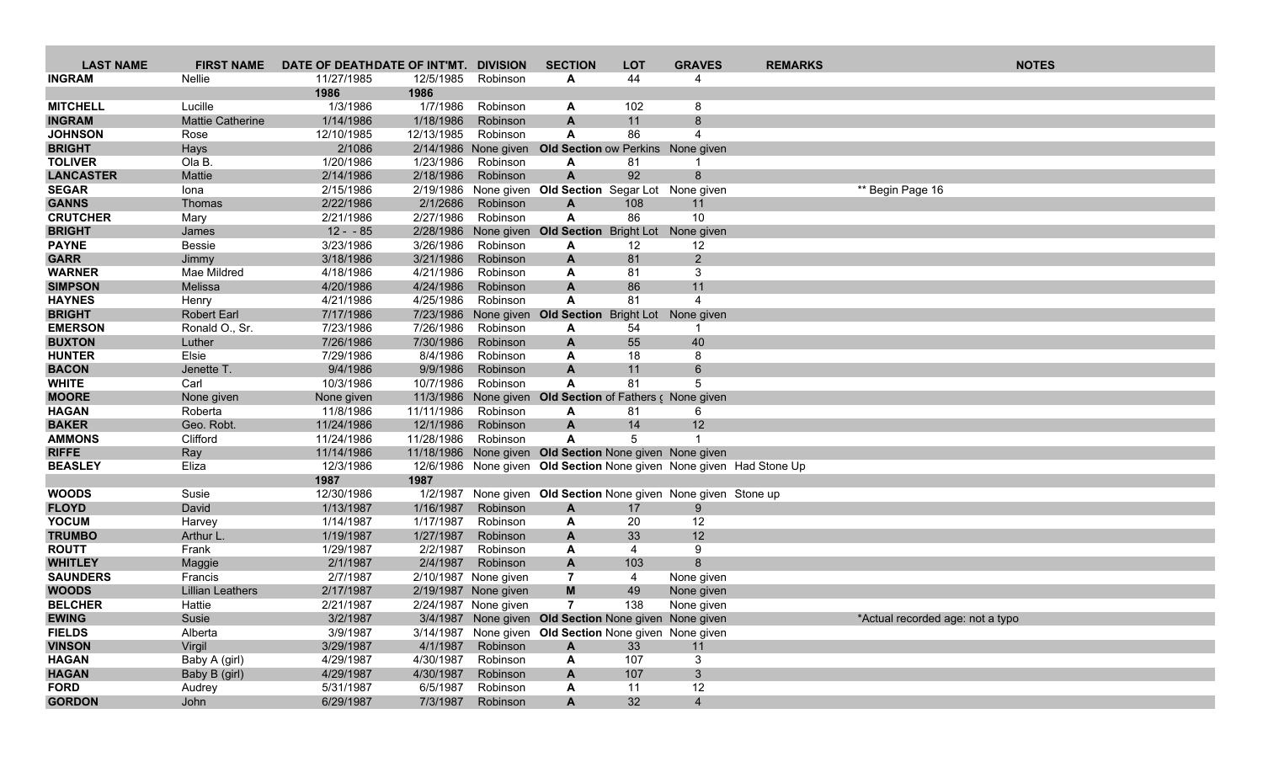| <b>LAST NAME</b>                 | <b>FIRST NAME</b>                 | DATE OF DEATHDATE OF INT'MT. DIVISION |            |                                              | <b>SECTION</b>                                                 | <b>LOT</b>        | <b>GRAVES</b>            | <b>REMARKS</b>                                                      |                                  | <b>NOTES</b> |
|----------------------------------|-----------------------------------|---------------------------------------|------------|----------------------------------------------|----------------------------------------------------------------|-------------------|--------------------------|---------------------------------------------------------------------|----------------------------------|--------------|
| <b>INGRAM</b>                    | Nellie                            | 11/27/1985                            | 12/5/1985  | Robinson                                     | A                                                              | 44                |                          |                                                                     |                                  |              |
|                                  |                                   | 1986                                  | 1986       |                                              |                                                                |                   |                          |                                                                     |                                  |              |
| <b>MITCHELL</b>                  | Lucille                           | 1/3/1986                              | 1/7/1986   | Robinson                                     | A                                                              | 102               | 8                        |                                                                     |                                  |              |
| <b>INGRAM</b>                    | <b>Mattie Catherine</b>           | 1/14/1986                             | 1/18/1986  | Robinson                                     | A                                                              | 11                | 8                        |                                                                     |                                  |              |
| <b>JOHNSON</b>                   | Rose                              | 12/10/1985                            | 12/13/1985 | Robinson                                     | A                                                              | 86                | 4                        |                                                                     |                                  |              |
| <b>BRIGHT</b>                    | Hays                              | 2/1086                                |            | 2/14/1986 None given                         | <b>Old Section ow Perkins</b> None given                       |                   |                          |                                                                     |                                  |              |
| <b>TOLIVER</b>                   | Ola B.                            | 1/20/1986                             | 1/23/1986  | Robinson                                     | A                                                              | 81<br>92          | 8                        |                                                                     |                                  |              |
| <b>LANCASTER</b><br><b>SEGAR</b> | Mattie                            | 2/14/1986<br>2/15/1986                | 2/18/1986  | Robinson                                     | $\mathsf{A}$                                                   |                   |                          |                                                                     |                                  |              |
| <b>GANNS</b>                     | Iona<br>Thomas                    | 2/22/1986                             | 2/1/2686   | Robinson                                     | 2/19/1986 None given Old Section Segar Lot None given<br>A     | 108               | 11                       |                                                                     | ** Begin Page 16                 |              |
| <b>CRUTCHER</b>                  | Mary                              | 2/21/1986                             | 2/27/1986  | Robinson                                     | A                                                              | 86                | 10                       |                                                                     |                                  |              |
| <b>BRIGHT</b>                    | James                             | $12 - 85$                             |            | 2/28/1986 None given                         | <b>Old Section</b>                                             | <b>Bright Lot</b> | None given               |                                                                     |                                  |              |
| <b>PAYNE</b>                     | <b>Bessie</b>                     | 3/23/1986                             | 3/26/1986  | Robinson                                     | A                                                              | 12                | 12                       |                                                                     |                                  |              |
| <b>GARR</b>                      | Jimmy                             | 3/18/1986                             | 3/21/1986  | Robinson                                     | A                                                              | 81                | $2^{\circ}$              |                                                                     |                                  |              |
| <b>WARNER</b>                    | Mae Mildred                       | 4/18/1986                             | 4/21/1986  | Robinson                                     | A                                                              | 81                | 3                        |                                                                     |                                  |              |
| <b>SIMPSON</b>                   | Melissa                           | 4/20/1986                             | 4/24/1986  | Robinson                                     | $\mathsf{A}$                                                   | 86                | 11                       |                                                                     |                                  |              |
| <b>HAYNES</b>                    | Henry                             | 4/21/1986                             | 4/25/1986  | Robinson                                     | A                                                              | 81                | 4                        |                                                                     |                                  |              |
| <b>BRIGHT</b>                    | <b>Robert Earl</b>                | 7/17/1986                             |            |                                              | 7/23/1986 None given Old Section Bright Lot                    |                   | None given               |                                                                     |                                  |              |
| <b>EMERSON</b>                   | Ronald O., Sr.                    | 7/23/1986                             | 7/26/1986  | Robinson                                     | A                                                              | 54                | -1                       |                                                                     |                                  |              |
| <b>BUXTON</b>                    | Luther                            | 7/26/1986                             | 7/30/1986  | Robinson                                     | A                                                              | 55                | 40                       |                                                                     |                                  |              |
| <b>HUNTER</b>                    | Elsie                             | 7/29/1986                             | 8/4/1986   | Robinson                                     | A                                                              | 18                | 8                        |                                                                     |                                  |              |
| <b>BACON</b>                     | Jenette T.                        | 9/4/1986                              | 9/9/1986   | Robinson                                     | $\mathsf{A}$                                                   | 11                | 6                        |                                                                     |                                  |              |
| <b>WHITE</b><br><b>MOORE</b>     | Carl                              | 10/3/1986                             | 10/7/1986  | Robinson<br>11/3/1986 None given             | A                                                              | 81                | 5                        |                                                                     |                                  |              |
| <b>HAGAN</b>                     | None given<br>Roberta             | None given<br>11/8/1986               | 11/11/1986 | Robinson                                     | <b>Old Section of Fathers c None given</b><br>A                | 81                | 6                        |                                                                     |                                  |              |
| <b>BAKER</b>                     | Geo. Robt.                        | 11/24/1986                            | 12/1/1986  | Robinson                                     | A                                                              | 14                | 12                       |                                                                     |                                  |              |
| <b>AMMONS</b>                    | Clifford                          | 11/24/1986                            | 11/28/1986 | Robinson                                     | A                                                              | 5                 |                          |                                                                     |                                  |              |
| <b>RIFFE</b>                     | Ray                               | 11/14/1986                            |            |                                              | 11/18/1986 None given Old Section None given None given        |                   |                          |                                                                     |                                  |              |
| <b>BEASLEY</b>                   | Eliza                             | 12/3/1986                             |            |                                              |                                                                |                   |                          | 12/6/1986 None given Old Section None given None given Had Stone Up |                                  |              |
|                                  |                                   | 1987                                  | 1987       |                                              |                                                                |                   |                          |                                                                     |                                  |              |
| <b>WOODS</b>                     | Susie                             | 12/30/1986                            |            |                                              | 1/2/1987 None given Old Section None given None given Stone up |                   |                          |                                                                     |                                  |              |
| <b>FLOYD</b>                     | David                             | 1/13/1987                             | 1/16/1987  | Robinson                                     | A                                                              | 17                | 9                        |                                                                     |                                  |              |
| <b>YOCUM</b>                     | Harvey                            | 1/14/1987                             | 1/17/1987  | Robinson                                     | A                                                              | 20                | 12                       |                                                                     |                                  |              |
| <b>TRUMBO</b>                    | Arthur L                          | 1/19/1987                             | 1/27/1987  | Robinson                                     | A                                                              | 33                | 12                       |                                                                     |                                  |              |
| <b>ROUTT</b>                     | Frank                             | 1/29/1987                             | 2/2/1987   | Robinson                                     | A                                                              | $\overline{4}$    | 9                        |                                                                     |                                  |              |
| <b>WHITLEY</b>                   | Maggie                            | 2/1/1987                              | 2/4/1987   | Robinson                                     | A                                                              | 103               | 8                        |                                                                     |                                  |              |
| <b>SAUNDERS</b>                  | Francis                           | 2/7/1987                              |            | 2/10/1987 None given                         | 7                                                              | 4                 | None given               |                                                                     |                                  |              |
| <b>WOODS</b><br><b>BELCHER</b>   | <b>Lillian Leathers</b><br>Hattie | 2/17/1987<br>2/21/1987                |            | 2/19/1987 None given<br>2/24/1987 None given | M<br>$\overline{7}$                                            | 49<br>138         | None given<br>None given |                                                                     |                                  |              |
| <b>EWING</b>                     | Susie                             | 3/2/1987                              |            |                                              | 3/4/1987 None given Old Section None given None given          |                   |                          |                                                                     | *Actual recorded age: not a typo |              |
| <b>FIELDS</b>                    | Alberta                           | 3/9/1987                              |            |                                              | 3/14/1987 None given Old Section None given None given         |                   |                          |                                                                     |                                  |              |
| <b>VINSON</b>                    | Virgil                            | 3/29/1987                             | 4/1/1987   | Robinson                                     | A                                                              | 33                | 11                       |                                                                     |                                  |              |
| <b>HAGAN</b>                     | Baby A (girl)                     | 4/29/1987                             | 4/30/1987  | Robinson                                     | A                                                              | 107               | $\mathbf{3}$             |                                                                     |                                  |              |
| <b>HAGAN</b>                     | Baby B (girl)                     | 4/29/1987                             | 4/30/1987  | Robinson                                     | A                                                              | 107               | 3 <sup>2</sup>           |                                                                     |                                  |              |
| <b>FORD</b>                      | Audrey                            | 5/31/1987                             | 6/5/1987   | Robinson                                     | A                                                              | 11                | 12                       |                                                                     |                                  |              |
| <b>GORDON</b>                    | John                              | 6/29/1987                             | 7/3/1987   | Robinson                                     | A                                                              | 32                | $\overline{4}$           |                                                                     |                                  |              |
|                                  |                                   |                                       |            |                                              |                                                                |                   |                          |                                                                     |                                  |              |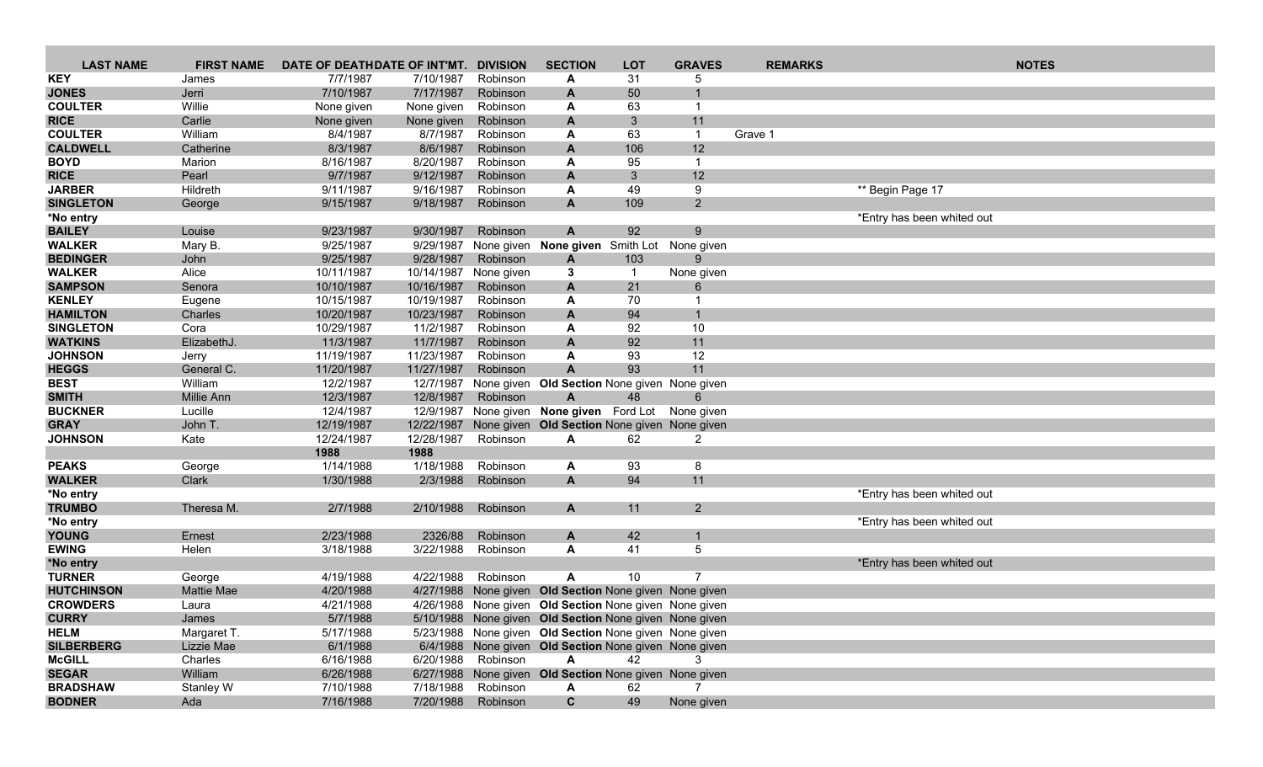| <b>LAST NAME</b>  | <b>FIRST NAME</b> | DATE OF DEATHDATE OF INT'MT. |            | <b>DIVISION</b>    | <b>SECTION</b>                                         | <b>LOT</b>              | <b>GRAVES</b>  | <b>REMARKS</b> |                            | <b>NOTES</b> |
|-------------------|-------------------|------------------------------|------------|--------------------|--------------------------------------------------------|-------------------------|----------------|----------------|----------------------------|--------------|
| KEY               | James             | 7/7/1987                     | 7/10/1987  | Robinson           | A                                                      | 31                      | 5              |                |                            |              |
| <b>JONES</b>      | Jerri             | 7/10/1987                    | 7/17/1987  | Robinson           | A                                                      | 50                      |                |                |                            |              |
| <b>COULTER</b>    | Willie            | None given                   | None given | Robinson           | A                                                      | 63                      |                |                |                            |              |
| <b>RICE</b>       | Carlie            | None given                   | None given | Robinson           | A                                                      | 3                       | 11             |                |                            |              |
| <b>COULTER</b>    | William           | 8/4/1987                     | 8/7/1987   | Robinson           | A                                                      | 63                      |                | Grave 1        |                            |              |
| <b>CALDWELL</b>   | Catherine         | 8/3/1987                     | 8/6/1987   | Robinson           | A                                                      | 106                     | 12             |                |                            |              |
| <b>BOYD</b>       | Marion            | 8/16/1987                    | 8/20/1987  | Robinson           | A                                                      | 95                      | -1             |                |                            |              |
| <b>RICE</b>       | Pearl             | 9/7/1987                     | 9/12/1987  | Robinson           | A                                                      | 3                       | 12             |                |                            |              |
| <b>JARBER</b>     | Hildreth          | 9/11/1987                    | 9/16/1987  | Robinson           | A                                                      | 49                      | 9              |                | ** Begin Page 17           |              |
| <b>SINGLETON</b>  | George            | 9/15/1987                    | 9/18/1987  | Robinson           | A                                                      | 109                     | $2^{\circ}$    |                |                            |              |
| *No entry         |                   |                              |            |                    |                                                        |                         |                |                | *Entry has been whited out |              |
| <b>BAILEY</b>     | Louise            | 9/23/1987                    | 9/30/1987  | Robinson           | A                                                      | 92                      | 9              |                |                            |              |
| <b>WALKER</b>     | Mary B.           | 9/25/1987                    | 9/29/1987  | None given         | None given Smith Lot                                   |                         | None given     |                |                            |              |
| <b>BEDINGER</b>   | John              | 9/25/1987                    | 9/28/1987  | Robinson           | $\mathbf{A}$                                           | 103                     |                |                |                            |              |
| <b>WALKER</b>     | Alice             | 10/11/1987                   | 10/14/1987 | None given         | 3                                                      | $\overline{\mathbf{1}}$ | None given     |                |                            |              |
| <b>SAMPSON</b>    | Senora            | 10/10/1987                   | 10/16/1987 | Robinson           | A                                                      | 21                      |                |                |                            |              |
| <b>KENLEY</b>     | Eugene            | 10/15/1987                   | 10/19/1987 | Robinson           | A                                                      | 70                      |                |                |                            |              |
| <b>HAMILTON</b>   | Charles           | 10/20/1987                   | 10/23/1987 | Robinson           | A                                                      | 94                      | $\mathbf{1}$   |                |                            |              |
| <b>SINGLETON</b>  | Cora              | 10/29/1987                   | 11/2/1987  | Robinson           | A                                                      | 92                      | 10             |                |                            |              |
| <b>WATKINS</b>    | ElizabethJ.       | 11/3/1987                    | 11/7/1987  | Robinson           | A                                                      | 92                      | 11             |                |                            |              |
| <b>JOHNSON</b>    | Jerry             | 11/19/1987                   | 11/23/1987 | Robinson           | Α                                                      | 93                      | 12             |                |                            |              |
| <b>HEGGS</b>      | General C.        | 11/20/1987                   | 11/27/1987 | Robinson           | $\mathbf{A}$                                           | 93                      | 11             |                |                            |              |
| <b>BEST</b>       | William           | 12/2/1987                    | 12/7/1987  | None given         | Old Section None given None given                      |                         |                |                |                            |              |
| <b>SMITH</b>      | Millie Ann        | 12/3/1987                    | 12/8/1987  | Robinson           | A                                                      | 48                      | 6              |                |                            |              |
| <b>BUCKNER</b>    | Lucille           | 12/4/1987                    | 12/9/1987  |                    | None given None given Ford Lot                         |                         | None given     |                |                            |              |
| <b>GRAY</b>       | John T.           | 12/19/1987                   | 12/22/1987 |                    | None given Old Section None given None given           |                         |                |                |                            |              |
| <b>JOHNSON</b>    | Kate              | 12/24/1987                   | 12/28/1987 | Robinson           | A                                                      | 62                      | $\overline{2}$ |                |                            |              |
|                   |                   | 1988                         | 1988       |                    |                                                        |                         |                |                |                            |              |
| <b>PEAKS</b>      | George            | 1/14/1988                    | 1/18/1988  | Robinson           | A                                                      | 93                      | 8              |                |                            |              |
| <b>WALKER</b>     | Clark             | 1/30/1988                    | 2/3/1988   | Robinson           | A                                                      | 94                      | 11             |                |                            |              |
| *No entry         |                   |                              |            |                    |                                                        |                         |                |                | *Entry has been whited out |              |
| <b>TRUMBO</b>     | Theresa M.        | 2/7/1988                     | 2/10/1988  | Robinson           | A                                                      | 11                      | 2              |                |                            |              |
| *No entry         |                   |                              |            |                    |                                                        |                         |                |                | *Entry has been whited out |              |
| <b>YOUNG</b>      | Ernest            | 2/23/1988                    | 2326/88    | Robinson           | A                                                      | 42                      | $\mathbf 1$    |                |                            |              |
| <b>EWING</b>      | Helen             | 3/18/1988                    | 3/22/1988  | Robinson           | A                                                      | 41                      | 5              |                |                            |              |
| *No entry         |                   |                              |            |                    |                                                        |                         |                |                | *Entry has been whited out |              |
| <b>TURNER</b>     | George            | 4/19/1988                    | 4/22/1988  | Robinson           | A                                                      | 10                      | 7              |                |                            |              |
| <b>HUTCHINSON</b> | <b>Mattie Mae</b> | 4/20/1988                    |            |                    | 4/27/1988 None given Old Section None given None given |                         |                |                |                            |              |
| <b>CROWDERS</b>   | Laura             | 4/21/1988                    |            |                    | 4/26/1988 None given Old Section None given None given |                         |                |                |                            |              |
| <b>CURRY</b>      | James             | 5/7/1988                     |            |                    | 5/10/1988 None given Old Section None given None given |                         |                |                |                            |              |
| <b>HELM</b>       | Margaret T.       | 5/17/1988                    |            |                    | 5/23/1988 None given Old Section None given None given |                         |                |                |                            |              |
| <b>SILBERBERG</b> | Lizzie Mae        | 6/1/1988                     |            |                    | 6/4/1988 None given Old Section None given None given  |                         |                |                |                            |              |
| <b>McGILL</b>     | Charles           | 6/16/1988                    |            | 6/20/1988 Robinson | A                                                      | 42                      | 3              |                |                            |              |
| <b>SEGAR</b>      | William           | 6/26/1988                    |            |                    | 6/27/1988 None given Old Section None given None given |                         |                |                |                            |              |
| <b>BRADSHAW</b>   | Stanley W         | 7/10/1988                    | 7/18/1988  | Robinson           | A                                                      | 62                      | 7              |                |                            |              |
| <b>BODNER</b>     | Ada               | 7/16/1988                    |            | 7/20/1988 Robinson | $\mathbf{C}$                                           | 49                      | None given     |                |                            |              |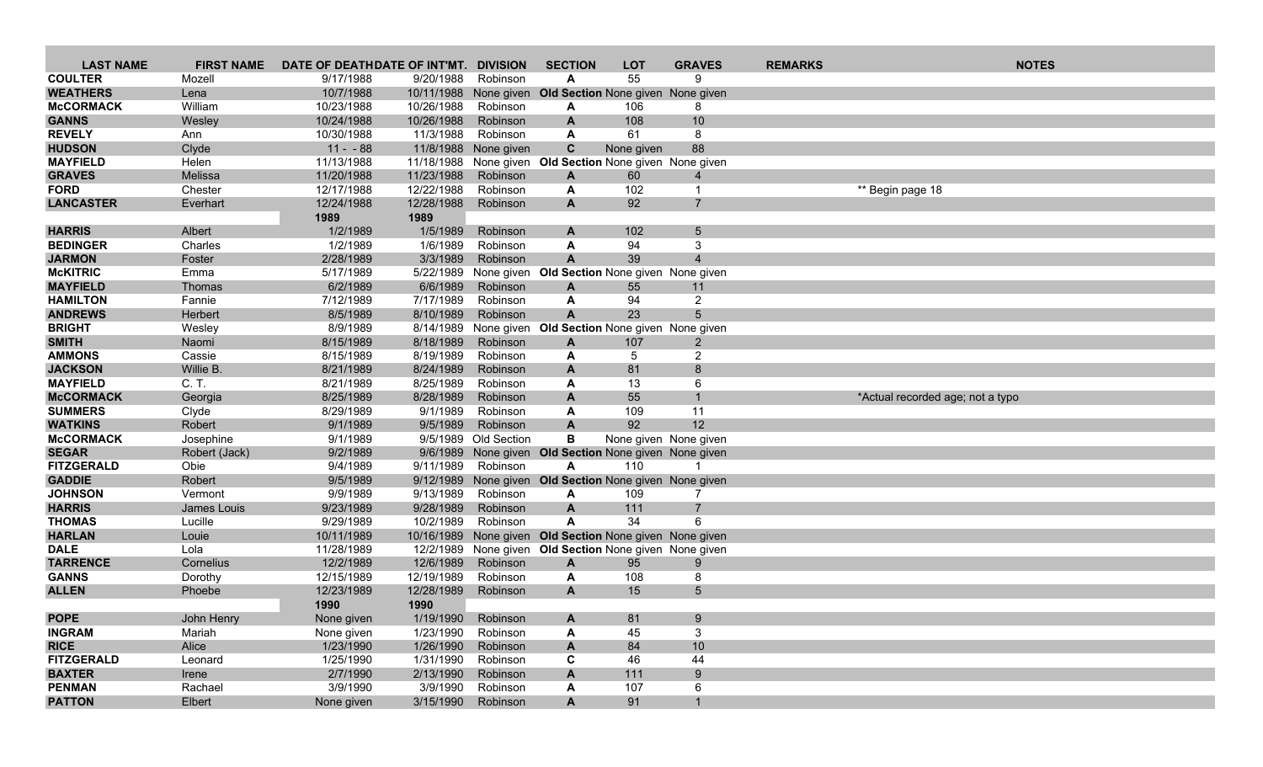| <b>LAST NAME</b>                   | <b>FIRST NAME</b>    | DATE OF DEATHDATE OF INT'MT. |                        | <b>DIVISION</b>      | <b>SECTION</b>                                         | <b>LOT</b> | <b>GRAVES</b>         | <b>REMARKS</b> | <b>NOTES</b>                     |
|------------------------------------|----------------------|------------------------------|------------------------|----------------------|--------------------------------------------------------|------------|-----------------------|----------------|----------------------------------|
| <b>COULTER</b>                     | Mozell               | 9/17/1988                    | 9/20/1988              | Robinson             | A                                                      | 55         | 9                     |                |                                  |
| <b>WEATHERS</b>                    | Lena                 | 10/7/1988                    | 10/11/1988             |                      | None given Old Section None given None given           |            |                       |                |                                  |
| <b>McCORMACK</b>                   | William              | 10/23/1988                   | 10/26/1988             | Robinson             | A                                                      | 106        | 8                     |                |                                  |
| <b>GANNS</b>                       | Wesley               | 10/24/1988                   | 10/26/1988             | Robinson             | A                                                      | 108        | 10                    |                |                                  |
| <b>REVELY</b>                      | Ann                  | 10/30/1988                   | 11/3/1988              | Robinson             | A                                                      | 61         | 8                     |                |                                  |
| <b>HUDSON</b>                      | Clyde                | $11 - 88$                    |                        | 11/8/1988 None given | $\mathbf c$                                            | None given | 88                    |                |                                  |
| <b>MAYFIELD</b>                    | Helen                | 11/13/1988                   | 11/18/1988             |                      | None given Old Section None given None given           |            |                       |                |                                  |
| <b>GRAVES</b>                      | Melissa              | 11/20/1988                   | 11/23/1988             | Robinson             | $\mathbf{A}$                                           | 60         | $\overline{4}$        |                |                                  |
| <b>FORD</b>                        | Chester              | 12/17/1988                   | 12/22/1988             | Robinson             | A                                                      | 102        | $\mathbf 1$           |                | ** Begin page 18                 |
| <b>LANCASTER</b>                   | Everhart             | 12/24/1988                   | 12/28/1988             | Robinson             | A                                                      | 92         | $\overline{7}$        |                |                                  |
|                                    |                      | 1989                         | 1989                   |                      |                                                        |            |                       |                |                                  |
| <b>HARRIS</b>                      | Albert               | 1/2/1989                     | 1/5/1989               | Robinson             | A                                                      | 102        | 5                     |                |                                  |
| <b>BEDINGER</b>                    | Charles              | 1/2/1989                     | 1/6/1989               | Robinson             | A                                                      | 94         | 3                     |                |                                  |
| <b>JARMON</b>                      | Foster               | 2/28/1989                    | 3/3/1989               | Robinson             | $\mathsf{A}$                                           | 39         | $\overline{4}$        |                |                                  |
| <b>McKITRIC</b><br><b>MAYFIELD</b> | Emma                 | 5/17/1989                    | 5/22/1989<br>6/6/1989  |                      | None given Old Section None given None given           |            |                       |                |                                  |
| <b>HAMILTON</b>                    | Thomas<br>Fannie     | 6/2/1989<br>7/12/1989        | 7/17/1989              | Robinson<br>Robinson | A<br>A                                                 | 55<br>94   | 11<br>$\overline{2}$  |                |                                  |
| <b>ANDREWS</b>                     | Herbert              | 8/5/1989                     | 8/10/1989              | Robinson             | $\mathbf{A}$                                           | 23         | 5                     |                |                                  |
| <b>BRIGHT</b>                      | Wesley               | 8/9/1989                     | 8/14/1989              |                      | None given Old Section None given None given           |            |                       |                |                                  |
| <b>SMITH</b>                       | Naomi                | 8/15/1989                    | 8/18/1989              | Robinson             | $\mathbf{A}$                                           | 107        | $\overline{2}$        |                |                                  |
| <b>AMMONS</b>                      | Cassie               | 8/15/1989                    | 8/19/1989              | Robinson             | A                                                      | 5          | $\overline{2}$        |                |                                  |
| <b>JACKSON</b>                     | Willie B.            | 8/21/1989                    | 8/24/1989              | Robinson             | A                                                      | 81         | 8                     |                |                                  |
| <b>MAYFIELD</b>                    | C. T.                | 8/21/1989                    | 8/25/1989              | Robinson             | A                                                      | 13         | 6                     |                |                                  |
| <b>McCORMACK</b>                   | Georgia              | 8/25/1989                    | 8/28/1989              | Robinson             | A                                                      | 55         | $\mathbf 1$           |                | *Actual recorded age; not a typo |
| <b>SUMMERS</b>                     | Clyde                | 8/29/1989                    | 9/1/1989               | Robinson             | A                                                      | 109        | 11                    |                |                                  |
| <b>WATKINS</b>                     | Robert               | 9/1/1989                     | 9/5/1989               | Robinson             | $\mathsf{A}$                                           | 92         | 12                    |                |                                  |
| <b>McCORMACK</b>                   | Josephine            | 9/1/1989                     |                        | 9/5/1989 Old Section | В                                                      |            | None given None given |                |                                  |
| <b>SEGAR</b>                       | Robert (Jack)        | 9/2/1989                     |                        |                      | 9/6/1989 None given Old Section None given None given  |            |                       |                |                                  |
| <b>FITZGERALD</b>                  | Obie                 | 9/4/1989                     | 9/11/1989              | Robinson             | A                                                      | 110        |                       |                |                                  |
| <b>GADDIE</b>                      | Robert               | 9/5/1989                     |                        |                      | 9/12/1989 None given Old Section None given None given |            |                       |                |                                  |
| <b>JOHNSON</b>                     | Vermont              | 9/9/1989                     | 9/13/1989              | Robinson             | A                                                      | 109        | 7                     |                |                                  |
| <b>HARRIS</b>                      | James Louis          | 9/23/1989                    | 9/28/1989              | Robinson             | $\mathbf{A}$                                           | 111        | $\overline{7}$        |                |                                  |
| <b>THOMAS</b>                      | Lucille              | 9/29/1989                    | 10/2/1989              | Robinson             | $\mathsf{A}$                                           | 34         | 6                     |                |                                  |
| <b>HARLAN</b>                      | Louie                | 10/11/1989                   | 10/16/1989             |                      | None given Old Section None given None given           |            |                       |                |                                  |
| <b>DALE</b>                        | Lola                 | 11/28/1989                   | 12/2/1989              |                      | None given Old Section None given None given           |            |                       |                |                                  |
| <b>TARRENCE</b>                    | Cornelius            | 12/2/1989                    | 12/6/1989              | Robinson             | A                                                      | 95         | 9                     |                |                                  |
| <b>GANNS</b>                       | Dorothy              | 12/15/1989                   | 12/19/1989             | Robinson             | A                                                      | 108        | 8                     |                |                                  |
| <b>ALLEN</b>                       | Phoebe               | 12/23/1989                   | 12/28/1989             | Robinson             | $\mathbf{A}$                                           | 15         | 5                     |                |                                  |
| <b>POPE</b>                        |                      | 1990                         | 1990                   |                      |                                                        |            |                       |                |                                  |
| <b>INGRAM</b>                      | John Henry<br>Mariah | None given                   | 1/19/1990<br>1/23/1990 | Robinson<br>Robinson | $\mathbf{A}$                                           | 81<br>45   | 9<br>3                |                |                                  |
| <b>RICE</b>                        | Alice                | None given<br>1/23/1990      | 1/26/1990              | Robinson             | A<br>A                                                 | 84         | $10$                  |                |                                  |
| <b>FITZGERALD</b>                  | Leonard              | 1/25/1990                    | 1/31/1990              | Robinson             | C                                                      | 46         | 44                    |                |                                  |
| <b>BAXTER</b>                      | Irene                | 2/7/1990                     | 2/13/1990              | Robinson             | A                                                      | 111        | 9                     |                |                                  |
| <b>PENMAN</b>                      | Rachael              | 3/9/1990                     | 3/9/1990               | Robinson             | A                                                      | 107        | 6                     |                |                                  |
| <b>PATTON</b>                      | Elbert               | None given                   | 3/15/1990              | Robinson             | A                                                      | 91         | $\mathbf{1}$          |                |                                  |
|                                    |                      |                              |                        |                      |                                                        |            |                       |                |                                  |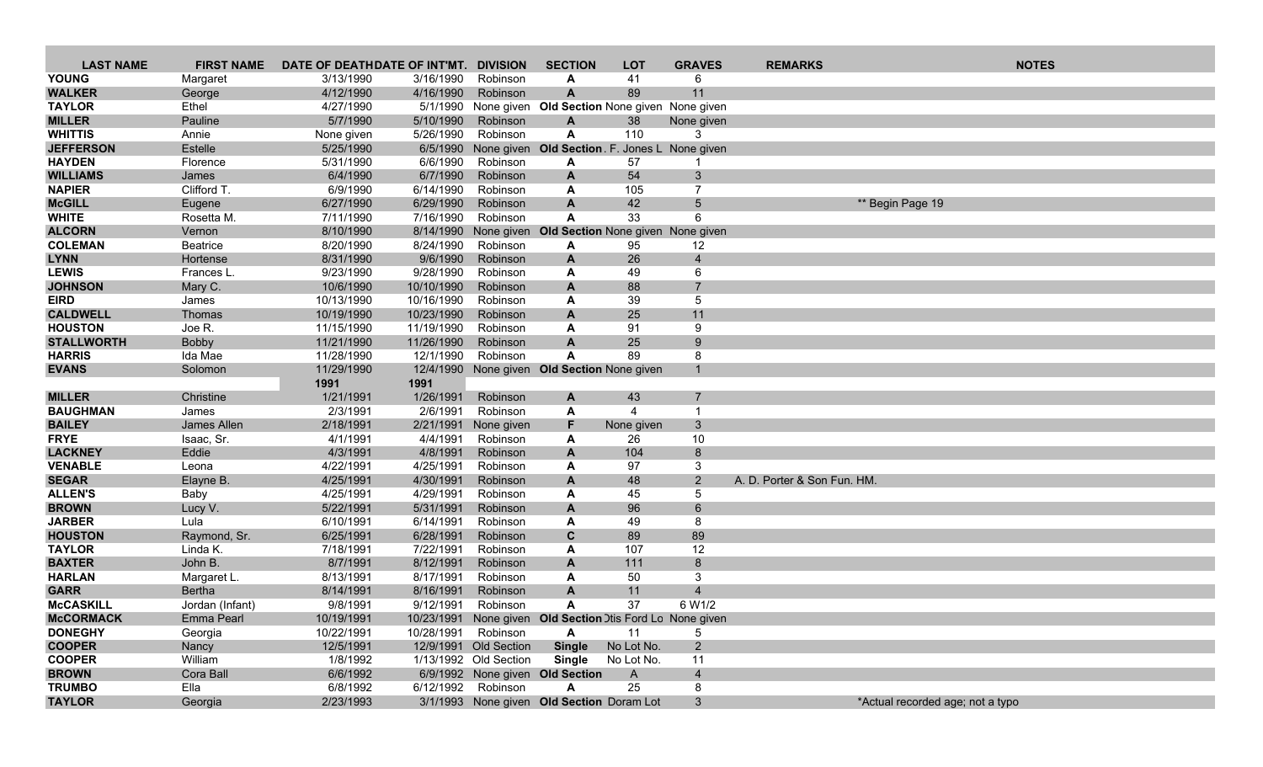| <b>LAST NAME</b>               | <b>FIRST NAME</b>             | DATE OF DEATHDATE OF INT'MT. |                        | <b>DIVISION</b>       | <b>SECTION</b>                                            | <b>LOT</b>     | <b>GRAVES</b>       | <b>REMARKS</b>              | <b>NOTES</b>                     |
|--------------------------------|-------------------------------|------------------------------|------------------------|-----------------------|-----------------------------------------------------------|----------------|---------------------|-----------------------------|----------------------------------|
| <b>YOUNG</b>                   | Margaret                      | 3/13/1990                    | 3/16/1990              | Robinson              | A                                                         | 41             | 6                   |                             |                                  |
| <b>WALKER</b>                  | George                        | 4/12/1990                    | 4/16/1990              | Robinson              | $\mathbf{A}$                                              | 89             | 11                  |                             |                                  |
| <b>TAYLOR</b>                  | Ethel                         | 4/27/1990                    |                        |                       | 5/1/1990 None given Old Section None given None given     |                |                     |                             |                                  |
| <b>MILLER</b>                  | Pauline                       | 5/7/1990                     | 5/10/1990              | Robinson              | A                                                         | 38             | None given          |                             |                                  |
| <b>WHITTIS</b>                 | Annie                         | None given                   | 5/26/1990              | Robinson              | A                                                         | 110            | 3                   |                             |                                  |
| <b>JEFFERSON</b>               | Estelle                       | 5/25/1990                    |                        |                       | 6/5/1990 None given Old Section F. Jones L None given     |                |                     |                             |                                  |
| <b>HAYDEN</b>                  | Florence                      | 5/31/1990                    | 6/6/1990               | Robinson              | A                                                         | 57             |                     |                             |                                  |
| <b>WILLIAMS</b>                | James                         | 6/4/1990                     | 6/7/1990               | Robinson              | $\mathbf{A}$                                              | 54             | $\mathbf{3}$        |                             |                                  |
| <b>NAPIER</b>                  | Clifford T.                   | 6/9/1990                     | 6/14/1990              | Robinson              | A                                                         | 105            | 7                   |                             |                                  |
| <b>McGILL</b>                  | Eugene                        | 6/27/1990                    | 6/29/1990              | Robinson              | A                                                         | 42             | $5\overline{)}$     | ** Begin Page 19            |                                  |
| <b>WHITE</b>                   | Rosetta M.                    | 7/11/1990                    | 7/16/1990              | Robinson              | A                                                         | 33             | 6                   |                             |                                  |
| <b>ALCORN</b>                  | Vernon                        | 8/10/1990                    |                        | 8/14/1990 None given  | Old Section None given None given                         |                |                     |                             |                                  |
| <b>COLEMAN</b>                 | Beatrice                      | 8/20/1990                    | 8/24/1990              | Robinson              | A                                                         | 95             | 12                  |                             |                                  |
| <b>LYNN</b>                    | Hortense                      | 8/31/1990                    | 9/6/1990<br>9/28/1990  | Robinson              | A                                                         | 26             | $\overline{4}$<br>6 |                             |                                  |
| <b>LEWIS</b><br><b>JOHNSON</b> | Frances L.<br>Mary C.         | 9/23/1990<br>10/6/1990       | 10/10/1990             | Robinson<br>Robinson  | A<br>$\mathbf{A}$                                         | 49<br>88       | $\overline{7}$      |                             |                                  |
| <b>EIRD</b>                    | James                         | 10/13/1990                   | 10/16/1990             | Robinson              | A                                                         | 39             | 5                   |                             |                                  |
| <b>CALDWELL</b>                | Thomas                        | 10/19/1990                   | 10/23/1990             | Robinson              | $\mathbf{A}$                                              | 25             | 11                  |                             |                                  |
| <b>HOUSTON</b>                 | Joe R.                        | 11/15/1990                   | 11/19/1990             | Robinson              | A                                                         | 91             | 9                   |                             |                                  |
| <b>STALLWORTH</b>              | Bobby                         | 11/21/1990                   | 11/26/1990             | Robinson              | $\overline{A}$                                            | 25             | 9                   |                             |                                  |
| <b>HARRIS</b>                  | Ida Mae                       | 11/28/1990                   | 12/1/1990              | Robinson              | A                                                         | 89             | 8                   |                             |                                  |
| <b>EVANS</b>                   | Solomon                       | 11/29/1990                   |                        |                       | 12/4/1990 None given Old Section None given               |                | $\mathbf{1}$        |                             |                                  |
|                                |                               | 1991                         | 1991                   |                       |                                                           |                |                     |                             |                                  |
| <b>MILLER</b>                  | Christine                     | 1/21/1991                    | 1/26/1991              | Robinson              | A                                                         | 43             |                     |                             |                                  |
| <b>BAUGHMAN</b>                | James                         | 2/3/1991                     | 2/6/1991               | Robinson              | A                                                         | $\overline{4}$ | -1                  |                             |                                  |
| <b>BAILEY</b>                  | James Allen                   | 2/18/1991                    | 2/21/1991              | None given            | F                                                         | None given     | $\mathbf{3}$        |                             |                                  |
| <b>FRYE</b>                    | Isaac, Sr.                    | 4/1/1991                     | 4/4/1991               | Robinson              | A                                                         | 26             | 10                  |                             |                                  |
| <b>LACKNEY</b>                 | Eddie                         | 4/3/1991                     | 4/8/1991               | Robinson              | $\mathbf{A}$                                              | 104            | 8                   |                             |                                  |
| <b>VENABLE</b>                 | Leona                         | 4/22/1991                    | 4/25/1991              | Robinson              | A                                                         | 97             | 3                   |                             |                                  |
| <b>SEGAR</b>                   | Elayne B.                     | 4/25/1991                    | 4/30/1991              | Robinson              | A                                                         | 48             | $2^{\circ}$         | A. D. Porter & Son Fun. HM. |                                  |
| <b>ALLEN'S</b>                 | Baby                          | 4/25/1991                    | 4/29/1991              | Robinson              | A                                                         | 45             | 5                   |                             |                                  |
| <b>BROWN</b>                   | Lucy V.                       | 5/22/1991                    | 5/31/1991              | Robinson              | A                                                         | 96             | $\,6\,$             |                             |                                  |
| <b>JARBER</b>                  | Lula                          | 6/10/1991                    | 6/14/1991              | Robinson              | A                                                         | 49             | 8                   |                             |                                  |
| <b>HOUSTON</b>                 | Raymond, Sr.                  | 6/25/1991                    | 6/28/1991              | Robinson              | C                                                         | 89             | 89                  |                             |                                  |
| <b>TAYLOR</b>                  | Linda K.                      | 7/18/1991                    | 7/22/1991              | Robinson              | A                                                         | 107            | 12                  |                             |                                  |
| <b>BAXTER</b>                  | John B.                       | 8/7/1991<br>8/13/1991        | 8/12/1991              | Robinson              | A                                                         | 111            | 8                   |                             |                                  |
| <b>HARLAN</b><br><b>GARR</b>   | Margaret L.                   |                              | 8/17/1991              | Robinson              | A                                                         | 50             | 3<br>$\overline{4}$ |                             |                                  |
| <b>McCASKILL</b>               | <b>Bertha</b>                 | 8/14/1991<br>9/8/1991        | 8/16/1991<br>9/12/1991 | Robinson<br>Robinson  | A<br>A                                                    | 11<br>37       | 6 W1/2              |                             |                                  |
| <b>McCORMACK</b>               | Jordan (Infant)<br>Emma Pearl | 10/19/1991                   |                        |                       | 10/23/1991 None given Old Section Dtis Ford Lo None given |                |                     |                             |                                  |
| <b>DONEGHY</b>                 | Georgia                       | 10/22/1991                   | 10/28/1991 Robinson    |                       | A                                                         | 11             | 5                   |                             |                                  |
| <b>COOPER</b>                  | Nancy                         | 12/5/1991                    |                        | 12/9/1991 Old Section | <b>Single</b>                                             | No Lot No.     | $2^{\circ}$         |                             |                                  |
| <b>COOPER</b>                  | William                       | 1/8/1992                     |                        | 1/13/1992 Old Section | <b>Single</b>                                             | No Lot No.     | 11                  |                             |                                  |
| <b>BROWN</b>                   | Cora Ball                     | 6/6/1992                     |                        |                       | 6/9/1992 None given Old Section                           | $\mathsf{A}$   | $\overline{4}$      |                             |                                  |
| <b>TRUMBO</b>                  | Ella                          | 6/8/1992                     |                        | 6/12/1992 Robinson    | A                                                         | 25             | 8                   |                             |                                  |
| <b>TAYLOR</b>                  | Georgia                       | 2/23/1993                    |                        |                       | 3/1/1993 None given Old Section Doram Lot                 |                | $\mathbf{3}$        |                             | *Actual recorded age; not a typo |
|                                |                               |                              |                        |                       |                                                           |                |                     |                             |                                  |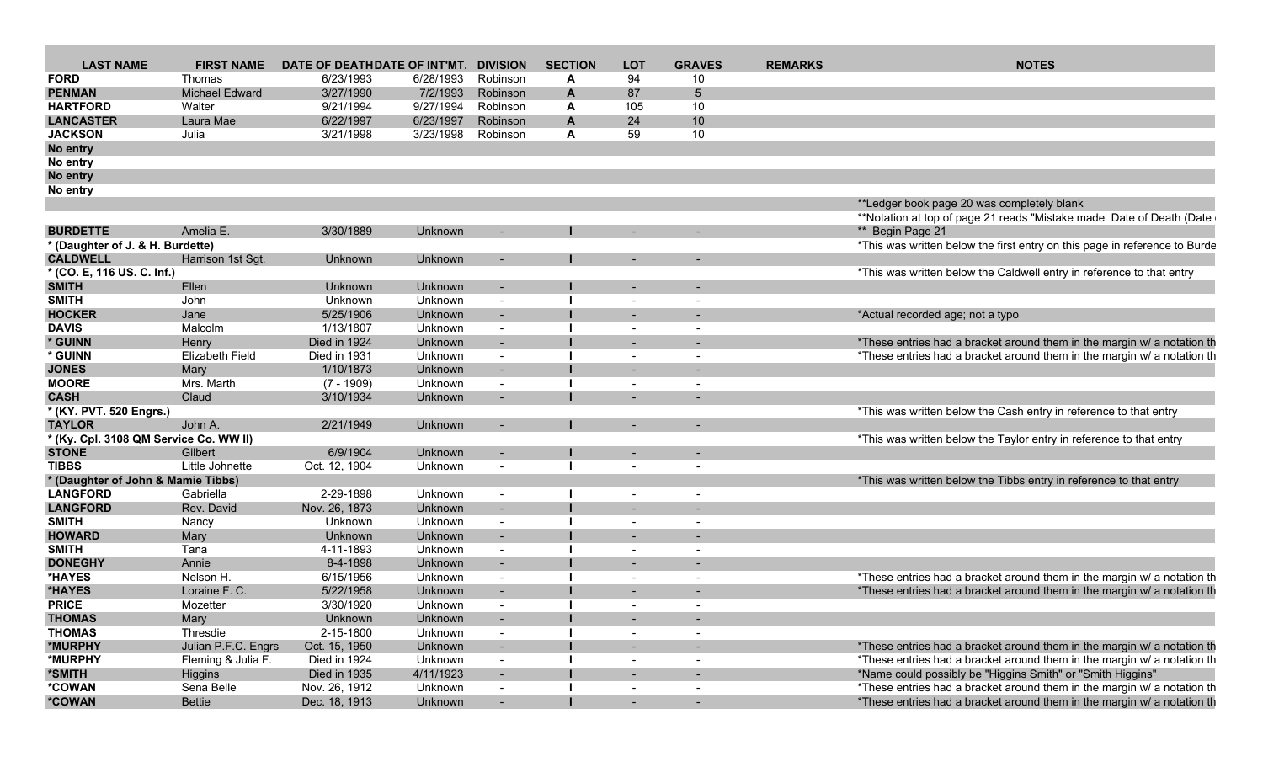| <b>LAST NAME</b>                       | <b>FIRST NAME</b>   | DATE OF DEATHDATE OF INT'MT. |                | <b>DIVISION</b>          | <b>SECTION</b> | <b>LOT</b>               | <b>GRAVES</b>              | <b>REMARKS</b> | <b>NOTES</b>                                                               |
|----------------------------------------|---------------------|------------------------------|----------------|--------------------------|----------------|--------------------------|----------------------------|----------------|----------------------------------------------------------------------------|
| <b>FORD</b>                            | Thomas              | 6/23/1993                    | 6/28/1993      | Robinson                 |                | 94                       | 10                         |                |                                                                            |
| <b>PENMAN</b>                          | Michael Edward      | 3/27/1990                    | 7/2/1993       | Robinson                 |                | 87                       |                            |                |                                                                            |
| <b>HARTFORD</b>                        | Walter              | 9/21/1994                    | 9/27/1994      | Robinson                 |                | 105                      | 10                         |                |                                                                            |
| <b>LANCASTER</b>                       |                     | 6/22/1997                    | 6/23/1997      | Robinson                 |                | 24                       | 10                         |                |                                                                            |
|                                        | Laura Mae           |                              |                |                          |                |                          | 10                         |                |                                                                            |
| <b>JACKSON</b>                         | Julia               | 3/21/1998                    | 3/23/1998      | Robinson                 |                | 59                       |                            |                |                                                                            |
| No entry                               |                     |                              |                |                          |                |                          |                            |                |                                                                            |
| No entry                               |                     |                              |                |                          |                |                          |                            |                |                                                                            |
| No entry                               |                     |                              |                |                          |                |                          |                            |                |                                                                            |
| No entry                               |                     |                              |                |                          |                |                          |                            |                |                                                                            |
|                                        |                     |                              |                |                          |                |                          |                            |                | **Ledger book page 20 was completely blank                                 |
|                                        |                     |                              |                |                          |                |                          |                            |                | **Notation at top of page 21 reads "Mistake made Date of Death (Date       |
| <b>BURDETTE</b>                        | Amelia E            | 3/30/1889                    | Unknown        |                          |                |                          |                            |                | ** Begin Page 21                                                           |
| * (Daughter of J. & H. Burdette)       |                     |                              |                |                          |                |                          |                            |                | *This was written below the first entry on this page in reference to Burde |
| <b>CALDWELL</b>                        | Harrison 1st Sgt.   | Unknown                      | Unknown        | $\sim$ 100 $\pm$         |                |                          | $\sim$ $-$                 |                |                                                                            |
| * (CO. E, 116 US. C. Inf.)             |                     |                              |                |                          |                |                          |                            |                | *This was written below the Caldwell entry in reference to that entry      |
| <b>SMITH</b>                           | Ellen               | Unknown                      | Unknown        |                          |                |                          |                            |                |                                                                            |
| <b>SMITH</b>                           | John                | Unknown                      | Unknown        |                          |                |                          |                            |                |                                                                            |
|                                        |                     |                              |                |                          |                |                          |                            |                |                                                                            |
| <b>HOCKER</b>                          | Jane                | 5/25/1906                    | Unknown        |                          |                |                          |                            |                | *Actual recorded age; not a typo                                           |
| <b>DAVIS</b>                           | Malcolm             | 1/13/1807                    | Unknown        |                          |                |                          |                            |                |                                                                            |
| * GUINN                                | Henry               | Died in 1924                 | Unknown        | $\sim$ 100 $\pm$         |                |                          |                            |                | *These entries had a bracket around them in the margin w/ a notation th    |
| * GUINN                                | Elizabeth Field     | Died in 1931                 | Unknown        |                          |                |                          |                            |                | *These entries had a bracket around them in the margin w/ a notation th    |
| <b>JONES</b>                           | Mary                | 1/10/1873                    | Unknown        | $\sim$                   |                |                          |                            |                |                                                                            |
| <b>MOORE</b>                           | Mrs. Marth          | $(7 - 1909)$                 | Unknowr        |                          |                |                          |                            |                |                                                                            |
| <b>CASH</b>                            | Claud               | 3/10/1934                    | Unknown        | $\sim$ $-$               |                | <b>Service</b>           |                            |                |                                                                            |
| * (KY. PVT. 520 Engrs.)                |                     |                              |                |                          |                |                          |                            |                | *This was written below the Cash entry in reference to that entry          |
| <b>TAYLOR</b>                          | John A.             | 2/21/1949                    | Unknown        | $\sim$ $ \sim$           |                |                          | $\sim$ $ \sim$             |                |                                                                            |
| * (Ky. Cpl. 3108 QM Service Co. WW II) |                     |                              |                |                          |                |                          |                            |                | *This was written below the Taylor entry in reference to that entry        |
| <b>STONE</b>                           | Gilbert             | 6/9/1904                     | Unknown        |                          |                |                          |                            |                |                                                                            |
| <b>TIBBS</b>                           |                     | Oct. 12, 1904                |                |                          |                |                          |                            |                |                                                                            |
|                                        | Little Johnett      |                              | Unknown        | $\sim$                   |                |                          |                            |                |                                                                            |
| * (Daughter of John & Mamie Tibbs)     |                     |                              |                |                          |                |                          |                            |                | *This was written below the Tibbs entry in reference to that entry         |
| <b>LANGFORD</b>                        | Gabriella           | 2-29-1898                    | Unknown        |                          |                |                          | $\sim$                     |                |                                                                            |
| <b>LANGFORD</b>                        | Rev. David          | Nov. 26, 1873                | Unknown        | $\sim$ $-$               |                |                          | $\sim$                     |                |                                                                            |
| <b>SMITH</b>                           | Nancy               | Unknown                      | Unknown        | $\sim$                   |                |                          | $\sim$                     |                |                                                                            |
| <b>HOWARD</b>                          | Mary                | Unknown                      | <b>Unknown</b> | $\sim$ $ \sim$           |                | $\sim$                   | $\sim$                     |                |                                                                            |
| <b>SMITH</b>                           | Tana                | 4-11-1893                    | Unknown        |                          |                |                          |                            |                |                                                                            |
| <b>DONEGHY</b>                         | Annie               | 8-4-1898                     | Unknown        |                          |                | $\sim$ 100 $\mu$         |                            |                |                                                                            |
| *HAYES                                 | Nelson H.           | 6/15/1956                    | Unknown        |                          |                |                          | $\sim$                     |                | *These entries had a bracket around them in the margin w/ a notation th    |
| *HAYES                                 | Loraine F. C.       | 5/22/1958                    | Unknown        |                          |                |                          |                            |                | *These entries had a bracket around them in the margin w/ a notation th    |
| <b>PRICE</b>                           | Mozetter            | 3/30/1920                    | Unknowr        |                          |                |                          |                            |                |                                                                            |
|                                        |                     | Unknown                      | Unknown        |                          |                |                          |                            |                |                                                                            |
| <b>THOMAS</b>                          | Mary                |                              |                | $\sim 100$ m $^{-1}$     |                | $\sim$ 100 $\mu$         | $\sim$ 100 $\pm$ 100 $\pm$ |                |                                                                            |
| <b>THOMAS</b>                          | Thresdie            | 2-15-1800                    | Unknown        | $\sim$ $ \sim$           |                | $\sim$                   | $\sim$                     |                |                                                                            |
| *MURPHY                                | Julian P.F.C. Engrs | Oct. 15, 1950                | Unknown        | $\sim 100$ km s $^{-1}$  |                | <b>Contract Contract</b> | $\sim$ $ \sim$             |                | *These entries had a bracket around them in the margin w/ a notation th    |
| *MURPHY                                | Fleming & Julia F.  | Died in 1924                 | Unknown        | $\sim$                   |                | $\sim$ $ \sim$           | $\sim$ $ \sim$             |                | *These entries had a bracket around them in the margin w/ a notation th    |
| *SMITH                                 | Higgins             | Died in 1935                 | 4/11/1923      | <b>Contract Contract</b> |                | $\sim$ 100 $\mu$         | $\sim$ $ \sim$             |                | *Name could possibly be "Higgins Smith" or "Smith Higgins"                 |
| *COWAN                                 | Sena Belle          | Nov. 26, 1912                | Unknown        | $\sim 100$               |                |                          | $\sim$ $ \sim$             |                | *These entries had a bracket around them in the margin w/ a notation th    |
| *COWAN                                 | Bettie              | Dec. 18, 1913                | Unknown        | $\sim 100$ km s $^{-1}$  |                | <b>Service</b>           | $\sim 100$ km s $^{-1}$    |                | *These entries had a bracket around them in the margin w/ a notation th    |
|                                        |                     |                              |                |                          |                |                          |                            |                |                                                                            |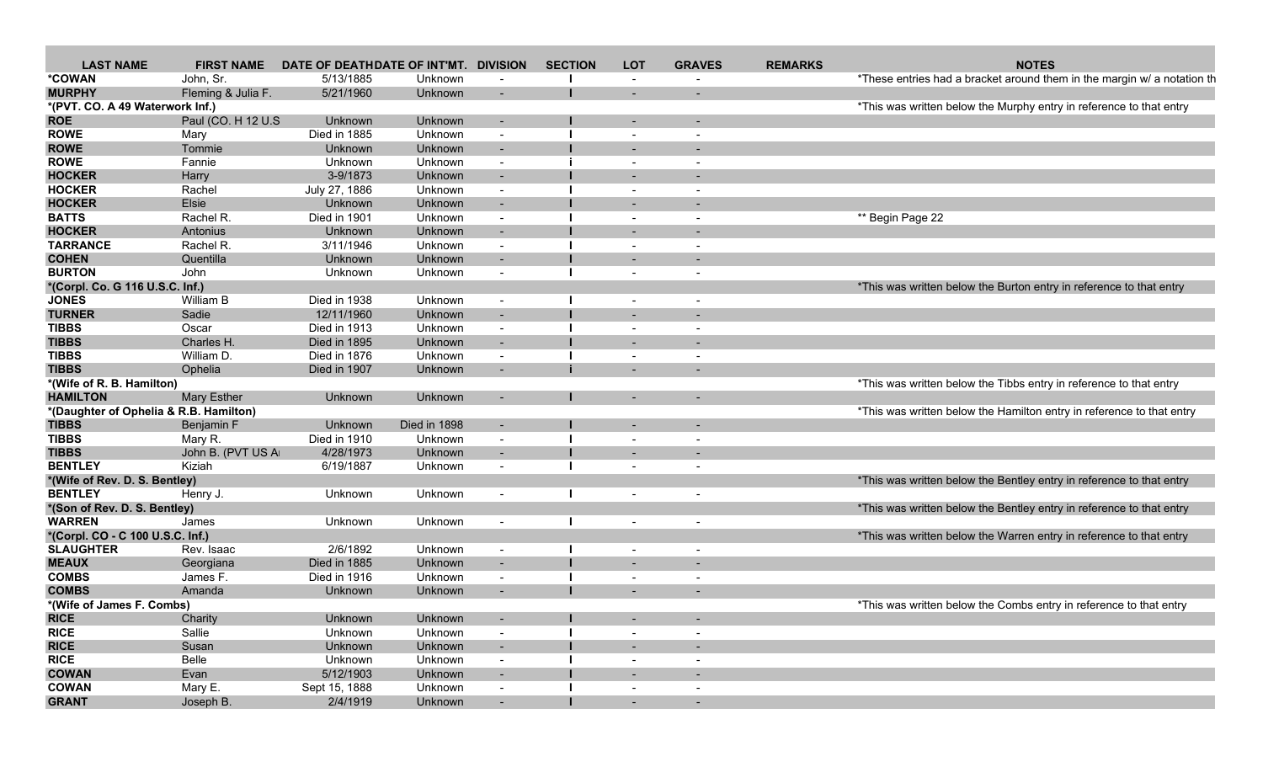| <b>LAST NAME</b>                       | <b>FIRST NAME</b>   | DATE OF DEATHDATE OF INT'MT. DIVISION |              |                          | <b>SECTION</b> | <b>LOT</b> | <b>GRAVES</b>            | <b>REMARKS</b> | <b>NOTES</b>                                                            |
|----------------------------------------|---------------------|---------------------------------------|--------------|--------------------------|----------------|------------|--------------------------|----------------|-------------------------------------------------------------------------|
| *COWAN                                 | John, Sr.           | 5/13/1885                             | Unknown      |                          |                |            |                          |                | *These entries had a bracket around them in the margin w/ a notation th |
| <b>MURPHY</b>                          | Fleming & Julia F.  | 5/21/1960                             | Unknown      | $\sim$                   |                |            |                          |                |                                                                         |
| *(PVT. CO. A 49 Waterwork Inf.)        |                     |                                       |              |                          |                |            |                          |                | *This was written below the Murphy entry in reference to that entry     |
| <b>ROE</b>                             | Paul (CO. H 12 U.S. | Unknown                               | Unknown      | $\overline{\phantom{a}}$ |                |            |                          |                |                                                                         |
| <b>ROWE</b>                            | Mary                | Died in 1885                          | Unknown      | $\overline{\phantom{a}}$ |                |            |                          |                |                                                                         |
| <b>ROWE</b>                            | Tommie              | Unknown                               | Unknown      | $\sim$                   |                |            |                          |                |                                                                         |
| <b>ROWE</b>                            | Fannie              | Unknown                               | Unknown      | $\sim$                   |                |            | $\overline{\phantom{a}}$ |                |                                                                         |
| <b>HOCKER</b>                          | Harry               | 3-9/1873                              | Unknown      | $\sim$                   |                |            |                          |                |                                                                         |
| <b>HOCKER</b>                          | Rachel              | July 27, 1886                         | Unknown      | $\sim$                   |                |            | $\overline{\phantom{a}}$ |                |                                                                         |
| <b>HOCKER</b>                          | Elsie               | Unknown                               | Unknown      | $\overline{\phantom{a}}$ |                |            |                          |                |                                                                         |
| <b>BATTS</b>                           | Rachel R.           | Died in 1901                          | Unknown      | $\overline{\phantom{a}}$ |                |            | $\overline{\phantom{a}}$ |                | ** Begin Page 22                                                        |
| <b>HOCKER</b>                          | Antonius            | Unknown                               | Unknown      | $\sim$                   |                |            |                          |                |                                                                         |
| <b>TARRANCE</b>                        | Rachel R.           | 3/11/1946                             | Unknown      | $\sim$                   |                |            | $\overline{\phantom{a}}$ |                |                                                                         |
| <b>COHEN</b>                           | Quentilla           | Unknown                               | Unknown      | $\sim$                   |                |            |                          |                |                                                                         |
| <b>BURTON</b>                          | John                | Unknown                               | Unknown      | $\sim$                   |                |            | $\overline{\phantom{a}}$ |                |                                                                         |
| *(Corpl. Co. G 116 U.S.C. Inf.)        |                     |                                       |              |                          |                |            |                          |                | *This was written below the Burton entry in reference to that entry     |
| <b>JONES</b>                           | William B           | Died in 1938                          | Unknown      | $\overline{\phantom{a}}$ |                |            | $\overline{\phantom{a}}$ |                |                                                                         |
| <b>TURNER</b>                          | Sadie               | 12/11/1960                            | Unknown      | $\sim$                   |                |            |                          |                |                                                                         |
| <b>TIBBS</b>                           | Oscar               | Died in 1913                          | Unknown      | $\sim$                   |                |            | $\overline{\phantom{a}}$ |                |                                                                         |
| <b>TIBBS</b>                           | Charles H.          | Died in 1895                          | Unknown      | $\sim$                   |                |            | $\blacksquare$           |                |                                                                         |
| <b>TIBBS</b>                           | William D.          | Died in 1876                          | Unknown      | $\overline{\phantom{a}}$ |                |            |                          |                |                                                                         |
| <b>TIBBS</b>                           | Ophelia             | Died in 1907                          | Unknown      | $\overline{\phantom{a}}$ |                |            |                          |                |                                                                         |
| *(Wife of R. B. Hamilton)              |                     |                                       |              |                          |                |            |                          |                | *This was written below the Tibbs entry in reference to that entry      |
| <b>HAMILTON</b>                        | <b>Mary Esther</b>  | Unknown                               | Unknown      | $\overline{\phantom{0}}$ |                |            |                          |                |                                                                         |
|                                        |                     |                                       |              |                          |                |            |                          |                | *This was written below the Hamilton entry in reference to that entry   |
| *(Daughter of Ophelia & R.B. Hamilton) |                     |                                       | Died in 1898 |                          |                |            |                          |                |                                                                         |
| <b>TIBBS</b>                           | Benjamin F          | Unknown                               |              | $\sim$                   |                |            |                          |                |                                                                         |
| <b>TIBBS</b>                           | Mary R.             | Died in 1910                          | Unknown      | $\overline{\phantom{a}}$ |                |            |                          |                |                                                                         |
| <b>TIBBS</b>                           | John B. (PVT US A   | 4/28/1973                             | Unknown      | $\overline{\phantom{a}}$ |                |            |                          |                |                                                                         |
| <b>BENTLEY</b>                         | Kiziah              | 6/19/1887                             | Unknown      | $\overline{\phantom{a}}$ |                |            | $\overline{\phantom{a}}$ |                |                                                                         |
| *(Wife of Rev. D. S. Bentley)          |                     |                                       |              |                          |                |            |                          |                | *This was written below the Bentley entry in reference to that entry    |
| <b>BENTLEY</b>                         | Henry J.            | Unknown                               | Unknown      | $\sim$                   |                |            | $\overline{\phantom{a}}$ |                |                                                                         |
| *(Son of Rev. D. S. Bentley)           |                     |                                       |              |                          |                |            |                          |                | *This was written below the Bentley entry in reference to that entry    |
| <b>WARREN</b>                          | James               | Unknown                               | Unknown      | $\overline{\phantom{a}}$ |                |            | $\overline{\phantom{a}}$ |                |                                                                         |
| *(Corpl. CO - C 100 U.S.C. Inf.)       |                     |                                       |              |                          |                |            |                          |                | *This was written below the Warren entry in reference to that entry     |
| <b>SLAUGHTER</b>                       | Rev. Isaac          | 2/6/1892                              | Unknown      | $\overline{\phantom{a}}$ |                |            | $\overline{\phantom{a}}$ |                |                                                                         |
| <b>MEAUX</b>                           | Georgiana           | Died in 1885                          | Unknown      | $\sim$                   |                |            |                          |                |                                                                         |
| <b>COMBS</b>                           | James F.            | Died in 1916                          | Unknown      | $\sim$                   |                |            | $\overline{\phantom{a}}$ |                |                                                                         |
| <b>COMBS</b>                           | Amanda              | Unknown                               | Unknown      | $\overline{\phantom{a}}$ |                |            | $\overline{\phantom{a}}$ |                |                                                                         |
| *(Wife of James F. Combs)              |                     |                                       |              |                          |                |            |                          |                | *This was written below the Combs entry in reference to that entry      |
| <b>RICE</b>                            | Charity             | Unknown                               | Unknown      | $\sim$                   |                |            |                          |                |                                                                         |
| <b>RICE</b>                            | Sallie              | Unknown                               | Unknown      | $\sim$                   |                |            | $\overline{\phantom{a}}$ |                |                                                                         |
| <b>RICE</b>                            | Susan               | Unknown                               | Unknown      | $\sim$                   |                |            |                          |                |                                                                         |
| <b>RICE</b>                            | Belle               | Unknown                               | Unknown      | $\sim$                   |                |            | $\overline{\phantom{a}}$ |                |                                                                         |
| <b>COWAN</b>                           | Evan                | 5/12/1903                             | Unknown      | $\sim$                   |                |            |                          |                |                                                                         |
| <b>COWAN</b>                           | Mary E.             | Sept 15, 1888                         | Unknown      | $\sim$                   |                |            | $\overline{\phantom{a}}$ |                |                                                                         |
| <b>GRANT</b>                           | Joseph B.           | 2/4/1919                              | Unknown      | $\sim$                   |                | $\sim$     | $\overline{a}$           |                |                                                                         |
|                                        |                     |                                       |              |                          |                |            |                          |                |                                                                         |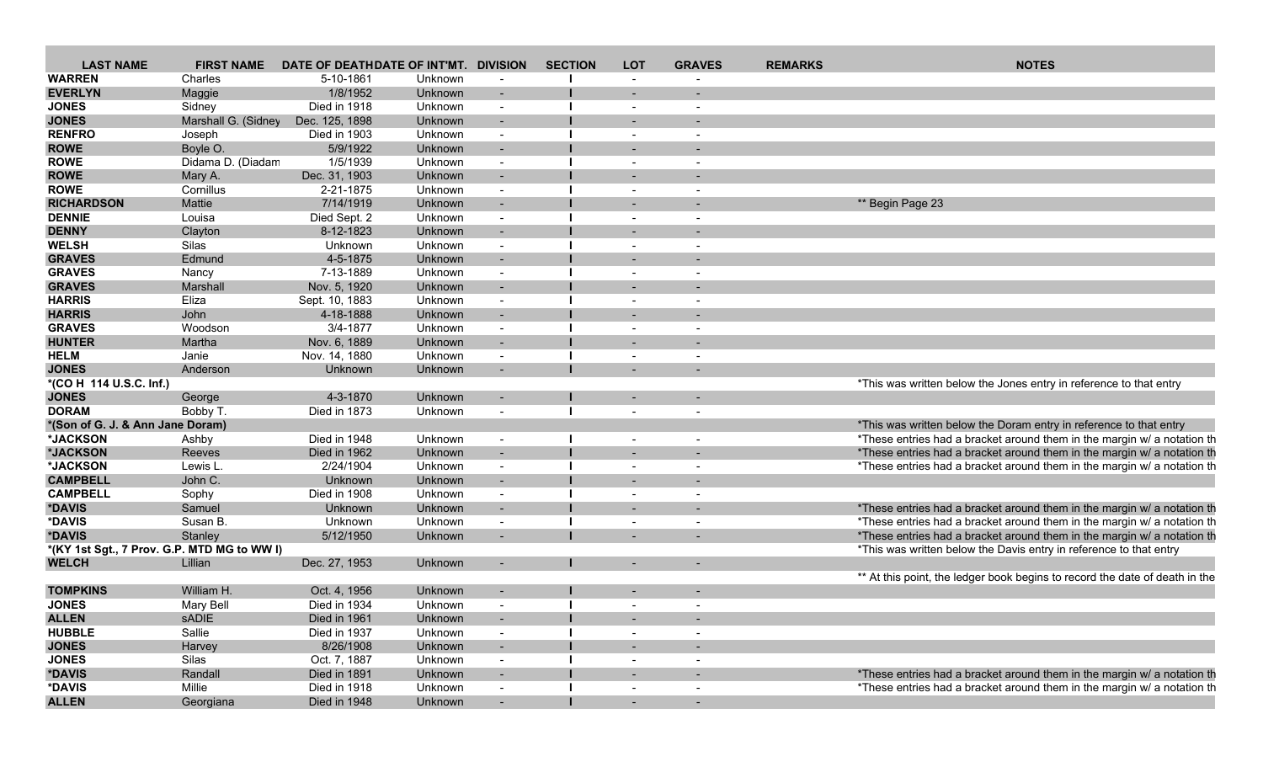| <b>LAST NAME</b>                            | <b>FIRST NAME</b>   | DATE OF DEATHDATE OF INT'MT. DIVISION |                |                          | <b>SECTION</b> | <b>LOT</b> | <b>GRAVES</b>            | <b>REMARKS</b> | <b>NOTES</b>                                                                |
|---------------------------------------------|---------------------|---------------------------------------|----------------|--------------------------|----------------|------------|--------------------------|----------------|-----------------------------------------------------------------------------|
| <b>WARREN</b>                               | Charles             | 5-10-1861                             | Unknown        |                          |                |            |                          |                |                                                                             |
| <b>EVERLYN</b>                              | Maggie              | 1/8/1952                              | Unknown        | $\sim$                   |                |            |                          |                |                                                                             |
| <b>JONES</b>                                | Sidney              | Died in 1918                          | Unknown        | $\sim$                   |                |            | $\overline{\phantom{a}}$ |                |                                                                             |
| <b>JONES</b>                                | Marshall G. (Sidney | Dec. 125, 1898                        | Unknown        |                          |                |            |                          |                |                                                                             |
| <b>RENFRO</b>                               | Joseph              | Died in 1903                          | Unknown        | $\sim$                   |                |            | $\overline{\phantom{a}}$ |                |                                                                             |
| <b>ROWE</b>                                 | Boyle O.            | 5/9/1922                              | Unknown        | $\sim$                   |                |            |                          |                |                                                                             |
| <b>ROWE</b>                                 | Didama D. (Diadam   | 1/5/1939                              | Unknown        | $\sim$                   |                |            | $\overline{\phantom{a}}$ |                |                                                                             |
| <b>ROWE</b>                                 | Mary A.             | Dec. 31, 1903                         | Unknown        | $\sim$                   |                |            |                          |                |                                                                             |
| <b>ROWE</b>                                 | Cornillus           | 2-21-1875                             | Unknown        | $\sim$                   |                | $\sim$     | $\overline{a}$           |                |                                                                             |
| <b>RICHARDSON</b>                           | Mattie              | 7/14/1919                             | Unknown        | $\overline{\phantom{a}}$ |                |            |                          |                | ** Begin Page 23                                                            |
| <b>DENNIE</b>                               | Louisa              | Died Sept. 2                          | Unknown        | $\overline{a}$           |                |            | $\overline{\phantom{a}}$ |                |                                                                             |
| <b>DENNY</b>                                | Clayton             | 8-12-1823                             | Unknown        | $\sim$                   |                |            |                          |                |                                                                             |
| <b>WELSH</b>                                | Silas               | Unknown                               | Unknown        | $\sim$                   |                |            |                          |                |                                                                             |
| <b>GRAVES</b>                               | Edmund              | 4-5-1875                              | Unknown        | $\sim$                   |                |            |                          |                |                                                                             |
| <b>GRAVES</b>                               | Nancy               | 7-13-1889                             | Unknown        | $\sim$                   |                | $\sim$     | $\overline{a}$           |                |                                                                             |
| <b>GRAVES</b>                               | Marshall            | Nov. 5, 1920                          | Unknown        |                          |                |            |                          |                |                                                                             |
| <b>HARRIS</b>                               | Eliza               | Sept. 10, 1883                        | Unknown        | $\overline{\phantom{a}}$ |                |            | $\overline{\phantom{a}}$ |                |                                                                             |
| <b>HARRIS</b>                               | John                | 4-18-1888                             | Unknown        | $\overline{a}$           |                |            |                          |                |                                                                             |
| <b>GRAVES</b>                               | Woodson             | 3/4-1877                              | Unknown        | $\sim$                   |                |            | $\overline{\phantom{a}}$ |                |                                                                             |
| <b>HUNTER</b>                               | Martha              | Nov. 6, 1889                          | Unknown        | $\sim$                   |                |            |                          |                |                                                                             |
| <b>HELM</b>                                 | Janie               | Nov. 14, 1880                         | Unknown        | $\sim$                   |                | $\sim$     | $\blacksquare$           |                |                                                                             |
| <b>JONES</b>                                | Anderson            | Unknown                               | Unknown        |                          |                |            |                          |                |                                                                             |
| *(CO H 114 U.S.C. Inf.)                     |                     |                                       |                |                          |                |            |                          |                | *This was written below the Jones entry in reference to that entry          |
| <b>JONES</b>                                | George              | 4-3-1870                              | Unknown        | $\overline{a}$           |                |            |                          |                |                                                                             |
| <b>DORAM</b>                                |                     | Died in 1873                          |                |                          |                |            |                          |                |                                                                             |
|                                             | Bobby T.            |                                       | Unknown        | $\overline{a}$           |                |            | $\overline{\phantom{a}}$ |                |                                                                             |
| *(Son of G. J. & Ann Jane Doram)            |                     |                                       |                |                          |                |            |                          |                | *This was written below the Doram entry in reference to that entry          |
| *JACKSON                                    | Ashby               | Died in 1948                          | Unknown        | $\overline{\phantom{a}}$ |                |            | $\overline{\phantom{a}}$ |                | *These entries had a bracket around them in the margin w/ a notation th     |
| *JACKSON                                    | Reeves              | Died in 1962                          | <b>Unknown</b> |                          |                |            |                          |                | *These entries had a bracket around them in the margin w/ a notation th     |
| *JACKSON                                    | Lewis L             | 2/24/1904                             | Unknown        | $\sim$                   |                |            |                          |                | *These entries had a bracket around them in the margin w/ a notation th     |
| <b>CAMPBELL</b>                             | John C.             | Unknown                               | Unknown        | $\overline{a}$           |                |            | $\overline{\phantom{0}}$ |                |                                                                             |
| <b>CAMPBELL</b>                             | Sophy               | Died in 1908                          | Unknown        | $\sim$                   |                |            | $\sim$                   |                |                                                                             |
| *DAVIS                                      | Samuel              | Unknown                               | Unknown        | $\sim$                   |                |            | $\overline{\phantom{0}}$ |                | *These entries had a bracket around them in the margin w/ a notation th     |
| *DAVIS                                      | Susan B.            | Unknown                               | Unknown        | $\overline{\phantom{a}}$ |                |            | $\overline{\phantom{a}}$ |                | *These entries had a bracket around them in the margin w/ a notation th     |
| *DAVIS                                      | Stanley             | 5/12/1950                             | Unknown        | $\overline{\phantom{a}}$ |                |            |                          |                | *These entries had a bracket around them in the margin w/ a notation th     |
| *(KY 1st Sgt., 7 Prov. G.P. MTD MG to WW I) |                     |                                       |                |                          |                |            |                          |                | *This was written below the Davis entry in reference to that entry          |
| <b>WELCH</b>                                | Lillian             | Dec. 27, 1953                         | Unknown        |                          |                |            |                          |                |                                                                             |
|                                             |                     |                                       |                |                          |                |            |                          |                | ** At this point, the ledger book begins to record the date of death in the |
| <b>TOMPKINS</b>                             | William H.          | Oct. 4, 1956                          | Unknown        |                          |                |            |                          |                |                                                                             |
| <b>JONES</b>                                | Mary Bell           | Died in 1934                          | Unknown        |                          |                |            | $\overline{\phantom{a}}$ |                |                                                                             |
| <b>ALLEN</b>                                | sADIE               | Died in 1961                          | Unknown        | $\sim$                   |                |            | $\overline{\phantom{a}}$ |                |                                                                             |
| <b>HUBBLE</b>                               | Sallie              | Died in 1937                          | Unknown        | $\sim$                   |                |            | $\overline{\phantom{a}}$ |                |                                                                             |
| <b>JONES</b>                                | Harvey              | 8/26/1908                             | Unknown        | $\sim$                   |                |            | $\sim$                   |                |                                                                             |
| <b>JONES</b>                                | Silas               | Oct. 7, 1887                          | Unknown        | $\sim$                   |                |            | $\sim$                   |                |                                                                             |
| *DAVIS                                      | Randall             | Died in 1891                          | Unknown        | $\sim$                   |                | $\sim$     | $\blacksquare$           |                | *These entries had a bracket around them in the margin w/ a notation th     |
| *DAVIS                                      | Millie              | Died in 1918                          | Unknown        | $\sim$                   |                |            | $\overline{\phantom{a}}$ |                | *These entries had a bracket around them in the margin w/ a notation th     |
| <b>ALLEN</b>                                | Georgiana           | Died in 1948                          | Unknown        | $\sim$                   |                | $\sim$ $-$ | $\sim$                   |                |                                                                             |
|                                             |                     |                                       |                |                          |                |            |                          |                |                                                                             |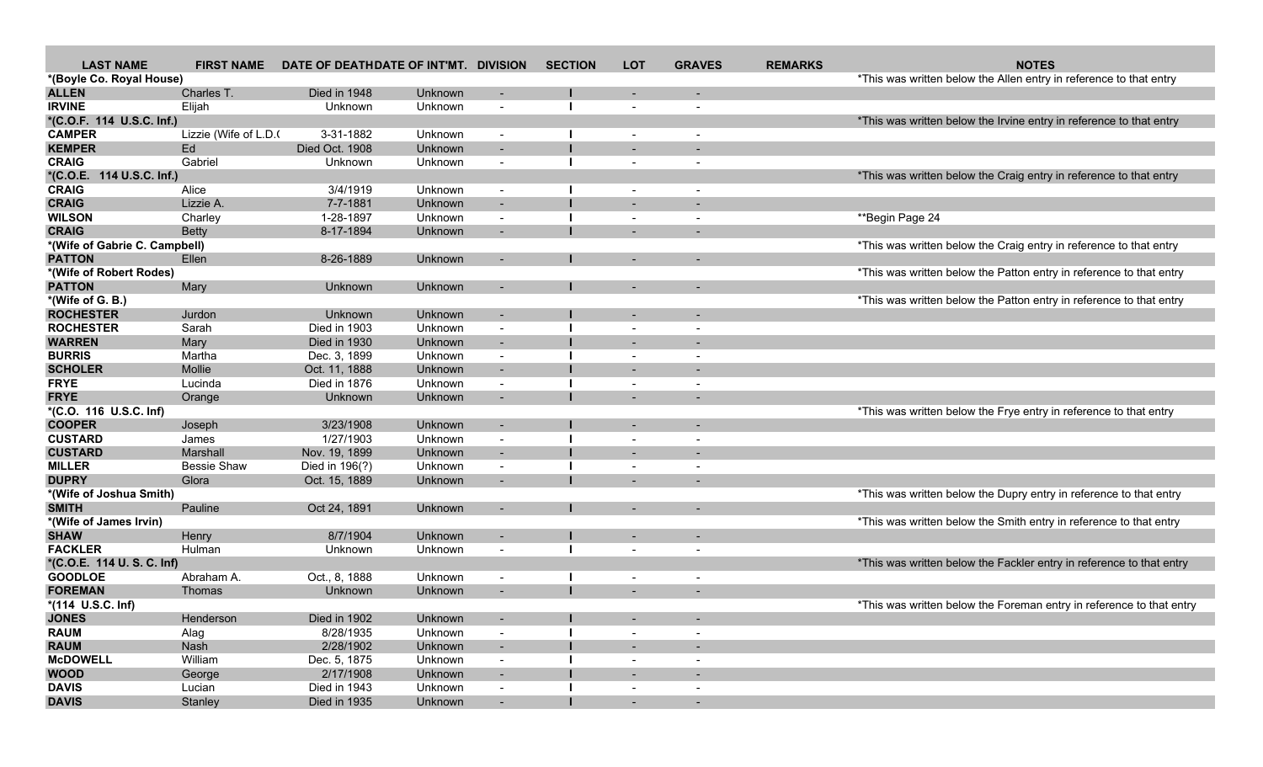| <b>LAST NAME</b>              | <b>FIRST NAME</b>    | DATE OF DEATHDATE OF INT'MT. DIVISION |                |                          | <b>SECTION</b> | <b>LOT</b>               | <b>GRAVES</b>            | <b>REMARKS</b> | <b>NOTES</b>                                                         |
|-------------------------------|----------------------|---------------------------------------|----------------|--------------------------|----------------|--------------------------|--------------------------|----------------|----------------------------------------------------------------------|
| *(Boyle Co. Royal House)      |                      |                                       |                |                          |                |                          |                          |                | *This was written below the Allen entry in reference to that entry   |
| <b>ALLEN</b>                  | Charles T.           | Died in 1948                          | Unknown        |                          |                |                          |                          |                |                                                                      |
| <b>IRVINE</b>                 | Elijah               | Unknown                               | Unknown        | $\overline{\phantom{a}}$ |                | $\overline{\phantom{a}}$ |                          |                |                                                                      |
| *(C.O.F. 114 U.S.C. Inf.)     |                      |                                       |                |                          |                |                          |                          |                | *This was written below the Irvine entry in reference to that entry  |
| <b>CAMPER</b>                 | Lizzie (Wife of L.D. | 3-31-1882                             | Unknown        | $\overline{\phantom{a}}$ |                | $\overline{\phantom{a}}$ | $\overline{\phantom{a}}$ |                |                                                                      |
| <b>KEMPER</b>                 | Ed                   | Died Oct. 1908                        | Unknown        | $\overline{\phantom{a}}$ |                | $\overline{\phantom{a}}$ |                          |                |                                                                      |
| <b>CRAIG</b>                  | Gabriel              | Unknown                               | Unknown        | $\blacksquare$           |                | $\overline{\phantom{a}}$ | $\overline{\phantom{a}}$ |                |                                                                      |
| *(C.O.E. 114 U.S.C. Inf.)     |                      |                                       |                |                          |                |                          |                          |                | *This was written below the Craig entry in reference to that entry   |
| <b>CRAIG</b>                  | Alice                | 3/4/1919                              | Unknown        | $\blacksquare$           |                | $\overline{\phantom{a}}$ | $\overline{\phantom{a}}$ |                |                                                                      |
| <b>CRAIG</b>                  | Lizzie A.            | 7-7-1881                              | Unknown        |                          |                |                          |                          |                |                                                                      |
| <b>WILSON</b>                 | Charley              | 1-28-1897                             | Unknown        | $\blacksquare$           |                | $\overline{\phantom{a}}$ |                          |                | **Begin Page 24                                                      |
| <b>CRAIG</b>                  | <b>Betty</b>         | 8-17-1894                             | Unknown        | $\blacksquare$           |                | $\overline{\phantom{a}}$ |                          |                |                                                                      |
| *(Wife of Gabrie C. Campbell) |                      |                                       |                |                          |                |                          |                          |                | *This was written below the Craig entry in reference to that entry   |
| <b>PATTON</b>                 | Ellen                | 8-26-1889                             | Unknown        | $\overline{\phantom{a}}$ |                |                          |                          |                |                                                                      |
| *(Wife of Robert Rodes)       |                      |                                       |                |                          |                |                          |                          |                | *This was written below the Patton entry in reference to that entry  |
| <b>PATTON</b>                 | Mary                 | Unknown                               | Unknown        | $\blacksquare$           |                |                          |                          |                |                                                                      |
| *(Wife of G. B.)              |                      |                                       |                |                          |                |                          |                          |                | *This was written below the Patton entry in reference to that entry  |
| <b>ROCHESTER</b>              | Jurdon               | Unknown                               | Unknown        | $\blacksquare$           |                |                          |                          |                |                                                                      |
| <b>ROCHESTER</b>              | Sarah                | Died in 1903                          | Unknown        | $\overline{\phantom{a}}$ |                | $\overline{\phantom{a}}$ |                          |                |                                                                      |
| <b>WARREN</b>                 | Mary                 | Died in 1930                          | Unknown        | $\sim$                   |                |                          |                          |                |                                                                      |
| <b>BURRIS</b>                 | Martha               | Dec. 3, 1899                          | Unknown        | $\overline{\phantom{a}}$ |                | $\overline{\phantom{a}}$ | $\overline{\phantom{a}}$ |                |                                                                      |
| <b>SCHOLER</b>                | Mollie               | Oct. 11, 1888                         | <b>Unknown</b> | $\overline{\phantom{a}}$ |                | $\overline{\phantom{a}}$ |                          |                |                                                                      |
| <b>FRYE</b>                   | Lucinda              | Died in 1876                          | Unknown        |                          |                |                          |                          |                |                                                                      |
| <b>FRYE</b>                   | Orange               | Unknown                               | Unknown        | $\sim$                   |                |                          |                          |                |                                                                      |
| *(C.O. 116 U.S.C. Inf)        |                      |                                       |                |                          |                |                          |                          |                | *This was written below the Frye entry in reference to that entry    |
| <b>COOPER</b>                 | Joseph               | 3/23/1908                             | Unknown        | $\sim$                   |                |                          |                          |                |                                                                      |
| <b>CUSTARD</b>                | James                | 1/27/1903                             | Unknown        | $\overline{\phantom{a}}$ |                | $\blacksquare$           | $\overline{\phantom{a}}$ |                |                                                                      |
| <b>CUSTARD</b>                | Marshall             | Nov. 19, 1899                         | Unknown        | $\overline{\phantom{a}}$ |                | $\overline{\phantom{a}}$ |                          |                |                                                                      |
| <b>MILLER</b>                 | <b>Bessie Shaw</b>   | Died in 196(?)                        | Unknown        | $\overline{\phantom{a}}$ |                | $\overline{\phantom{a}}$ | $\overline{\phantom{a}}$ |                |                                                                      |
| <b>DUPRY</b>                  | Glora                | Oct. 15, 1889                         | Unknown        | $\sim$                   |                |                          |                          |                |                                                                      |
| *(Wife of Joshua Smith)       |                      |                                       |                |                          |                |                          |                          |                | *This was written below the Dupry entry in reference to that entry   |
| <b>SMITH</b>                  | Pauline              | Oct 24, 1891                          | Unknown        | $\sim$                   |                |                          |                          |                |                                                                      |
| *(Wife of James Irvin)        |                      |                                       |                |                          |                |                          |                          |                | *This was written below the Smith entry in reference to that entry   |
| <b>SHAW</b>                   | Henry                | 8/7/1904                              | Unknown        | $\overline{\phantom{a}}$ |                |                          |                          |                |                                                                      |
| <b>FACKLER</b>                | Hulman               | Unknown                               | Unknown        | $\blacksquare$           |                | $\overline{\phantom{a}}$ | $\overline{\phantom{a}}$ |                |                                                                      |
| *(C.O.E. 114 U.S.C. Inf)      |                      |                                       |                |                          |                |                          |                          |                | *This was written below the Fackler entry in reference to that entry |
| <b>GOODLOE</b>                | Abraham A.           | Oct., 8, 1888                         | Unknown        | $\overline{\phantom{a}}$ |                | $\overline{\phantom{a}}$ | $\overline{\phantom{a}}$ |                |                                                                      |
| <b>FOREMAN</b>                | Thomas               | Unknown                               | Unknown        | $\overline{\phantom{a}}$ |                | $\overline{\phantom{0}}$ | $\overline{\phantom{a}}$ |                |                                                                      |
| *(114 U.S.C. Inf)             |                      |                                       |                |                          |                |                          |                          |                | *This was written below the Foreman entry in reference to that entry |
| <b>JONES</b>                  | Henderson            | Died in 1902                          | Unknown        | $\blacksquare$           |                | $\overline{\phantom{a}}$ |                          |                |                                                                      |
| <b>RAUM</b>                   | Alag                 | 8/28/1935                             | Unknown        | $\sim$                   |                | $\overline{\phantom{a}}$ |                          |                |                                                                      |
| <b>RAUM</b>                   | Nash                 | 2/28/1902                             | Unknown        | $\sim$                   |                | $\sim$                   |                          |                |                                                                      |
| <b>McDOWELL</b>               | William              | Dec. 5, 1875                          | Unknown        | $\sim$                   |                | $\overline{\phantom{a}}$ | $\overline{\phantom{a}}$ |                |                                                                      |
| <b>WOOD</b>                   | George               | 2/17/1908                             | Unknown        | $\sim$                   |                | $\overline{\phantom{a}}$ | $\sim$                   |                |                                                                      |
| <b>DAVIS</b>                  | Lucian               | Died in 1943                          | Unknown        | $\sim$                   |                | $\overline{\phantom{a}}$ |                          |                |                                                                      |
| <b>DAVIS</b>                  | Stanley              | Died in 1935                          | Unknown        | $\sim$                   |                | $\overline{\phantom{a}}$ |                          |                |                                                                      |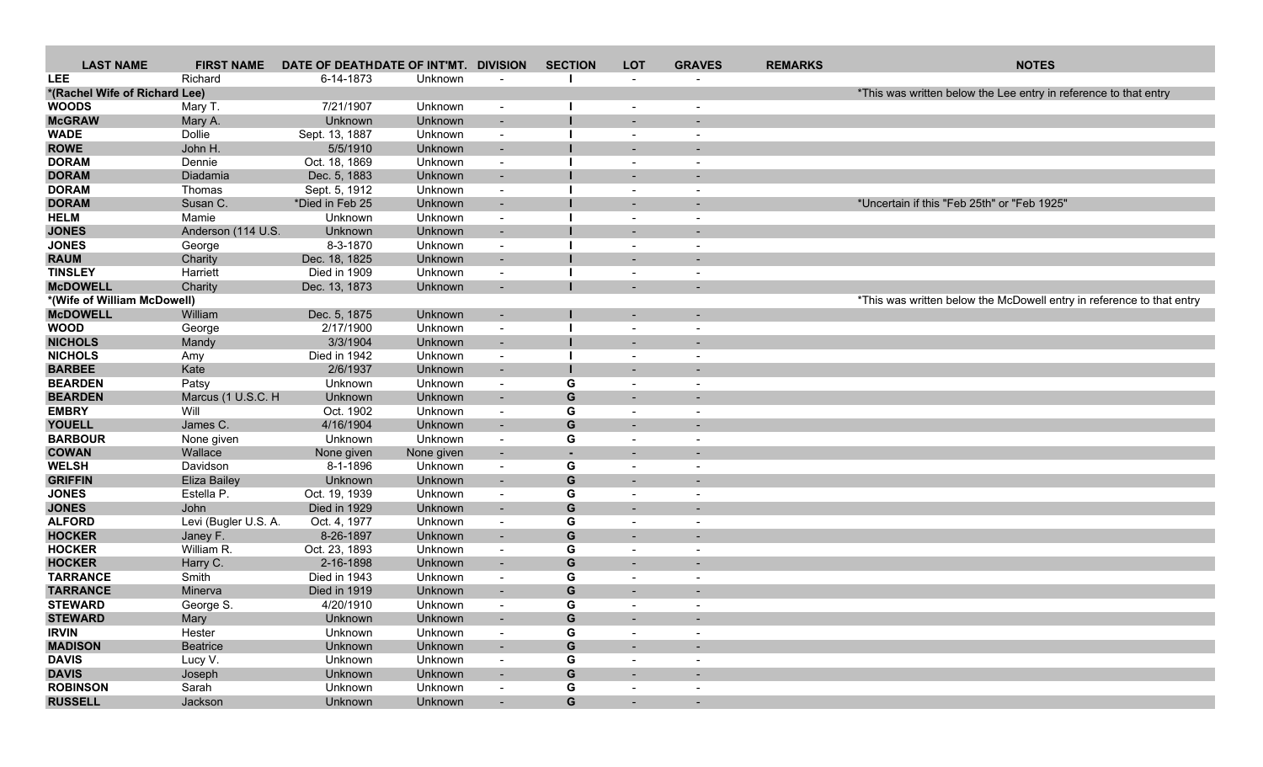| <b>LAST NAME</b>              | <b>FIRST NAME</b>    | DATE OF DEATHDATE OF INT'MT. |                | <b>DIVISION</b>          | <b>SECTION</b>           | <b>LOT</b>               | <b>GRAVES</b>            | <b>REMARKS</b> | <b>NOTES</b>                                                          |
|-------------------------------|----------------------|------------------------------|----------------|--------------------------|--------------------------|--------------------------|--------------------------|----------------|-----------------------------------------------------------------------|
| <b>LEE</b>                    | Richard              | 6-14-1873                    | Unknown        |                          |                          | $\sim$                   |                          |                |                                                                       |
| *(Rachel Wife of Richard Lee) |                      |                              |                |                          |                          |                          |                          |                | *This was written below the Lee entry in reference to that entry      |
| <b>WOODS</b>                  | Mary T.              | 7/21/1907                    | Unknown        | $\overline{\phantom{a}}$ |                          | $\overline{\phantom{a}}$ | $\overline{\phantom{a}}$ |                |                                                                       |
| <b>McGRAW</b>                 | Mary A.              | Unknown                      | Unknown        | $\overline{\phantom{a}}$ |                          |                          |                          |                |                                                                       |
| <b>WADE</b>                   | Dollie               | Sept. 13, 1887               | Unknown        | $\sim$                   |                          | $\overline{\phantom{a}}$ |                          |                |                                                                       |
| <b>ROWE</b>                   | John H.              | 5/5/1910                     | Unknown        | $\sim$                   |                          | $\overline{\phantom{0}}$ |                          |                |                                                                       |
| <b>DORAM</b>                  | Dennie               | Oct. 18, 1869                | Unknown        | $\overline{\phantom{a}}$ |                          | $\overline{\phantom{a}}$ |                          |                |                                                                       |
| <b>DORAM</b>                  | Diadamia             | Dec. 5, 1883                 | Unknown        |                          |                          |                          |                          |                |                                                                       |
| <b>DORAM</b>                  | Thomas               | Sept. 5, 1912                | Unknown        | $\overline{\phantom{a}}$ |                          | $\overline{\phantom{a}}$ |                          |                |                                                                       |
| <b>DORAM</b>                  | Susan C.             | *Died in Feb 25              | Unknown        | $\sim$                   |                          |                          |                          |                | *Uncertain if this "Feb 25th" or "Feb 1925"                           |
| <b>HELM</b>                   | Mamie                | Unknown                      | Unknown        | $\sim$                   |                          | $\overline{\phantom{a}}$ |                          |                |                                                                       |
| <b>JONES</b>                  | Anderson (114 U.S.   | Unknown                      | Unknown        | $\blacksquare$           |                          | $\overline{\phantom{a}}$ |                          |                |                                                                       |
| <b>JONES</b>                  | George               | 8-3-1870                     | Unknown        | $\blacksquare$           |                          |                          |                          |                |                                                                       |
| <b>RAUM</b>                   | Charity              | Dec. 18, 1825                | Unknown        |                          |                          |                          |                          |                |                                                                       |
| <b>TINSLEY</b>                | Harriett             | Died in 1909                 | Unknown        | $\overline{\phantom{a}}$ |                          | $\overline{\phantom{a}}$ |                          |                |                                                                       |
| <b>McDOWELL</b>               | Charity              | Dec. 13, 1873                | Unknown        | $\blacksquare$           |                          |                          |                          |                |                                                                       |
| *(Wife of William McDowell)   |                      |                              |                |                          |                          |                          |                          |                | *This was written below the McDowell entry in reference to that entry |
| <b>McDOWELL</b>               | William              | Dec. 5, 1875                 | Unknown        | $\overline{\phantom{a}}$ |                          | $\overline{\phantom{a}}$ |                          |                |                                                                       |
| <b>WOOD</b>                   | George               | 2/17/1900                    | Unknown        | $\blacksquare$           |                          |                          |                          |                |                                                                       |
| <b>NICHOLS</b>                | Mandy                | 3/3/1904                     | <b>Unknown</b> | $\overline{\phantom{a}}$ |                          |                          |                          |                |                                                                       |
| <b>NICHOLS</b>                | Amy                  | Died in 1942                 | Unknown        | $\overline{\phantom{a}}$ |                          | $\overline{\phantom{a}}$ |                          |                |                                                                       |
| <b>BARBEE</b>                 | Kate                 | 2/6/1937                     | Unknown        | $\blacksquare$           |                          | $\overline{\phantom{a}}$ |                          |                |                                                                       |
| <b>BEARDEN</b>                | Patsy                | Unknown                      | Unknown        | $\overline{\phantom{a}}$ | G                        | $\overline{\phantom{a}}$ |                          |                |                                                                       |
| <b>BEARDEN</b>                | Marcus (1 U.S.C. H   | Unknown                      | Unknown        | $\overline{\phantom{a}}$ | G                        | ۰.                       |                          |                |                                                                       |
| <b>EMBRY</b>                  | Will                 | Oct. 1902                    | Unknown        | $\overline{\phantom{a}}$ | G                        | $\overline{\phantom{a}}$ |                          |                |                                                                       |
| <b>YOUELL</b>                 | James C.             | 4/16/1904                    | Unknown        | $\overline{\phantom{a}}$ | G                        | $\overline{\phantom{0}}$ |                          |                |                                                                       |
| <b>BARBOUR</b>                |                      |                              | Unknown        | $\blacksquare$           | G                        |                          |                          |                |                                                                       |
| <b>COWAN</b>                  | None given           | Unknown                      |                |                          |                          | $\overline{\phantom{a}}$ |                          |                |                                                                       |
|                               | Wallace              | None given                   | None given     | $\sim$                   | $\overline{\phantom{a}}$ | $\overline{\phantom{a}}$ |                          |                |                                                                       |
| <b>WELSH</b>                  | Davidson             | 8-1-1896                     | Unknown        | $\blacksquare$           | G                        | $\overline{\phantom{a}}$ |                          |                |                                                                       |
| <b>GRIFFIN</b>                | <b>Eliza Bailey</b>  | Unknown                      | Unknown        | $\sim$                   | G                        | $\overline{\phantom{a}}$ |                          |                |                                                                       |
| <b>JONES</b>                  | Estella P.           | Oct. 19, 1939                | Unknown        | $\overline{\phantom{a}}$ | G                        | $\overline{\phantom{a}}$ |                          |                |                                                                       |
| <b>JONES</b>                  | John                 | Died in 1929                 | Unknown        | $\overline{\phantom{a}}$ | G                        |                          |                          |                |                                                                       |
| <b>ALFORD</b>                 | Levi (Bugler U.S. A. | Oct. 4, 1977                 | Unknown        | $\overline{\phantom{a}}$ | G                        | $\overline{\phantom{a}}$ | $\overline{\phantom{a}}$ |                |                                                                       |
| <b>HOCKER</b>                 | Janey F.             | 8-26-1897                    | Unknown        | $\sim$                   | ${\bf G}$                | $\overline{\phantom{a}}$ |                          |                |                                                                       |
| <b>HOCKER</b>                 | William R.           | Oct. 23, 1893                | Unknown        | $\blacksquare$           | G                        | $\overline{\phantom{a}}$ |                          |                |                                                                       |
| <b>HOCKER</b>                 | Harry C.             | 2-16-1898                    | Unknown        | $\sim$                   | G                        | $\overline{\phantom{a}}$ |                          |                |                                                                       |
| <b>TARRANCE</b>               | Smith                | Died in 1943                 | Unknown        | $\overline{\phantom{a}}$ | G                        | $\overline{\phantom{a}}$ |                          |                |                                                                       |
| <b>TARRANCE</b>               | Minerva              | Died in 1919                 | Unknown        | $\overline{\phantom{a}}$ | G                        |                          |                          |                |                                                                       |
| <b>STEWARD</b>                | George S.            | 4/20/1910                    | Unknown        | $\blacksquare$           | G                        | $\blacksquare$           | $\overline{\phantom{a}}$ |                |                                                                       |
| <b>STEWARD</b>                | Mary                 | <b>Unknown</b>               | Unknown        |                          | G                        |                          |                          |                |                                                                       |
| <b>IRVIN</b>                  | Hester               | Unknown                      | Unknown        | $\overline{\phantom{a}}$ | G                        | $\overline{\phantom{a}}$ |                          |                |                                                                       |
| <b>MADISON</b>                | <b>Beatrice</b>      | Unknown                      | Unknown        | $\sim$                   | G                        | $\sim$                   |                          |                |                                                                       |
| <b>DAVIS</b>                  | Lucy V.              | Unknown                      | Unknown        | $\sim$                   | G                        | $\sim$                   | $\blacksquare$           |                |                                                                       |
| <b>DAVIS</b>                  | Joseph               | Unknown                      | Unknown        | $\blacksquare$           | G                        | $\sim$                   |                          |                |                                                                       |
| <b>ROBINSON</b>               | Sarah                | Unknown                      | Unknown        | $\sim$                   | G                        | $\sim$                   | $\sim$                   |                |                                                                       |
| <b>RUSSELL</b>                | Jackson              | Unknown                      | Unknown        |                          | G                        | $\sim$                   | $\sim$                   |                |                                                                       |
|                               |                      |                              |                |                          |                          |                          |                          |                |                                                                       |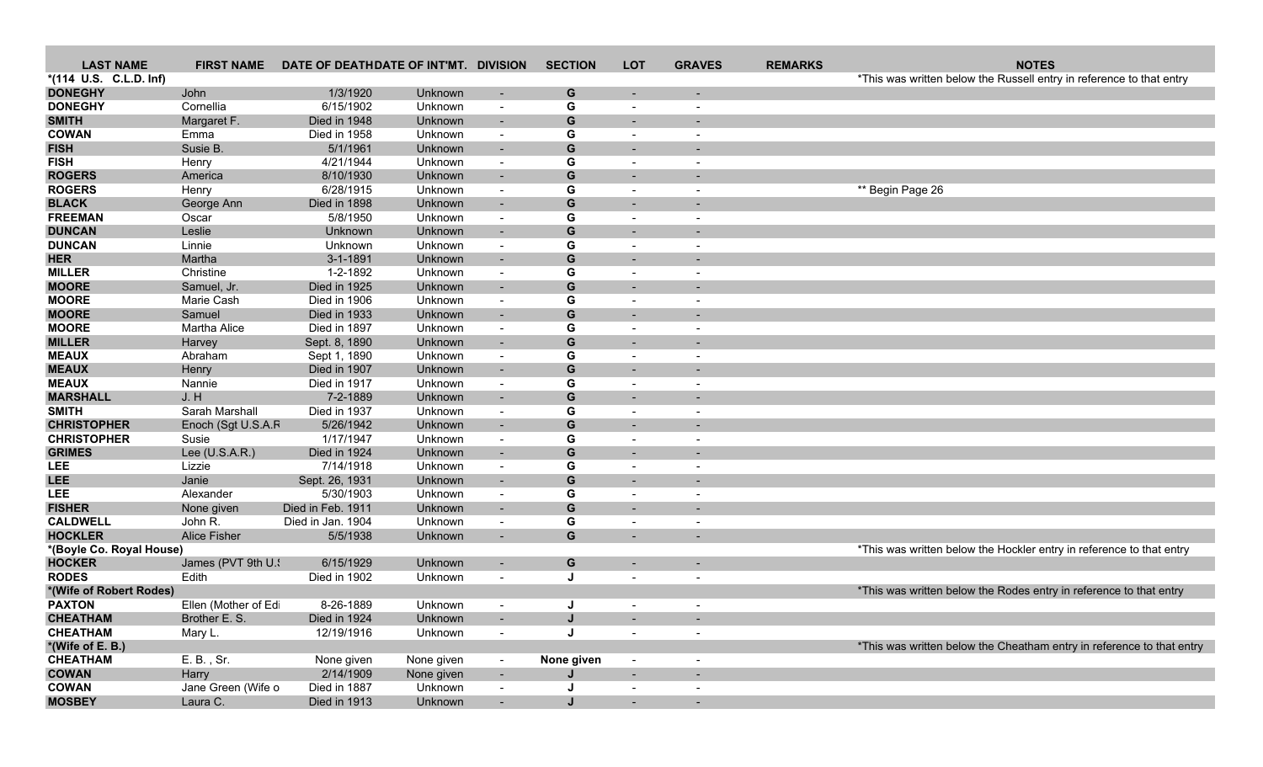| <b>LAST NAME</b>                   | <b>FIRST NAME</b>       | DATE OF DEATHDATE OF INT'MT. DIVISION |                    |                                    | <b>SECTION</b> | <b>LOT</b>                                           | <b>GRAVES</b>            | <b>REMARKS</b> | <b>NOTES</b>                                                          |
|------------------------------------|-------------------------|---------------------------------------|--------------------|------------------------------------|----------------|------------------------------------------------------|--------------------------|----------------|-----------------------------------------------------------------------|
| *(114 U.S. C.L.D. Inf)             |                         |                                       |                    |                                    |                |                                                      |                          |                | *This was written below the Russell entry in reference to that entry  |
| <b>DONEGHY</b>                     | John                    | 1/3/1920                              | Unknown            | $\overline{\phantom{a}}$           | G              |                                                      |                          |                |                                                                       |
| <b>DONEGHY</b>                     | Cornellia               | 6/15/1902                             | Unknown            | $\overline{\phantom{a}}$           | G              | $\overline{\phantom{a}}$                             |                          |                |                                                                       |
| <b>SMITH</b>                       | Margaret F.             | Died in 1948                          | Unknown            | $\overline{\phantom{a}}$           | G              |                                                      |                          |                |                                                                       |
| <b>COWAN</b>                       | Emma                    | Died in 1958                          | Unknown            | $\blacksquare$                     | G              | $\overline{\phantom{a}}$                             |                          |                |                                                                       |
| <b>FISH</b>                        | Susie B.                | 5/1/1961                              | Unknown            | $\sim$                             | G              |                                                      |                          |                |                                                                       |
| <b>FISH</b>                        | Henry                   | 4/21/1944                             | Unknown            | $\blacksquare$                     | G              | $\overline{\phantom{a}}$                             |                          |                |                                                                       |
| <b>ROGERS</b>                      | America                 | 8/10/1930                             | Unknown            | $\overline{\phantom{a}}$           | G              |                                                      |                          |                |                                                                       |
| <b>ROGERS</b>                      | Henry                   | 6/28/1915                             | Unknown            | $\blacksquare$                     | G              | $\overline{\phantom{a}}$                             |                          |                | ** Begin Page 26                                                      |
| <b>BLACK</b>                       | George Ann              | Died in 1898                          | Unknown            | $\overline{\phantom{a}}$           | ${\bf G}$      | $\sim$                                               |                          |                |                                                                       |
| <b>FREEMAN</b>                     | Oscar                   | 5/8/1950                              | Unknown            | $\blacksquare$                     | G              | $\overline{\phantom{a}}$                             |                          |                |                                                                       |
| <b>DUNCAN</b>                      | Leslie                  | Unknown                               | Unknown            | $\sim$                             | G              | $\overline{\phantom{0}}$                             |                          |                |                                                                       |
| <b>DUNCAN</b>                      | Linnie                  | Unknown                               | Unknown            | $\overline{\phantom{a}}$           | G              | $\overline{\phantom{a}}$                             |                          |                |                                                                       |
| <b>HER</b>                         | Martha                  | $3 - 1 - 1891$                        | Unknown            | $\overline{\phantom{a}}$           | G              |                                                      |                          |                |                                                                       |
| <b>MILLER</b>                      | Christine               | 1-2-1892                              | Unknown            | $\overline{\phantom{a}}$           | G              | $\blacksquare$                                       | $\overline{\phantom{a}}$ |                |                                                                       |
| <b>MOORE</b>                       | Samuel, Jr.             | Died in 1925                          | Unknown            | $\overline{\phantom{a}}$           | G              | $\sim$                                               |                          |                |                                                                       |
| <b>MOORE</b>                       | Marie Cash              | Died in 1906                          | Unknown            | $\blacksquare$                     | G              | $\overline{\phantom{a}}$                             |                          |                |                                                                       |
| <b>MOORE</b>                       | Samuel                  | Died in 1933                          | Unknown            | $\sim$                             | ${\bf G}$      |                                                      |                          |                |                                                                       |
| <b>MOORE</b>                       | Martha Alice            | Died in 1897                          | Unknown            | $\sim$                             | G              | $\overline{\phantom{a}}$                             |                          |                |                                                                       |
| <b>MILLER</b>                      | Harvey                  | Sept. 8, 1890                         | Unknown            | $\blacksquare$                     | G              | $\overline{\phantom{0}}$                             |                          |                |                                                                       |
| <b>MEAUX</b>                       | Abraham                 | Sept 1, 1890                          | Unknown            | $\overline{\phantom{a}}$           | G              | $\overline{\phantom{a}}$                             |                          |                |                                                                       |
| <b>MEAUX</b>                       | Henry                   | Died in 1907                          | Unknown            |                                    | G              |                                                      |                          |                |                                                                       |
| <b>MEAUX</b>                       | Nannie                  | Died in 1917                          | Unknown            | $\blacksquare$                     | G              |                                                      |                          |                |                                                                       |
| <b>MARSHALL</b>                    | J. H                    | 7-2-1889                              | Unknown            | $\sim$                             | ${\bf G}$      |                                                      |                          |                |                                                                       |
| <b>SMITH</b><br><b>CHRISTOPHER</b> | Sarah Marshall          | Died in 1937<br>5/26/1942             | Unknown            | $\blacksquare$                     | G              | $\overline{\phantom{a}}$                             |                          |                |                                                                       |
| <b>CHRISTOPHER</b>                 | Enoch (Sgt U.S.A.F      | 1/17/1947                             | Unknown            | $\blacksquare$                     | G              | $\overline{\phantom{a}}$                             |                          |                |                                                                       |
| <b>GRIMES</b>                      | Susie<br>Lee (U.S.A.R.) | Died in 1924                          | Unknown            | $\overline{\phantom{a}}$           | G<br>G         | $\overline{\phantom{a}}$                             |                          |                |                                                                       |
| <b>LEE</b>                         | Lizzie                  | 7/14/1918                             | Unknown<br>Unknown |                                    | G              |                                                      |                          |                |                                                                       |
| <b>LEE</b>                         | Janie                   | Sept. 26, 1931                        | Unknown            | $\overline{\phantom{a}}$<br>$\sim$ | ${\bf G}$      | $\overline{\phantom{a}}$<br>$\overline{\phantom{0}}$ |                          |                |                                                                       |
| <b>LEE</b>                         | Alexander               | 5/30/1903                             | Unknown            | $\sim$                             | G              | $\overline{\phantom{a}}$                             |                          |                |                                                                       |
| <b>FISHER</b>                      | None given              | Died in Feb. 1911                     | Unknown            | $\sim$                             | G              | $\sim$                                               |                          |                |                                                                       |
| <b>CALDWELL</b>                    | John R.                 | Died in Jan. 1904                     | Unknown            | $\overline{\phantom{a}}$           | G              | $\overline{\phantom{a}}$                             |                          |                |                                                                       |
| <b>HOCKLER</b>                     | <b>Alice Fisher</b>     | 5/5/1938                              | Unknown            | $\overline{\phantom{a}}$           | G              |                                                      |                          |                |                                                                       |
| *(Boyle Co. Royal House)           |                         |                                       |                    |                                    |                |                                                      |                          |                | *This was written below the Hockler entry in reference to that entry  |
| <b>HOCKER</b>                      | James (PVT 9th U.       | 6/15/1929                             | Unknown            | $\overline{\phantom{a}}$           | G              |                                                      |                          |                |                                                                       |
| <b>RODES</b>                       | Edith                   | Died in 1902                          | Unknown            | $\overline{\phantom{a}}$           | J              | $\overline{\phantom{a}}$                             | $\overline{\phantom{a}}$ |                |                                                                       |
| *(Wife of Robert Rodes)            |                         |                                       |                    |                                    |                |                                                      |                          |                | *This was written below the Rodes entry in reference to that entry    |
| <b>PAXTON</b>                      | Ellen (Mother of Ed     | 8-26-1889                             | Unknown            | $\blacksquare$                     |                |                                                      |                          |                |                                                                       |
| <b>CHEATHAM</b>                    | Brother E. S.           | Died in 1924                          | Unknown            |                                    | J              | $\overline{\phantom{a}}$                             | ٠.                       |                |                                                                       |
| <b>CHEATHAM</b>                    | Mary L.                 | 12/19/1916                            | Unknown            | $\overline{\phantom{a}}$           | J              | $\sim$                                               | $\sim$                   |                |                                                                       |
| *(Wife of E. B.)                   |                         |                                       |                    |                                    |                |                                                      |                          |                | *This was written below the Cheatham entry in reference to that entry |
| <b>CHEATHAM</b>                    | E. B., Sr.              | None given                            | None given         | $\sim$                             | None given     | $\sim$                                               | $\overline{\phantom{a}}$ |                |                                                                       |
| <b>COWAN</b>                       | Harry                   | 2/14/1909                             | None given         |                                    | J              | $\sim$                                               | $\sim$                   |                |                                                                       |
| <b>COWAN</b>                       | Jane Green (Wife o      | Died in 1887                          | Unknown            | $\blacksquare$                     |                | $\sim$                                               | $\blacksquare$           |                |                                                                       |
| <b>MOSBEY</b>                      | Laura C.                | Died in 1913                          | Unknown            | $\sim$                             | J              | $\sim$                                               |                          |                |                                                                       |
|                                    |                         |                                       |                    |                                    |                |                                                      |                          |                |                                                                       |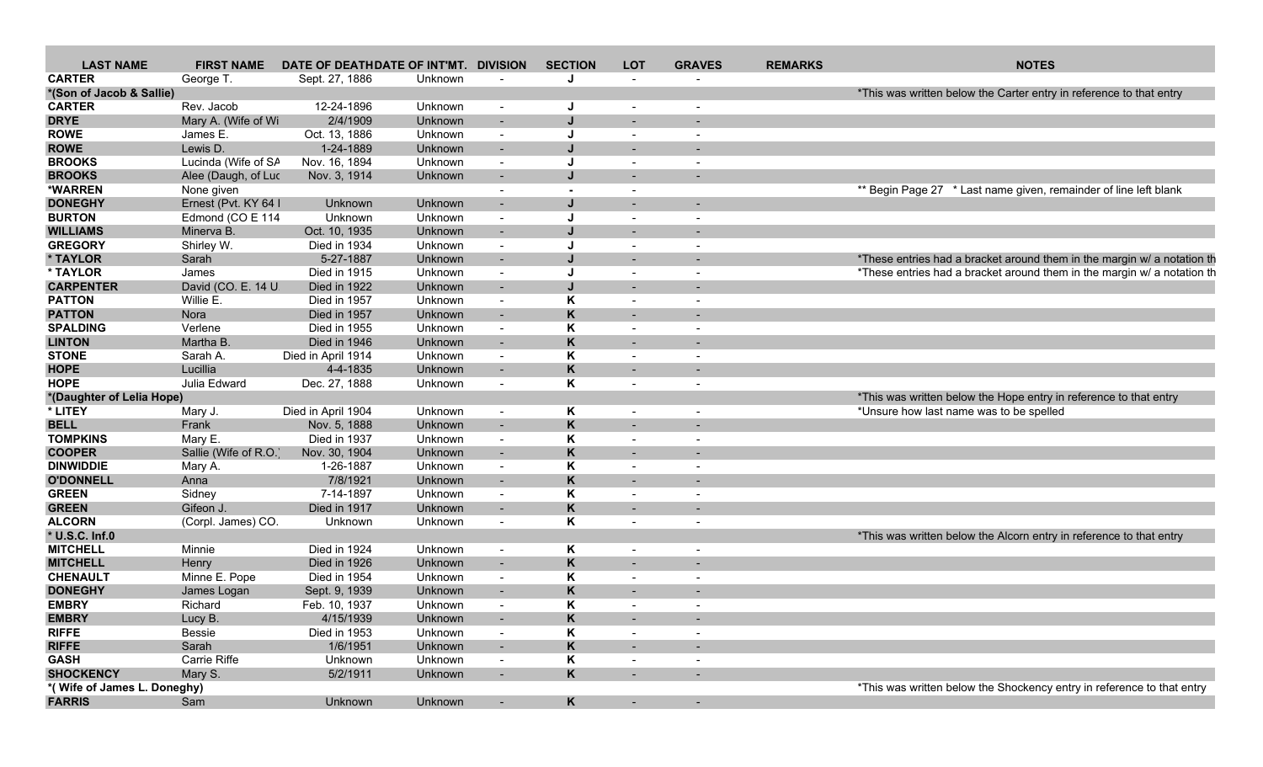| <b>LAST NAME</b>            | <b>FIRST NAME</b>    | DATE OF DEATHDATE OF INT'MT. DIVISION |         |                          | <b>SECTION</b> | <b>LOT</b>               | <b>GRAVES</b>            | <b>REMARKS</b> | <b>NOTES</b>                                                            |
|-----------------------------|----------------------|---------------------------------------|---------|--------------------------|----------------|--------------------------|--------------------------|----------------|-------------------------------------------------------------------------|
| <b>CARTER</b>               | George T.            | Sept. 27, 1886                        | Unknown |                          | IJ             | $\sim$                   |                          |                |                                                                         |
| *(Son of Jacob & Sallie)    |                      |                                       |         |                          |                |                          |                          |                | *This was written below the Carter entry in reference to that entry     |
| <b>CARTER</b>               | Rev. Jacob           | 12-24-1896                            | Unknown | $\sim$                   | J.             | $\overline{\phantom{a}}$ |                          |                |                                                                         |
| <b>DRYE</b>                 | Mary A. (Wife of Wi  | 2/4/1909                              | Unknown | $\sim$                   |                |                          |                          |                |                                                                         |
| <b>ROWE</b>                 | James E.             | Oct. 13, 1886                         | Unknown | $\sim$                   |                |                          |                          |                |                                                                         |
| <b>ROWE</b>                 | Lewis D.             | 1-24-1889                             | Unknown | $\sim$                   |                | $\sim$                   | $\overline{\phantom{0}}$ |                |                                                                         |
| <b>BROOKS</b>               | Lucinda (Wife of SA  | Nov. 16, 1894                         | Unknown | $\sim$                   | J              |                          |                          |                |                                                                         |
| <b>BROOKS</b>               |                      |                                       |         |                          |                |                          |                          |                |                                                                         |
|                             | Alee (Daugh, of Luc  | Nov. 3, 1914                          | Unknown |                          |                |                          |                          |                |                                                                         |
| *WARREN                     | None given           |                                       |         | $\overline{a}$           |                |                          |                          |                | ** Begin Page 27 * Last name given, remainder of line left blank        |
| <b>DONEGHY</b>              | Ernest (Pvt. KY 64   | Unknown                               | Unknown | $\overline{a}$           |                |                          |                          |                |                                                                         |
| <b>BURTON</b>               | Edmond (CO E 114     | Unknown                               | Unknown | $\sim$                   |                |                          |                          |                |                                                                         |
| <b>WILLIAMS</b>             | Minerva B.           | Oct. 10, 1935                         | Unknown | $\sim$                   |                | $\sim$                   |                          |                |                                                                         |
| <b>GREGORY</b>              | Shirley W.           | Died in 1934                          | Unknown | $\sim$                   | J              |                          |                          |                |                                                                         |
| * TAYLOR                    | Sarah                | 5-27-1887                             | Unknown | $\sim$                   |                |                          |                          |                | *These entries had a bracket around them in the margin w/ a notation th |
| * TAYLOR                    | James                | Died in 1915                          | Unknown | $\sim$                   |                |                          |                          |                | *These entries had a bracket around them in the margin w/ a notation th |
| <b>CARPENTER</b>            | David (CO. E. 14 U   | Died in 1922                          | Unknown | $\sim$                   |                |                          |                          |                |                                                                         |
| <b>PATTON</b>               | Willie E.            | Died in 1957                          | Unknown | $\sim$                   | κ              | $\overline{\phantom{a}}$ | $\sim$                   |                |                                                                         |
| <b>PATTON</b>               | Nora                 | Died in 1957                          | Unknown | $\sim$                   | K              | $\sim$                   |                          |                |                                                                         |
| <b>SPALDING</b>             | Verlene              | Died in 1955                          | Unknown | $\sim$                   | Κ              |                          |                          |                |                                                                         |
|                             |                      | Died in 1946                          |         |                          |                |                          |                          |                |                                                                         |
| <b>LINTON</b>               | Martha B             |                                       | Unknown | $\sim$                   |                |                          |                          |                |                                                                         |
| <b>STONE</b>                | Sarah A.             | Died in April 1914                    | Unknown | $\sim$                   | Κ              |                          |                          |                |                                                                         |
| <b>HOPE</b>                 | Lucillia             | 4-4-1835                              | Unknown |                          | K              |                          |                          |                |                                                                         |
| <b>HOPE</b>                 | Julia Edward         | Dec. 27, 1888                         | Unknown | $\sim$                   | Κ              |                          | $\overline{\phantom{a}}$ |                |                                                                         |
| *(Daughter of Lelia Hope)   |                      |                                       |         |                          |                |                          |                          |                | *This was written below the Hope entry in reference to that entry       |
| * LITEY                     | Mary J.              | Died in April 1904                    | Unknown | $\sim$                   | K              |                          |                          |                | *Unsure how last name was to be spelled                                 |
| <b>BELL</b>                 | Frank                | Nov. 5, 1888                          | Unknown | $\sim$                   | K              |                          |                          |                |                                                                         |
| <b>TOMPKINS</b>             | Mary E.              | Died in 1937                          | Unknown | $\sim$                   | κ              |                          |                          |                |                                                                         |
| <b>COOPER</b>               | Sallie (Wife of R.O. | Nov. 30, 1904                         | Unknown |                          | K              |                          |                          |                |                                                                         |
| <b>DINWIDDIE</b>            | Mary A.              | 1-26-1887                             | Unknown | $\sim$                   | Κ              |                          |                          |                |                                                                         |
| <b>O'DONNELL</b>            | Anna                 | 7/8/1921                              | Unknown | $\sim$                   | K              | $\sim$                   |                          |                |                                                                         |
| <b>GREEN</b>                | Sidney               | 7-14-1897                             | Unknown | $\sim$                   | Κ              |                          |                          |                |                                                                         |
| <b>GREEN</b>                | Gifeon J.            | Died in 1917                          | Unknown | $\sim$                   | K              |                          |                          |                |                                                                         |
| <b>ALCORN</b>               |                      |                                       |         |                          | Κ              |                          |                          |                |                                                                         |
|                             | (Corpl. James) CO.   | Unknown                               | Unknown | $\sim$                   |                | $\sim$                   | $\overline{a}$           |                |                                                                         |
| * U.S.C. Inf.0              |                      |                                       |         |                          |                |                          |                          |                | *This was written below the Alcorn entry in reference to that entry     |
| <b>MITCHELL</b>             | Minnie               | Died in 1924                          | Unknown | $\sim$                   | Κ              |                          |                          |                |                                                                         |
| <b>MITCHELL</b>             | Henry                | Died in 1926                          | Unknown | $\sim$                   | K              |                          |                          |                |                                                                         |
| <b>CHENAULT</b>             | Minne E. Pope        | Died in 1954                          | Unknown | $\sim$                   | Κ              |                          |                          |                |                                                                         |
| <b>DONEGHY</b>              | James Logan          | Sept. 9, 1939                         | Unknown |                          | K              |                          |                          |                |                                                                         |
| <b>EMBRY</b>                | Richard              | Feb. 10, 1937                         | Unknown | $\sim$                   | Κ              | $\sim$                   | $\overline{\phantom{a}}$ |                |                                                                         |
| <b>EMBRY</b>                | Lucy B.              | 4/15/1939                             | Unknown |                          | ĸ              |                          |                          |                |                                                                         |
| <b>RIFFE</b>                | Bessie               | Died in 1953                          | Unknown | $\sim$                   | Κ              |                          |                          |                |                                                                         |
| <b>RIFFE</b>                | Sarah                | 1/6/1951                              | Unknown | $\sim$                   | ĸ              | $\sim$                   |                          |                |                                                                         |
| <b>GASH</b>                 | Carrie Riffe         | Unknown                               | Unknown | $\overline{\phantom{a}}$ | Κ              |                          |                          |                |                                                                         |
| <b>SHOCKENCY</b>            | Mary S.              | 5/2/1911                              | Unknown | $\sim$                   | K              |                          |                          |                |                                                                         |
| *(Wife of James L. Doneghy) |                      |                                       |         |                          |                |                          |                          |                | *This was written below the Shockency entry in reference to that entry  |
| <b>FARRIS</b>               | Sam                  | Unknown                               | Unknown |                          | K              |                          |                          |                |                                                                         |
|                             |                      |                                       |         | $\blacksquare$           |                | $\sim$                   | $\sim$                   |                |                                                                         |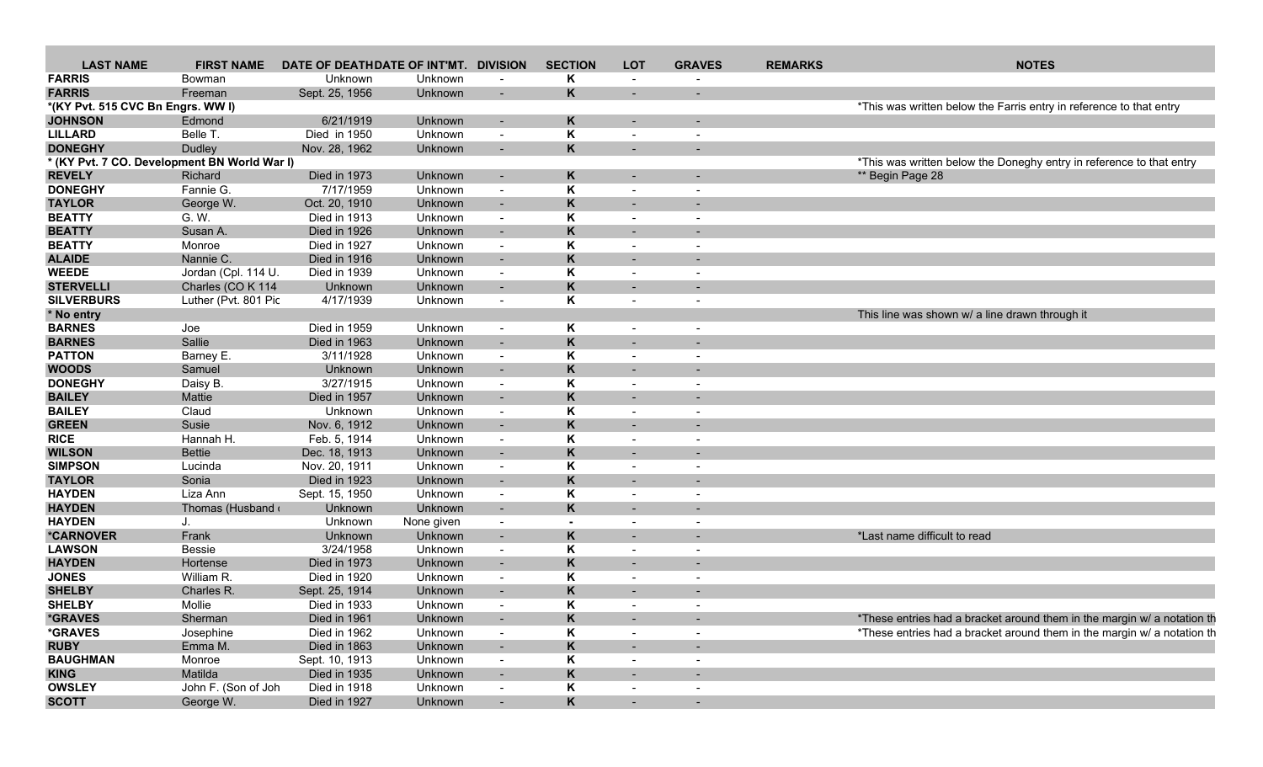| <b>LAST NAME</b>                             | <b>FIRST NAME</b>        | DATE OF DEATHDATE OF INT'MT. DIVISION |            |                          | <b>SECTION</b>           | <b>LOT</b>               | <b>GRAVES</b>            | <b>REMARKS</b> | <b>NOTES</b>                                                            |
|----------------------------------------------|--------------------------|---------------------------------------|------------|--------------------------|--------------------------|--------------------------|--------------------------|----------------|-------------------------------------------------------------------------|
| <b>FARRIS</b>                                | Bowman                   | Unknown                               | Unknown    |                          | Κ                        |                          |                          |                |                                                                         |
| <b>FARRIS</b>                                | Freeman                  | Sept. 25, 1956                        | Unknown    | $\overline{\phantom{0}}$ | K                        |                          |                          |                |                                                                         |
| *(KY Pvt. 515 CVC Bn Engrs. WW I)            |                          |                                       |            |                          |                          |                          |                          |                | *This was written below the Farris entry in reference to that entry     |
| <b>JOHNSON</b>                               | Edmond                   | 6/21/1919                             | Unknown    | $\overline{a}$           |                          |                          |                          |                |                                                                         |
| <b>LILLARD</b>                               | Belle T.                 | Died in 1950                          | Unknown    | $\sim$                   | κ                        |                          | $\overline{\phantom{a}}$ |                |                                                                         |
| <b>DONEGHY</b>                               | Dudley                   | Nov. 28, 1962                         | Unknown    | $\sim$                   | Κ                        | $\sim$                   | $\overline{\phantom{0}}$ |                |                                                                         |
| * (KY Pvt. 7 CO. Development BN World War I) |                          |                                       |            |                          |                          |                          |                          |                | *This was written below the Doneghy entry in reference to that entry    |
| <b>REVELY</b>                                | Richard                  | Died in 1973                          | Unknown    | $\sim$                   | Κ                        |                          |                          |                | ** Begin Page 28                                                        |
| <b>DONEGHY</b>                               | Fannie G.                | 7/17/1959                             | Unknown    | $\sim$                   | Κ                        |                          |                          |                |                                                                         |
| <b>TAYLOR</b>                                | George W.                | Oct. 20, 1910                         | Unknown    | $\overline{a}$           | K                        |                          |                          |                |                                                                         |
| <b>BEATTY</b>                                | G. W.                    | Died in 1913                          | Unknown    | $\sim$                   | Κ                        |                          | $\overline{\phantom{a}}$ |                |                                                                         |
| <b>BEATTY</b>                                | Susan A.                 | Died in 1926                          | Unknown    | $\sim$                   | Κ                        | $\sim$                   | $\overline{\phantom{a}}$ |                |                                                                         |
| <b>BEATTY</b>                                | Monroe                   | Died in 1927                          | Unknown    | $\sim$                   | Κ                        | $\overline{\phantom{a}}$ |                          |                |                                                                         |
| <b>ALAIDE</b>                                | Nannie C.                | Died in 1916                          | Unknown    | $\sim$                   | K                        |                          |                          |                |                                                                         |
| <b>WEEDE</b>                                 | Jordan (Cpl. 114 U       | Died in 1939                          | Unknown    | $\sim$                   | Κ                        | $\overline{\phantom{a}}$ |                          |                |                                                                         |
| <b>STERVELLI</b>                             | Charles (CO K 114        | Unknown                               | Unknown    | $\sim$                   | K                        |                          |                          |                |                                                                         |
| <b>SILVERBURS</b>                            | Luther (Pvt. 801 Pic     | 4/17/1939                             | Unknown    | $\sim$                   | Κ                        |                          |                          |                |                                                                         |
| * No entry                                   |                          |                                       |            |                          |                          |                          |                          |                | This line was shown w/ a line drawn through it                          |
| <b>BARNES</b>                                | Joe                      | Died in 1959                          | Unknown    | $\sim$                   | K                        |                          |                          |                |                                                                         |
| <b>BARNES</b>                                | Sallie                   | Died in 1963                          | Unknown    | $\overline{a}$           | K                        |                          |                          |                |                                                                         |
| <b>PATTON</b>                                | Barney E.                | 3/11/1928                             | Unknown    | $\sim$                   | Κ                        |                          |                          |                |                                                                         |
| <b>WOODS</b>                                 | Samuel                   | Unknown                               | Unknown    | $\overline{a}$           | κ                        |                          |                          |                |                                                                         |
| <b>DONEGHY</b>                               | Daisy B.                 | 3/27/1915                             | Unknown    | $\sim$                   | Κ                        |                          |                          |                |                                                                         |
| <b>BAILEY</b>                                | Mattie                   | Died in 1957                          | Unknown    | $\sim$                   | K                        | $\sim$                   |                          |                |                                                                         |
| <b>BAILEY</b>                                | Claud                    | Unknown                               | Unknown    | $\sim$                   | Κ                        | $\overline{\phantom{a}}$ | $\overline{\phantom{a}}$ |                |                                                                         |
| <b>GREEN</b>                                 | Susie                    | Nov. 6, 1912                          | Unknown    | $\sim$                   | K                        |                          |                          |                |                                                                         |
| <b>RICE</b>                                  | Hannah H.                | Feb. 5, 1914                          | Unknown    | $\sim$                   | Κ                        | $\sim$                   | $\overline{a}$           |                |                                                                         |
| <b>WILSON</b>                                | <b>Bettie</b>            | Dec. 18, 1913                         | Unknown    | $\overline{\phantom{0}}$ | K                        | $\sim$                   | $\overline{\phantom{0}}$ |                |                                                                         |
| <b>SIMPSON</b>                               | Lucinda                  | Nov. 20, 1911                         | Unknown    | $\sim$                   | Κ                        |                          |                          |                |                                                                         |
| <b>TAYLOR</b>                                | Sonia                    | Died in 1923                          | Unknown    | $\sim$                   | K                        | $\sim$                   |                          |                |                                                                         |
| <b>HAYDEN</b>                                | Liza Ann                 | Sept. 15, 1950                        | Unknown    | $\sim$                   | Κ                        | $\overline{\phantom{a}}$ |                          |                |                                                                         |
| <b>HAYDEN</b>                                | Thomas (Husband $\cdots$ | Unknown                               | Unknown    | $\sim$                   | K                        |                          |                          |                |                                                                         |
| <b>HAYDEN</b>                                | J.                       | Unknown                               | None given | $\sim$                   | $\overline{\phantom{a}}$ | $\sim$                   | $\overline{\phantom{a}}$ |                |                                                                         |
| *CARNOVER                                    | Frank                    | Unknown                               | Unknown    | $\sim$                   | ĸ                        | $\sim$                   |                          |                | *Last name difficult to read                                            |
| <b>LAWSON</b>                                | Bessie                   | 3/24/1958                             | Unknown    | $\sim$                   | Κ                        |                          |                          |                |                                                                         |
| <b>HAYDEN</b>                                | Hortense                 | Died in 1973                          | Unknown    | $\overline{a}$           |                          |                          |                          |                |                                                                         |
| <b>JONES</b>                                 | William R.               | Died in 1920                          | Unknown    | $\sim$                   | Κ                        |                          | $\overline{\phantom{a}}$ |                |                                                                         |
| <b>SHELBY</b>                                | Charles R.               | Sept. 25, 1914                        | Unknown    | $\sim$                   | K                        |                          |                          |                |                                                                         |
| <b>SHELBY</b>                                | Mollie                   | Died in 1933                          | Unknown    | $\sim$                   | Κ                        | $\sim$                   | $\overline{\phantom{a}}$ |                |                                                                         |
| <i><b>*GRAVES</b></i>                        | Sherman                  | Died in 1961                          | Unknown    |                          | K.                       |                          |                          |                | *These entries had a bracket around them in the margin w/ a notation th |
| <i><b>*GRAVES</b></i>                        | Josephine                | Died in 1962                          | Unknown    | $\sim$                   | Κ                        |                          | $\overline{a}$           |                | *These entries had a bracket around them in the margin w/ a notation th |
| <b>RUBY</b>                                  | Emma M.                  | Died in 1863                          | Unknown    | $\sim$                   | ĸ                        | $\sim$                   |                          |                |                                                                         |
| <b>BAUGHMAN</b>                              | Monroe                   | Sept. 10, 1913                        | Unknown    | $\sim$                   | Κ                        | $\sim$                   |                          |                |                                                                         |
| <b>KING</b>                                  | Matilda                  | Died in 1935                          | Unknown    | $\sim$                   | Κ                        | $\sim$                   | $\sim$                   |                |                                                                         |
| <b>OWSLEY</b>                                | John F. (Son of Joh      | Died in 1918                          | Unknown    | $\sim$                   | Κ                        | $\overline{\phantom{a}}$ | $\overline{\phantom{a}}$ |                |                                                                         |
| <b>SCOTT</b>                                 | George W.                | Died in 1927                          | Unknown    | $\sim$                   | Κ                        | $\sim$                   | $\sim$                   |                |                                                                         |
|                                              |                          |                                       |            |                          |                          |                          |                          |                |                                                                         |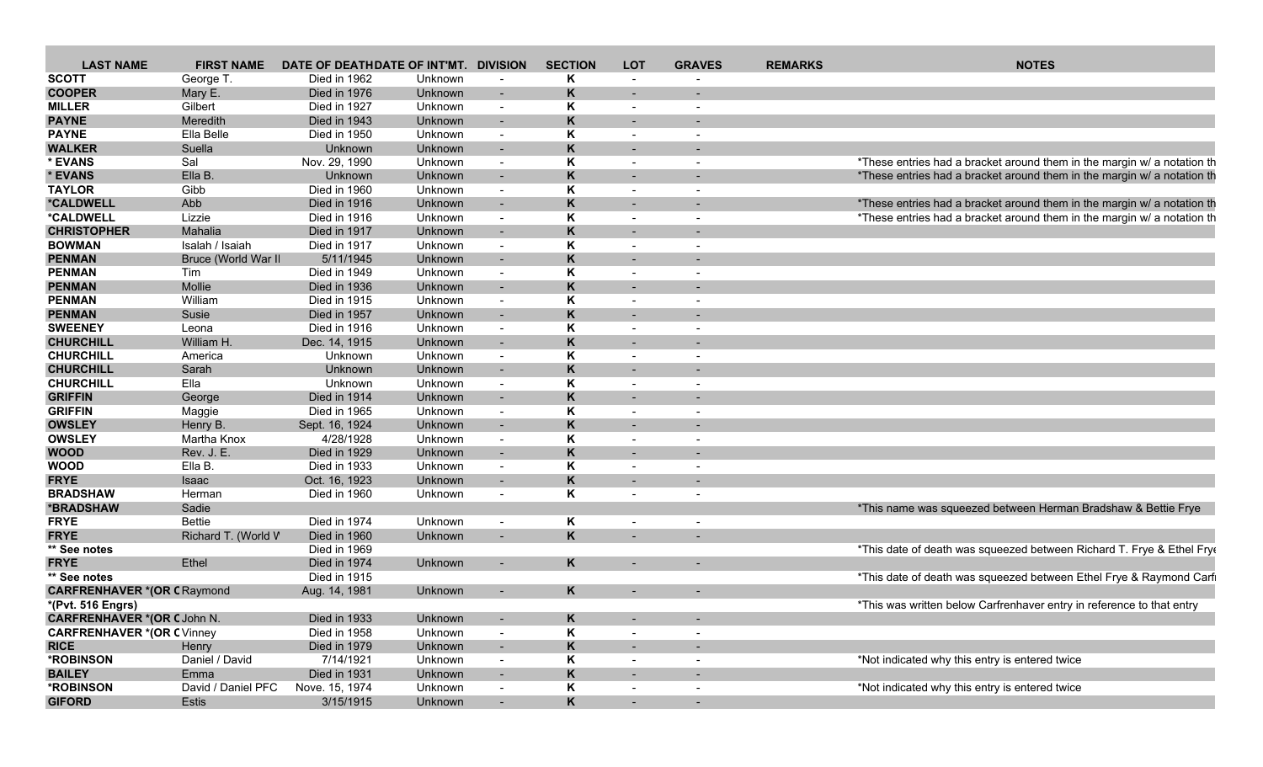| <b>LAST NAME</b>                  | <b>FIRST NAME</b>   | DATE OF DEATHDATE OF INT'MT. DIVISION |                |                | <b>SECTION</b> | <b>LOT</b>               | <b>GRAVES</b>            | <b>REMARKS</b> | <b>NOTES</b>                                                            |
|-----------------------------------|---------------------|---------------------------------------|----------------|----------------|----------------|--------------------------|--------------------------|----------------|-------------------------------------------------------------------------|
| <b>SCOTT</b>                      | George T.           | Died in 1962                          | Unknown        | $\sim$         | Κ              |                          |                          |                |                                                                         |
| <b>COOPER</b>                     | Mary E.             | Died in 1976                          | Unknown        | $\sim$         | K              |                          |                          |                |                                                                         |
| <b>MILLER</b>                     | Gilbert             | Died in 1927                          | Unknown        | $\sim$         | Κ              |                          |                          |                |                                                                         |
| <b>PAYNE</b>                      | Meredith            | Died in 1943                          | Unknown        | $\sim$         | K              |                          |                          |                |                                                                         |
| <b>PAYNE</b>                      | Ella Belle          | Died in 1950                          | Unknown        | $\sim$         | Κ              |                          |                          |                |                                                                         |
| <b>WALKER</b>                     | Suella              | Unknown                               | Unknown        | $\sim$         | K              | $\sim$                   |                          |                |                                                                         |
| * EVANS                           | Sal                 | Nov. 29, 1990                         | Unknown        | $\sim$         | Κ              |                          |                          |                | *These entries had a bracket around them in the margin w/ a notation th |
| * EVANS                           | Ella B.             | Unknown                               | <b>Unknown</b> | $\sim$         | K              |                          |                          |                | *These entries had a bracket around them in the margin w/ a notation th |
| <b>TAYLOR</b>                     | Gibb                | Died in 1960                          | Unknown        | $\sim$         | Κ              | $\overline{\phantom{a}}$ | $\overline{\phantom{a}}$ |                |                                                                         |
| *CALDWELL                         | Abb                 | Died in 1916                          | Unknown        | $\sim$         | Κ              | $\sim$                   |                          |                | *These entries had a bracket around them in the margin w/ a notation th |
| *CALDWELL                         | Lizzie              | Died in 1916                          | Unknown        | $\sim$         | Κ              |                          |                          |                | *These entries had a bracket around them in the margin w/ a notation th |
| <b>CHRISTOPHER</b>                | Mahalia             | Died in 1917                          | Unknown        | $\sim$         | K              | $\sim$                   |                          |                |                                                                         |
| <b>BOWMAN</b>                     | Isalah / Isaiah     | Died in 1917                          | Unknown        | $\sim$         | Κ              |                          |                          |                |                                                                         |
| <b>PENMAN</b>                     | Bruce (World War II | 5/11/1945                             | Unknown        | $\overline{a}$ | K              |                          |                          |                |                                                                         |
| <b>PENMAN</b>                     | Tim                 | Died in 1949                          | Unknown        | $\sim$         | Κ              | $\sim$                   | $\overline{\phantom{a}}$ |                |                                                                         |
| <b>PENMAN</b>                     | Mollie              | Died in 1936                          | Unknown        |                | K              |                          |                          |                |                                                                         |
| <b>PENMAN</b>                     |                     |                                       |                |                |                |                          |                          |                |                                                                         |
|                                   | William             | Died in 1915                          | Unknown        | $\sim$         | Κ              |                          |                          |                |                                                                         |
| <b>PENMAN</b>                     | Susie               | Died in 1957                          | Unknown        | $\sim$         | Κ              | $\sim$                   |                          |                |                                                                         |
| <b>SWEENEY</b>                    | Leona               | Died in 1916                          | Unknown        | $\sim$         | Κ              |                          |                          |                |                                                                         |
| <b>CHURCHILL</b>                  | William H.          | Dec. 14, 1915                         | Unknown        | $\sim$         | K              | $\sim$                   |                          |                |                                                                         |
| <b>CHURCHILL</b>                  | America             | Unknown                               | Unknown        | $\sim$         | Κ              | $\sim$                   | $\overline{\phantom{a}}$ |                |                                                                         |
| <b>CHURCHILL</b>                  | Sarah               | Unknown                               | Unknown        |                | K              |                          |                          |                |                                                                         |
| <b>CHURCHILL</b>                  | Ella                | Unknown                               | Unknown        | $\sim$         | Κ              |                          |                          |                |                                                                         |
| <b>GRIFFIN</b>                    | George              | Died in 1914                          | Unknown        | $\sim$         | K              |                          |                          |                |                                                                         |
| <b>GRIFFIN</b>                    | Maggie              | Died in 1965                          | Unknown        | $\sim$         | κ              |                          |                          |                |                                                                         |
| <b>OWSLEY</b>                     | Henry B.            | Sept. 16, 1924                        | Unknown        | $\sim$         | Κ              | $\sim$                   |                          |                |                                                                         |
| <b>OWSLEY</b>                     | Martha Knox         | 4/28/1928                             | Unknown        | $\sim$         | Κ              |                          |                          |                |                                                                         |
| <b>WOOD</b>                       | Rev. J. E.          | Died in 1929                          | Unknown        |                | K              |                          |                          |                |                                                                         |
| <b>WOOD</b>                       | Ella B.             | Died in 1933                          | Unknown        | $\sim$         | Κ              |                          |                          |                |                                                                         |
| <b>FRYE</b>                       | <b>Isaac</b>        | Oct. 16, 1923                         | Unknown        | $\overline{a}$ | K              | $\sim$                   | $\overline{\phantom{0}}$ |                |                                                                         |
| <b>BRADSHAW</b>                   | Herman              | Died in 1960                          | Unknown        | $\sim$         | Κ              |                          |                          |                |                                                                         |
| *BRADSHAW                         | Sadie               |                                       |                |                |                |                          |                          |                | *This name was squeezed between Herman Bradshaw & Bettie Frye           |
| <b>FRYE</b>                       | <b>Bettie</b>       | Died in 1974                          | Unknown        | $\sim$         | Κ              |                          |                          |                |                                                                         |
| <b>FRYE</b>                       | Richard T. (World V | Died in 1960                          | Unknown        |                | K.             |                          |                          |                |                                                                         |
| ** See notes                      |                     | Died in 1969                          |                |                |                |                          |                          |                | *This date of death was squeezed between Richard T. Frye & Ethel Frye   |
| <b>FRYE</b>                       | Ethel               | Died in 1974                          | Unknown        |                | K              |                          |                          |                |                                                                         |
| ** See notes                      |                     | Died in 1915                          |                |                |                |                          |                          |                | *This date of death was squeezed between Ethel Frye & Raymond Carfi     |
| <b>CARFRENHAVER *(OR CRaymond</b> |                     | Aug. 14, 1981                         | Unknown        |                | K              |                          |                          |                |                                                                         |
| *(Pvt. 516 Engrs)                 |                     |                                       |                |                |                |                          |                          |                | *This was written below Carfrenhaver entry in reference to that entry   |
| <b>CARFRENHAVER *(OR CJohn N.</b> |                     | Died in 1933                          | Unknown        |                | Κ              |                          |                          |                |                                                                         |
| <b>CARFRENHAVER *(OR CVinney</b>  |                     |                                       |                | $\sim$         |                |                          | $\sim$                   |                |                                                                         |
|                                   |                     | Died in 1958                          | Unknown        | $\sim$         | K.             |                          |                          |                |                                                                         |
| <b>RICE</b>                       | Henry               | Died in 1979                          | Unknown        | $\sim$         | ĸ              |                          |                          |                |                                                                         |
| *ROBINSON                         | Daniel / David      | 7/14/1921                             | Unknown        | $\sim$         | Κ              | $\sim$                   | $\overline{\phantom{a}}$ |                | *Not indicated why this entry is entered twice                          |
| <b>BAILEY</b>                     | Emma                | Died in 1931                          | Unknown        | $\sim$         | Κ              | $\sim$                   | $\overline{\phantom{a}}$ |                |                                                                         |
| *ROBINSON                         | David / Daniel PFC  | Nove. 15, 1974                        | Unknown        | $\sim$         | Κ              | $\overline{\phantom{a}}$ |                          |                | *Not indicated why this entry is entered twice                          |
| <b>GIFORD</b>                     | Estis               | 3/15/1915                             | Unknown        | $\sim$         | Κ              | $\sim$ .                 |                          |                |                                                                         |
|                                   |                     |                                       |                |                |                |                          |                          |                |                                                                         |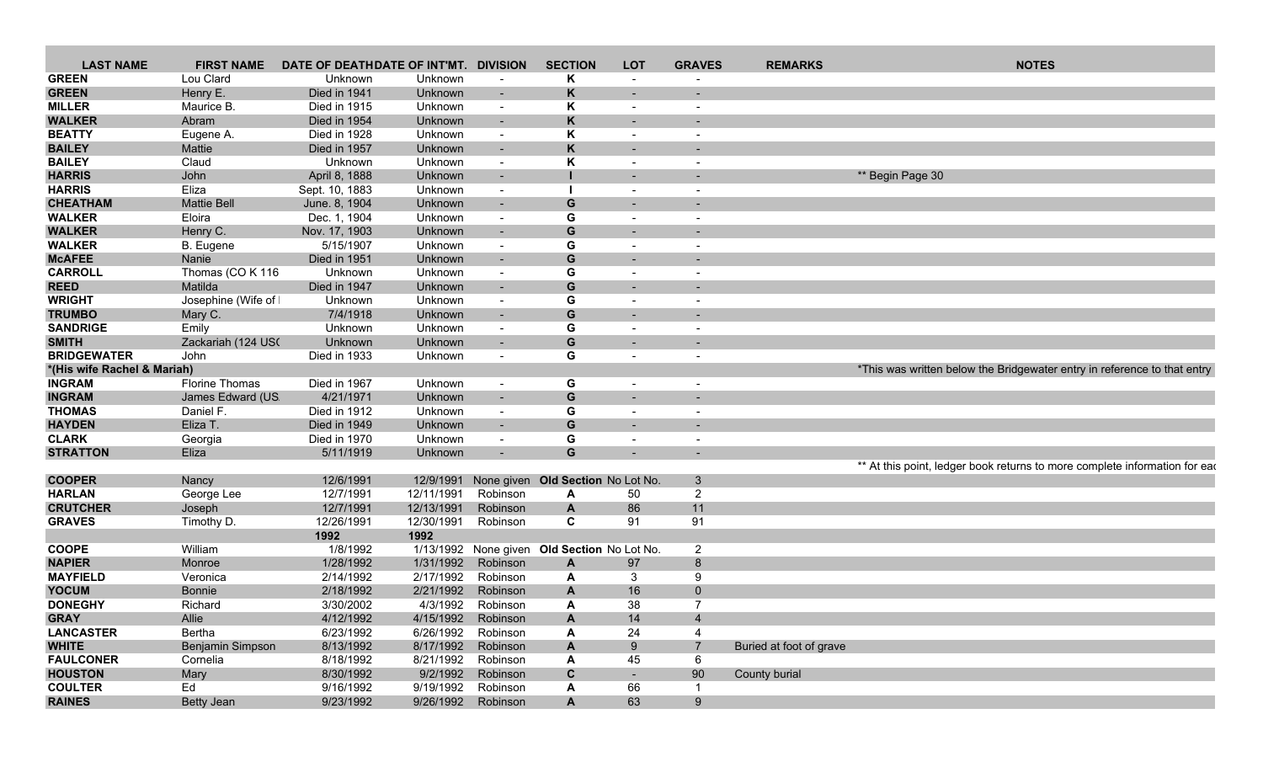| <b>LAST NAME</b>            | <b>FIRST NAME</b>     | DATE OF DEATHDATE OF INT'MT. DIVISION |            |                          | <b>SECTION</b>                              | <b>LOT</b>               | <b>GRAVES</b>            | <b>REMARKS</b>          | <b>NOTES</b>                                                               |
|-----------------------------|-----------------------|---------------------------------------|------------|--------------------------|---------------------------------------------|--------------------------|--------------------------|-------------------------|----------------------------------------------------------------------------|
| <b>GREEN</b>                | Lou Clard             | Unknown                               | Unknown    | $\blacksquare$           | Κ                                           | $\blacksquare$           |                          |                         |                                                                            |
| <b>GREEN</b>                | Henry E.              | Died in 1941                          | Unknown    | $\sim$                   | Κ                                           | $\sim$                   | $\overline{\phantom{a}}$ |                         |                                                                            |
| <b>MILLER</b>               | Maurice B.            | Died in 1915                          | Unknown    | $\overline{\phantom{a}}$ | Κ                                           | $\overline{\phantom{a}}$ | $\qquad \qquad$          |                         |                                                                            |
| <b>WALKER</b>               | Abram                 | Died in 1954                          | Unknown    | $\sim$                   | Κ                                           | $\overline{\phantom{a}}$ |                          |                         |                                                                            |
| <b>BEATTY</b>               | Eugene A.             | Died in 1928                          | Unknown    | $\blacksquare$           | Κ                                           | $\overline{\phantom{a}}$ | $\overline{\phantom{a}}$ |                         |                                                                            |
| <b>BAILEY</b>               | Mattie                | Died in 1957                          | Unknown    | $\sim$                   | K                                           | $\sim$                   | $\overline{\phantom{a}}$ |                         |                                                                            |
| <b>BAILEY</b>               | Claud                 | Unknown                               | Unknown    | $\sim$                   | Κ                                           | $\blacksquare$           | $\overline{\phantom{a}}$ |                         |                                                                            |
| <b>HARRIS</b>               | John                  | April 8, 1888                         | Unknown    | $\sim$                   |                                             | $\sim$                   | $\overline{\phantom{a}}$ |                         | ** Begin Page 30                                                           |
| <b>HARRIS</b>               | Eliza                 |                                       |            |                          |                                             |                          |                          |                         |                                                                            |
| <b>CHEATHAM</b>             |                       | Sept. 10, 1883                        | Unknown    | $\overline{\phantom{a}}$ |                                             | $\overline{\phantom{a}}$ | $\overline{a}$           |                         |                                                                            |
|                             | <b>Mattie Bell</b>    | June. 8, 1904                         | Unknown    | $\sim$                   | G                                           |                          |                          |                         |                                                                            |
| <b>WALKER</b>               | Eloira                | Dec. 1, 1904                          | Unknown    | $\overline{\phantom{a}}$ | G                                           | $\overline{\phantom{a}}$ | $\overline{\phantom{0}}$ |                         |                                                                            |
| <b>WALKER</b>               | Henry C.              | Nov. 17, 1903                         | Unknown    | $\sim$                   | G                                           | $\overline{\phantom{a}}$ |                          |                         |                                                                            |
| <b>WALKER</b>               | B. Eugene             | 5/15/1907                             | Unknown    | $\overline{\phantom{a}}$ | G                                           | $\overline{\phantom{a}}$ | $\overline{\phantom{a}}$ |                         |                                                                            |
| <b>McAFEE</b>               | Nanie                 | Died in 1951                          | Unknown    | $\blacksquare$           | G                                           | $\overline{\phantom{a}}$ |                          |                         |                                                                            |
| <b>CARROLL</b>              | Thomas (CO K 116      | Unknown                               | Unknown    | $\overline{\phantom{a}}$ | G                                           | $\overline{\phantom{a}}$ |                          |                         |                                                                            |
| <b>REED</b>                 | Matilda               | Died in 1947                          | Unknown    | $\blacksquare$           | G                                           | $\overline{\phantom{0}}$ |                          |                         |                                                                            |
| <b>WRIGHT</b>               | Josephine (Wife of    | Unknown                               | Unknown    | $\overline{\phantom{a}}$ | G                                           | $\overline{\phantom{a}}$ |                          |                         |                                                                            |
| <b>TRUMBO</b>               | Mary C.               | 7/4/1918                              | Unknown    | $\sim$                   | G                                           | $\overline{\phantom{a}}$ |                          |                         |                                                                            |
| <b>SANDRIGE</b>             | Emily                 | Unknown                               | Unknown    | $\overline{\phantom{a}}$ | G                                           | $\overline{\phantom{a}}$ | $\overline{\phantom{a}}$ |                         |                                                                            |
| <b>SMITH</b>                | Zackariah (124 US)    | Unknown                               | Unknown    | $\sim$                   | G                                           | $\overline{\phantom{a}}$ |                          |                         |                                                                            |
| <b>BRIDGEWATER</b>          | John                  | Died in 1933                          | Unknown    | $\overline{\phantom{a}}$ | G                                           | $\blacksquare$           |                          |                         |                                                                            |
| *(His wife Rachel & Mariah) |                       |                                       |            |                          |                                             |                          |                          |                         | *This was written below the Bridgewater entry in reference to that entry   |
| <b>INGRAM</b>               | <b>Florine Thomas</b> | Died in 1967                          | Unknown    | $\overline{\phantom{a}}$ | G                                           | $\overline{\phantom{a}}$ | $\overline{\phantom{a}}$ |                         |                                                                            |
| <b>INGRAM</b>               | James Edward (US      | 4/21/1971                             | Unknown    | $\sim$                   | G                                           | $\overline{\phantom{a}}$ |                          |                         |                                                                            |
| <b>THOMAS</b>               | Daniel F.             | Died in 1912                          | Unknown    | $\overline{\phantom{a}}$ | G                                           | $\overline{\phantom{a}}$ | $\overline{\phantom{a}}$ |                         |                                                                            |
| <b>HAYDEN</b>               | Eliza T.              | Died in 1949                          | Unknown    | $\sim$                   | G                                           | $\overline{\phantom{a}}$ |                          |                         |                                                                            |
|                             |                       |                                       |            |                          |                                             |                          |                          |                         |                                                                            |
| <b>CLARK</b>                | Georgia               | Died in 1970                          | Unknown    | $\blacksquare$           | G                                           | $\overline{\phantom{a}}$ | $\overline{\phantom{a}}$ |                         |                                                                            |
| <b>STRATTON</b>             | Eliza                 | 5/11/1919                             | Unknown    | $\sim$                   | G                                           |                          |                          |                         |                                                                            |
|                             |                       |                                       |            |                          |                                             |                          |                          |                         | ** At this point, ledger book returns to more complete information for ead |
| <b>COOPER</b>               | Nancy                 | 12/6/1991                             | 12/9/1991  |                          | None given Old Section No Lot No.           |                          | $\mathbf{3}$             |                         |                                                                            |
| <b>HARLAN</b>               | George Lee            | 12/7/1991                             | 12/11/1991 | Robinson                 | A                                           | 50                       | $\overline{2}$           |                         |                                                                            |
| <b>CRUTCHER</b>             | Joseph                | 12/7/1991                             | 12/13/1991 | Robinson                 | A                                           | 86                       | 11                       |                         |                                                                            |
| <b>GRAVES</b>               | Timothy D.            | 12/26/1991                            | 12/30/1991 | Robinson                 | C                                           | 91                       | 91                       |                         |                                                                            |
|                             |                       | 1992                                  | 1992       |                          |                                             |                          |                          |                         |                                                                            |
| <b>COOPE</b>                | William               | 1/8/1992                              |            |                          | 1/13/1992 None given Old Section No Lot No. |                          | $\overline{2}$           |                         |                                                                            |
| <b>NAPIER</b>               | Monroe                | 1/28/1992                             | 1/31/1992  | Robinson                 | A                                           | 97                       | $8\phantom{1}$           |                         |                                                                            |
| <b>MAYFIELD</b>             | Veronica              | 2/14/1992                             | 2/17/1992  | Robinson                 | A                                           | 3                        | 9                        |                         |                                                                            |
| <b>YOCUM</b>                | <b>Bonnie</b>         | 2/18/1992                             | 2/21/1992  | Robinson                 | A                                           | 16                       | $\mathbf 0$              |                         |                                                                            |
| <b>DONEGHY</b>              | Richard               | 3/30/2002                             | 4/3/1992   | Robinson                 | A                                           | 38                       | $\overline{7}$           |                         |                                                                            |
| <b>GRAY</b>                 | Allie                 | 4/12/1992                             |            | 4/15/1992 Robinson       | A                                           | 14                       | 4                        |                         |                                                                            |
| <b>LANCASTER</b>            | Bertha                | 6/23/1992                             | 6/26/1992  | Robinson                 | A                                           | 24                       | $\overline{4}$           |                         |                                                                            |
| <b>WHITE</b>                | Benjamin Simpson      | 8/13/1992                             | 8/17/1992  | Robinson                 | A                                           | 9                        | $\overline{7}$           | Buried at foot of grave |                                                                            |
| <b>FAULCONER</b>            | Cornelia              | 8/18/1992                             | 8/21/1992  | Robinson                 | Α                                           | 45                       | 6                        |                         |                                                                            |
| <b>HOUSTON</b>              | Mary                  | 8/30/1992                             | 9/2/1992   | Robinson                 | $\mathbf c$                                 | $\blacksquare$           | 90                       | County burial           |                                                                            |
|                             |                       |                                       |            |                          |                                             |                          |                          |                         |                                                                            |
| <b>COULTER</b>              | Ed                    | 9/16/1992                             | 9/19/1992  | Robinson                 | A                                           | 66                       |                          |                         |                                                                            |
| <b>RAINES</b>               | <b>Betty Jean</b>     | 9/23/1992                             | 9/26/1992  | Robinson                 | $\boldsymbol{\mathsf{A}}$                   | 63                       | 9                        |                         |                                                                            |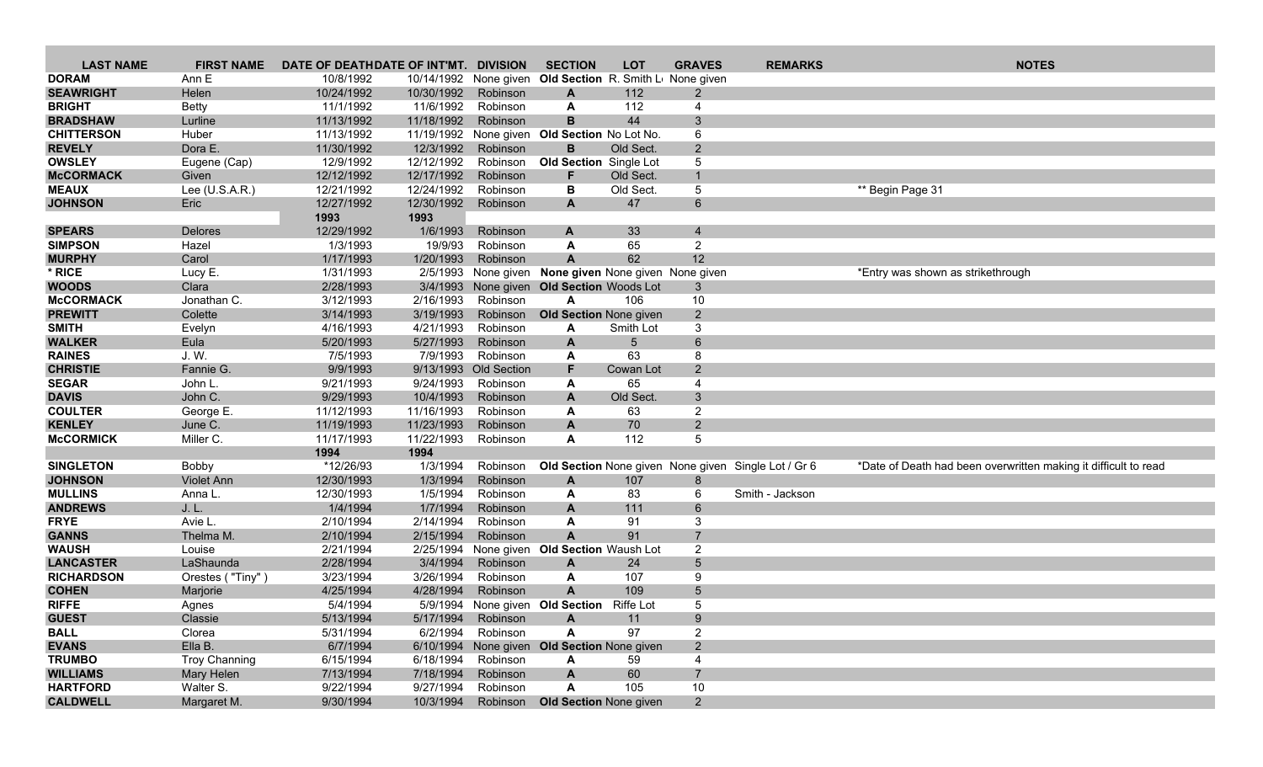| <b>LAST NAME</b>  | <b>FIRST NAME</b> | DATE OF DEATHDATE OF INT'MT. DIVISION |            |                       | <b>SECTION</b>                                           | <b>LOT</b> | <b>GRAVES</b>   | <b>REMARKS</b>                                      | <b>NOTES</b>                                                    |
|-------------------|-------------------|---------------------------------------|------------|-----------------------|----------------------------------------------------------|------------|-----------------|-----------------------------------------------------|-----------------------------------------------------------------|
| <b>DORAM</b>      | Ann E             | 10/8/1992                             |            |                       | 10/14/1992 None given Old Section R. Smith Lu None given |            |                 |                                                     |                                                                 |
| <b>SEAWRIGHT</b>  | Helen             | 10/24/1992                            | 10/30/1992 | Robinson              | A                                                        | 112        | 2               |                                                     |                                                                 |
| <b>BRIGHT</b>     | <b>Betty</b>      | 11/1/1992                             | 11/6/1992  | Robinson              | A                                                        | 112        | 4               |                                                     |                                                                 |
| <b>BRADSHAW</b>   | Lurline           | 11/13/1992                            | 11/18/1992 | Robinson              | B                                                        | 44         | 3               |                                                     |                                                                 |
| <b>CHITTERSON</b> | Huber             | 11/13/1992                            |            |                       | 11/19/1992 None given Old Section No Lot No.             |            | 6               |                                                     |                                                                 |
| <b>REVELY</b>     | Dora E.           | 11/30/1992                            | 12/3/1992  | Robinson              | B                                                        | Old Sect.  | $\overline{2}$  |                                                     |                                                                 |
| <b>OWSLEY</b>     | Eugene (Cap)      | 12/9/1992                             | 12/12/1992 | Robinson              | <b>Old Section</b> Single Lot                            |            | 5               |                                                     |                                                                 |
| <b>McCORMACK</b>  | Given             | 12/12/1992                            | 12/17/1992 | Robinson              | F.                                                       | Old Sect.  | $\mathbf{1}$    |                                                     |                                                                 |
| <b>MEAUX</b>      | Lee $(U.S.A.R.)$  | 12/21/1992                            | 12/24/1992 | Robinson              | В                                                        | Old Sect.  | 5               |                                                     | ** Begin Page 31                                                |
| <b>JOHNSON</b>    | Eric              | 12/27/1992                            | 12/30/1992 | Robinson              | $\mathbf{A}$                                             | 47         | 6               |                                                     |                                                                 |
|                   |                   | 1993                                  | 1993       |                       |                                                          |            |                 |                                                     |                                                                 |
| <b>SPEARS</b>     | Delores           | 12/29/1992                            | 1/6/1993   | Robinson              | A                                                        | 33         | $\overline{4}$  |                                                     |                                                                 |
| <b>SIMPSON</b>    | Hazel             | 1/3/1993                              | 19/9/93    | Robinson              | A                                                        | 65         | $\overline{2}$  |                                                     |                                                                 |
| <b>MURPHY</b>     | Carol             | 1/17/1993                             | 1/20/1993  | Robinson              | $\overline{A}$                                           | 62         | 12              |                                                     |                                                                 |
| * RICE            | Lucy E.           | 1/31/1993                             |            |                       | 2/5/1993 None given None given None given None given     |            |                 |                                                     | *Entry was shown as strikethrough                               |
| <b>WOODS</b>      | Clara             | 2/28/1993                             |            |                       | 3/4/1993 None given Old Section Woods Lot                |            | 3               |                                                     |                                                                 |
| <b>McCORMACK</b>  | Jonathan C.       | 3/12/1993                             | 2/16/1993  | Robinson              | A                                                        | 106        | $10$            |                                                     |                                                                 |
| <b>PREWITT</b>    | Colette           | 3/14/1993                             | 3/19/1993  | Robinson              | <b>Old Section None given</b>                            |            | $\overline{2}$  |                                                     |                                                                 |
| <b>SMITH</b>      | Evelyn            | 4/16/1993                             | 4/21/1993  | Robinson              | A                                                        | Smith Lot  | 3               |                                                     |                                                                 |
| <b>WALKER</b>     | Eula              | 5/20/1993                             | 5/27/1993  | Robinson              | A                                                        | 5          | 6               |                                                     |                                                                 |
| <b>RAINES</b>     | J.W.              | 7/5/1993                              | 7/9/1993   | Robinson              | A                                                        | 63         | 8               |                                                     |                                                                 |
| <b>CHRISTIE</b>   | Fannie G.         | 9/9/1993                              |            | 9/13/1993 Old Section | F                                                        | Cowan Lot  | 2               |                                                     |                                                                 |
| <b>SEGAR</b>      | John L.           | 9/21/1993                             | 9/24/1993  | Robinson              | A                                                        | 65         | $\overline{4}$  |                                                     |                                                                 |
| <b>DAVIS</b>      | John C.           | 9/29/1993                             | 10/4/1993  | Robinson              | A                                                        | Old Sect.  | $\mathbf{3}$    |                                                     |                                                                 |
| <b>COULTER</b>    | George E.         | 11/12/1993                            | 11/16/1993 | Robinson              | A                                                        | 63         | $\overline{2}$  |                                                     |                                                                 |
| <b>KENLEY</b>     | June C.           | 11/19/1993                            | 11/23/1993 | Robinson              | A                                                        | 70         | $\overline{2}$  |                                                     |                                                                 |
| <b>McCORMICK</b>  | Miller C.         | 11/17/1993                            | 11/22/1993 | Robinson              | A                                                        | 112        | 5               |                                                     |                                                                 |
|                   |                   | 1994                                  | 1994       |                       |                                                          |            |                 |                                                     |                                                                 |
| <b>SINGLETON</b>  | <b>Bobby</b>      | *12/26/93                             | 1/3/1994   | Robinson              |                                                          |            |                 | Old Section None given None given Single Lot / Gr 6 | *Date of Death had been overwritten making it difficult to read |
| <b>JOHNSON</b>    | <b>Violet Ann</b> | 12/30/1993                            | 1/3/1994   | Robinson              | A                                                        | 107        | 8               |                                                     |                                                                 |
| <b>MULLINS</b>    | Anna L.           | 12/30/1993                            | 1/5/1994   | Robinson              | A                                                        | 83         | 6               | Smith - Jackson                                     |                                                                 |
| <b>ANDREWS</b>    | J. L.             | 1/4/1994                              | 1/7/1994   | Robinson              | A                                                        | 111        | 6               |                                                     |                                                                 |
| <b>FRYE</b>       | Avie L.           | 2/10/1994                             | 2/14/1994  | Robinson              | A                                                        | 91         | 3               |                                                     |                                                                 |
| <b>GANNS</b>      | Thelma M.         | 2/10/1994                             | 2/15/1994  | Robinson              | $\mathsf{A}$                                             | 91         | $\overline{7}$  |                                                     |                                                                 |
| <b>WAUSH</b>      | Louise            | 2/21/1994                             | 2/25/1994  |                       | None given Old Section Waush Lot                         |            | $\overline{2}$  |                                                     |                                                                 |
| <b>LANCASTER</b>  | LaShaunda         | 2/28/1994                             | 3/4/1994   | Robinson              | A                                                        | 24         | $\overline{5}$  |                                                     |                                                                 |
| <b>RICHARDSON</b> | Orestes ("Tiny")  | 3/23/1994                             | 3/26/1994  | Robinson              | A                                                        | 107        | 9               |                                                     |                                                                 |
| <b>COHEN</b>      | Marjorie          | 4/25/1994                             | 4/28/1994  | Robinson              | A                                                        | 109        | $5\phantom{.0}$ |                                                     |                                                                 |
| <b>RIFFE</b>      | Agnes             | 5/4/1994                              |            |                       | 5/9/1994 None given Old Section Riffe Lot                |            | 5               |                                                     |                                                                 |
| <b>GUEST</b>      | Classie           | 5/13/1994                             | 5/17/1994  | Robinson              | A                                                        | 11         | 9               |                                                     |                                                                 |
| <b>BALL</b>       | Clorea            | 5/31/1994                             | 6/2/1994   | Robinson              | A                                                        | 97         | $\overline{2}$  |                                                     |                                                                 |
| <b>EVANS</b>      | Ella B.           | 6/7/1994                              |            |                       | 6/10/1994 None given Old Section None given              |            | $\overline{2}$  |                                                     |                                                                 |
| <b>TRUMBO</b>     | Troy Channing     | 6/15/1994                             | 6/18/1994  | Robinson              | A                                                        | 59         | $\overline{4}$  |                                                     |                                                                 |
| <b>WILLIAMS</b>   | Mary Helen        | 7/13/1994                             | 7/18/1994  | Robinson              | A                                                        | 60         | $\overline{7}$  |                                                     |                                                                 |
| <b>HARTFORD</b>   | Walter S.         | 9/22/1994                             | 9/27/1994  | Robinson              | A                                                        | 105        | 10              |                                                     |                                                                 |
| <b>CALDWELL</b>   | Margaret M.       | 9/30/1994                             | 10/3/1994  |                       | Robinson Old Section None given                          |            | $2^{\circ}$     |                                                     |                                                                 |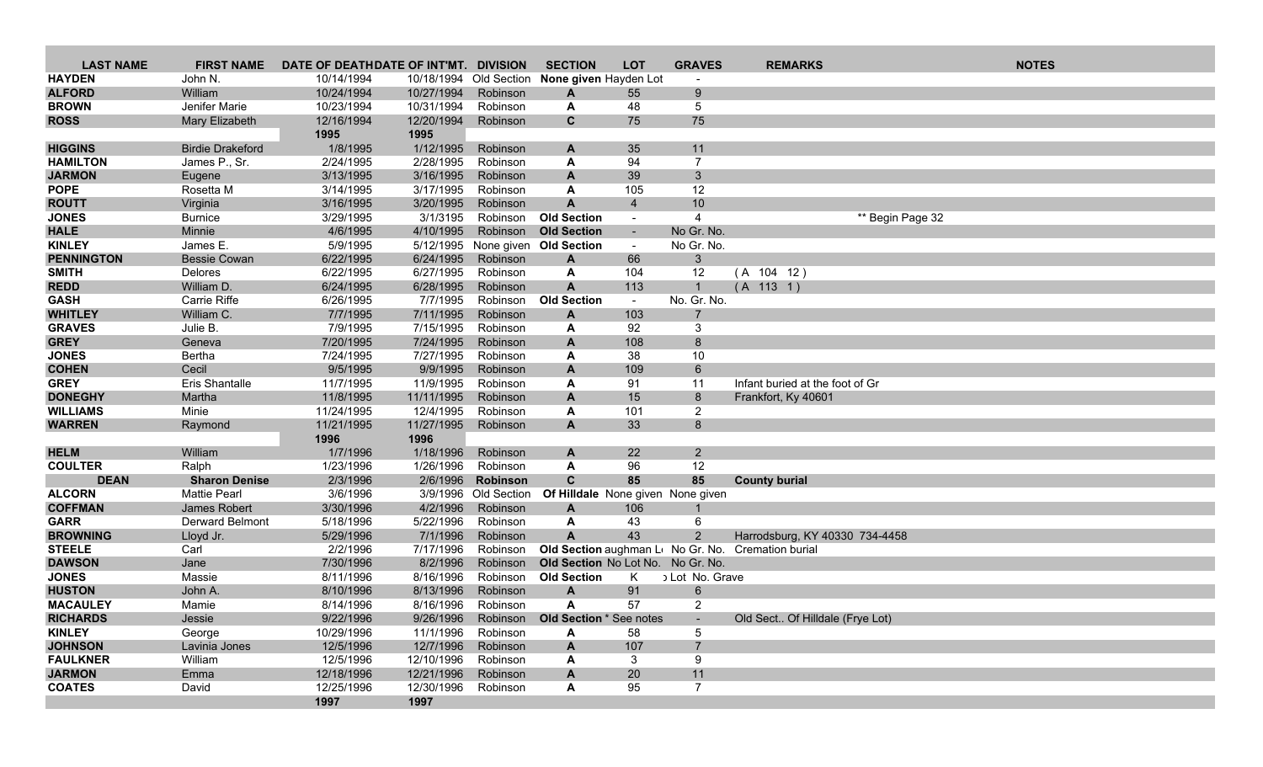| <b>LAST NAME</b>              | <b>FIRST NAME</b>                           | DATE OF DEATHDATE OF INT'MT. DIVISION |            |                                  | <b>SECTION</b>                                   | <b>LOT</b>               | <b>GRAVES</b>            | <b>REMARKS</b>                                     | <b>NOTES</b>     |
|-------------------------------|---------------------------------------------|---------------------------------------|------------|----------------------------------|--------------------------------------------------|--------------------------|--------------------------|----------------------------------------------------|------------------|
| <b>HAYDEN</b>                 | John N.                                     | 10/14/1994                            | 10/18/1994 | Old Section                      | None given Hayden Lot                            |                          |                          |                                                    |                  |
| <b>ALFORD</b>                 | William                                     | 10/24/1994                            | 10/27/1994 | Robinson                         | $\mathbf{A}$                                     | 55                       | 9                        |                                                    |                  |
| <b>BROWN</b>                  | Jenifer Marie                               | 10/23/1994                            | 10/31/1994 | Robinson                         | A                                                | 48                       | 5                        |                                                    |                  |
| <b>ROSS</b>                   | Mary Elizabeth                              | 12/16/1994                            | 12/20/1994 | Robinson                         | $\mathbf{C}$                                     | 75                       | 75                       |                                                    |                  |
|                               |                                             | 1995                                  | 1995       |                                  |                                                  |                          |                          |                                                    |                  |
| <b>HIGGINS</b>                | <b>Birdie Drakeford</b>                     | 1/8/1995                              | 1/12/1995  | Robinson                         | $\mathbf{A}$                                     | 35                       | 11                       |                                                    |                  |
| <b>HAMILTON</b>               | James P., Sr.                               | 2/24/1995                             | 2/28/1995  | Robinson                         | A                                                | 94                       | $\overline{7}$           |                                                    |                  |
| <b>JARMON</b>                 | Eugene                                      | 3/13/1995                             | 3/16/1995  | Robinson                         | $\mathbf{A}$                                     | 39                       | 3 <sup>5</sup>           |                                                    |                  |
| <b>POPE</b>                   | Rosetta M                                   | 3/14/1995                             | 3/17/1995  | Robinson                         | A                                                | 105                      | 12                       |                                                    |                  |
| <b>ROUTT</b>                  | Virginia                                    | 3/16/1995                             | 3/20/1995  | Robinson                         | $\mathsf{A}$                                     | $\overline{4}$           | 10                       |                                                    |                  |
| <b>JONES</b>                  | <b>Burnice</b>                              | 3/29/1995                             | 3/1/3195   | Robinson                         | <b>Old Section</b>                               | $\overline{\phantom{a}}$ | $\overline{4}$           |                                                    | ** Begin Page 32 |
| <b>HALE</b>                   | Minnie                                      | 4/6/1995                              | 4/10/1995  | Robinson                         | <b>Old Section</b>                               | $\sim$                   | No Gr. No.               |                                                    |                  |
| <b>KINLEY</b>                 | James E.                                    | 5/9/1995                              | 5/12/1995  |                                  | None given Old Section                           | $\sim$                   | No Gr. No.               |                                                    |                  |
| <b>PENNINGTON</b>             | <b>Bessie Cowan</b>                         | 6/22/1995                             | 6/24/1995  | Robinson                         | A                                                | 66                       | $3\phantom{a}$           |                                                    |                  |
| <b>SMITH</b>                  | <b>Delores</b>                              | 6/22/1995                             | 6/27/1995  | Robinson                         | A                                                | 104                      | 12                       | (A 104 12)                                         |                  |
| <b>REDD</b>                   | William D.                                  | 6/24/1995                             | 6/28/1995  | Robinson                         | $\mathbf{A}$                                     | 113                      | $\mathbf{1}$             | (A 113 1)                                          |                  |
| <b>GASH</b>                   | Carrie Riffe                                | 6/26/1995                             | 7/7/1995   | Robinson                         | <b>Old Section</b>                               | $\sim$                   | No. Gr. No.              |                                                    |                  |
| <b>WHITLEY</b>                | William C.                                  | 7/7/1995                              | 7/11/1995  | Robinson                         | $\mathbf{A}$                                     | 103                      | $\overline{7}$           |                                                    |                  |
| <b>GRAVES</b>                 | Julie B.                                    | 7/9/1995                              | 7/15/1995  | Robinson                         | A                                                | 92                       | 3                        |                                                    |                  |
| <b>GREY</b>                   | Geneva                                      | 7/20/1995                             | 7/24/1995  | Robinson                         | A                                                | 108                      | 8                        |                                                    |                  |
| <b>JONES</b>                  | Bertha                                      | 7/24/1995                             | 7/27/1995  | Robinson                         | A                                                | 38                       | 10                       |                                                    |                  |
| <b>COHEN</b>                  | Cecil                                       | 9/5/1995                              | 9/9/1995   | Robinson                         | A                                                | 109                      | $6\phantom{1}$           |                                                    |                  |
| <b>GREY</b>                   | Eris Shantalle                              | 11/7/1995                             | 11/9/1995  | Robinson                         | A                                                | 91                       | 11                       | Infant buried at the foot of Gr                    |                  |
| <b>DONEGHY</b>                | Martha                                      | 11/8/1995                             | 11/11/1995 | Robinson                         | A                                                | 15                       | 8                        | Frankfort, Ky 40601                                |                  |
| <b>WILLIAMS</b>               | Minie                                       | 11/24/1995                            | 12/4/1995  | Robinson                         | A                                                | 101                      | $\overline{2}$           |                                                    |                  |
| <b>WARREN</b>                 | Raymond                                     | 11/21/1995                            | 11/27/1995 | Robinson                         | $\mathsf{A}$                                     | 33                       | 8                        |                                                    |                  |
|                               |                                             | 1996                                  | 1996       |                                  |                                                  |                          |                          |                                                    |                  |
| <b>HELM</b>                   | William                                     | 1/7/1996                              | 1/18/1996  | Robinson                         | A                                                | 22                       | $\overline{2}$           |                                                    |                  |
| <b>COULTER</b><br><b>DEAN</b> | Ralph                                       | 1/23/1996                             | 1/26/1996  | Robinson                         | A                                                | 96<br>85                 | 12<br>85                 |                                                    |                  |
| <b>ALCORN</b>                 | <b>Sharon Denise</b><br><b>Mattie Pearl</b> | 2/3/1996<br>3/6/1996                  | 2/6/1996   | Robinson<br>3/9/1996 Old Section | $\mathbf c$<br>Of Hilldale None given None given |                          |                          | <b>County burial</b>                               |                  |
| <b>COFFMAN</b>                | James Robert                                | 3/30/1996                             | 4/2/1996   | Robinson                         | $\mathbf{A}$                                     | 106                      | $\mathbf 1$              |                                                    |                  |
| <b>GARR</b>                   | Derward Belmont                             | 5/18/1996                             | 5/22/1996  | Robinson                         | A                                                | 43                       | 6                        |                                                    |                  |
| <b>BROWNING</b>               | Lloyd Jr.                                   | 5/29/1996                             | 7/1/1996   | Robinson                         | $\mathbf{A}$                                     | 43                       | $\overline{2}$           | Harrodsburg, KY 40330 734-4458                     |                  |
| <b>STEELE</b>                 | Carl                                        | 2/2/1996                              | 7/17/1996  | Robinson                         |                                                  |                          |                          | Old Section aughman Lt No Gr. No. Cremation burial |                  |
| <b>DAWSON</b>                 | Jane                                        | 7/30/1996                             | 8/2/1996   | Robinson                         | Old Section No Lot No. No Gr. No.                |                          |                          |                                                    |                  |
| <b>JONES</b>                  | Massie                                      | 8/11/1996                             | 8/16/1996  | Robinson                         | <b>Old Section</b>                               | K                        | Lot No. Grave            |                                                    |                  |
| <b>HUSTON</b>                 | John A.                                     | 8/10/1996                             | 8/13/1996  | Robinson                         | $\mathbf{A}$                                     | 91                       | $6\phantom{.}$           |                                                    |                  |
| <b>MACAULEY</b>               | Mamie                                       | 8/14/1996                             | 8/16/1996  | Robinson                         | A                                                | 57                       | $\overline{2}$           |                                                    |                  |
| <b>RICHARDS</b>               | Jessie                                      | 9/22/1996                             | 9/26/1996  | Robinson                         | Old Section * See notes                          |                          | $\overline{\phantom{a}}$ | Old Sect Of Hilldale (Frye Lot)                    |                  |
| <b>KINLEY</b>                 | George                                      | 10/29/1996                            | 11/1/1996  | Robinson                         | A                                                | 58                       | 5                        |                                                    |                  |
| <b>JOHNSON</b>                | Lavinia Jones                               | 12/5/1996                             | 12/7/1996  | Robinson                         | $\mathbf{A}$                                     | 107                      | $\overline{7}$           |                                                    |                  |
| <b>FAULKNER</b>               | William                                     | 12/5/1996                             | 12/10/1996 | Robinson                         | A                                                | 3                        | 9                        |                                                    |                  |
| <b>JARMON</b>                 | Emma                                        | 12/18/1996                            | 12/21/1996 | Robinson                         | A                                                | 20                       | 11                       |                                                    |                  |
| <b>COATES</b>                 | David                                       | 12/25/1996                            | 12/30/1996 | Robinson                         | A                                                | 95                       | $\overline{7}$           |                                                    |                  |
|                               |                                             | 1997                                  | 1997       |                                  |                                                  |                          |                          |                                                    |                  |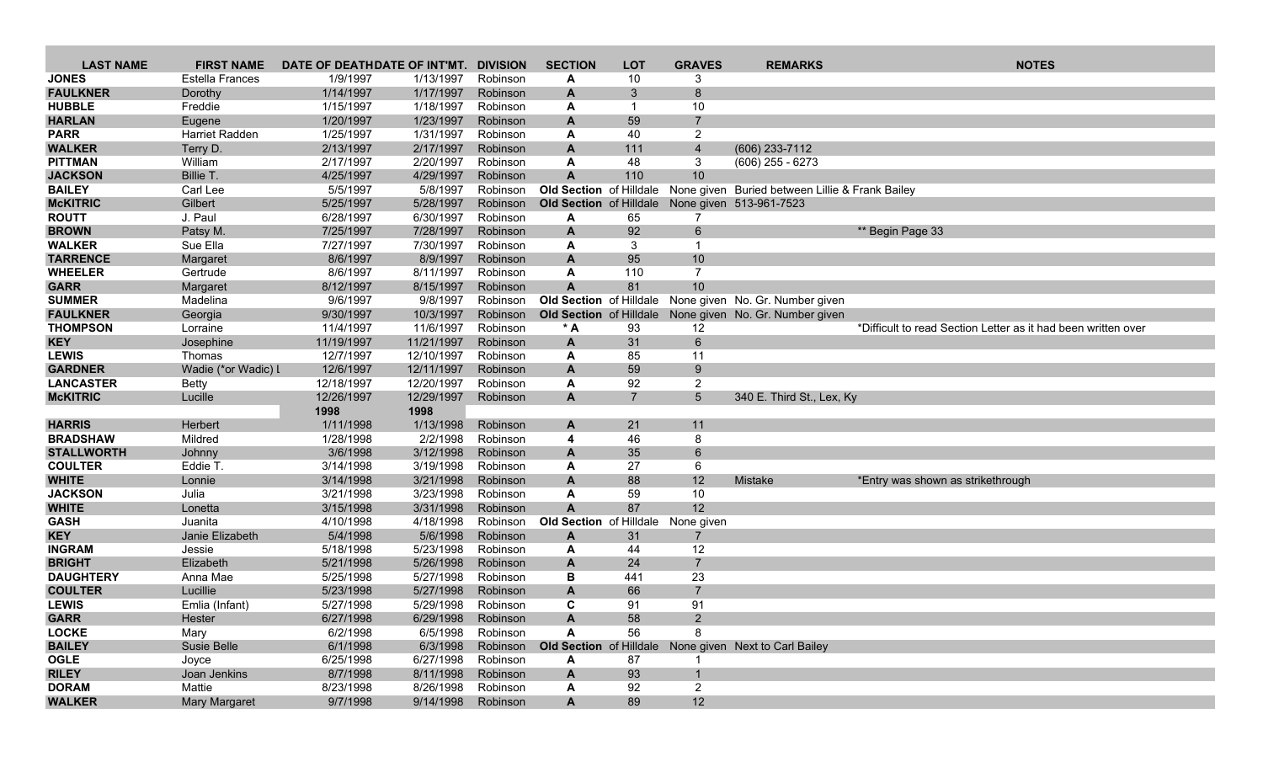| <b>LAST NAME</b>                   | <b>FIRST NAME</b>          | DATE OF DEATHDATE OF INT'MT. |                        | <b>DIVISION</b>      | <b>SECTION</b>            | <b>LOT</b>     | <b>GRAVES</b>         | <b>REMARKS</b>                                          | <b>NOTES</b>                                                  |
|------------------------------------|----------------------------|------------------------------|------------------------|----------------------|---------------------------|----------------|-----------------------|---------------------------------------------------------|---------------------------------------------------------------|
| <b>JONES</b>                       | Estella Frances            | 1/9/1997                     | 1/13/1997              | Robinson             | A                         | 10             | 3                     |                                                         |                                                               |
| <b>FAULKNER</b>                    | Dorothy                    | 1/14/1997                    | 1/17/1997              | Robinson             | A                         | 3              | 8                     |                                                         |                                                               |
| <b>HUBBLE</b>                      | Freddie                    | 1/15/1997                    | 1/18/1997              | Robinson             | A                         | -1             | 10                    |                                                         |                                                               |
| <b>HARLAN</b>                      | Eugene                     | 1/20/1997                    | 1/23/1997              | Robinson             | A                         | 59             | $\overline{7}$        |                                                         |                                                               |
| <b>PARR</b>                        | Harriet Radden             | 1/25/1997                    | 1/31/1997              | Robinson             | A                         | 40             | $\overline{2}$        |                                                         |                                                               |
| <b>WALKER</b>                      | Terry D.                   | 2/13/1997                    | 2/17/1997              | Robinson             | A                         | 111            | $\overline{4}$        | (606) 233-7112                                          |                                                               |
| <b>PITTMAN</b>                     | William                    | 2/17/1997                    | 2/20/1997              | Robinson             | A                         | 48             | 3                     | $(606)$ 255 - 6273                                      |                                                               |
| <b>JACKSON</b>                     | Billie T.                  | 4/25/1997                    | 4/29/1997              | Robinson             | A                         | 110            | 10                    |                                                         |                                                               |
| <b>BAILEY</b>                      | Carl Lee                   | 5/5/1997                     | 5/8/1997               | Robinson             | Old Section of Hilldale   |                |                       | None given Buried between Lillie & Frank Bailey         |                                                               |
| <b>McKITRIC</b>                    | Gilbert                    | 5/25/1997                    | 5/28/1997              | Robinson             |                           |                |                       | Old Section of Hilldale None given 513-961-7523         |                                                               |
| <b>ROUTT</b>                       | J. Paul                    | 6/28/1997                    | 6/30/1997              | Robinson             | A                         | 65             | 7                     |                                                         |                                                               |
| <b>BROWN</b>                       | Patsy M.                   | 7/25/1997                    | 7/28/1997              | Robinson             | A                         | 92             | $6\overline{6}$       |                                                         | ** Begin Page 33                                              |
| <b>WALKER</b>                      | Sue Ella                   | 7/27/1997                    | 7/30/1997              | Robinson             | A                         | 3              | $\mathbf{1}$          |                                                         |                                                               |
| <b>TARRENCE</b>                    | Margaret                   | 8/6/1997                     | 8/9/1997               | Robinson             | A                         | 95             | 10                    |                                                         |                                                               |
| <b>WHEELER</b>                     | Gertrude                   | 8/6/1997                     | 8/11/1997              | Robinson             | A                         | 110            | $\overline{7}$        |                                                         |                                                               |
| <b>GARR</b>                        | Margaret                   | 8/12/1997                    | 8/15/1997              | Robinson             | $\mathbf{A}$              | 81             | 10                    |                                                         |                                                               |
| <b>SUMMER</b>                      | Madelina                   | 9/6/1997                     | 9/8/1997               | Robinson             | Old Section of Hilldale   |                |                       | None given No. Gr. Number given                         |                                                               |
| <b>FAULKNER</b><br><b>THOMPSON</b> | Georgia                    | 9/30/1997                    | 10/3/1997<br>11/6/1997 | Robinson             |                           | 93             |                       | Old Section of Hilldale None given No. Gr. Number given |                                                               |
| <b>KEY</b>                         | Lorraine                   | 11/4/1997<br>11/19/1997      | 11/21/1997             | Robinson<br>Robinson | $*A$<br>A                 | 31             | 12<br>$6\overline{6}$ |                                                         | *Difficult to read Section Letter as it had been written over |
| <b>LEWIS</b>                       | Josephine<br>Thomas        | 12/7/1997                    | 12/10/1997             | Robinson             | A                         | 85             | 11                    |                                                         |                                                               |
| <b>GARDNER</b>                     | Wadie (*or Wadic) I        | 12/6/1997                    | 12/11/1997             | Robinson             | $\mathbf{A}$              | 59             | 9                     |                                                         |                                                               |
| <b>LANCASTER</b>                   | <b>Betty</b>               | 12/18/1997                   | 12/20/1997             | Robinson             | A                         | 92             | $\overline{2}$        |                                                         |                                                               |
| <b>McKITRIC</b>                    | Lucille                    | 12/26/1997                   | 12/29/1997             | Robinson             | A                         | $\overline{7}$ | 5 <sup>5</sup>        | 340 E. Third St., Lex, Ky                               |                                                               |
|                                    |                            | 1998                         | 1998                   |                      |                           |                |                       |                                                         |                                                               |
| <b>HARRIS</b>                      | Herbert                    | 1/11/1998                    | 1/13/1998              | Robinson             | A                         | 21             | 11                    |                                                         |                                                               |
| <b>BRADSHAW</b>                    | Mildred                    | 1/28/1998                    | 2/2/1998               | Robinson             | 4                         | 46             | 8                     |                                                         |                                                               |
| <b>STALLWORTH</b>                  | Johnny                     | 3/6/1998                     | 3/12/1998              | Robinson             | A                         | 35             | 6                     |                                                         |                                                               |
| <b>COULTER</b>                     | Eddie T.                   | 3/14/1998                    | 3/19/1998              | Robinson             | A                         | 27             | 6                     |                                                         |                                                               |
| <b>WHITE</b>                       | Lonnie                     | 3/14/1998                    | 3/21/1998              | Robinson             | $\mathbf{A}$              | 88             | 12                    | Mistake                                                 | *Entry was shown as strikethrough                             |
| <b>JACKSON</b>                     | Julia                      | 3/21/1998                    | 3/23/1998              | Robinson             | A                         | 59             | 10                    |                                                         |                                                               |
| <b>WHITE</b>                       | Lonetta                    | 3/15/1998                    | 3/31/1998              | Robinson             | $\mathbf{A}$              | 87             | 12                    |                                                         |                                                               |
| <b>GASH</b>                        | Juanita                    | 4/10/1998                    | 4/18/1998              | Robinson             | Old Section of Hilldale   |                | None given            |                                                         |                                                               |
| <b>KEY</b>                         | Janie Elizabeth            | 5/4/1998                     | 5/6/1998               | Robinson             | A                         | 31             | 7                     |                                                         |                                                               |
| <b>INGRAM</b>                      | Jessie                     | 5/18/1998                    | 5/23/1998              | Robinson             | A                         | 44             | 12                    |                                                         |                                                               |
| <b>BRIGHT</b>                      | Elizabeth                  | 5/21/1998                    | 5/26/1998              | Robinson             | A                         | 24             | $\overline{7}$        |                                                         |                                                               |
| <b>DAUGHTERY</b>                   | Anna Mae                   | 5/25/1998                    | 5/27/1998              | Robinson             | В                         | 441            | 23<br>$\overline{7}$  |                                                         |                                                               |
| <b>COULTER</b><br><b>LEWIS</b>     | Lucillie<br>Emlia (Infant) | 5/23/1998<br>5/27/1998       | 5/27/1998<br>5/29/1998 | Robinson<br>Robinson | A<br>C                    | 66<br>91       | 91                    |                                                         |                                                               |
| <b>GARR</b>                        | Hester                     | 6/27/1998                    | 6/29/1998              | Robinson             | $\boldsymbol{\mathsf{A}}$ | 58             | $\overline{2}$        |                                                         |                                                               |
| <b>LOCKE</b>                       | Mary                       | 6/2/1998                     | 6/5/1998               | Robinson             | A                         | 56             | 8                     |                                                         |                                                               |
| <b>BAILEY</b>                      | Susie Belle                | 6/1/1998                     | 6/3/1998               | Robinson             |                           |                |                       | Old Section of Hilldale None given Next to Carl Bailey  |                                                               |
| <b>OGLE</b>                        | Joyce                      | 6/25/1998                    | 6/27/1998              | Robinson             | Α                         | 87             |                       |                                                         |                                                               |
| <b>RILEY</b>                       | Joan Jenkins               | 8/7/1998                     | 8/11/1998              | Robinson             | A                         | 93             | $\mathbf{1}$          |                                                         |                                                               |
| <b>DORAM</b>                       | Mattie                     | 8/23/1998                    | 8/26/1998              | Robinson             | A                         | 92             | $\overline{2}$        |                                                         |                                                               |
| <b>WALKER</b>                      | Mary Margaret              | 9/7/1998                     | 9/14/1998              | Robinson             | $\mathbf{A}$              | 89             | 12                    |                                                         |                                                               |
|                                    |                            |                              |                        |                      |                           |                |                       |                                                         |                                                               |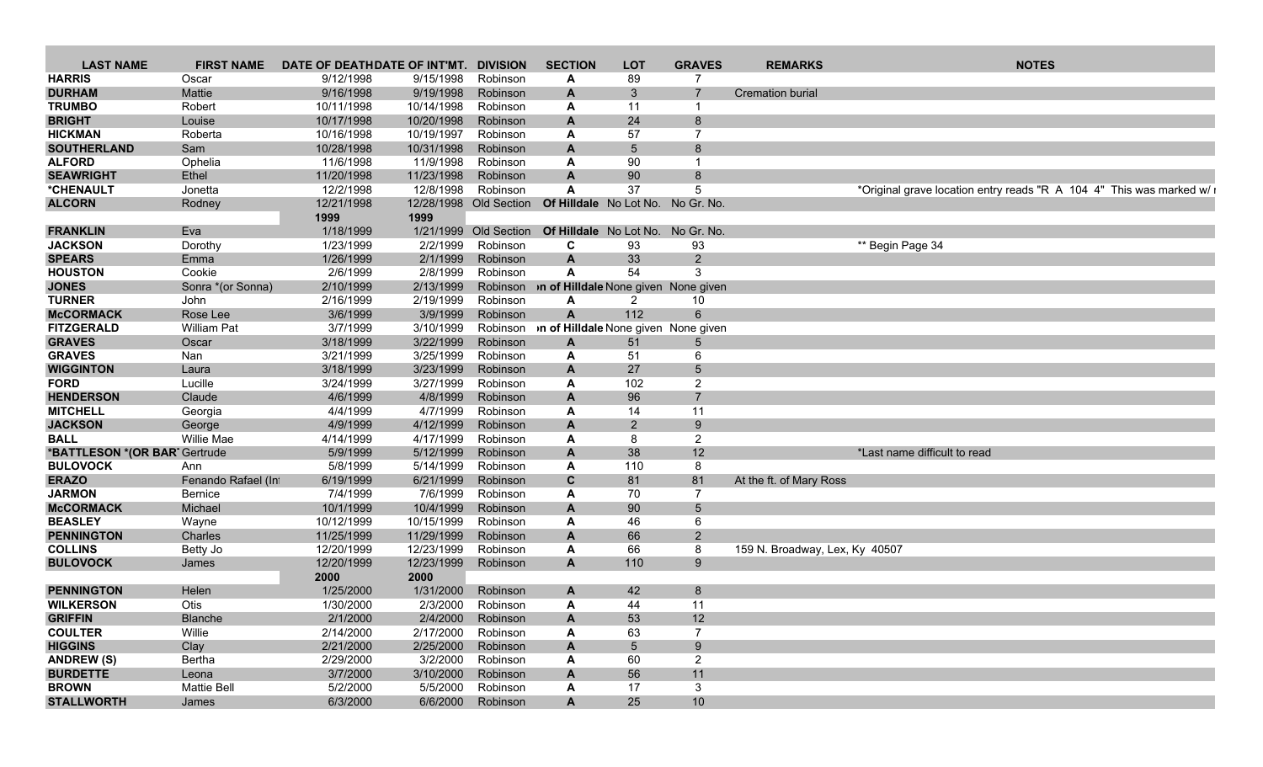| <b>LAST NAME</b>              | <b>FIRST NAME</b>  | DATE OF DEATHDATE OF INT'MT. |                        | <b>DIVISION</b>       | <b>SECTION</b>                                      | <b>LOT</b>     | <b>GRAVES</b>                     | <b>REMARKS</b>                 | <b>NOTES</b>                                                          |
|-------------------------------|--------------------|------------------------------|------------------------|-----------------------|-----------------------------------------------------|----------------|-----------------------------------|--------------------------------|-----------------------------------------------------------------------|
| <b>HARRIS</b>                 | Oscar              | 9/12/1998                    | 9/15/1998              | Robinson              |                                                     | 89             |                                   |                                |                                                                       |
| <b>DURHAM</b>                 | Mattie             | 9/16/1998                    | 9/19/1998              | Robinson              |                                                     | -3             |                                   | <b>Cremation burial</b>        |                                                                       |
| <b>TRUMBO</b>                 | Robert             | 10/11/1998                   | 10/14/1998             | Robinson              |                                                     | 11             |                                   |                                |                                                                       |
| <b>BRIGHT</b>                 | Louise             | 10/17/1998                   | 10/20/1998             | Robinson              |                                                     | 24             |                                   |                                |                                                                       |
| <b>HICKMAN</b>                | Roberta            | 10/16/1998                   | 10/19/1997             | Robinson              |                                                     | 57             |                                   |                                |                                                                       |
| <b>SOUTHERLAND</b>            | Sam                | 10/28/1998                   | 10/31/1998             | Robinson              |                                                     | 5              |                                   |                                |                                                                       |
| <b>ALFORD</b>                 | Ophelia            | 11/6/1998                    | 11/9/1998              | Robinson              |                                                     | 90             |                                   |                                |                                                                       |
| <b>SEAWRIGHT</b>              | Ethel              | 11/20/1998                   | 11/23/1998             | Robinson              | A                                                   | 90             |                                   |                                |                                                                       |
| *CHENAULT                     | Jonetta            | 12/2/1998                    | 12/8/1998              | Robinson              |                                                     | 37             | 5                                 |                                | *Original grave location entry reads "R A 104 4" This was marked w/ i |
| <b>ALCORN</b>                 | Rodney             | 12/21/1998                   | 12/28/1998 Old Section |                       |                                                     |                | Of Hilldale No Lot No. No Gr. No. |                                |                                                                       |
|                               |                    |                              |                        |                       |                                                     |                |                                   |                                |                                                                       |
|                               |                    | 1999                         | 1999                   |                       |                                                     |                |                                   |                                |                                                                       |
| <b>FRANKLIN</b>               | Eva                | 1/18/1999                    |                        | 1/21/1999 Old Section |                                                     |                | Of Hilldale No Lot No. No Gr. No. |                                |                                                                       |
| <b>JACKSON</b>                | Dorothy            | 1/23/1999                    | 2/2/1999               | Robinson              | C.                                                  | 93             | 93                                |                                | ** Begin Page 34                                                      |
| <b>SPEARS</b>                 | Emma               | 1/26/1999                    | 2/1/1999               | Robinson              | A                                                   | 33             | $\overline{2}$                    |                                |                                                                       |
| <b>HOUSTON</b>                | Cookie             | 2/6/1999                     | 2/8/1999               | Robinson              |                                                     | 54             | 3                                 |                                |                                                                       |
| <b>JONES</b>                  | Sonra *(or Sonna)  | 2/10/1999                    | 2/13/1999              | Robinson              | on of Hilldale None given None given                |                |                                   |                                |                                                                       |
| <b>TURNER</b>                 | John               | 2/16/1999                    | 2/19/1999              | Robinson              |                                                     |                | 10                                |                                |                                                                       |
| <b>McCORMACK</b>              | Rose Lee           | 3/6/1999                     | 3/9/1999               | Robinson              |                                                     | 112            |                                   |                                |                                                                       |
| <b>FITZGERALD</b>             | <b>William Pat</b> | 3/7/1999                     | 3/10/1999              |                       | Robinson <b>n of Hilldale</b> None given None given |                |                                   |                                |                                                                       |
| <b>GRAVES</b>                 | Oscar              | 3/18/1999                    | 3/22/1999              | Robinson              |                                                     | 51             |                                   |                                |                                                                       |
| <b>GRAVES</b>                 | Nan                | 3/21/1999                    | 3/25/1999              | Robinson              |                                                     | 51             |                                   |                                |                                                                       |
| <b>WIGGINTON</b>              | Laura              | 3/18/1999                    | 3/23/1999              | Robinson              |                                                     | 27             |                                   |                                |                                                                       |
| <b>FORD</b>                   | Lucille            | 3/24/1999                    | 3/27/1999              | Robinson              |                                                     | 102            | 2                                 |                                |                                                                       |
| <b>HENDERSON</b>              | Claude             | 4/6/1999                     | 4/8/1999               | Robinson              |                                                     | 96             |                                   |                                |                                                                       |
| <b>MITCHELL</b>               | Georgia            | 4/4/1999                     | 4/7/1999               | Robinson              |                                                     | 14             | 11                                |                                |                                                                       |
| <b>JACKSON</b>                | George             | 4/9/1999                     | 4/12/1999              | Robinson              | $\mathbf{A}$                                        | $\overline{2}$ | 9                                 |                                |                                                                       |
| <b>BALL</b>                   | Willie Mae         | 4/14/1999                    | 4/17/1999              | Robinson              |                                                     | -8             | $\overline{2}$                    |                                |                                                                       |
| *BATTLESON *(OR BART Gertrude |                    | 5/9/1999                     | 5/12/1999              | Robinson              |                                                     | 38             | 12 <sup>2</sup>                   |                                | *Last name difficult to read                                          |
|                               |                    |                              |                        |                       |                                                     |                |                                   |                                |                                                                       |
| <b>BULOVOCK</b>               | Ann                | 5/8/1999                     | 5/14/1999              | Robinson              |                                                     | 110            |                                   |                                |                                                                       |
| <b>ERAZO</b>                  | Fenando Rafael (In | 6/19/1999                    | 6/21/1999              | Robinson              | $\mathbf{C}$                                        | 81             | 81                                | At the ft. of Mary Ross        |                                                                       |
| <b>JARMON</b>                 | Bernice            | 7/4/1999                     | 7/6/1999               | Robinson              |                                                     | 70             |                                   |                                |                                                                       |
| <b>McCORMACK</b>              | Michael            | 10/1/1999                    | 10/4/1999              | Robinson              | $\mathbf{A}$                                        | 90             |                                   |                                |                                                                       |
| <b>BEASLEY</b>                | Wayne              | 10/12/1999                   | 10/15/1999             | Robinson              |                                                     | 46             |                                   |                                |                                                                       |
| <b>PENNINGTON</b>             | Charles            | 11/25/1999                   | 11/29/1999             | Robinson              |                                                     | 66             |                                   |                                |                                                                       |
| <b>COLLINS</b>                | Betty Jo           | 12/20/1999                   | 12/23/1999             | Robinson              |                                                     | 66             |                                   | 159 N. Broadway, Lex, Ky 40507 |                                                                       |
| <b>BULOVOCK</b>               | James              | 12/20/1999                   | 12/23/1999 Robinson    |                       | A                                                   | 110            | $\mathbf{Q}$                      |                                |                                                                       |
|                               |                    | 2000                         | 2000                   |                       |                                                     |                |                                   |                                |                                                                       |
| <b>PENNINGTON</b>             | Helen              | 1/25/2000                    | 1/31/2000              | Robinson              |                                                     | 42             |                                   |                                |                                                                       |
| <b>WILKERSON</b>              | Otis               | 1/30/2000                    | 2/3/2000               | Robinson              |                                                     | 44             | 11                                |                                |                                                                       |
| <b>GRIFFIN</b>                | Blanche            | 2/1/2000                     | 2/4/2000               | Robinson              |                                                     | 53             | 12                                |                                |                                                                       |
| <b>COULTER</b>                | Willie             | 2/14/2000                    | 2/17/2000 Robinson     |                       |                                                     | 63             |                                   |                                |                                                                       |
| <b>HIGGINS</b>                | Clay               | 2/21/2000                    |                        | 2/25/2000 Robinson    |                                                     |                | 9                                 |                                |                                                                       |
| <b>ANDREW (S)</b>             | Bertha             | 2/29/2000                    |                        | 3/2/2000 Robinson     |                                                     | 60             | $\overline{2}$                    |                                |                                                                       |
| <b>BURDETTE</b>               | Leona              | 3/7/2000                     | 3/10/2000 Robinson     |                       |                                                     | 56             | 11                                |                                |                                                                       |
| <b>BROWN</b>                  | <b>Mattie Bell</b> | 5/2/2000                     | 5/5/2000               | Robinson              |                                                     | 17             | 3                                 |                                |                                                                       |
| <b>STALLWORTH</b>             |                    |                              |                        |                       |                                                     |                |                                   |                                |                                                                       |
|                               | James              | 6/3/2000                     |                        | 6/6/2000 Robinson     | $\mathbf{A}$                                        | 25             | 10 <sup>°</sup>                   |                                |                                                                       |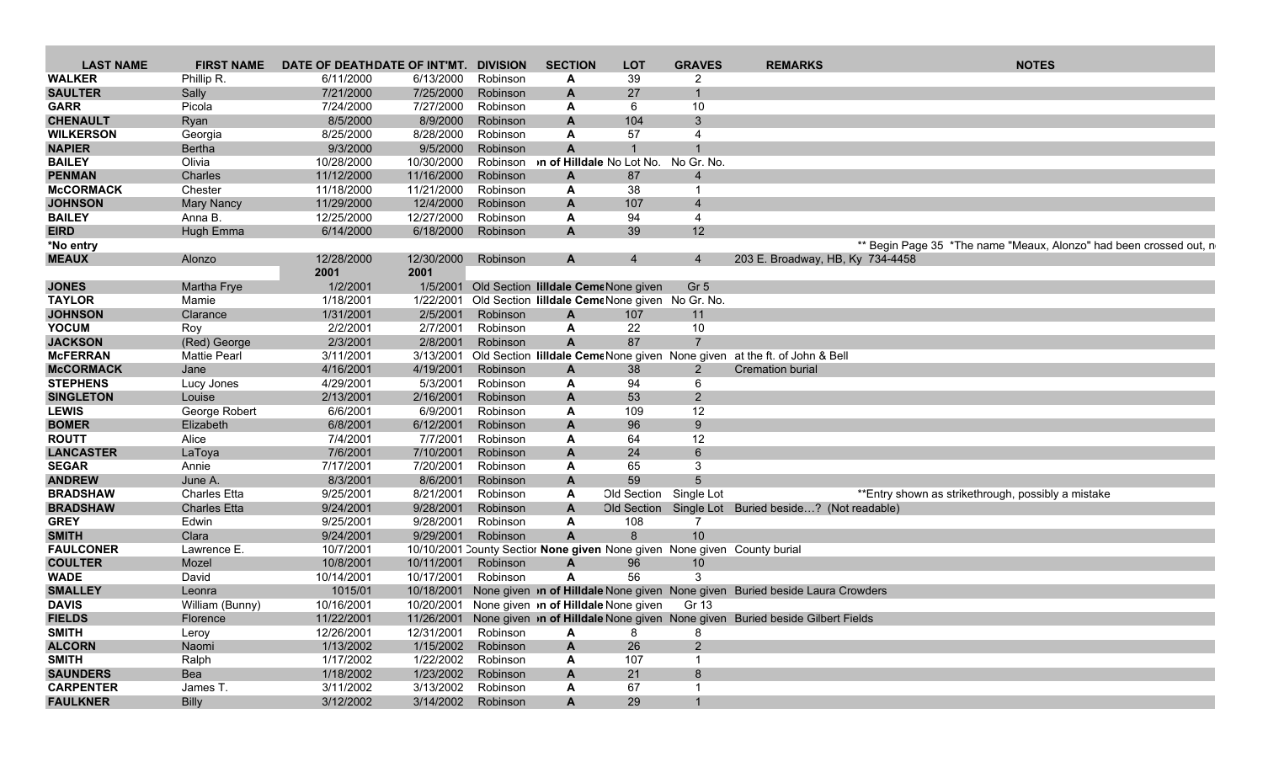| <b>LAST NAME</b> | <b>FIRST NAME</b>   | DATE OF DEATHDATE OF INT'MT. |                     | <b>DIVISION</b>    | <b>SECTION</b>                     | <b>LOT</b>                                            | <b>GRAVES</b>   | <b>REMARKS</b>                                                                          | <b>NOTES</b>                                                       |
|------------------|---------------------|------------------------------|---------------------|--------------------|------------------------------------|-------------------------------------------------------|-----------------|-----------------------------------------------------------------------------------------|--------------------------------------------------------------------|
| <b>WALKER</b>    | Phillip R.          | 6/11/2000                    | 6/13/2000           | Robinson           | А                                  | 39                                                    | 2               |                                                                                         |                                                                    |
| <b>SAULTER</b>   | Sally               | 7/21/2000                    | 7/25/2000           | Robinson           | A                                  | 27                                                    | $\mathbf{1}$    |                                                                                         |                                                                    |
| <b>GARR</b>      | Picola              | 7/24/2000                    | 7/27/2000           | Robinson           | A                                  | 6                                                     | 10 <sup>°</sup> |                                                                                         |                                                                    |
| <b>CHENAULT</b>  | Ryan                | 8/5/2000                     | 8/9/2000            | Robinson           |                                    | 104                                                   | $\mathbf{3}$    |                                                                                         |                                                                    |
| <b>WILKERSON</b> | Georgia             | 8/25/2000                    | 8/28/2000           | Robinson           | A                                  | 57                                                    | $\overline{4}$  |                                                                                         |                                                                    |
| <b>NAPIER</b>    | <b>Bertha</b>       | 9/3/2000                     | 9/5/2000            | Robinson           | A                                  |                                                       |                 |                                                                                         |                                                                    |
| <b>BAILEY</b>    | Olivia              | 10/28/2000                   | 10/30/2000          |                    | Robinson >n of Hilldale No Lot No. |                                                       | No Gr. No.      |                                                                                         |                                                                    |
| <b>PENMAN</b>    | Charles             | 11/12/2000                   | 11/16/2000          | Robinson           | A                                  | 87                                                    | $\overline{4}$  |                                                                                         |                                                                    |
| <b>McCORMACK</b> | Chester             | 11/18/2000                   | 11/21/2000          | Robinson           | A                                  | 38                                                    |                 |                                                                                         |                                                                    |
|                  |                     |                              | 12/4/2000           |                    |                                    | 107                                                   | $\overline{4}$  |                                                                                         |                                                                    |
| <b>JOHNSON</b>   | <b>Mary Nancy</b>   | 11/29/2000                   |                     | Robinson           | A                                  |                                                       |                 |                                                                                         |                                                                    |
| <b>BAILEY</b>    | Anna B.             | 12/25/2000                   | 12/27/2000          | Robinson           | A                                  | 94                                                    | $\overline{4}$  |                                                                                         |                                                                    |
| <b>EIRD</b>      | Hugh Emma           | 6/14/2000                    |                     | 6/18/2000 Robinson | A                                  | 39                                                    | 12              |                                                                                         |                                                                    |
| *No entry        |                     |                              |                     |                    |                                    |                                                       |                 |                                                                                         | ** Begin Page 35 *The name "Meaux, Alonzo" had been crossed out, n |
| <b>MEAUX</b>     | Alonzo              | 12/28/2000                   | 12/30/2000          | Robinson           | A                                  | $\overline{4}$                                        | $\overline{4}$  | 203 E. Broadway, HB, Ky 734-4458                                                        |                                                                    |
|                  |                     | 2001                         | 2001                |                    |                                    |                                                       |                 |                                                                                         |                                                                    |
| <b>JONES</b>     | Martha Frye         | 1/2/2001                     |                     |                    |                                    | 1/5/2001 Old Section lilldale CemeNone given          | Gr <sub>5</sub> |                                                                                         |                                                                    |
| <b>TAYLOR</b>    | Mamie               | 1/18/2001                    | 1/22/2001           |                    |                                    | Old Section lilldale CemeNone given No Gr. No.        |                 |                                                                                         |                                                                    |
| <b>JOHNSON</b>   | Clarance            | 1/31/2001                    | 2/5/2001            | Robinson           | A                                  | 107                                                   | 11              |                                                                                         |                                                                    |
| <b>YOCUM</b>     | Roy                 | 2/2/2001                     | 2/7/2001            | Robinson           | A                                  | 22                                                    | 10 <sub>1</sub> |                                                                                         |                                                                    |
| <b>JACKSON</b>   | (Red) George        | 2/3/2001                     | 2/8/2001            | Robinson           | A                                  | 87                                                    | $\overline{7}$  |                                                                                         |                                                                    |
| <b>McFERRAN</b>  | <b>Mattie Pearl</b> | 3/11/2001                    |                     |                    |                                    |                                                       |                 | 3/13/2001 Old Section lilldale CemeNone given None given at the ft. of John & Bell      |                                                                    |
| <b>McCORMACK</b> | Jane                | 4/16/2001                    | 4/19/2001           | Robinson           | A                                  | 38                                                    | 2               | <b>Cremation burial</b>                                                                 |                                                                    |
| <b>STEPHENS</b>  | Lucy Jones          | 4/29/2001                    | 5/3/2001            | Robinson           | A                                  | 94                                                    | 6               |                                                                                         |                                                                    |
| <b>SINGLETON</b> | Louise              | 2/13/2001                    | 2/16/2001           | Robinson           | A                                  | 53                                                    | 2               |                                                                                         |                                                                    |
| <b>LEWIS</b>     | George Robert       | 6/6/2001                     | 6/9/2001            | Robinson           | A                                  | 109                                                   | 12              |                                                                                         |                                                                    |
| <b>BOMER</b>     | Elizabeth           | 6/8/2001                     | 6/12/2001           | Robinson           | A                                  | 96                                                    | 9               |                                                                                         |                                                                    |
| <b>ROUTT</b>     | Alice               | 7/4/2001                     | 7/7/2001            | Robinson           | A                                  | 64                                                    | 12              |                                                                                         |                                                                    |
| <b>LANCASTER</b> | LaToya              | 7/6/2001                     | 7/10/2001           | Robinson           | A                                  | 24                                                    | 6               |                                                                                         |                                                                    |
| <b>SEGAR</b>     | Annie               | 7/17/2001                    | 7/20/2001           | Robinson           | A                                  | 65                                                    | 3               |                                                                                         |                                                                    |
| <b>ANDREW</b>    | June A.             | 8/3/2001                     | 8/6/2001            | Robinson           | A                                  | 59                                                    | $5\overline{5}$ |                                                                                         |                                                                    |
| <b>BRADSHAW</b>  | <b>Charles Etta</b> | 9/25/2001                    | 8/21/2001           | Robinson           | A                                  | Old Section                                           | Single Lot      |                                                                                         | ** Entry shown as strikethrough, possibly a mistake                |
| <b>BRADSHAW</b>  | <b>Charles Etta</b> | 9/24/2001                    | 9/28/2001           | Robinson           | A                                  | <b>Old Section</b>                                    |                 |                                                                                         |                                                                    |
|                  |                     |                              |                     |                    |                                    |                                                       | $\overline{7}$  | Single Lot Buried beside? (Not readable)                                                |                                                                    |
| <b>GREY</b>      | Edwin               | 9/25/2001                    | 9/28/2001           | Robinson           | A                                  | 108                                                   |                 |                                                                                         |                                                                    |
| <b>SMITH</b>     | Clara               | 9/24/2001                    | 9/29/2001           | Robinson           | A                                  | 8                                                     | 10 <sup>°</sup> |                                                                                         |                                                                    |
| <b>FAULCONER</b> | Lawrence E.         | 10/7/2001                    |                     |                    |                                    |                                                       |                 | 10/10/2001 County Sectior None given None given None given County burial                |                                                                    |
| <b>COULTER</b>   | Mozel               | 10/8/2001                    | 10/11/2001          | Robinson           | A                                  | 96                                                    | 10 <sup>°</sup> |                                                                                         |                                                                    |
| <b>WADE</b>      | David               | 10/14/2001                   | 10/17/2001          | Robinson           | A                                  | 56                                                    | 3               |                                                                                         |                                                                    |
| <b>SMALLEY</b>   | Leonra              | 1015/01                      | 10/18/2001          |                    |                                    |                                                       |                 | None given <b>on of Hilldale</b> None given None given Buried beside Laura Crowders     |                                                                    |
| <b>DAVIS</b>     | William (Bunny)     | 10/16/2001                   |                     |                    |                                    | 10/20/2001 None given <b>n of Hilldale</b> None given | Gr 13           |                                                                                         |                                                                    |
| <b>FIELDS</b>    | Florence            | 11/22/2001                   |                     |                    |                                    |                                                       |                 | 11/26/2001 None given in of Hilldale None given None given Buried beside Gilbert Fields |                                                                    |
| <b>SMITH</b>     | Leroy               | 12/26/2001                   | 12/31/2001 Robinson |                    | А                                  | 8                                                     |                 |                                                                                         |                                                                    |
| <b>ALCORN</b>    | Naomi               | 1/13/2002                    |                     | 1/15/2002 Robinson | A                                  | 26                                                    | $\overline{2}$  |                                                                                         |                                                                    |
| <b>SMITH</b>     | Ralph               | 1/17/2002                    |                     | 1/22/2002 Robinson | A                                  | 107                                                   |                 |                                                                                         |                                                                    |
| <b>SAUNDERS</b>  | Bea                 | 1/18/2002                    |                     | 1/23/2002 Robinson | A                                  | 21                                                    | 8               |                                                                                         |                                                                    |
| <b>CARPENTER</b> | James T.            | 3/11/2002                    |                     | 3/13/2002 Robinson | А                                  | 67                                                    |                 |                                                                                         |                                                                    |
| <b>FAULKNER</b>  | <b>Billy</b>        | 3/12/2002                    |                     | 3/14/2002 Robinson | A                                  | 29                                                    | $\mathbf{1}$    |                                                                                         |                                                                    |
|                  |                     |                              |                     |                    |                                    |                                                       |                 |                                                                                         |                                                                    |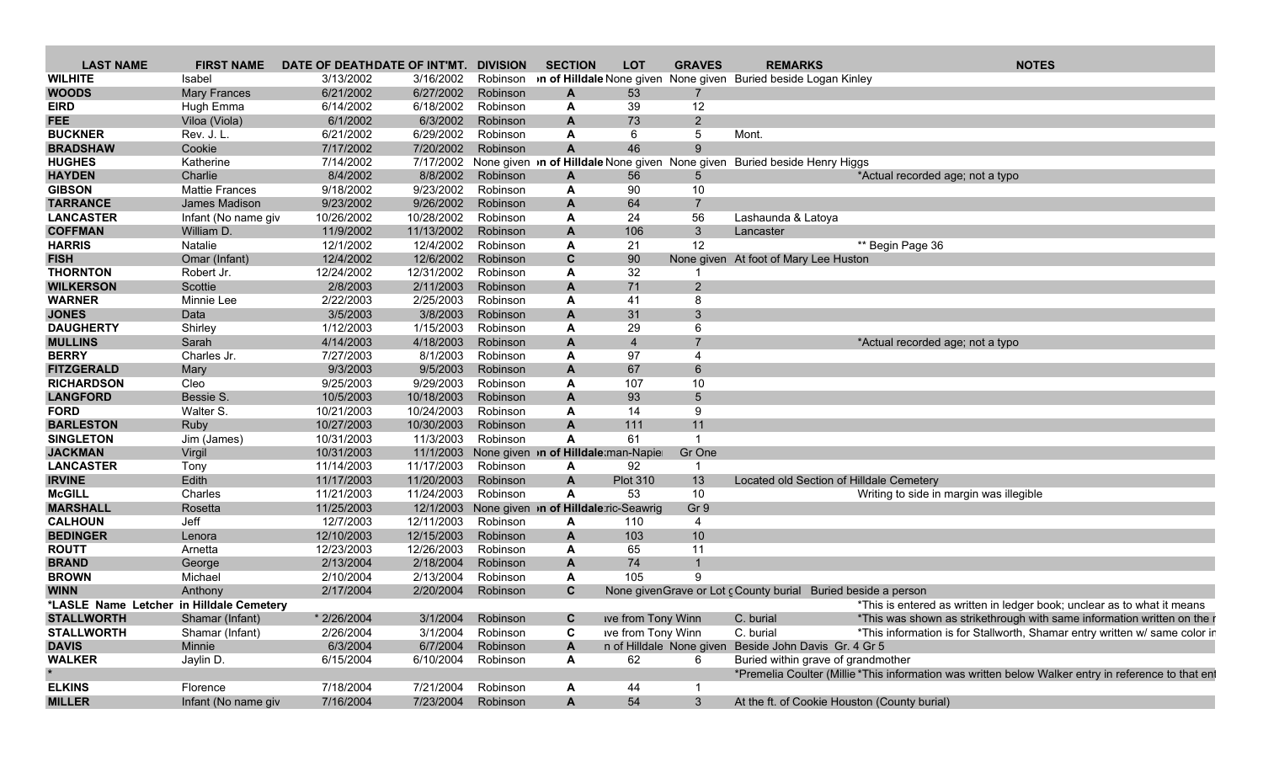| <b>LAST NAME</b>                         | <b>FIRST NAME</b>     | DATE OF DEATHDATE OF INT'MT. |            | <b>DIVISION</b> | <b>SECTION</b>                                  | <b>LOT</b>               | <b>GRAVES</b>  | <b>REMARKS</b>                                                               | <b>NOTES</b>                                                                                        |
|------------------------------------------|-----------------------|------------------------------|------------|-----------------|-------------------------------------------------|--------------------------|----------------|------------------------------------------------------------------------------|-----------------------------------------------------------------------------------------------------|
| <b>WILHITE</b>                           | Isabel                | 3/13/2002                    | 3/16/2002  |                 |                                                 |                          |                | Robinson <b>of Hilldale</b> None given None given Buried beside Logan Kinley |                                                                                                     |
| <b>WOODS</b>                             | <b>Mary Frances</b>   | 6/21/2002                    | 6/27/2002  | Robinson        | A                                               | 53                       |                |                                                                              |                                                                                                     |
| <b>EIRD</b>                              | Hugh Emma             | 6/14/2002                    | 6/18/2002  | Robinson        | A                                               | 39                       | 12             |                                                                              |                                                                                                     |
| <b>FEE</b>                               | Viloa (Viola)         | 6/1/2002                     | 6/3/2002   | Robinson        | A                                               | 73                       | $\overline{2}$ |                                                                              |                                                                                                     |
| <b>BUCKNER</b>                           | Rev. J. L.            | 6/21/2002                    | 6/29/2002  | Robinson        | A                                               | 6                        | $\overline{5}$ | Mont.                                                                        |                                                                                                     |
| <b>BRADSHAW</b>                          | Cookie                | 7/17/2002                    | 7/20/2002  | Robinson        | A                                               | 46                       | 9              |                                                                              |                                                                                                     |
| <b>HUGHES</b>                            | Katherine             | 7/14/2002                    | 7/17/2002  |                 | None given in of Hilldale None given None given |                          |                | <b>Buried beside Henry Higgs</b>                                             |                                                                                                     |
| <b>HAYDEN</b>                            | Charlie               | 8/4/2002                     | 8/8/2002   | Robinson        | $\mathbf{A}$                                    | 56                       | 5              |                                                                              | *Actual recorded age; not a typo                                                                    |
| <b>GIBSON</b>                            | <b>Mattie Frances</b> | 9/18/2002                    | 9/23/2002  | Robinson        | A                                               | 90                       | 10             |                                                                              |                                                                                                     |
| <b>TARRANCE</b>                          | James Madison         | 9/23/2002                    | 9/26/2002  | Robinson        | A                                               | 64                       | $\overline{7}$ |                                                                              |                                                                                                     |
| <b>LANCASTER</b>                         | Infant (No name giv   | 10/26/2002                   | 10/28/2002 | Robinson        | Α                                               | 24                       | 56             | Lashaunda & Latoya                                                           |                                                                                                     |
| <b>COFFMAN</b>                           | William D.            | 11/9/2002                    | 11/13/2002 | Robinson        | A                                               | 106                      | $\mathbf{3}$   | Lancaster                                                                    |                                                                                                     |
| <b>HARRIS</b>                            | Natalie               | 12/1/2002                    | 12/4/2002  | Robinson        | A                                               | 21                       | 12             |                                                                              | ** Begin Page 36                                                                                    |
| <b>FISH</b>                              | Omar (Infant)         | 12/4/2002                    | 12/6/2002  | Robinson        | C                                               | 90                       |                | None given At foot of Mary Lee Huston                                        |                                                                                                     |
| <b>THORNTON</b>                          | Robert Jr.            | 12/24/2002                   | 12/31/2002 | Robinson        | A                                               | 32                       |                |                                                                              |                                                                                                     |
| <b>WILKERSON</b>                         | Scottie               | 2/8/2003                     | 2/11/2003  | Robinson        | $\mathbf{A}$                                    | 71                       | $\overline{2}$ |                                                                              |                                                                                                     |
| <b>WARNER</b>                            | Minnie Lee            | 2/22/2003                    | 2/25/2003  | Robinson        | Α                                               | 41                       | 8              |                                                                              |                                                                                                     |
| <b>JONES</b>                             | Data                  | 3/5/2003                     | 3/8/2003   | Robinson        | A                                               | 31                       | 3              |                                                                              |                                                                                                     |
| <b>DAUGHERTY</b>                         | Shirley               | 1/12/2003                    | 1/15/2003  | Robinson        | A                                               | 29                       | 6              |                                                                              |                                                                                                     |
| <b>MULLINS</b>                           | Sarah                 | 4/14/2003                    | 4/18/2003  | Robinson        | A                                               | $\overline{4}$           | $\overline{7}$ |                                                                              | *Actual recorded age; not a typo                                                                    |
| <b>BERRY</b>                             | Charles Jr.           | 7/27/2003                    | 8/1/2003   | Robinson        | Α                                               | 97                       | $\overline{4}$ |                                                                              |                                                                                                     |
| <b>FITZGERALD</b>                        | Mary                  | 9/3/2003                     | 9/5/2003   | Robinson        | A                                               | 67                       | 6              |                                                                              |                                                                                                     |
| <b>RICHARDSON</b>                        | Cleo                  | 9/25/2003                    | 9/29/2003  | Robinson        | A                                               | 107                      | 10             |                                                                              |                                                                                                     |
| <b>LANGFORD</b>                          | Bessie S.             | 10/5/2003                    | 10/18/2003 | Robinson        | A                                               | 93                       | $\overline{5}$ |                                                                              |                                                                                                     |
| <b>FORD</b>                              | Walter S.             | 10/21/2003                   | 10/24/2003 | Robinson        | A                                               | 14                       | 9              |                                                                              |                                                                                                     |
| <b>BARLESTON</b>                         | Ruby                  | 10/27/2003                   | 10/30/2003 | Robinson        | A                                               | 111                      | 11             |                                                                              |                                                                                                     |
| <b>SINGLETON</b>                         | Jim (James)           | 10/31/2003                   | 11/3/2003  | Robinson        | A                                               | 61                       | -1             |                                                                              |                                                                                                     |
| <b>JACKMAN</b>                           | Virgil                | 10/31/2003                   | 11/1/2003  |                 | None given in of Hilldale man-Napier            |                          | Gr One         |                                                                              |                                                                                                     |
| <b>LANCASTER</b>                         | Tony                  | 11/14/2003                   | 11/17/2003 | Robinson        | A                                               | 92                       |                |                                                                              |                                                                                                     |
| <b>IRVINE</b>                            | Edith                 | 11/17/2003                   | 11/20/2003 | Robinson        | A                                               | <b>Plot 310</b>          | 13             | Located old Section of Hilldale Cemetery                                     |                                                                                                     |
| <b>McGILL</b>                            | Charles               | 11/21/2003                   | 11/24/2003 | Robinson        | $\mathbf{A}$                                    | 53                       | 10             |                                                                              | Writing to side in margin was illegible                                                             |
| <b>MARSHALL</b>                          | Rosetta               | 11/25/2003                   | 12/1/2003  |                 | None given in of Hilldale ric-Seawrig           |                          | Gr 9           |                                                                              |                                                                                                     |
| <b>CALHOUN</b>                           | Jeff                  | 12/7/2003                    | 12/11/2003 | Robinson        | A                                               | 110                      | $\overline{a}$ |                                                                              |                                                                                                     |
| <b>BEDINGER</b>                          | Lenora                | 12/10/2003                   | 12/15/2003 | Robinson        | $\mathsf{A}$                                    | 103                      | 10             |                                                                              |                                                                                                     |
| <b>ROUTT</b>                             | Arnetta               | 12/23/2003                   | 12/26/2003 | Robinson        | A                                               | 65                       | 11             |                                                                              |                                                                                                     |
| <b>BRAND</b>                             | George                | 2/13/2004                    | 2/18/2004  | Robinson        | A                                               | 74                       | $\overline{1}$ |                                                                              |                                                                                                     |
| <b>BROWN</b>                             | Michael               | 2/10/2004                    | 2/13/2004  | Robinson        | A                                               | 105                      | 9              |                                                                              |                                                                                                     |
| <b>WINN</b>                              | Anthony               | 2/17/2004                    | 2/20/2004  | Robinson        | C                                               |                          |                | None given Grave or Lot c County burial Buried beside a person               |                                                                                                     |
| *LASLE Name Letcher in Hilldale Cemetery |                       |                              |            |                 |                                                 |                          |                |                                                                              | *This is entered as written in ledger book; unclear as to what it means                             |
| <b>STALLWORTH</b>                        | Shamar (Infant)       | * 2/26/2004                  | 3/1/2004   | Robinson        | $\mathbf c$                                     | ive from Tony Winn       |                | C. burial                                                                    | *This was shown as strikethrough with same information written on the i                             |
| <b>STALLWORTH</b>                        | Shamar (Infant)       | 2/26/2004                    | 3/1/2004   | Robinson        | C                                               | ive from Tony Winn       |                | C. burial                                                                    | *This information is for Stallworth, Shamar entry written w/ same color ir                          |
| <b>DAVIS</b>                             | Minnie                | 6/3/2004                     | 6/7/2004   | Robinson        | $\mathbf{A}$                                    | n of Hilldale None given |                | Beside John Davis Gr. 4 Gr 5                                                 |                                                                                                     |
| <b>WALKER</b>                            | Jaylin D.             | 6/15/2004                    | 6/10/2004  | Robinson        | A                                               | 62                       | 6              | Buried within grave of grandmother                                           |                                                                                                     |
|                                          |                       |                              |            |                 |                                                 |                          |                |                                                                              | *Premelia Coulter (Millie *This information was written below Walker entry in reference to that ent |
| <b>ELKINS</b>                            | Florence              | 7/18/2004                    | 7/21/2004  | Robinson        | $\mathbf{A}$                                    | 44                       |                |                                                                              |                                                                                                     |
| <b>MILLER</b>                            | Infant (No name giv   | 7/16/2004                    | 7/23/2004  | Robinson        | A                                               | 54                       | 3 <sup>5</sup> | At the ft. of Cookie Houston (County burial)                                 |                                                                                                     |
|                                          |                       |                              |            |                 |                                                 |                          |                |                                                                              |                                                                                                     |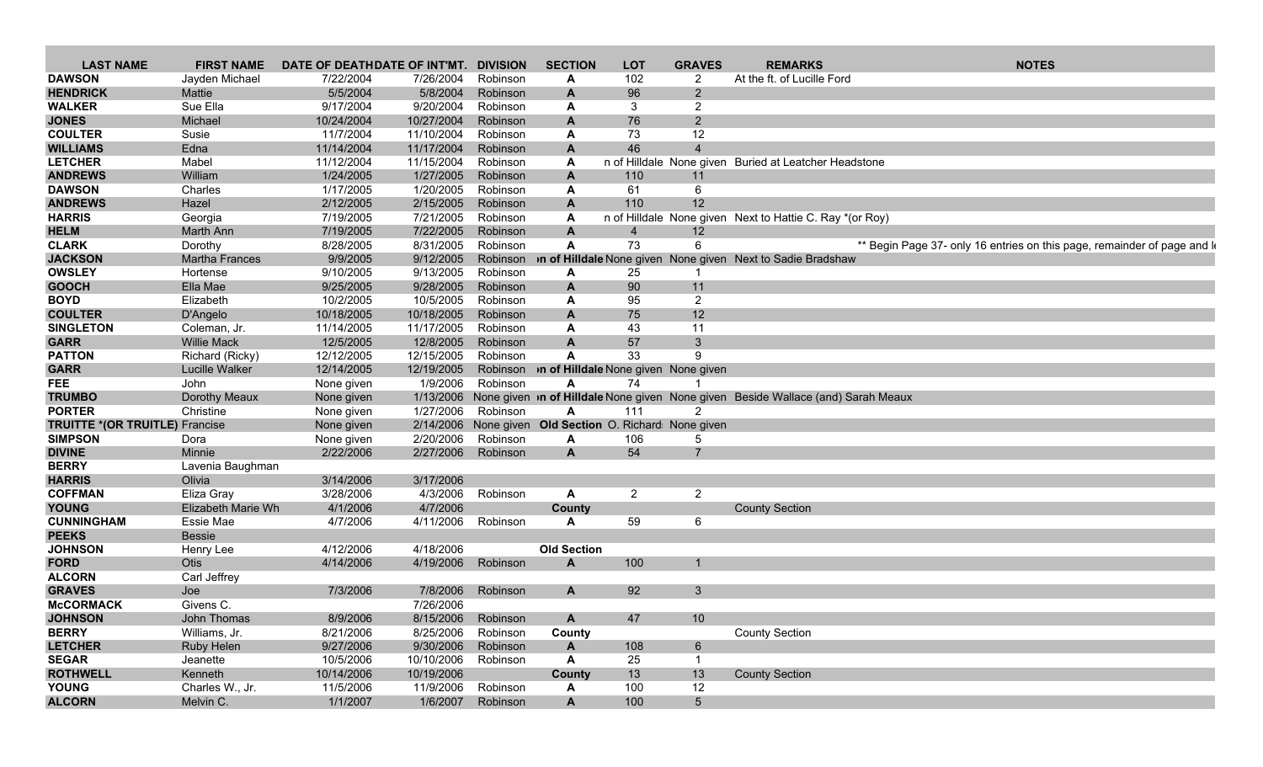| <b>LAST NAME</b>                      | <b>FIRST NAME</b>        | DATE OF DEATHDATE OF INT'MT. |            | <b>DIVISION</b> | <b>SECTION</b>                                       | <b>LOT</b>     | <b>GRAVES</b>  | <b>REMARKS</b>                                                                         | <b>NOTES</b>                                                             |
|---------------------------------------|--------------------------|------------------------------|------------|-----------------|------------------------------------------------------|----------------|----------------|----------------------------------------------------------------------------------------|--------------------------------------------------------------------------|
| <b>DAWSON</b>                         | Jayden Michael           | 7/22/2004                    | 7/26/2004  | Robinson        | A                                                    | 102            | 2              | At the ft. of Lucille Ford                                                             |                                                                          |
| <b>HENDRICK</b>                       | Mattie                   | 5/5/2004                     | 5/8/2004   | Robinson        | A                                                    | 96             | $\overline{2}$ |                                                                                        |                                                                          |
| <b>WALKER</b>                         | Sue Ella                 | 9/17/2004                    | 9/20/2004  | Robinson        | А                                                    | 3              | $\overline{2}$ |                                                                                        |                                                                          |
| <b>JONES</b>                          | Michael                  | 10/24/2004                   | 10/27/2004 | Robinson        | A                                                    | 76             | $\overline{2}$ |                                                                                        |                                                                          |
| <b>COULTER</b>                        | Susie                    | 11/7/2004                    | 11/10/2004 | Robinson        | А                                                    | 73             | 12             |                                                                                        |                                                                          |
| <b>WILLIAMS</b>                       | Edna                     | 11/14/2004                   | 11/17/2004 | Robinson        | A                                                    | 46             | $\overline{4}$ |                                                                                        |                                                                          |
| <b>LETCHER</b>                        | Mabel                    | 11/12/2004                   | 11/15/2004 | Robinson        | A                                                    |                |                | n of Hilldale None given Buried at Leatcher Headstone                                  |                                                                          |
| <b>ANDREWS</b>                        | William                  | 1/24/2005                    | 1/27/2005  | Robinson        | A                                                    | 110            | 11             |                                                                                        |                                                                          |
| <b>DAWSON</b>                         | Charles                  | 1/17/2005                    | 1/20/2005  | Robinson        | A                                                    | 61             | 6              |                                                                                        |                                                                          |
| <b>ANDREWS</b>                        | Hazel                    | 2/12/2005                    | 2/15/2005  | Robinson        | A                                                    | 110            | 12             |                                                                                        |                                                                          |
| <b>HARRIS</b>                         | Georgia                  | 7/19/2005                    | 7/21/2005  | Robinson        | A                                                    |                |                | n of Hilldale None given Next to Hattie C. Ray *(or Roy)                               |                                                                          |
| <b>HELM</b>                           | Marth Ann                | 7/19/2005                    | 7/22/2005  | Robinson        | A                                                    | $\overline{4}$ | 12             |                                                                                        |                                                                          |
| <b>CLARK</b>                          | Dorothy                  | 8/28/2005                    | 8/31/2005  | Robinson        | A                                                    | 73             | 6              |                                                                                        | ** Begin Page 37- only 16 entries on this page, remainder of page and le |
| <b>JACKSON</b>                        | <b>Martha Frances</b>    | 9/9/2005                     | 9/12/2005  |                 |                                                      |                |                | Robinson <b>In of Hilldale</b> None given None given Next to Sadie Bradshaw            |                                                                          |
| <b>OWSLEY</b>                         | Hortense                 | 9/10/2005                    | 9/13/2005  | Robinson        | А                                                    | 25             |                |                                                                                        |                                                                          |
| <b>GOOCH</b>                          | Ella Mae                 | 9/25/2005                    | 9/28/2005  | Robinson        | A                                                    | 90             | 11             |                                                                                        |                                                                          |
| <b>BOYD</b>                           | Elizabeth                | 10/2/2005                    | 10/5/2005  | Robinson        | А                                                    | 95             | $\overline{2}$ |                                                                                        |                                                                          |
| <b>COULTER</b>                        |                          | 10/18/2005                   | 10/18/2005 | Robinson        | A                                                    |                | 12             |                                                                                        |                                                                          |
| <b>SINGLETON</b>                      | D'Angelo<br>Coleman, Jr. | 11/14/2005                   | 11/17/2005 | Robinson        | A                                                    | 75<br>43       | 11             |                                                                                        |                                                                          |
|                                       |                          |                              |            |                 |                                                      |                |                |                                                                                        |                                                                          |
| <b>GARR</b>                           | <b>Willie Mack</b>       | 12/5/2005                    | 12/8/2005  | Robinson        | A                                                    | 57             | $\mathbf{3}$   |                                                                                        |                                                                          |
| <b>PATTON</b>                         | Richard (Ricky)          | 12/12/2005                   | 12/15/2005 | Robinson        | A                                                    | 33             | 9              |                                                                                        |                                                                          |
| <b>GARR</b>                           | Lucille Walker           | 12/14/2005                   | 12/19/2005 |                 | Robinson <b>In of Hilldale</b> None given None given |                |                |                                                                                        |                                                                          |
| <b>FEE</b>                            | John                     | None given                   | 1/9/2006   | Robinson        | A                                                    | 74             |                |                                                                                        |                                                                          |
| <b>TRUMBO</b>                         | Dorothy Meaux            | None given                   | 1/13/2006  |                 |                                                      |                |                | None given <b>n of Hilldale</b> None given None given Beside Wallace (and) Sarah Meaux |                                                                          |
| <b>PORTER</b>                         | Christine                | None given                   | 1/27/2006  | Robinson        | A                                                    | 111            | 2              |                                                                                        |                                                                          |
| <b>TRUITTE *(OR TRUITLE)</b> Francise |                          | None given                   | 2/14/2006  |                 | None given Old Section O. Richard: None given        |                |                |                                                                                        |                                                                          |
| <b>SIMPSON</b>                        | Dora                     | None given                   | 2/20/2006  | Robinson        | A                                                    | 106            | 5              |                                                                                        |                                                                          |
| <b>DIVINE</b>                         | Minnie                   | 2/22/2006                    | 2/27/2006  | Robinson        | A                                                    | 54             | $\overline{7}$ |                                                                                        |                                                                          |
| <b>BERRY</b>                          | Lavenia Baughman         |                              |            |                 |                                                      |                |                |                                                                                        |                                                                          |
| <b>HARRIS</b>                         | Olivia                   | 3/14/2006                    | 3/17/2006  |                 |                                                      |                |                |                                                                                        |                                                                          |
| <b>COFFMAN</b>                        | Eliza Gray               | 3/28/2006                    | 4/3/2006   | Robinson        | A                                                    | $\overline{2}$ | $\overline{2}$ |                                                                                        |                                                                          |
| <b>YOUNG</b>                          | Elizabeth Marie Wh       | 4/1/2006                     | 4/7/2006   |                 | County                                               |                |                | <b>County Section</b>                                                                  |                                                                          |
| <b>CUNNINGHAM</b>                     | Essie Mae                | 4/7/2006                     | 4/11/2006  | Robinson        | A                                                    | 59             | 6              |                                                                                        |                                                                          |
| <b>PEEKS</b>                          | Bessie                   |                              |            |                 |                                                      |                |                |                                                                                        |                                                                          |
| <b>JOHNSON</b>                        | Henry Lee                | 4/12/2006                    | 4/18/2006  |                 | <b>Old Section</b>                                   |                |                |                                                                                        |                                                                          |
| <b>FORD</b>                           | Otis                     | 4/14/2006                    | 4/19/2006  | Robinson        | A                                                    | 100            | $\mathbf 1$    |                                                                                        |                                                                          |
| <b>ALCORN</b>                         | Carl Jeffrey             |                              |            |                 |                                                      |                |                |                                                                                        |                                                                          |
| <b>GRAVES</b>                         | Joe                      | 7/3/2006                     | 7/8/2006   | Robinson        | A                                                    | 92             | 3              |                                                                                        |                                                                          |
| <b>McCORMACK</b>                      | Givens C.                |                              | 7/26/2006  |                 |                                                      |                |                |                                                                                        |                                                                          |
| <b>JOHNSON</b>                        | John Thomas              | 8/9/2006                     | 8/15/2006  | Robinson        | A                                                    | 47             | 10             |                                                                                        |                                                                          |
| <b>BERRY</b>                          | Williams, Jr.            | 8/21/2006                    | 8/25/2006  | Robinson        | County                                               |                |                | <b>County Section</b>                                                                  |                                                                          |
| <b>LETCHER</b>                        | Ruby Helen               | 9/27/2006                    | 9/30/2006  | Robinson        | A                                                    | 108            | 6              |                                                                                        |                                                                          |
| <b>SEGAR</b>                          | Jeanette                 | 10/5/2006                    | 10/10/2006 | Robinson        | A                                                    | 25             | $\overline{1}$ |                                                                                        |                                                                          |
| <b>ROTHWELL</b>                       | Kenneth                  | 10/14/2006                   | 10/19/2006 |                 | County                                               | 13             | 13             | <b>County Section</b>                                                                  |                                                                          |
| <b>YOUNG</b>                          | Charles W., Jr.          | 11/5/2006                    | 11/9/2006  | Robinson        | A                                                    | 100            | 12             |                                                                                        |                                                                          |
| <b>ALCORN</b>                         | Melvin C.                | 1/1/2007                     | 1/6/2007   | Robinson        | A                                                    | 100            | 5              |                                                                                        |                                                                          |
|                                       |                          |                              |            |                 |                                                      |                |                |                                                                                        |                                                                          |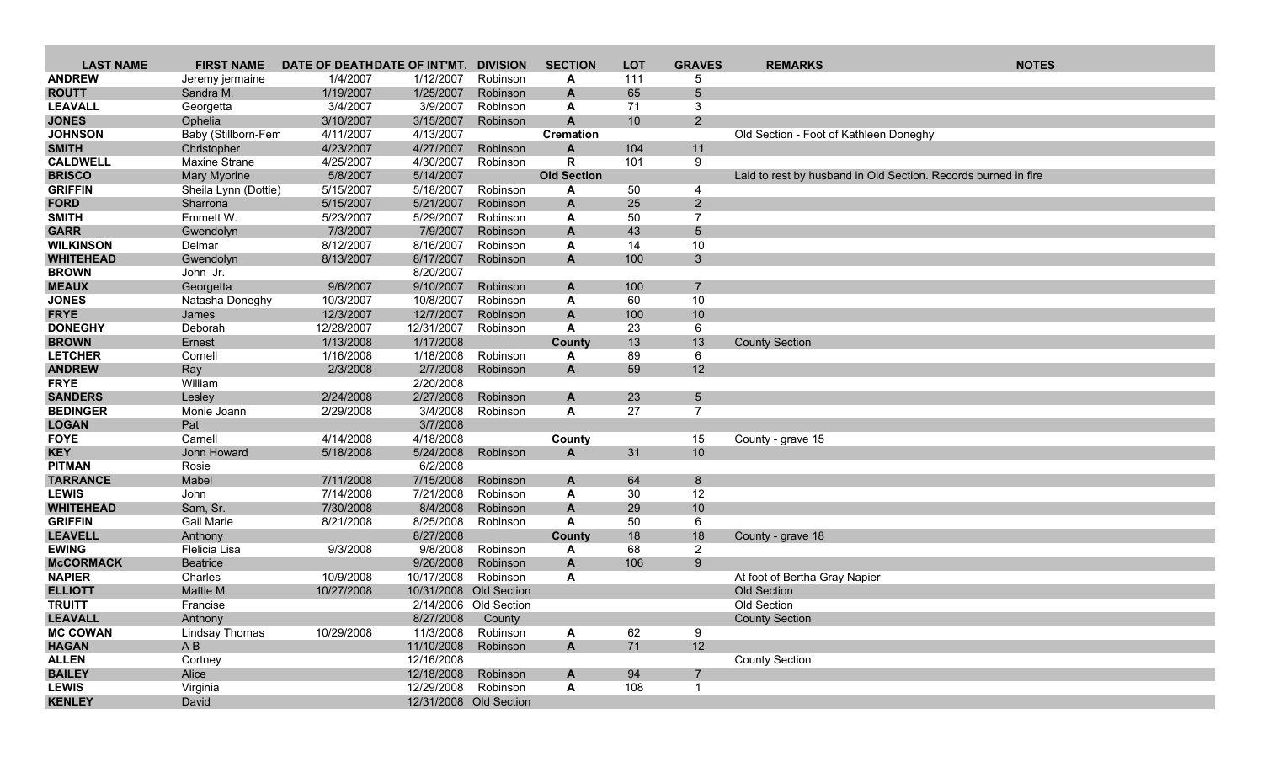| <b>LAST NAME</b>          | <b>FIRST NAME</b>      | DATE OF DEATHDATE OF INT'MT. |                        | <b>DIVISION</b>        | <b>SECTION</b>     | <b>LOT</b>      | <b>GRAVES</b>   | <b>REMARKS</b>                                                 | <b>NOTES</b> |
|---------------------------|------------------------|------------------------------|------------------------|------------------------|--------------------|-----------------|-----------------|----------------------------------------------------------------|--------------|
| <b>ANDREW</b>             | Jeremy jermaine        | 1/4/2007                     | 1/12/2007              | Robinson               | A                  | 111             | 5               |                                                                |              |
| <b>ROUTT</b>              | Sandra M.              | 1/19/2007                    | 1/25/2007              | Robinson               | A                  | 65              | $5\phantom{.0}$ |                                                                |              |
| <b>LEAVALL</b>            | Georgetta              | 3/4/2007                     | 3/9/2007               | Robinson               | A                  | 71              | 3               |                                                                |              |
| <b>JONES</b>              | Ophelia                | 3/10/2007                    | 3/15/2007              | Robinson               | $\mathbf{A}$       | 10 <sup>°</sup> | $2^{\circ}$     |                                                                |              |
| <b>JOHNSON</b>            | Baby (Stillborn-Fem    | 4/11/2007                    | 4/13/2007              |                        | <b>Cremation</b>   |                 |                 | Old Section - Foot of Kathleen Doneghy                         |              |
| <b>SMITH</b>              | Christopher            | 4/23/2007                    | 4/27/2007              | Robinson               | $\mathbf{A}$       | 104             | 11              |                                                                |              |
| <b>CALDWELL</b>           | Maxine Strane          | 4/25/2007                    | 4/30/2007              | Robinson               | $\mathbf R$        | 101             | 9               |                                                                |              |
| <b>BRISCO</b>             | <b>Mary Myorine</b>    | 5/8/2007                     | 5/14/2007              |                        | <b>Old Section</b> |                 |                 | Laid to rest by husband in Old Section. Records burned in fire |              |
| <b>GRIFFIN</b>            | Sheila Lynn (Dottie)   | 5/15/2007                    | 5/18/2007              | Robinson               | A                  | 50              | 4               |                                                                |              |
| <b>FORD</b>               | Sharrona               | 5/15/2007                    | 5/21/2007              | Robinson               | A                  | 25              | $\overline{2}$  |                                                                |              |
| <b>SMITH</b>              | Emmett W.              | 5/23/2007                    | 5/29/2007              | Robinson               | A                  | 50              | $\overline{7}$  |                                                                |              |
| <b>GARR</b>               | Gwendolyn              | 7/3/2007                     | 7/9/2007               | Robinson               | A                  | 43              | 5               |                                                                |              |
| <b>WILKINSON</b>          | Delmar                 | 8/12/2007                    | 8/16/2007              | Robinson               | A                  | 14              | 10              |                                                                |              |
| <b>WHITEHEAD</b>          | Gwendolyn              | 8/13/2007                    | 8/17/2007              | Robinson               | $\mathbf{A}$       | 100             | $3\phantom{a}$  |                                                                |              |
| <b>BROWN</b>              | John Jr.               |                              | 8/20/2007              |                        |                    |                 |                 |                                                                |              |
| <b>MEAUX</b>              | Georgetta              | 9/6/2007                     | 9/10/2007              | Robinson               | A                  | 100             | $\overline{7}$  |                                                                |              |
| <b>JONES</b>              | Natasha Doneghy        | 10/3/2007                    | 10/8/2007              | Robinson               | A                  | 60              | 10              |                                                                |              |
| <b>FRYE</b>               | James                  | 12/3/2007                    | 12/7/2007              | Robinson               | $\mathbf{A}$       | 100             | 10              |                                                                |              |
| <b>DONEGHY</b>            | Deborah                | 12/28/2007                   | 12/31/2007             | Robinson               | A                  | 23              | 6               |                                                                |              |
| <b>BROWN</b>              | Ernest                 | 1/13/2008                    | 1/17/2008              |                        | County             | 13              | 13              | <b>County Section</b>                                          |              |
| <b>LETCHER</b>            | Cornell                | 1/16/2008                    | 1/18/2008              | Robinson               | Α                  | 89              | 6               |                                                                |              |
| <b>ANDREW</b>             | Ray                    | 2/3/2008                     | 2/7/2008               | Robinson               | $\mathbf{A}$       | 59              | 12              |                                                                |              |
| <b>FRYE</b>               | William                |                              | 2/20/2008              |                        |                    |                 |                 |                                                                |              |
| <b>SANDERS</b>            | Lesley                 | 2/24/2008                    | 2/27/2008              | Robinson               | A                  | 23              | 5               |                                                                |              |
| <b>BEDINGER</b>           | Monie Joann            | 2/29/2008                    | 3/4/2008               | Robinson               | A                  | 27              | $\overline{7}$  |                                                                |              |
| <b>LOGAN</b>              | Pat                    |                              | 3/7/2008               |                        |                    |                 |                 |                                                                |              |
| <b>FOYE</b><br><b>KEY</b> | Carnell<br>John Howard | 4/14/2008<br>5/18/2008       | 4/18/2008<br>5/24/2008 | Robinson               | County<br>A        | 31              | 15<br>10        | County - grave 15                                              |              |
| <b>PITMAN</b>             | Rosie                  |                              | 6/2/2008               |                        |                    |                 |                 |                                                                |              |
| <b>TARRANCE</b>           | Mabel                  | 7/11/2008                    | 7/15/2008              | Robinson               | A                  | 64              | 8               |                                                                |              |
| <b>LEWIS</b>              | John                   | 7/14/2008                    | 7/21/2008              | Robinson               | A                  | 30              | 12              |                                                                |              |
| <b>WHITEHEAD</b>          | Sam, Sr.               | 7/30/2008                    | 8/4/2008               | Robinson               | A                  | 29              | 10              |                                                                |              |
| <b>GRIFFIN</b>            | <b>Gail Marie</b>      | 8/21/2008                    | 8/25/2008              | Robinson               | A                  | 50              | 6               |                                                                |              |
| <b>LEAVELL</b>            | Anthony                |                              | 8/27/2008              |                        | County             | 18              | 18              | County - grave 18                                              |              |
| <b>EWING</b>              | Flelicia Lisa          | 9/3/2008                     | 9/8/2008               | Robinson               | A                  | 68              | $\overline{2}$  |                                                                |              |
| <b>McCORMACK</b>          | <b>Beatrice</b>        |                              | 9/26/2008              | Robinson               | A                  | 106             | 9 <sup>°</sup>  |                                                                |              |
| <b>NAPIER</b>             | Charles                | 10/9/2008                    | 10/17/2008             | Robinson               | A                  |                 |                 | At foot of Bertha Gray Napier                                  |              |
| <b>ELLIOTT</b>            | Mattie M.              | 10/27/2008                   |                        | 10/31/2008 Old Section |                    |                 |                 | Old Section                                                    |              |
| <b>TRUITT</b>             | Francise               |                              |                        | 2/14/2006 Old Section  |                    |                 |                 | Old Section                                                    |              |
| <b>LEAVALL</b>            | Anthony                |                              | 8/27/2008              | County                 |                    |                 |                 | <b>County Section</b>                                          |              |
| <b>MC COWAN</b>           | Lindsay Thomas         | 10/29/2008                   | 11/3/2008              | Robinson               | A                  | 62              | 9               |                                                                |              |
| <b>HAGAN</b>              | AB                     |                              | 11/10/2008             | Robinson               | $\mathbf{A}$       | 71              | 12              |                                                                |              |
| <b>ALLEN</b>              | Cortney                |                              | 12/16/2008             |                        |                    |                 |                 | <b>County Section</b>                                          |              |
| <b>BAILEY</b>             | Alice                  |                              | 12/18/2008             | Robinson               | A                  | 94              | $\overline{7}$  |                                                                |              |
| <b>LEWIS</b>              | Virginia               |                              | 12/29/2008             | Robinson               | A                  | 108             |                 |                                                                |              |
| <b>KENLEY</b>             | David                  |                              |                        | 12/31/2008 Old Section |                    |                 |                 |                                                                |              |
|                           |                        |                              |                        |                        |                    |                 |                 |                                                                |              |